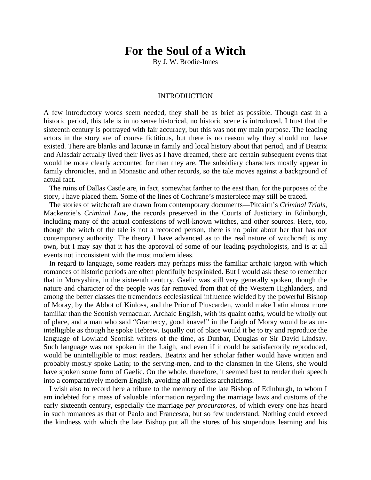# **For the Soul of a Witch**

By J. W. Brodie-Innes

#### INTRODUCTION

A few introductory words seem needed, they shall be as brief as possible. Though cast in a historic period, this tale is in no sense historical, no historic scene is introduced. I trust that the sixteenth century is portrayed with fair accuracy, but this was not my main purpose. The leading actors in the story are of course fictitious, but there is no reason why they should not have existed. There are blanks and lacunæ in family and local history about that period, and if Beatrix and Alasdair actually lived their lives as I have dreamed, there are certain subsequent events that would be more clearly accounted for than they are. The subsidiary characters mostly appear in family chronicles, and in Monastic and other records, so the tale moves against a background of actual fact.

 The ruins of Dallas Castle are, in fact, somewhat farther to the east than, for the purposes of the story, I have placed them. Some of the lines of Cochrane's masterpiece may still be traced.

 The stories of witchcraft are drawn from contemporary documents—Pitcairn's *Criminal Trials,*  Mackenzie's *Criminal Law,* the records preserved in the Courts of Justiciary in Edinburgh, including many of the actual confessions of well-known witches, and other sources. Here, too, though the witch of the tale is not a recorded person, there is no point about her that has not contemporary authority. The theory I have advanced as to the real nature of witchcraft is my own, but I may say that it has the approval of some of our leading psychologists, and is at all events not inconsistent with the most modern ideas.

 In regard to language, some readers may perhaps miss the familiar archaic jargon with which romances of historic periods are often plentifully besprinkled. But I would ask these to remember that in Morayshire, in the sixteenth century, Gaelic was still very generally spoken, though the nature and character of the people was far removed from that of the Western Highlanders, and among the better classes the tremendous ecclesiastical influence wielded by the powerful Bishop of Moray, by the Abbot of Kinloss, and the Prior of Pluscarden, would make Latin almost more familiar than the Scottish vernacular. Archaic English, with its quaint oaths, would be wholly out of place, and a man who said "Gramercy, good knave!" in the Laigh of Moray would be as unintelligible as though he spoke Hebrew. Equally out of place would it be to try and reproduce the language of Lowland Scottish writers of the time, as Dunbar, Douglas or Sir David Lindsay. Such language was not spoken in the Laigh, and even if it could be satisfactorily reproduced, would be unintelligible to most readers. Beatrix and her scholar father would have written and probably mostly spoke Latin; to the serving-men, and to the clansmen in the Glens, she would have spoken some form of Gaelic. On the whole, therefore, it seemed best to render their speech into a comparatively modern English, avoiding all needless archaicisms.

 I wish also to record here a tribute to the memory of the late Bishop of Edinburgh, to whom I am indebted for a mass of valuable information regarding the marriage laws and customs of the early sixteenth century, especially the marriage *per procuratores,* of which every one has heard in such romances as that of Paolo and Francesca, but so few understand. Nothing could exceed the kindness with which the late Bishop put all the stores of his stupendous learning and his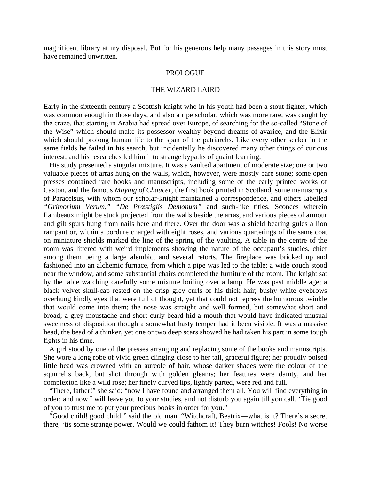magnificent library at my disposal. But for his generous help many passages in this story must have remained unwritten.

## PROLOGUE

### THE WIZARD LAIRD

Early in the sixteenth century a Scottish knight who in his youth had been a stout fighter, which was common enough in those days, and also a ripe scholar, which was more rare, was caught by the craze, that starting in Arabia had spread over Europe, of searching for the so-called "Stone of the Wise" which should make its possessor wealthy beyond dreams of avarice, and the Elixir which should prolong human life to the span of the patriarchs. Like every other seeker in the same fields he failed in his search, but incidentally he discovered many other things of curious interest, and his researches led him into strange bypaths of quaint learning.

 His study presented a singular mixture. It was a vaulted apartment of moderate size; one or two valuable pieces of arras hung on the walls, which, however, were mostly bare stone; some open presses contained rare books and manuscripts, including some of the early printed works of Caxton, and the famous *Maying of Chaucer,* the first book printed in Scotland, some manuscripts of Paracelsus, with whom our scholar-knight maintained a correspondence, and others labelled *"Grimorium Verum," "De Prœstigiis Demonum"* and such-like titles. Sconces wherein flambeaux might be stuck projected from the walls beside the arras, and various pieces of armour and gilt spurs hung from nails here and there. Over the door was a shield bearing gules a lion rampant or, within a bordure charged with eight roses, and various quarterings of the same coat on miniature shields marked the line of the spring of the vaulting. A table in the centre of the room was littered with weird implements showing the nature of the occupant's studies, chief among them being a large alembic, and several retorts. The fireplace was bricked up and fashioned into an alchemic furnace, from which a pipe was led to the table; a wide couch stood near the window, and some substantial chairs completed the furniture of the room. The knight sat by the table watching carefully some mixture boiling over a lamp. He was past middle age; a black velvet skull-cap rested on the crisp grey curls of his thick hair; bushy white eyebrows overhung kindly eyes that were full of thought, yet that could not repress the humorous twinkle that would come into them; the nose was straight and well formed, but somewhat short and broad; a grey moustache and short curly beard hid a mouth that would have indicated unusual sweetness of disposition though a somewhat hasty temper had it been visible. It was a massive head, the bead of a thinker, yet one or two deep scars showed he had taken his part in some tough fights in his time.

 A girl stood by one of the presses arranging and replacing some of the books and manuscripts. She wore a long robe of vivid green clinging close to her tall, graceful figure; her proudly poised little head was crowned with an aureole of hair, whose darker shades were the colour of the squirrel's back, but shot through with golden gleams; her features were dainty, and her complexion like a wild rose; her finely curved lips, lightly parted, were red and full.

 "There, father!" she said; "now I have found and arranged them all. You will find everything in order; and now I will leave you to your studies, and not disturb you again till you call. 'Tie good of you to trust me to put your precious books in order for you."

 "Good child! good child!" said the old man. "Witchcraft, Beatrix—what is it? There's a secret there, 'tis some strange power. Would we could fathom it! They burn witches! Fools! No worse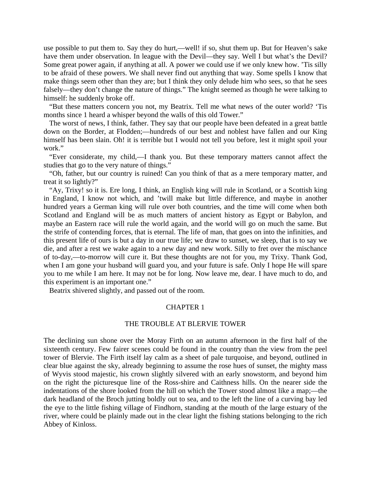use possible to put them to. Say they do hurt,—well! if so, shut them up. But for Heaven's sake have them under observation. In league with the Devil—they say. Well I but what's the Devil? Some great power again, if anything at all. A power we could use if we only knew how. 'Tis silly to be afraid of these powers. We shall never find out anything that way. Some spells I know that make things seem other than they are; but I think they only delude him who sees, so that he sees falsely—they don't change the nature of things." The knight seemed as though he were talking to himself: he suddenly broke off.

 "But these matters concern you not, my Beatrix. Tell me what news of the outer world? 'Tis months since 1 heard a whisper beyond the walls of this old Tower."

 The worst of news, I think, father. They say that our people have been defeated in a great battle down on the Border, at Flodden;—hundreds of our best and noblest have fallen and our King himself has been slain. Oh! it is terrible but I would not tell you before, lest it might spoil your work."

 "Ever considerate, my child,—I thank you. But these temporary matters cannot affect the studies that go to the very nature of things."

 "Oh, father, but our country is ruined! Can you think of that as a mere temporary matter, and treat it so lightly?"

 "Ay, Trixy! so it is. Ere long, I think, an English king will rule in Scotland, or a Scottish king in England, I know not which, and 'twill make but little difference, and maybe in another hundred years a German king will rule over both countries, and the time will come when both Scotland and England will be as much matters of ancient history as Egypt or Babylon, and maybe an Eastern race will rule the world again, and the world will go on much the same. But the strife of contending forces, that is eternal. The life of man, that goes on into the infinities, and this present life of ours is but a day in our true life; we draw to sunset, we sleep, that is to say we die, and after a rest we wake again to a new day and new work. Silly to fret over the mischance of to-day,—to-morrow will cure it. But these thoughts are not for you, my Trixy. Thank God, when I am gone your husband will guard you, and your future is safe. Only I hope He will spare you to me while I am here. It may not be for long. Now leave me, dear. I have much to do, and this experiment is an important one."

Beatrix shivered slightly, and passed out of the room.

#### CHAPTER 1

#### THE TROUBLE AT BLERVIE TOWER

The declining sun shone over the Moray Firth on an autumn afternoon in the first half of the sixteenth century. Few fairer scenes could be found in the country than the view from the peel tower of Blervie. The Firth itself lay calm as a sheet of pale turquoise, and beyond, outlined in clear blue against the sky, already beginning to assume the rose hues of sunset, the mighty mass of Wyvis stood majestic, his crown slightly silvered with an early snowstorm, and beyond him on the right the picturesque line of the Ross-shire and Caithness hills. On the nearer side the indentations of the shore looked from the hill on which the Tower stood almost like a map;—the dark headland of the Broch jutting boldly out to sea, and to the left the line of a curving bay led the eye to the little fishing village of Findhorn, standing at the mouth of the large estuary of the river, where could be plainly made out in the clear light the fishing stations belonging to the rich Abbey of Kinloss.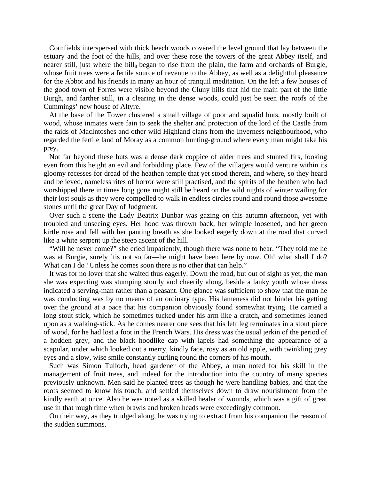Cornfields interspersed with thick beech woods covered the level ground that lay between the estuary and the foot of the hills, and over these rose the towers of the great Abbey itself, and nearer still, just where the hill<sub>8</sub> began to rise from the plain, the farm and orchards of Burgle, whose fruit trees were a fertile source of revenue to the Abbey, as well as a delightful pleasance for the Abbot and his friends in many an hour of tranquil meditation. On the left a few houses of the good town of Forres were visible beyond the Cluny hills that hid the main part of the little Burgh, and farther still, in a clearing in the dense woods, could just be seen the roofs of the Cummings' new house of Altyre.

 At the base of the Tower clustered a small village of poor and squalid huts, mostly built of wood, whose inmates were fain to seek the shelter and protection of the lord of the Castle from the raids of MacIntoshes and other wild Highland clans from the Inverness neighbourhood, who regarded the fertile land of Moray as a common hunting-ground where every man might take his prey.

 Not far beyond these huts was a dense dark coppice of alder trees and stunted firs, looking even from this height an evil and forbidding place. Few of the villagers would venture within its gloomy recesses for dread of the heathen temple that yet stood therein, and where, so they heard and believed, nameless rites of horror were still practised, and the spirits of the heathen who had worshipped there in times long gone might still be heard on the wild nights of winter wailing for their lost souls as they were compelled to walk in endless circles round and round those awesome stones until the great Day of Judgment.

 Over such a scene the Lady Beatrix Dunbar was gazing on this autumn afternoon, yet with troubled and unseeing eyes. Her hood was thrown back, her wimple loosened, and her green kirtle rose and fell with her panting breath as she looked eagerly down at the road that curved like a white serpent up the steep ascent of the hill.

 "Will he never come?" she cried impatiently, though there was none to hear. "They told me he was at Burgie, surely 'tis not so far—he might have been here by now. Oh! what shall I do? What can I do? Unless he comes soon there is no other that can help."

 It was for no lover that she waited thus eagerly. Down the road, but out of sight as yet, the man she was expecting was stumping stoutly and cheerily along, beside a lanky youth whose dress indicated a serving-man rather than a peasant. One glance was sufficient to show that the man he was conducting was by no means of an ordinary type. His lameness did not hinder his getting over the ground at a pace that his companion obviously found somewhat trying. He carried a long stout stick, which he sometimes tucked under his arm like a crutch, and sometimes leaned upon as a walking-stick. As he comes nearer one sees that his left leg terminates in a stout piece of wood, for he had lost a foot in the French Wars. His dress was the usual jerkin of the period of a hodden grey, and the black hoodlike cap with lapels had something the appearance of a scapular, under which looked out a merry, kindly face, rosy as an old apple, with twinkling grey eyes and a slow, wise smile constantly curling round the corners of his mouth.

 Such was Simon Tulloch, head gardener of the Abbey, a man noted for his skill in the management of fruit trees, and indeed for the introduction into the country of many species previously unknown. Men said he planted trees as though he were handling babies, and that the roots seemed to know his touch, and settled themselves down to draw nourishment from the kindly earth at once. Also he was noted as a skilled healer of wounds, which was a gift of great use in that rough time when brawls and broken heads were exceedingly common.

 On their way, as they trudged along, he was trying to extract from his companion the reason of the sudden summons.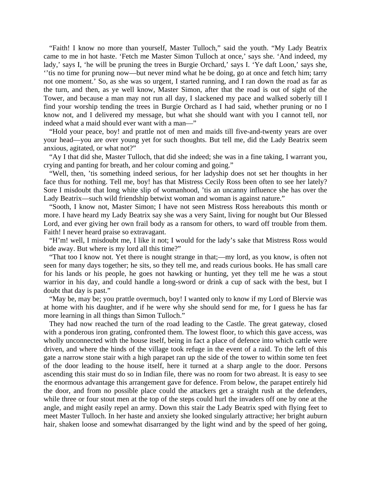"Faith! I know no more than yourself, Master Tulloch," said the youth. "My Lady Beatrix came to me in hot haste. 'Fetch me Master Simon Tulloch at once,' says she. 'And indeed, my lady,' says I, 'he will be pruning the trees in Burgie Orchard,' says I. 'Ye daft Loon,' says she, ''tis no time for pruning now—but never mind what he be doing, go at once and fetch him; tarry not one moment.' So, as she was so urgent, I started running, and I ran down the road as far as the turn, and then, as ye well know, Master Simon, after that the road is out of sight of the Tower, and because a man may not run all day, I slackened my pace and walked soberly till I find your worship tending the trees in Burgie Orchard as I had said, whether pruning or no I know not, and I delivered my message, but what she should want with you I cannot tell, nor indeed what a maid should ever want with a man—"

 "Hold your peace, boy! and prattle not of men and maids till five-and-twenty years are over your head—you are over young yet for such thoughts. But tell me, did the Lady Beatrix seem anxious, agitated, or what not?"

 "Ay I that did she, Master Tulloch, that did she indeed; she was in a fine taking, I warrant you, crying and panting for breath, and her colour coming and going."

 "Well, then, 'tis something indeed serious, for her ladyship does not set her thoughts in her face thus for nothing. Tell me, boy! has that Mistress Cecily Ross been often to see her lately? Sore I misdoubt that long white slip of womanhood, 'tis an uncanny influence she has over the Lady Beatrix—such wild friendship betwixt woman and woman is against nature."

 "Sooth, I know not, Master Simon; I have not seen Mistress Ross hereabouts this month or more. I have heard my Lady Beatrix say she was a very Saint, living for nought but Our Blessed Lord, and ever giving her own frail body as a ransom for others, to ward off trouble from them. Faith! I never heard praise so extravagant.

 "H'm! well, I misdoubt me, I like it not; I would for the lady's sake that Mistress Ross would bide away. But where is my lord all this time?"

 "That too I know not. Yet there is nought strange in that;—my lord, as you know, is often not seen for many days together; he sits, so they tell me, and reads curious books. He has small care for his lands or his people, he goes not hawking or hunting, yet they tell me he was a stout warrior in his day, and could handle a long-sword or drink a cup of sack with the best, but I doubt that day is past."

 "May be, may be; you prattle overmuch, boy! I wanted only to know if my Lord of Blervie was at home with his daughter, and if he were why she should send for me, for I guess he has far more learning in all things than Simon Tulloch."

 They had now reached the turn of the road leading to the Castle. The great gateway, closed with a ponderous iron grating, confronted them. The lowest floor, to which this gave access, was wholly unconnected with the house itself, being in fact a place of defence into which cattle were driven, and where the hinds of the village took refuge in the event of a raid. To the left of this gate a narrow stone stair with a high parapet ran up the side of the tower to within some ten feet of the door leading to the house itself, here it turned at a sharp angle to the door. Persons ascending this stair must do so in Indian file, there was no room for two abreast. It is easy to see the enormous advantage this arrangement gave for defence. From below, the parapet entirely hid the door, and from no possible place could the attackers get a straight rush at the defenders, while three or four stout men at the top of the steps could hurl the invaders off one by one at the angle, and might easily repel an army. Down this stair the Lady Beatrix sped with flying feet to meet Master Tulloch. In her haste and anxiety she looked singularly attractive; her bright auburn hair, shaken loose and somewhat disarranged by the light wind and by the speed of her going,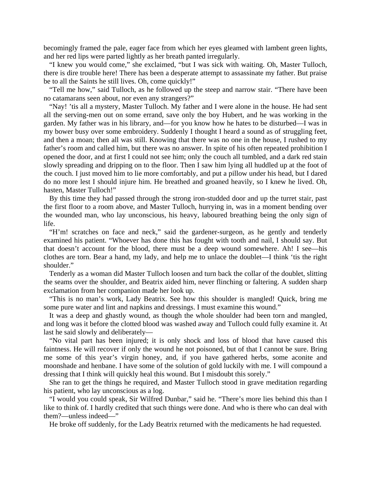becomingly framed the pale, eager face from which her eyes gleamed with lambent green lights, and her red lips were parted lightly as her breath panted irregularly.

 "I knew you would come," she exclaimed, "but I was sick with waiting. Oh, Master Tulloch, there is dire trouble here! There has been a desperate attempt to assassinate my father. But praise be to all the Saints he still lives. Oh, come quickly!"

 "Tell me how," said Tulloch, as he followed up the steep and narrow stair. "There have been no catamarans seen about, nor even any strangers?"

 "Nay! 'tis all a mystery, Master Tulloch. My father and I were alone in the house. He had sent all the serving-men out on some errand, save only the boy Hubert, and he was working in the garden. My father was in his library, and—for you know how he hates to be disturbed—I was in my bower busy over some embroidery. Suddenly I thought I heard a sound as of struggling feet, and then a moan; then all was still. Knowing that there was no one in the house, I rushed to my father's room and called him, but there was no answer. In spite of his often repeated prohibition I opened the door, and at first I could not see him; only the couch all tumbled, and a dark red stain slowly spreading and dripping on to the floor. Then I saw him lying all huddled up at the foot of the couch. I just moved him to lie more comfortably, and put a pillow under his head, but I dared do no more lest I should injure him. He breathed and groaned heavily, so I knew he lived. Oh, hasten, Master Tulloch!"

 By this time they had passed through the strong iron-studded door and up the turret stair, past the first floor to a room above, and Master Tulloch, hurrying in, was in a moment bending over the wounded man, who lay unconscious, his heavy, laboured breathing being the only sign of life.

 "H'm! scratches on face and neck," said the gardener-surgeon, as he gently and tenderly examined his patient. "Whoever has done this has fought with tooth and nail, I should say. But that doesn't account for the blood, there must be a deep wound somewhere. Ah! I see—his clothes are torn. Bear a hand, my lady, and help me to unlace the doublet—I think 'tis the right shoulder."

 Tenderly as a woman did Master Tulloch loosen and turn back the collar of the doublet, slitting the seams over the shoulder, and Beatrix aided him, never flinching or faltering. A sudden sharp exclamation from her companion made her look up.

 "This is no man's work, Lady Beatrix. See how this shoulder is mangled! Quick, bring me some pure water and lint and napkins and dressings. I must examine this wound."

 It was a deep and ghastly wound, as though the whole shoulder had been torn and mangled, and long was it before the clotted blood was washed away and Tulloch could fully examine it. At last he said slowly and deliberately—

 "No vital part has been injured; it is only shock and loss of blood that have caused this faintness. He will recover if only the wound he not poisoned, but of that I cannot be sure. Bring me some of this year's virgin honey, and, if you have gathered herbs, some aconite and moonshade and henbane. I have some of the solution of gold luckily with me. I will compound a dressing that I think will quickly heal this wound. But I misdoubt this sorely."

 She ran to get the things he required, and Master Tulloch stood in grave meditation regarding his patient, who lay unconscious as a log.

 "I would you could speak, Sir Wilfred Dunbar," said he. "There's more lies behind this than I like to think of. I hardly credited that such things were done. And who is there who can deal with them?—unless indeed—"

He broke off suddenly, for the Lady Beatrix returned with the medicaments he had requested.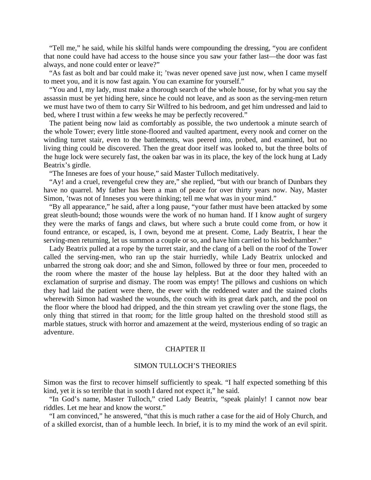"Tell me," he said, while his skilful hands were compounding the dressing, "you are confident that none could have had access to the house since you saw your father last—the door was fast always, and none could enter or leave?"

 "As fast as bolt and bar could make it; 'twas never opened save just now, when I came myself to meet you, and it is now fast again. You can examine for yourself."

 "You and I, my lady, must make a thorough search of the whole house, for by what you say the assassin must be yet hiding here, since he could not leave, and as soon as the serving-men return we must have two of them to carry Sir Wilfred to his bedroom, and get him undressed and laid to bed, where I trust within a few weeks he may be perfectly recovered."

 The patient being now laid as comfortably as possible, the two undertook a minute search of the whole Tower; every little stone-floored and vaulted apartment, every nook and corner on the winding turret stair, even to the battlements, was peered into, probed, and examined, but no living thing could be discovered. Then the great door itself was looked to, but the three bolts of the huge lock were securely fast, the oaken bar was in its place, the key of the lock hung at Lady Beatrix's girdle.

"The Inneses are foes of your house," said Master Tulloch meditatively.

 "Ay! and a cruel, revengeful crew they are," she replied, "but with our branch of Dunbars they have no quarrel. My father has been a man of peace for over thirty years now. Nay, Master Simon, 'twas not of Inneses you were thinking; tell me what was in your mind."

 "By all appearance," he said, after a long pause, "your father must have been attacked by some great sleuth-bound; those wounds were the work of no human hand. If I know aught of surgery they were the marks of fangs and claws, but where such a brute could come from, or how it found entrance, or escaped, is, I own, beyond me at present. Come, Lady Beatrix, I hear the serving-men returning, let us summon a couple or so, and have him carried to his bedchamber."

 Lady Beatrix pulled at a rope by the turret stair, and the clang of a bell on the roof of the Tower called the serving-men, who ran up the stair hurriedly, while Lady Beatrix unlocked and unbarred the strong oak door; and she and Simon, followed by three or four men, proceeded to the room where the master of the house lay helpless. But at the door they halted with an exclamation of surprise and dismay. The room was empty! The pillows and cushions on which they had laid the patient were there, the ewer with the reddened water and the stained cloths wherewith Simon had washed the wounds, the couch with its great dark patch, and the pool on the floor where the blood had dripped, and the thin stream yet crawling over the stone flags, the only thing that stirred in that room; for the little group halted on the threshold stood still as marble statues, struck with horror and amazement at the weird, mysterious ending of so tragic an adventure.

#### CHAPTER II

#### SIMON TULLOCH'S THEORIES

Simon was the first to recover himself sufficiently to speak. "I half expected something bf this kind, yet it is so terrible that in sooth I dared not expect it," he said.

 "In God's name, Master Tulloch," cried Lady Beatrix, "speak plainly! I cannot now bear riddles. Let me hear and know the worst."

 "I am convinced," he answered, "that this is much rather a case for the aid of Holy Church, and of a skilled exorcist, than of a humble leech. In brief, it is to my mind the work of an evil spirit.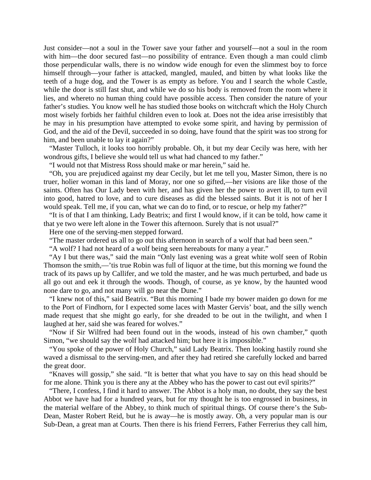Just consider—not a soul in the Tower save your father and yourself—not a soul in the room with him—the door secured fast—no possibility of entrance. Even though a man could climb those perpendicular walls, there is no window wide enough for even the slimmest boy to force himself through—your father is attacked, mangled, mauled, and bitten by what looks like the teeth of a huge dog, and the Tower is as empty as before. You and I search the whole Castle, while the door is still fast shut, and while we do so his body is removed from the room where it lies, and whereto no human thing could have possible access. Then consider the nature of your father's studies. You know well he has studied those books on witchcraft which the Holy Church most wisely forbids her faithful children even to look at. Does not the idea arise irresistibly that he may in his presumption have attempted to evoke some spirit, and having by permission of God, and the aid of the Devil, succeeded in so doing, have found that the spirit was too strong for him, and been unable to lay it again?"

 "Master Tulloch, it looks too horribly probable. Oh, it but my dear Cecily was here, with her wondrous gifts, I believe she would tell us what had chanced to my father."

"I would not that Mistress Ross should make or mar herein," said he.

 "Oh, you are prejudiced against my dear Cecily, but let me tell you, Master Simon, there is no truer, holier woman in this land of Moray, nor one so gifted,—her visions are like those of the saints. Often has Our Lady been with her, and has given her the power to avert ill, to turn evil into good, hatred to love, and to cure diseases as did the blessed saints. But it is not of her I would speak. Tell me, if you can, what we can do to find, or to rescue, or help my father?"

 "It is of that I am thinking, Lady Beatrix; and first I would know, if it can be told, how came it that ye two were left alone in the Tower this afternoon. Surely that is not usual?"

Here one of the serving-men stepped forward.

"The master ordered us all to go out this afternoon in search of a wolf that had been seen."

"A wolf? I had not heard of a wolf being seen hereabouts for many a year."

 "Ay I but there was," said the main "Only last evening was a great white wolf seen of Robin Thomson the smith,—'tis true Robin was full of liquor at the time, but this morning we found the track of its paws up by Callifer, and we told the master, and he was much perturbed, and bade us all go out and eek it through the woods. Though, of course, as ye know, by the haunted wood none dare to go, and not many will go near the Dune."

 "I knew not of this," said Beatrix. "But this morning I bade my bower maiden go down for me to the Port of Findhorn, for I expected some laces with Master Gervis' boat, and the silly wench made request that she might go early, for she dreaded to be out in the twilight, and when I laughed at her, said she was feared for wolves."

 "Now if Sir Wilfred had been found out in the woods, instead of his own chamber," quoth Simon, "we should say the wolf had attacked him; but here it is impossible."

 "You spoke of the power of Holy Church," said Lady Beatrix. Then looking hastily round she waved a dismissal to the serving-men, and after they had retired she carefully locked and barred the great door.

 "Knaves will gossip," she said. "It is better that what you have to say on this head should be for me alone. Think you is there any at the Abbey who has the power to cast out evil spirits?"

 "There, I confess, I find it hard to answer. The Abbot is a holy man, no doubt, they say the best Abbot we have had for a hundred years, but for my thought he is too engrossed in business, in the material welfare of the Abbey, to think much of spiritual things. Of course there's the Sub-Dean, Master Robert Reid, but he is away—he is mostly away. Oh, a very popular man is our Sub-Dean, a great man at Courts. Then there is his friend Ferrers, Father Ferrerius they call him,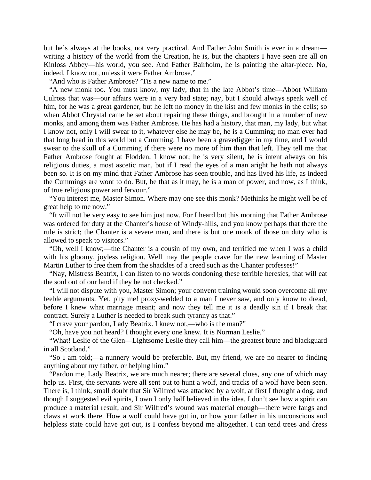but he's always at the books, not very practical. And Father John Smith is ever in a dream writing a history of the world from the Creation, he is, but the chapters I have seen are all on Kinloss Abbey—his world, you see. And Father Bairholm, he is painting the altar-piece. No, indeed, I know not, unless it were Father Ambrose."

"And who is Father Ambrose? 'Tis a new name to me."

 "A new monk too. You must know, my lady, that in the late Abbot's time—Abbot William Culross that was—our affairs were in a very bad state; nay, but I should always speak well of him, for he was a great gardener, but he left no money in the kist and few monks in the cells; so when Abbot Chrystal came he set about repairing these things, and brought in a number of new monks, and among them was Father Ambrose. He has had a history, that man, my lady, but what I know not, only I will swear to it, whatever else he may be, he is a Cumming; no man ever had that long head in this world but a Cumming. I have been a gravedigger in my time, and I would swear to the skull of a Cumming if there were no more of him than that left. They tell me that Father Ambrose fought at Flodden, I know not; he is very silent, he is intent always on his religious duties, a most ascetic man, but if I read the eyes of a man aright he hath not always been so. It is on my mind that Father Ambrose has seen trouble, and has lived his life, as indeed the Cummings are wont to do. But, be that as it may, he is a man of power, and now, as I think, of true religious power and fervour."

 "You interest me, Master Simon. Where may one see this monk? Methinks he might well be of great help to me now."

 "It will not be very easy to see him just now. For I heard but this morning that Father Ambrose was ordered for duty at the Chanter's house of Windy-hills, and you know perhaps that there the rule is strict; the Chanter is a severe man, and there is but one monk of those on duty who is allowed to speak to visitors."

 "Oh, well I know;—the Chanter is a cousin of my own, and terrified me when I was a child with his gloomy, joyless religion. Well may the people crave for the new learning of Master Martin Luther to free them from the shackles of a creed such as the Chanter professes!"

 "Nay, Mistress Beatrix, I can listen to no words condoning these terrible heresies, that will eat the soul out of our land if they be not checked."

 "I will not dispute with you, Master Simon; your convent training would soon overcome all my feeble arguments. Yet, pity me! proxy-wedded to a man I never saw, and only know to dread, before I knew what marriage meant; and now they tell me it is a deadly sin if I break that contract. Surely a Luther is needed to break such tyranny as that."

"I crave your pardon, Lady Beatrix. I knew not,—who is the man?"

"Oh, have you not heard? I thought every one knew. It is Norman Leslie."

 "What! Leslie of the Glen—Lightsome Leslie they call him—the greatest brute and blackguard in all Scotland."

 "So I am told;—a nunnery would be preferable. But, my friend, we are no nearer to finding anything about my father, or helping him."

 "Pardon me, Lady Beatrix, we are much nearer; there are several clues, any one of which may help us. First, the servants were all sent out to hunt a wolf, and tracks of a wolf have been seen. There is, I think, small doubt that Sir Wilfred was attacked by a wolf, at first I thought a dog, and though I suggested evil spirits, I own I only half believed in the idea. I don't see how a spirit can produce a material result, and Sir Wilfred's wound was material enough—there were fangs and claws at work there. How a wolf could have got in, or how your father in his unconscious and helpless state could have got out, is I confess beyond me altogether. I can tend trees and dress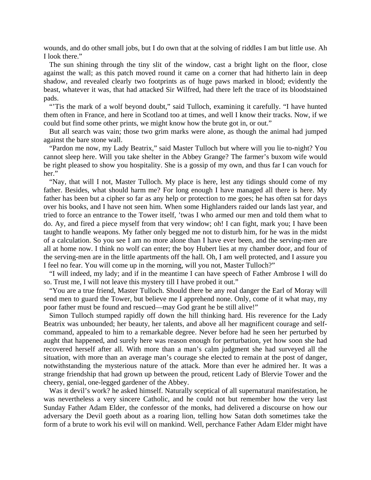wounds, and do other small jobs, but I do own that at the solving of riddles I am but little use. Ah I look there."

 The sun shining through the tiny slit of the window, cast a bright light on the floor, close against the wall; as this patch moved round it came on a corner that had hitherto lain in deep shadow, and revealed clearly two footprints as of huge paws marked in blood; evidently the beast, whatever it was, that had attacked Sir Wilfred, had there left the trace of its bloodstained pads.

"Tis the mark of a wolf beyond doubt," said Tulloch, examining it carefully. "I have hunted them often in France, and here in Scotland too at times, and well I know their tracks. Now, if we could but find some other prints, we might know how the brute got in, or out."

 But all search was vain; those two grim marks were alone, as though the animal had jumped against the bare stone wall.

 "Pardon me now, my Lady Beatrix," said Master Tulloch but where will you lie to-night? You cannot sleep here. Will you take shelter in the Abbey Grange? The farmer's buxom wife would be right pleased to show you hospitality. She is a gossip of my own, and thus far I can vouch for her."

 "Nay, that will I not, Master Tulloch. My place is here, lest any tidings should come of my father. Besides, what should harm me? For long enough I have managed all there is here. My father has been but a cipher so far as any help or protection to me goes; he has often sat for days over his books, and I have not seen him. When some Highlanders raided our lands last year, and tried to force an entrance to the Tower itself, 'twas I who armed our men and told them what to do. Ay, and fired a piece myself from that very window; oh! I can fight, mark you; I have been taught to handle weapons. My father only begged me not to disturb him, for he was in the midst of a calculation. So you see I am no more alone than I have ever been, and the serving-men are all at home now. I think no wolf can enter; the boy Hubert lies at my chamber door, and four of the serving-men are in the little apartments off the hall. Oh, I am well protected, and I assure you I feel no fear. You will come up in the morning, will you not, Master Tulloch?"

 "I will indeed, my lady; and if in the meantime I can have speech of Father Ambrose I will do so. Trust me, I will not leave this mystery till I have probed it out."

 "You are a true friend, Master Tulloch. Should there be any real danger the Earl of Moray will send men to guard the Tower, but believe me I apprehend none. Only, come of it what may, my poor father must be found and rescued—may God grant he be still alive!"

 Simon Tulloch stumped rapidly off down the hill thinking hard. His reverence for the Lady Beatrix was unbounded; her beauty, her talents, and above all her magnificent courage and selfcommand, appealed to him to a remarkable degree. Never before had he seen her perturbed by aught that happened, and surely here was reason enough for perturbation, yet how soon she had recovered herself after all. With more than a man's calm judgment she had surveyed all the situation, with more than an average man's courage she elected to remain at the post of danger, notwithstanding the mysterious nature of the attack. More than ever he admired her. It was a strange friendship that had grown up between the proud, reticent Lady of Blervie Tower and the cheery, genial, one-legged gardener of the Abbey.

 Was it devil's work? he asked himself. Naturally sceptical of all supernatural manifestation, he was nevertheless a very sincere Catholic, and he could not but remember how the very last Sunday Father Adam Elder, the confessor of the monks, had delivered a discourse on how our adversary the Devil goeth about as a roaring lion, telling how Satan doth sometimes take the form of a brute to work his evil will on mankind. Well, perchance Father Adam Elder might have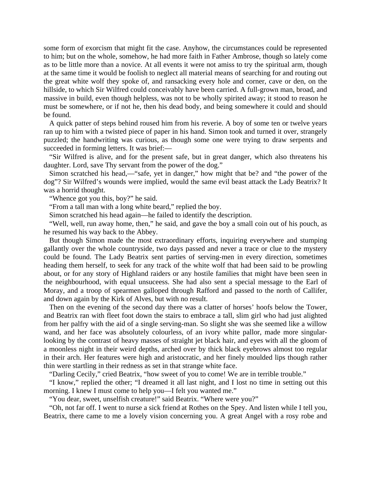some form of exorcism that might fit the case. Anyhow, the circumstances could be represented to him; but on the whole, somehow, he had more faith in Father Ambrose, though so lately come as to be little more than a novice. At all events it were not amiss to try the spiritual arm, though at the same time it would be foolish to neglect all material means of searching for and routing out the great white wolf they spoke of, and ransacking every hole and corner, cave or den, on the hillside, to which Sir Wilfred could conceivably have been carried. A full-grown man, broad, and massive in build, even though helpless, was not to be wholly spirited away; it stood to reason he must be somewhere, or if not he, then his dead body, and being somewhere it could and should be found.

 A quick patter of steps behind roused him from his reverie. A boy of some ten or twelve years ran up to him with a twisted piece of paper in his hand. Simon took and turned it over, strangely puzzled; the handwriting was curious, as though some one were trying to draw serpents and succeeded in forming letters. It was brief:—

 "Sir Wilfred is alive, and for the present safe, but in great danger, which also threatens his daughter. Lord, save Thy servant from the power of the dog."

 Simon scratched his head,—"safe, yet in danger," how might that be? and "the power of the dog"? Sir Wilfred's wounds were implied, would the same evil beast attack the Lady Beatrix? It was a horrid thought.

"Whence got you this, boy?" he said.

"From a tall man with a long white beard," replied the boy.

Simon scratched his head again—he failed to identify the description.

 "Well, well, run away home, then," he said, and gave the boy a small coin out of his pouch, as he resumed his way back to the Abbey.

 But though Simon made the most extraordinary efforts, inquiring everywhere and stumping gallantly over the whole countryside, two days passed and never a trace or clue to the mystery could be found. The Lady Beatrix sent parties of serving-men in every direction, sometimes heading them herself, to seek for any track of the white wolf that had been said to be prowling about, or for any story of Highland raiders or any hostile families that might have been seen in the neighbourhood, with equal unsuceess. She had also sent a special message to the Earl of Moray, and a troop of spearmen galloped through Rafford and passed to the north of Callifer, and down again by the Kirk of Alves, but with no result.

 Then on the evening of the second day there was a clatter of horses' hoofs below the Tower, and Beatrix ran with fleet foot down the stairs to embrace a tall, slim girl who had just alighted from her palfry with the aid of a single serving-man. So slight she was she seemed like a willow wand, and her face was absolutely colourless, of an ivory white pallor, made more singularlooking by the contrast of heavy masses of straight jet black hair, and eyes with all the gloom of a moonless night in their weird depths, arched over by thick black eyebrows almost too regular in their arch. Her features were high and aristocratic, and her finely moulded lips though rather thin were startling in their redness as set in that strange white face.

"Darling Cecily," cried Beatrix, "how sweet of you to come! We are in terrible trouble."

 "I know," replied the other; "I dreamed it all last night, and I lost no time in setting out this morning. I knew I must come to help you—I felt you wanted me."

"You dear, sweet, unselfish creature!" said Beatrix. "Where were you?"

 "Oh, not far off. I went to nurse a sick friend at Rothes on the Spey. And listen while I tell you, Beatrix, there came to me a lovely vision concerning you. A great Angel with a rosy robe and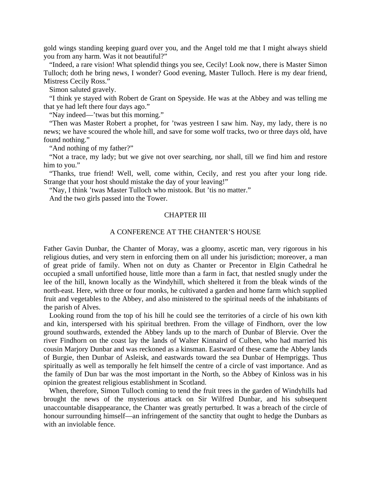gold wings standing keeping guard over you, and the Angel told me that I might always shield you from any harm. Was it not beautiful?"

 "Indeed, a rare vision! What splendid things you see, Cecily! Look now, there is Master Simon Tulloch; doth he bring news, I wonder? Good evening, Master Tulloch. Here is my dear friend, Mistress Cecily Ross."

Simon saluted gravely.

 "I think ye stayed with Robert de Grant on Speyside. He was at the Abbey and was telling me that ye had left there four days ago."

"Nay indeed—'twas but this morning."

 "Then was Master Robert a prophet, for 'twas yestreen I saw him. Nay, my lady, there is no news; we have scoured the whole hill, and save for some wolf tracks, two or three days old, have found nothing."

"And nothing of my father?"

 "Not a trace, my lady; but we give not over searching, nor shall, till we find him and restore him to you."

 "Thanks, true friend! Well, well, come within, Cecily, and rest you after your long ride. Strange that your host should mistake the day of your leaving!"

"Nay, I think 'twas Master Tulloch who mistook. But 'tis no matter."

And the two girls passed into the Tower.

# CHAPTER III

#### A CONFERENCE AT THE CHANTER'S HOUSE

Father Gavin Dunbar, the Chanter of Moray, was a gloomy, ascetic man, very rigorous in his religious duties, and very stern in enforcing them on all under his jurisdiction; moreover, a man of great pride of family. When not on duty as Chanter or Precentor in Elgin Cathedral he occupied a small unfortified house, little more than a farm in fact, that nestled snugly under the lee of the hill, known locally as the Windyhill, which sheltered it from the bleak winds of the north-east. Here, with three or four monks, he cultivated a garden and home farm which supplied fruit and vegetables to the Abbey, and also ministered to the spiritual needs of the inhabitants of the parish of Alves.

 Looking round from the top of his hill he could see the territories of a circle of his own kith and kin, interspersed with his spiritual brethren. From the village of Findhorn, over the low ground southwards, extended the Abbey lands up to the march of Dunbar of Blervie. Over the river Findhorn on the coast lay the lands of Walter Kinnaird of Culben, who had married his cousin Marjory Dunbar and was reckoned as a kinsman. Eastward of these came the Abbey lands of Burgie, then Dunbar of Asleisk, and eastwards toward the sea Dunbar of Hempriggs. Thus spiritually as well as temporally he felt himself the centre of a circle of vast importance. And as the family of Dun bar was the most important in the North, so the Abbey of Kinloss was in his opinion the greatest religious establishment in Scotland.

 When, therefore, Simon Tulloch coming to tend the fruit trees in the garden of Windyhills had brought the news of the mysterious attack on Sir Wilfred Dunbar, and his subsequent unaccountable disappearance, the Chanter was greatly perturbed. It was a breach of the circle of honour surrounding himself—an infringement of the sanctity that ought to hedge the Dunbars as with an inviolable fence.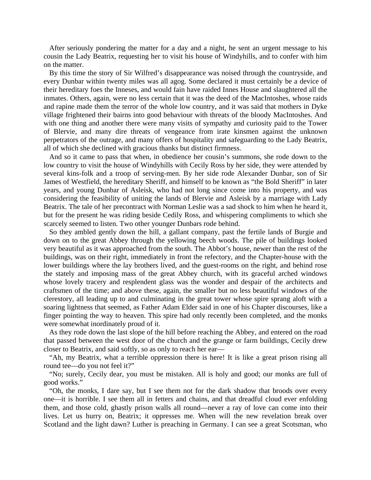After seriously pondering the matter for a day and a night, he sent an urgent message to his cousin the Lady Beatrix, requesting her to visit his house of Windyhills, and to confer with him on the matter.

 By this time the story of Sir Wilfred's disappearance was noised through the countryside, and every Dunbar within twenty miles was all agog. Some declared it must certainly be a device of their hereditary foes the Inneses, and would fain have raided Innes House and slaughtered all the inmates. Others, again, were no less certain that it was the deed of the MacIntoshes, whose raids and rapine made them the terror of the whole low country, and it was said that mothers in Dyke village frightened their bairns into good behaviour with threats of the bloody MacIntoshes. And with one thing and another there were many visits of sympathy and curiosity paid to the Tower of Blervie, and many dire threats of vengeance from irate kinsmen against the unknown perpetrators of the outrage, and many offers of hospitality and safeguarding to the Lady Beatrix, all of which she declined with gracious thanks but distinct firmness.

 And so it came to pass that when, in obedience her cousin's summons, she rode down to the low country to visit the house of Windyhills with Cecily Ross by her side, they were attended by several kins-folk and a troop of serving-men. By her side rode Alexander Dunbar, son of Sir James of Westfield, the hereditary Sheriff, and himself to be known as "the Bold Sheriff" in later years, and young Dunbar of Asleisk, who had not long since come into his property, and was considering the feasibility of uniting the lands of Blervie and Asleisk by a marriage with Lady Beatrix. The tale of her precontract with Norman Leslie was a sad shock to him when he heard it, but for the present he was riding beside Cedily Ross, and whispering compliments to which she scarcely seemed to listen. Two other younger Dunbars rode behind.

 So they ambled gently down the hill, a gallant company, past the fertile lands of Burgie and down on to the great Abbey through the yellowing beech woods. The pile of buildings looked very beautiful as it was approached from the south. The Abbot's house, newer than the rest of the buildings, was on their right, immediately in front the refectory, and the Chapter-house with the lower buildings where the lay brothers lived, and the guest-rooms on the right, and behind rose the stately and imposing mass of the great Abbey church, with its graceful arched windows whose lovely tracery and resplendent glass was the wonder and despair of the architects and craftsmen of the time; and above these, again, the smaller but no less beautiful windows of the clerestory, all leading up to and culminating in the great tower whose spire sprang aloft with a soaring lightness that seemed, as Father Adam Elder said in one of his Chapter discourses, like a finger pointing the way to heaven. This spire had only recently been completed, and the monks were somewhat inordinately proud of it.

 As they rode down the last slope of the hill before reaching the Abbey, and entered on the road that passed between the west door of the church and the grange or farm buildings, Cecily drew closer to Beatrix, and said softly, so as only to reach her ear—

 "Ah, my Beatrix, what a terrible oppression there is here! It is like a great prison rising all round tee—do you not feel it?"

 "No; surely, Cecily dear, you must be mistaken. All is holy and good; our monks are full of good works."

 "Oh, the monks, I dare say, but I see them not for the dark shadow that broods over every one—it is horrible. I see them all in fetters and chains, and that dreadful cloud ever enfolding them, and those cold, ghastly prison walls all round—never a ray of love can come into their lives. Let us hurry on, Beatrix; it oppresses me. When will the new revelation break over Scotland and the light dawn? Luther is preaching in Germany. I can see a great Scotsman, who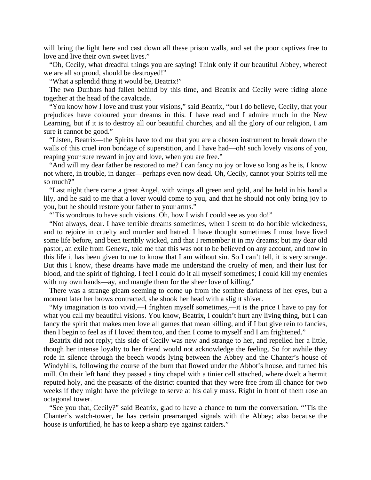will bring the light here and cast down all these prison walls, and set the poor captives free to love and live their own sweet lives."

 "Oh, Cecily, what dreadful things you are saying! Think only if our beautiful Abbey, whereof we are all so proud, should be destroyed!"

"What a splendid thing it would be, Beatrix!"

 The two Dunbars had fallen behind by this time, and Beatrix and Cecily were riding alone together at the head of the cavalcade.

 "You know how I love and trust your visions," said Beatrix, "but I do believe, Cecily, that your prejudices have coloured your dreams in this. I have read and I admire much in the New Learning, but if it is to destroy all our beautiful churches, and all the glory of our religion, I am sure it cannot be good."

 "Listen, Beatrix—the Spirits have told me that you are a chosen instrument to break down the walls of this cruel iron bondage of superstition, and I have had—oh! such lovely visions of you, reaping your sure reward in joy and love, when you are free."

 "And will my dear father be restored to me? I can fancy no joy or love so long as he is, I know not where, in trouble, in danger—perhaps even now dead. Oh, Cecily, cannot your Spirits tell me so much?"

 "Last night there came a great Angel, with wings all green and gold, and he held in his hand a lily, and he said to me that a lover would come to you, and that he should not only bring joy to you, but he should restore your father to your arms."

"Tis wondrous to have such visions. Oh, how I wish I could see as you do!"

 "Not always, dear. I have terrible dreams sometimes, when I seem to do horrible wickedness, and to rejoice in cruelty and murder and hatred. I have thought sometimes I must have lived some life before, and been terribly wicked, and that I remember it in my dreams; but my dear old pastor, an exile from Geneva, told me that this was not to be believed on any account, and now in this life it has been given to me to know that I am without sin. So I can't tell, it is very strange. But this I know, these dreams have made me understand the cruelty of men, and their lust for blood, and the spirit of fighting. I feel I could do it all myself sometimes; I could kill my enemies with my own hands—ay, and mangle them for the sheer love of killing."

 There was a strange gleam seeming to come up from the sombre darkness of her eyes, but a moment later her brows contracted, she shook her head with a slight shiver.

 "My imagination is too vivid,—I frighten myself sometimes,—it is the price I have to pay for what you call my beautiful visions. You know, Beatrix, I couldn't hurt any living thing, but I can fancy the spirit that makes men love all games that mean killing, and if I but give rein to fancies, then I begin to feel as if I loved them too, and then I come to myself and I am frightened."

 Beatrix did not reply; this side of Cecily was new and strange to her, and repelled her a little, though her intense loyalty to her friend would not acknowledge the feeling. So for awhile they rode in silence through the beech woods lying between the Abbey and the Chanter's house of Windyhills, following the course of the burn that flowed under the Abbot's house, and turned his mill. On their left hand they passed a tiny chapel with a tinier cell attached, where dwelt a hermit reputed holy, and the peasants of the district counted that they were free from ill chance for two weeks if they might have the privilege to serve at his daily mass. Right in front of them rose an octagonal tower.

 "See you that, Cecily?" said Beatrix, glad to have a chance to turn the conversation. "'Tis the Chanter's watch-tower, he has certain prearranged signals with the Abbey; also because the house is unfortified, he has to keep a sharp eye against raiders."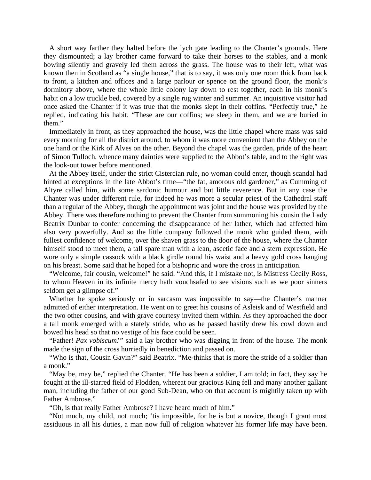A short way farther they halted before the lych gate leading to the Chanter's grounds. Here they dismounted; a lay brother came forward to take their horses to the stables, and a monk bowing silently and gravely led them across the grass. The house was to their left, what was known then in Scotland as "a single house," that is to say, it was only one room thick from back to front, a kitchen and offices and a large parlour or spence on the ground floor, the monk's dormitory above, where the whole little colony lay down to rest together, each in his monk's habit on a low truckle bed, covered by a single rug winter and summer. An inquisitive visitor had once asked the Chanter if it was true that the monks slept in their coffins. "Perfectly true," he replied, indicating his habit. "These are our coffins; we sleep in them, and we are buried in them."

 Immediately in front, as they approached the house, was the little chapel where mass was said every morning for all the district around, to whom it was more convenient than the Abbey on the one hand or the Kirk of Alves on the other. Beyond the chapel was the garden, pride of the heart of Simon Tulloch, whence many dainties were supplied to the Abbot's table, and to the right was the look-out tower before mentioned.

 At the Abbey itself, under the strict Cistercian rule, no woman could enter, though scandal had hinted at exceptions in the late Abbot's time—"the fat, amorous old gardener," as Cumming of Altyre called him, with some sardonic humour and but little reverence. But in any case the Chanter was under different rule, for indeed he was more a secular priest of the Cathedral staff than a regular of the Abbey, though the appointment was joint and the house was provided by the Abbey. There was therefore nothing to prevent the Chanter from summoning his cousin the Lady Beatrix Dunbar to confer concerning the disappearance of her lather, which had affected him also very powerfully. And so the little company followed the monk who guided them, with fullest confidence of welcome, over the shaven grass to the door of the house, where the Chanter himself stood to meet them, a tall spare man with a lean, ascetic face and a stern expression. He wore only a simple cassock with a black girdle round his waist and a heavy gold cross hanging on his breast. Some said that he hoped for a bishopric and wore the cross in anticipation.

 "Welcome, fair cousin, welcome!" he said. "And this, if I mistake not, is Mistress Cecily Ross, to whom Heaven in its infinite mercy hath vouchsafed to see visions such as we poor sinners seldom get a glimpse of."

 Whether he spoke seriously or in sarcasm was impossible to say—the Chanter's manner admitted of either interpretation. He went on to greet his cousins of Asleisk and of Westfield and the two other cousins, and with grave courtesy invited them within. As they approached the door a tall monk emerged with a stately stride, who as he passed hastily drew his cowl down and bowed his head so that no vestige of his face could be seen.

 "Father! *Pax vobiscum!"* said a lay brother who was digging in front of the house. The monk made the sign of the cross hurriedly in benediction and passed on.

 "Who is that, Cousin Gavin?" said Beatrix. "Me-thinks that is more the stride of a soldier than a monk."

"May be, may be," replied the Chanter. "He has been a soldier, I am told; in fact, they say he fought at the ill-starred field of Flodden, whereat our gracious King fell and many another gallant man, including the father of our good Sub-Dean, who on that account is mightily taken up with Father Ambrose."

"Oh, is that really Father Ambrose? I have heard much of him."

 "Not much, my child, not much; 'tis impossible, for he is but a novice, though I grant most assiduous in all his duties, a man now full of religion whatever his former life may have been.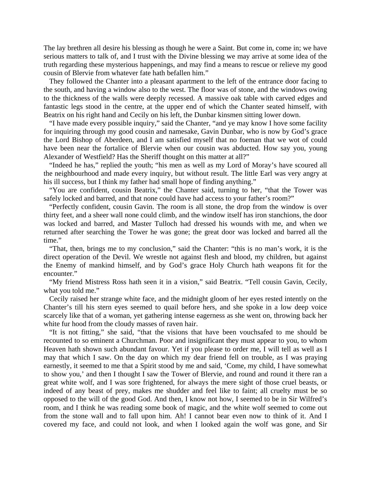The lay brethren all desire his blessing as though he were a Saint. But come in, come in; we have serious matters to talk of, and I trust with the Divine blessing we may arrive at some idea of the truth regarding these mysterious happenings, and may find a means to rescue or relieve my good cousin of Blervie from whatever fate hath befallen him."

 They followed the Chanter into a pleasant apartment to the left of the entrance door facing to the south, and having a window also to the west. The floor was of stone, and the windows owing to the thickness of the walls were deeply recessed. A massive oak table with carved edges and fantastic legs stood in the centre, at the upper end of which the Chanter seated himself, with Beatrix on his right hand and Cecily on his left, the Dunbar kinsmen sitting lower down.

 "I have made every possible inquiry," said the Chanter, "and ye may know I hove some facility for inquiring through my good cousin and namesake, Gavin Dunbar, who is now by God's grace the Lord Bishop of Aberdeen, and I am satisfied myself that no foeman that we wot of could have been near the fortalice of Blervie when our cousin was abducted. How say you, young Alexander of Westfield? Has the Sheriff thought on this matter at all?"

 "Indeed he has," replied the youth; "his men as well as my Lord of Moray's have scoured all the neighbourhood and made every inquiry, but without result. The little Earl was very angry at his ill success, but I think my father had small hope of finding anything."

 "You are confident, cousin Beatrix," the Chanter said, turning to her, "that the Tower was safely locked and barred, and that none could have had access to your father's room?"

 "Perfectly confident, cousin Gavin. The room is all stone, the drop from the window is over thirty feet, and a sheer wall none could climb, and the window itself has iron stanchions, the door was locked and barred, and Master Tulloch had dressed his wounds with me, and when we returned after searching the Tower he was gone; the great door was locked and barred all the time."

 "That, then, brings me to my conclusion," said the Chanter: "this is no man's work, it is the direct operation of the Devil. We wrestle not against flesh and blood, my children, but against the Enemy of mankind himself, and by God's grace Holy Church hath weapons fit for the encounter."

 "My friend Mistress Ross hath seen it in a vision," said Beatrix. "Tell cousin Gavin, Cecily, what you told me."

 Cecily raised her strange white face, and the midnight gloom of her eyes rested intently on the Chanter's till his stern eyes seemed to quail before hers, and she spoke in a low deep voice scarcely like that of a woman, yet gathering intense eagerness as she went on, throwing back her white fur hood from the cloudy masses of raven hair.

 "It is not fitting," she said, "that the visions that have been vouchsafed to me should be recounted to so eminent a Churchman. Poor and insignificant they must appear to you, to whom Heaven hath shown such abundant favour. Yet if you please to order me, I will tell as well as I may that which I saw. On the day on which my dear friend fell on trouble, as I was praying earnestly, it seemed to me that a Spirit stood by me and said, 'Come, my child, I have somewhat to show you,' and then I thought I saw the Tower of Blervie, and round and round it there ran a great white wolf, and I was sore frightened, for always the mere sight of those cruel beasts, or indeed of any beast of prey, makes me shudder and feel like to faint; all cruelty must be so opposed to the will of the good God. And then, I know not how, I seemed to be in Sir Wilfred's room, and I think he was reading some book of magic, and the white wolf seemed to come out from the stone wall and to fall upon him. Ah! I cannot bear even now to think of it. And I covered my face, and could not look, and when I looked again the wolf was gone, and Sir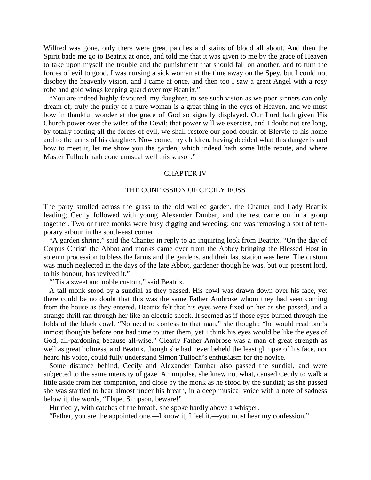Wilfred was gone, only there were great patches and stains of blood all about. And then the Spirit bade me go to Beatrix at once, and told me that it was given to me by the grace of Heaven to take upon myself the trouble and the punishment that should fall on another, and to turn the forces of evil to good. I was nursing a sick woman at the time away on the Spey, but I could not disobey the heavenly vision, and I came at once, and then too I saw a great Angel with a rosy robe and gold wings keeping guard over my Beatrix."

 "You are indeed highly favoured, my daughter, to see such vision as we poor sinners can only dream of; truly the purity of a pure woman is a great thing in the eyes of Heaven, and we must bow in thankful wonder at the grace of God so signally displayed. Our Lord hath given His Church power over the wiles of the Devil; that power will we exercise, and I doubt not ere long, by totally routing all the forces of evil, we shall restore our good cousin of Blervie to his home and to the arms of his daughter. Now come, my children, having decided what this danger is and how to meet it, let me show you the garden, which indeed hath some little repute, and where Master Tulloch hath done unusual well this season."

## CHAPTER IV

#### THE CONFESSION OF CECILY ROSS

The party strolled across the grass to the old walled garden, the Chanter and Lady Beatrix leading; Cecily followed with young Alexander Dunbar, and the rest came on in a group together. Two or three monks were busy digging and weeding; one was removing a sort of temporary arbour in the south-east corner.

 "A garden shrine," said the Chanter in reply to an inquiring look from Beatrix. "On the day of Corpus Christi the Abbot and monks came over from the Abbey bringing the Blessed Host in solemn procession to bless the farms and the gardens, and their last station was here. The custom was much neglected in the days of the late Abbot, gardener though he was, but our present lord, to his honour, has revived it."

"Tis a sweet and noble custom," said Beatrix.

 A tall monk stood by a sundial as they passed. His cowl was drawn down over his face, yet there could be no doubt that this was the same Father Ambrose whom they had seen coming from the house as they entered. Beatrix felt that his eyes were fixed on her as she passed, and a strange thrill ran through her like an electric shock. It seemed as if those eyes burned through the folds of the black cowl. "No need to confess to that man," she thought; "he would read one's inmost thoughts before one had time to utter them, yet I think his eyes would be like the eyes of God, all-pardoning because all-wise." Clearly Father Ambrose was a man of great strength as well as great holiness, and Beatrix, though she had never beheld the least glimpse of his face, nor heard his voice, could fully understand Simon Tulloch's enthusiasm for the novice.

 Some distance behind, Cecily and Alexander Dunbar also passed the sundial, and were subjected to the same intensity of gaze. An impulse, she knew not what, caused Cecily to walk a little aside from her companion, and close by the monk as he stood by the sundial; as she passed she was startled to hear almost under his breath, in a deep musical voice with a note of sadness below it, the words, "Elspet Simpson, beware!"

Hurriedly, with catches of the breath, she spoke hardly above a whisper.

"Father, you are the appointed one,—I know it, I feel it,—you must hear my confession."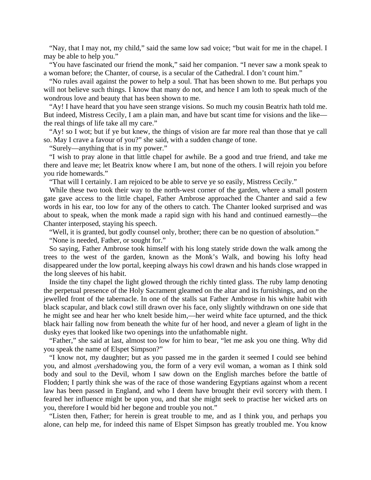"Nay, that I may not, my child," said the same low sad voice; "but wait for me in the chapel. I may be able to help you."

 "You have fascinated our friend the monk," said her companion. "I never saw a monk speak to a woman before; the Chanter, of course, is a secular of the Cathedral. I don't count him."

 "No rules avail against the power to help a soul. That has been shown to me. But perhaps you will not believe such things. I know that many do not, and hence I am loth to speak much of the wondrous love and beauty that has been shown to me.

 "Ay! I have heard that you have seen strange visions. So much my cousin Beatrix hath told me. But indeed, Mistress Cecily, I am a plain man, and have but scant time for visions and the like the real things of life take all my care."

 "Ay! so I wot; but if ye but knew, the things of vision are far more real than those that ye call so. May I crave a favour of you?" she said, with a sudden change of tone.

"Surely—anything that is in my power."

 "I wish to pray alone in that little chapel for awhile. Be a good and true friend, and take me there and leave me; let Beatrix know where I am, but none of the others. I will rejoin you before you ride homewards."

"That will I certainly. I am rejoiced to be able to serve ye so easily, Mistress Cecily."

 While these two took their way to the north-west corner of the garden, where a small postern gate gave access to the little chapel, Father Ambrose approached the Chanter and said a few words in his ear, too low for any of the others to catch. The Chanter looked surprised and was about to speak, when the monk made a rapid sign with his hand and continued earnestly—the Chanter interposed, staying his speech.

"Well, it is granted, but godly counsel only, brother; there can be no question of absolution."

"None is needed, Father, or sought for."

 So saying, Father Ambrose took himself with his long stately stride down the walk among the trees to the west of the garden, known as the Monk's Walk, and bowing his lofty head disappeared under the low portal, keeping always his cowl drawn and his hands close wrapped in the long sleeves of his habit.

 Inside the tiny chapel the light glowed through the richly tinted glass. The ruby lamp denoting the perpetual presence of the Holy Sacrament gleamed on the altar and its furnishings, and on the jewelled front of the tabernacle. In one of the stalls sat Father Ambrose in his white habit with black scapular, and black cowl still drawn over his face, only slightly withdrawn on one side that he might see and hear her who knelt beside him,—her weird white face upturned, and the thick black hair falling now from beneath the white fur of her hood, and never a gleam of light in the dusky eyes that looked like two openings into the unfathomable night.

 "Father," she said at last, almost too low for him to bear, "let me ask you one thing. Why did you speak the name of Elspet Simpson?"

 "I know not, my daughter; but as you passed me in the garden it seemed I could see behind you, and almost 0vershadowing you, the form of a very evil woman, a woman as I think sold body and soul to the Devil, whom I saw down on the English marches before the battle of Flodden; I partly think she was of the race of those wandering Egyptians against whom a recent law has been passed in England, and who I deem have brought their evil sorcery with them. I feared her influence might be upon you, and that she might seek to practise her wicked arts on you, therefore I would bid her begone and trouble you not."

 "Listen then, Father; for herein is great trouble to me, and as I think you, and perhaps you alone, can help me, for indeed this name of Elspet Simpson has greatly troubled me. You know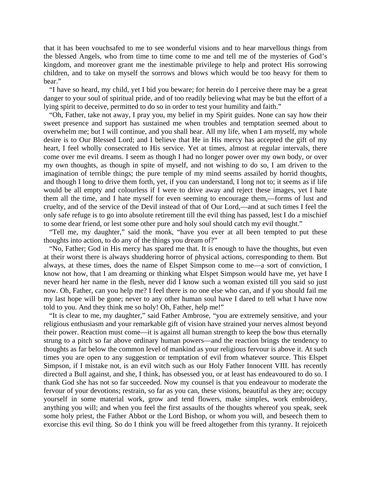that it has been vouchsafed to me to see wonderful visions and to hear marvellous things from the blessed Angels, who from time to time come to me and tell me of the mysteries of God's kingdom, and moreover grant me the inestimable privilege to help and protect His sorrowing children, and to take on myself the sorrows and blows which would be too heavy for them to bear."

 "I have so heard, my child, yet I bid you beware; for herein do I perceive there may be a great danger to your soul of spiritual pride, and of too readily believing what may be but the effort of a lying spirit to deceive, permitted to do so in order to test your humility and faith."

 "Oh, Father, take not away, I pray you, my belief in my Spirit guides. None can say how their sweet presence and support has sustained me when troubles and temptation seemed about to overwhelm me; but I will continue, and you shall hear. All my life, when I am myself, my whole desire is to Our Blessed Lord; and I believe that He in His mercy has accepted the gift of my heart, I feel wholly consecrated to His service. Yet at times, almost at regular intervals, there come over me evil dreams. I seem as though I had no longer power over my own body, or over my own thoughts, as though in spite of myself, and not wishing to do so, I am driven to the imagination of terrible things; the pure temple of my mind seems assailed by horrid thoughts, and though I long to drive them forth, yet, if you can understand, I long not to; it seems as if life would be all empty and colourless if I were to drive away and reject these images, yet I hate them all the time, and I hate myself for even seeming to encourage them,—forms of lust and cruelty, and of the service of the Devil instead of that of Our Lord,—and at such times I feel the only safe refuge is to go into absolute retirement till the evil thing has passed, lest I do a mischief to some dear friend, or lest some other pure and holy soul should catch my evil thought."

 "Tell me, my daughter," said the monk, "have you ever at all been tempted to put these thoughts into action, to do any of the things you dream of?"

 "No, Father; God in His mercy has spared me that. It is enough to have the thoughts, but even at their worst there is always shuddering horror of physical actions, corresponding to them. But always, at these times, does the name of Elspet Simpson come to me—a sort of conviction, I know not how, that I am dreaming or thinking what Elspet Simpson would have me, yet have I never heard her name in the flesh, never did I know such a woman existed till you said so just now. Oh, Father, can you help me? I feel there is no one else who can, and if you should fail me my last hope will be gone; never to any other human soul have I dared to tell what I have now told to you. And they think me so holy! Oh, Father, help me!"

 "It is clear to me, my daughter," said Father Ambrose, "you are extremely sensitive, and your religious enthusiasm and your remarkable gift of vision have strained your nerves almost beyond their power. Reaction must come—it is against all human strength to keep the bow thus eternally strung to a pitch so far above ordinary human powers—and the reaction brings the tendency to thoughts as far below the common level of mankind as your religious fervour is above it. At such times you are open to any suggestion or temptation of evil from whatever source. This Elspet Simpson, if I mistake not, is an evil witch such as our Holy Father Innocent VIII. has recently directed a Bull against, and she, I think, has obsessed you, or at least has endeavoured to do so. I thank God she has not so far succeeded. Now my counsel is that you endeavour to moderate the fervour of your devotions; restrain, so far as you can, these visions, beautiful as they are; occupy yourself in some material work, grow and tend flowers, make simples, work embroidery, anything you will; and when you feel the first assaults of the thoughts whereof you speak, seek some holy priest, the Father Abbot or the Lord Bishop, or whom you will, and beseech them to exorcise this evil thing. So do I think you will be freed altogether from this tyranny. It rejoiceth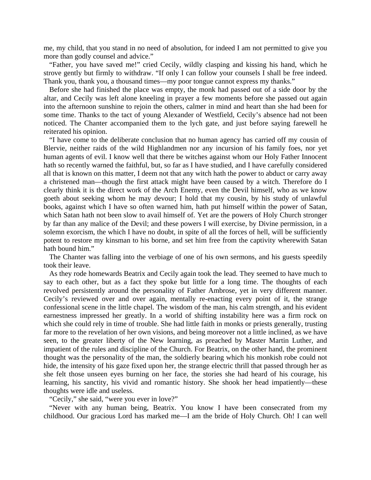me, my child, that you stand in no need of absolution, for indeed I am not permitted to give you more than godly counsel and advice."

 "Father, you have saved me!" cried Cecily, wildly clasping and kissing his hand, which he strove gently but firmly to withdraw. "If only I can follow your counsels I shall be free indeed. Thank you, thank you, a thousand times—my poor tongue cannot express my thanks."

 Before she had finished the place was empty, the monk had passed out of a side door by the altar, and Cecily was left alone kneeling in prayer a few moments before she passed out again into the afternoon sunshine to rejoin the others, calmer in mind and heart than she had been for some time. Thanks to the tact of young Alexander of Westfield, Cecily's absence had not been noticed. The Chanter accompanied them to the lych gate, and just before saying farewell he reiterated his opinion.

 "I have come to the deliberate conclusion that no human agency has carried off my cousin of Blervie, neither raids of the wild Highlandmen nor any incursion of his family foes, nor yet human agents of evil. I know well that there be witches against whom our Holy Father Innocent hath so recently warned the faithful, but, so far as I have studied, and I have carefully considered all that is known on this matter, I deem not that any witch hath the power to abduct or carry away a christened man—though the first attack might have been caused by a witch. Therefore do I clearly think it is the direct work of the Arch Enemy, even the Devil himself, who as we know goeth about seeking whom he may devour; I hold that my cousin, by his study of unlawful books, against which I have so often warned him, hath put himself within the power of Satan, which Satan hath not been slow to avail himself of. Yet are the powers of Holy Church stronger by far than any malice of the Devil; and these powers I will exercise, by Divine permission, in a solemn exorcism, the which I have no doubt, in spite of all the forces of hell, will be sufficiently potent to restore my kinsman to his borne, and set him free from the captivity wherewith Satan hath bound him."

 The Chanter was falling into the verbiage of one of his own sermons, and his guests speedily took their leave.

 As they rode homewards Beatrix and Cecily again took the lead. They seemed to have much to say to each other, but as a fact they spoke but little for a long time. The thoughts of each revolved persistently around the personality of Father Ambrose, yet in very different manner. Cecily's reviewed over and over again, mentally re-enacting every point of it, the strange confessional scene in the little chapel. The wisdom of the man, his calm strength, and his evident earnestness impressed her greatly. In a world of shifting instability here was a firm rock on which she could rely in time of trouble. She had little faith in monks or priests generally, trusting far more to the revelation of her own visions, and being moreover not a little inclined, as we have seen, to the greater liberty of the New learning, as preached by Master Martin Luther, and impatient of the rules and discipline of the Church. For Beatrix, on the other hand, the prominent thought was the personality of the man, the soldierly bearing which his monkish robe could not hide, the intensity of his gaze fixed upon her, the strange electric thrill that passed through her as she felt those unseen eyes burning on her face, the stories she had heard of his courage, his learning, his sanctity, his vivid and romantic history. She shook her head impatiently—these thoughts were idle and useless.

"Cecily," she said, "were you ever in love?"

 "Never with any human being, Beatrix. You know I have been consecrated from my childhood. Our gracious Lord has marked me—I am the bride of Holy Church. Oh! I can well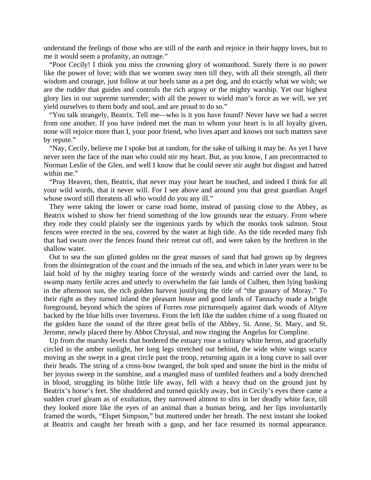understand the feelings of those who are still of the earth and rejoice in their happy loves, but to me it would seem a profanity, an outrage."

 "Poor Cecily! I think you miss the crowning glory of womanhood. Surely there is no power like the power of love; with that we women sway men till they, with all their strength, all their wisdom and courage, just follow at our heels tame as a pet dog, and do exactly what we wish; we are the rudder that guides and controls the rich argosy or the mighty warship. Yet our highest glory lies in our supreme surrender; with all the power to wield man's force as we will, we yet yield ourselves to them body and soul, and are proud to do so."

 "You talk strangely, Beatrix. Tell me—who is it you have found? Never have we had a secret from one another. If you have indeed met the man to whom your heart is in all loyalty given, none will rejoice more than I, your poor friend, who lives apart and knows not such matters save by repute."

 "Nay, Cecily, believe me I spoke but at random, for the sake of talking it may be. As yet I have never seen the face of the man who could stir my heart. But, as you know, I am precontracted to Norman Leslie of the Glen, and well I know that he could never stir aught but disgust and hatred within me."

 "Pray Heaven, then, Beatrix, that never may your heart be touched, and indeed I think for all your wild words, that it never will. For I see above and around you that great guardian Angel whose sword still threatens all who would do you any ill."

 They were taking the lower or carse road home, instead of passing close to the Abbey, as Beatrix wished to show her friend something of the low grounds near the estuary. From where they rode they could plainly see the ingenious yards by which the monks took salmon. Stout fences were erected in the sea, covered by the water at high tide. As the tide receded many fish that had swum over the fences found their retreat cut off, and were taken by the brethren in the shallow water

 Out to sea the sun glinted golden on the great masses of sand that had grown up by degrees from the disintegration of the coast and the inroads of the sea, and which in later years were to be laid hold of by the mighty tearing force of the westerly winds and carried over the land, to swamp many fertile acres and utterly to overwhelm the fair lands of Culben, then lying basking in the afternoon sun, the rich golden harvest justifying the title of "the granary of Moray." To their right as they turned inland the pleasant house and good lands of Tannachy made a bright foreground, beyond which the spires of Forres rose picturesquely against dark woods of Altyre backed by the blue hills over Inverness. From the left like the sudden chime of a song floated on the golden haze the sound of the three great bells of the Abbey, St. Anne, St. Mary, and St. Jerome, newly placed there by Abbot Chrystal, and now ringing the Angelus for Compline.

 Up from the marshy levels that bordered the estuary rose a solitary white heron, and gracefully circled in the amber sunlight, her long legs stretched out behind, the wide white wings scarce moving as she swept in a great circle past the troop, returning again in a long curve to sail over their heads. The string of a cross-bow twanged, the bolt sped and smote the bird in the midst of her joyous sweep in the sunshine, and a mangled mass of tumbled feathers and a body drenched in blood, struggling its blithe little life away, fell with a heavy thud on the ground just by Beatrix's horse's feet. She shuddered and turned quickly away, but in Cecily's eyes there came a sudden cruel gleam as of exultation, they narrowed almost to slits in her deadly white face, till they looked more like the eyes of an animal than a human being, and her lips involuntarily framed the words, "Elspet Simpson," but muttered under her breath. The next instant she looked at Beatrix and caught her breath with a gasp, and her face resumed its normal appearance.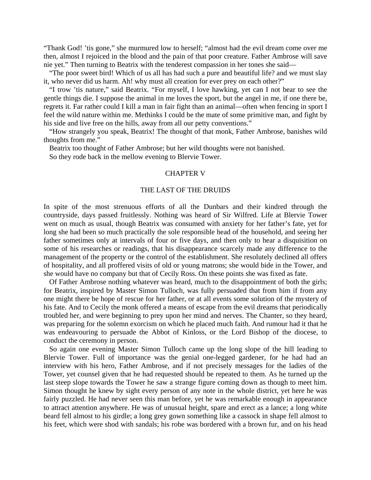"Thank God! 'tis gone," she murmured low to herself; "almost had the evil dream come over me then, almost I rejoiced in the blood and the pain of that poor creature. Father Ambrose will save nie yet." Then turning to Beatrix with the tenderest compassion in her tones she said—

 "The poor sweet bird! Which of us all has had such a pure and beautiful life? and we must slay it, who never did us harm. Ah! why must all creation for ever prey on each other?"

 "I trow 'tis nature," said Beatrix. "For myself, I love hawking, yet can I not bear to see the gentle things die. I suppose the animal in me loves the sport, but the angel in me, if one there be, regrets it. Far rather could I kill a man in fair fight than an animal—often when fencing in sport I feel the wild nature within me. Methinks I could be the mate of some primitive man, and fight by his side and live free on the hills, away from all our petty conventions."

 "How strangely you speak, Beatrix! The thought of that monk, Father Ambrose, banishes wild thoughts from me."

Beatrix too thought of Father Ambrose; but her wild thoughts were not banished.

So they rode back in the mellow evening to Blervie Tower.

# CHAPTER V

#### THE LAST OF THE DRUIDS

In spite of the most strenuous efforts of all the Dunbars and their kindred through the countryside, days passed fruitlessly. Nothing was heard of Sir Wilfred. Life at Blervie Tower went on much as usual, though Beatrix was consumed with anxiety for her father's fate, yet for long she had been so much practically the sole responsible head of the household, and seeing her father sometimes only at intervals of four or five days, and then only to hear a disquisition on some of his researches or readings, that his disappearance scarcely made any difference to the management of the property or the control of the establishment. She resolutely declined all offers of hospitality, and all proffered visits of old or young matrons; she would bide in the Tower, and she would have no company but that of Cecily Ross. On these points she was fixed as fate.

 Of Father Ambrose nothing whatever was heard, much to the disappointment of both the girls; for Beatrix, inspired by Master Simon Tulloch, was fully persuaded that from him if from any one might there be hope of rescue for her father, or at all events some solution of the mystery of his fate. And to Cecily the monk offered a means of escape from the evil dreams that periodically troubled her, and were beginning to prey upon her mind and nerves. The Chanter, so they heard, was preparing for the solemn exorcism on which he placed much faith. And rumour had it that he was endeavouring to persuade the Abbot of Kinloss, or the Lord Bishop of the diocese, to conduct the ceremony in person.

 So again one evening Master Simon Tulloch came up the long slope of the hill leading to Blervie Tower. Full of importance was the genial one-legged gardener, for he had had an interview with his hero, Father Ambrose, and if not precisely messages for the ladies of the Tower, yet counsel given that he had requested should be repeated to them. As he turned up the last steep slope towards the Tower he saw a strange figure coming down as though to meet him. Simon thought he knew by sight every person of any note in the whole district, yet here he was fairly puzzled. He had never seen this man before, yet he was remarkable enough in appearance to attract attention anywhere. He was of unusual height, spare and erect as a lance; a long white beard fell almost to his girdle; a long grey gown something like a cassock in shape fell almost to his feet, which were shod with sandals; his robe was bordered with a brown fur, and on his head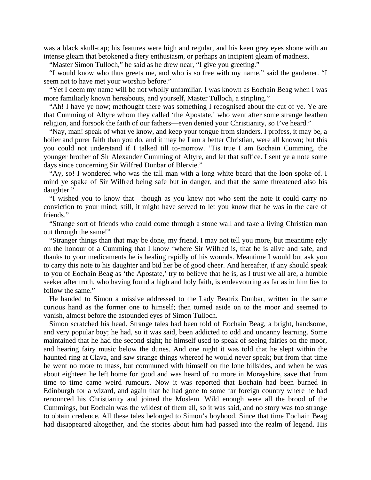was a black skull-cap; his features were high and regular, and his keen grey eyes shone with an intense gleam that betokened a fiery enthusiasm, or perhaps an incipient gleam of madness.

"Master Simon Tulloch," he said as he drew near, "I give you greeting."

 "I would know who thus greets me, and who is so free with my name," said the gardener. "I seem not to have met your worship before."

 "Yet I deem my name will be not wholly unfamiliar. I was known as Eochain Beag when I was more familiarly known hereabouts, and yourself, Master Tulloch, a stripling."

 "Ah! I have ye now; methought there was something I recognised about the cut of ye. Ye are that Cumming of Altyre whom they called 'the Apostate,' who went after some strange heathen religion, and forsook the faith of our fathers—even denied your Christianity, so I've heard."

 "Nay, man! speak of what ye know, and keep your tongue from slanders. I profess, it may be, a holier and purer faith than you do, and it may be I am a better Christian, were all known; but this you could not understand if I talked till to-morrow. 'Tis true I am Eochain Cumming, the younger brother of Sir Alexander Cumming of Altyre, and let that suffice. I sent ye a note some days since concerning Sir Wilfred Dunbar of Blervie."

 "Ay, so! I wondered who was the tall man with a long white beard that the loon spoke of. I mind ye spake of Sir Wilfred being safe but in danger, and that the same threatened also his daughter."

 "I wished you to know that—though as you knew not who sent the note it could carry no conviction to your mind; still, it might have served to let you know that he was in the care of friends."

 "Strange sort of friends who could come through a stone wall and take a living Christian man out through the same!"

 "Stranger things than that may be done, my friend. I may not tell you more, but meantime rely on the honour of a Cumming that I know 'where Sir Wilfred is, that he is alive and safe, and thanks to your medicaments he is healing rapidly of his wounds. Meantime I would but ask you to carry this note to his daughter and bid her be of good cheer. And hereafter, if any should speak to you of Eochain Beag as 'the Apostate,' try to believe that he is, as I trust we all are, a humble seeker after truth, who having found a high and holy faith, is endeavouring as far as in him lies to follow the same."

 He handed to Simon a missive addressed to the Lady Beatrix Dunbar, written in the same curious hand as the former one to himself; then turned aside on to the moor and seemed to vanish, almost before the astounded eyes of Simon Tulloch.

 Simon scratched his head. Strange tales had been told of Eochain Beag, a bright, handsome, and very popular boy; he had, so it was said, been addicted to odd and uncanny learning. Some maintained that he had the second sight; he himself used to speak of seeing fairies on the moor, and hearing fairy music below the dunes. And one night it was told that he slept within the haunted ring at Clava, and saw strange things whereof he would never speak; but from that time he went no more to mass, but communed with himself on the lone hillsides, and when he was about eighteen he left home for good and was heard of no more in Morayshire, save that from time to time came weird rumours. Now it was reported that Eochain had been burned in Edinburgh for a wizard, and again that he had gone to some far foreign country where he had renounced his Christianity and joined the Moslem. Wild enough were all the brood of the Cummings, but Eochain was the wildest of them all, so it was said, and no story was too strange to obtain credence. All these tales belonged to Simon's boyhood. Since that time Eochain Beag had disappeared altogether, and the stories about him had passed into the realm of legend. His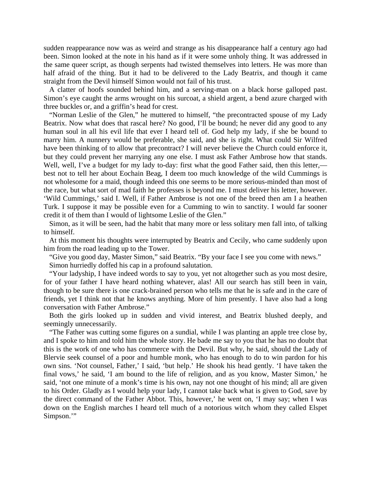sudden reappearance now was as weird and strange as his disappearance half a century ago had been. Simon looked at the note in his hand as if it were some unholy thing. It was addressed in the same queer script, as though serpents had twisted themselves into letters. He was more than half afraid of the thing. But it had to be delivered to the Lady Beatrix, and though it came straight from the Devil himself Simon would not fail of his trust.

 A clatter of hoofs sounded behind him, and a serving-man on a black horse galloped past. Simon's eye caught the arms wrought on his surcoat, a shield argent, a bend azure charged with three buckles or, and a griffin's head for crest.

 "Norman Leslie of the Glen," he muttered to himself, "the precontracted spouse of my Lady Beatrix. Now what does that rascal here? No good, I'll be bound; he never did any good to any human soul in all his evil life that ever I heard tell of. God help my lady, if she be bound to marry him. A nunnery would be preferable, she said, and she is right. What could Sir Wilfred have been thinking of to allow that precontract? I will never believe the Church could enforce it, but they could prevent her marrying any one else. I must ask Father Ambrose how that stands. Well, well, I've a budget for my lady to-day: first what the good Father said, then this letter, best not to tell her about Eochain Beag, I deem too much knowledge of the wild Cummings is not wholesome for a maid, though indeed this one seems to be more serious-minded than most of the race, but what sort of mad faith he professes is beyond me. I must deliver his letter, however. 'Wild Cummings,' said I. Well, if Father Ambrose is not one of the breed then am I a heathen Turk. I suppose it may be possible even for a Cumming to win to sanctity. I would far sooner credit it of them than I would of lightsome Leslie of the Glen."

 Simon, as it will be seen, had the habit that many more or less solitary men fall into, of talking to himself.

 At this moment his thoughts were interrupted by Beatrix and Cecily, who came suddenly upon him from the road leading up to the Tower.

 "Give you good day, Master Simon," said Beatrix. "By your face I see you come with news." Simon hurriedly doffed his cap in a profound salutation.

 "Your ladyship, I have indeed words to say to you, yet not altogether such as you most desire, for of your father I have heard nothing whatever, alas! All our search has still been in vain, though to be sure there is one crack-brained person who tells me that he is safe and in the care of friends, yet I think not that he knows anything. More of him presently. I have also had a long conversation with Father Ambrose."

 Both the girls looked up in sudden and vivid interest, and Beatrix blushed deeply, and seemingly unnecessarily.

 "The Father was cutting some figures on a sundial, while I was planting an apple tree close by, and I spoke to him and told him the whole story. He bade me say to you that he has no doubt that this is the work of one who has commerce with the Devil. But why, he said, should the Lady of Blervie seek counsel of a poor and humble monk, who has enough to do to win pardon for his own sins. 'Not counsel, Father,' I said, 'but help.' He shook his head gently. 'I have taken the final vows,' he said, 'I am bound to the life of religion, and as you know, Master Simon,' he said, 'not one minute of a monk's time is his own, nay not one thought of his mind; all are given to his Order. Gladly as I would help your lady, I cannot take back what is given to God, save by the direct command of the Father Abbot. This, however,' he went on, 'I may say; when I was down on the English marches I heard tell much of a notorious witch whom they called Elspet Simpson."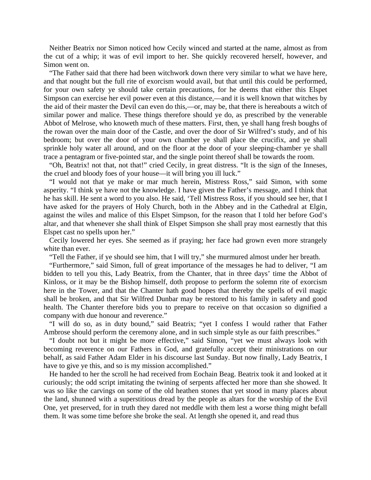Neither Beatrix nor Simon noticed how Cecily winced and started at the name, almost as from the cut of a whip; it was of evil import to her. She quickly recovered herself, however, and Simon went on.

 "The Father said that there had been witchwork down there very similar to what we have here, and that nought but the full rite of exorcism would avail, but that until this could be performed, for your own safety ye should take certain precautions, for he deems that either this Elspet Simpson can exercise her evil power even at this distance,—and it is well known that witches by the aid of their master the Devil can even do this,—or, may be, that there is hereabouts a witch of similar power and malice. These things therefore should ye do, as prescribed by the venerable Abbot of Melrose, who knoweth much of these matters. First, then, ye shall hang fresh boughs of the rowan over the main door of the Castle, and over the door of Sir Wilfred's study, and of his bedroom; but over the door of your own chamber ye shall place the crucifix, and ye shall sprinkle holy water all around, and on the floor at the door of your sleeping-chamber ye shall trace a pentagram or five-pointed star, and the single point thereof shall be towards the room.

 "Oh, Beatrix! not that, not that!" cried Cecily, in great distress. "It is the sign of the Inneses, the cruel and bloody foes of your house—it will bring you ill luck."

 "I would not that ye make or mar much herein, Mistress Ross," said Simon, with some asperity. "I think ye have not the knowledge. I have given the Father's message, and I think that he has skill. He sent a word to you also. He said, 'Tell Mistress Ross, if you should see her, that I have asked for the prayers of Holy Church, both in the Abbey and in the Cathedral at Elgin, against the wiles and malice of this Elspet Simpson, for the reason that I told her before God's altar, and that whenever she shall think of Elspet Simpson she shall pray most earnestly that this Elspet cast no spells upon her."

 Cecily lowered her eyes. She seemed as if praying; her face had grown even more strangely white than ever.

"Tell the Father, if ye should see him, that I will try," she murmured almost under her breath.

 "Furthermore," said Simon, full of great importance of the messages he had to deliver, "I am bidden to tell you this, Lady Beatrix, from the Chanter, that in three days' time the Abbot of Kinloss, or it may be the Bishop himself, doth propose to perform the solemn rite of exorcism here in the Tower, and that the Chanter hath good hopes that thereby the spells of evil magic shall be broken, and that Sir Wilfred Dunbar may be restored to his family in safety and good health. The Chanter therefore bids you to prepare to receive on that occasion so dignified a company with due honour and reverence."

 "I will do so, as in duty bound," said Beatrix; "yet I confess I would rather that Father Ambrose should perform the ceremony alone, and in such simple style as our faith prescribes."

 "I doubt not but it might be more effective," said Simon, "yet we must always look with becoming reverence on our Fathers in God, and gratefully accept their ministrations on our behalf, as said Father Adam Elder in his discourse last Sunday. But now finally, Lady Beatrix, I have to give ye this, and so is my mission accomplished."

 He handed to her the scroll he had received from Eochain Beag. Beatrix took it and looked at it curiously; the odd script imitating the twining of serpents affected her more than she showed. It was so like the carvings on some of the old heathen stones that yet stood in many places about the land, shunned with a superstitious dread by the people as altars for the worship of the Evil One, yet preserved, for in truth they dared not meddle with them lest a worse thing might befall them. It was some time before she broke the seal. At length she opened it, and read thus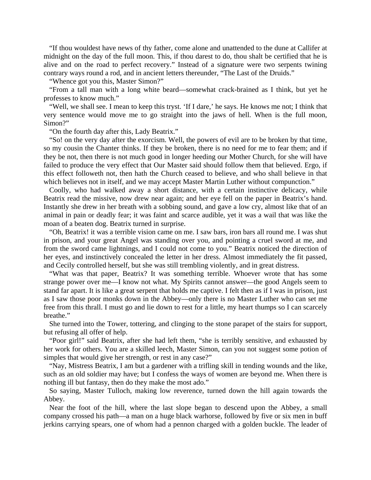"If thou wouldest have news of thy father, come alone and unattended to the dune at Callifer at midnight on the day of the full moon. This, if thou darest to do, thou shalt be certified that he is alive and on the road to perfect recovery." Instead of a signature were two serpents twining contrary ways round a rod, and in ancient letters thereunder, "The Last of the Druids."

"Whence got you this, Master Simon?"

 "From a tall man with a long white beard—somewhat crack-brained as I think, but yet he professes to know much."

 "Well, we shall see. I mean to keep this tryst. 'If I dare,' he says. He knows me not; I think that very sentence would move me to go straight into the jaws of hell. When is the full moon, Simon?"

"On the fourth day after this, Lady Beatrix."

 "So! on the very day after the exorcism. Well, the powers of evil are to be broken by that time, so my cousin the Chanter thinks. If they be broken, there is no need for me to fear them; and if they be not, then there is not much good in longer heeding our Mother Church, for she will have failed to produce the very effect that Our Master said should follow them that believed. Ergo, if this effect followeth not, then hath the Church ceased to believe, and who shall believe in that which believes not in itself, and we may accept Master Martin Luther without compunction."

 Coolly, who had walked away a short distance, with a certain instinctive delicacy, while Beatrix read the missive, now drew near again; and her eye fell on the paper in Beatrix's hand. Instantly she drew in her breath with a sobbing sound, and gave a low cry, almost like that of an animal in pain or deadly fear; it was faint and scarce audible, yet it was a wail that was like the moan of a beaten dog. Beatrix turned in surprise.

 "Oh, Beatrix! it was a terrible vision came on me. I saw bars, iron bars all round me. I was shut in prison, and your great Angel was standing over you, and pointing a cruel sword at me, and from the sword came lightnings, and I could not come to you." Beatrix noticed the direction of her eyes, and instinctively concealed the letter in her dress. Almost immediately the fit passed, and Cecily controlled herself, but she was still trembling violently, and in great distress.

 "What was that paper, Beatrix? It was something terrible. Whoever wrote that has some strange power over me—I know not what. My Spirits cannot answer—the good Angels seem to stand far apart. It is like a great serpent that holds me captive. I felt then as if I was in prison, just as I saw those poor monks down in the Abbey—only there is no Master Luther who can set me free from this thrall. I must go and lie down to rest for a little, my heart thumps so I can scarcely breathe."

 She turned into the Tower, tottering, and clinging to the stone parapet of the stairs for support, but refusing all offer of help.

 "Poor girl!" said Beatrix, after she had left them, "she is terribly sensitive, and exhausted by her work for others. You are a skilled leech, Master Simon, can you not suggest some potion of simples that would give her strength, or rest in any case?"

 "Nay, Mistress Beatrix, I am but a gardener with a trifling skill in tending wounds and the like, such as an old soldier may have; but I confess the ways of women are beyond me. When there is nothing ill but fantasy, then do they make the most ado."

 So saying, Master Tulloch, making low reverence, turned down the hill again towards the Abbey.

 Near the foot of the hill, where the last slope began to descend upon the Abbey, a small company crossed his path—a man on a huge black warhorse, followed by five or six men in buff jerkins carrying spears, one of whom had a pennon charged with a golden buckle. The leader of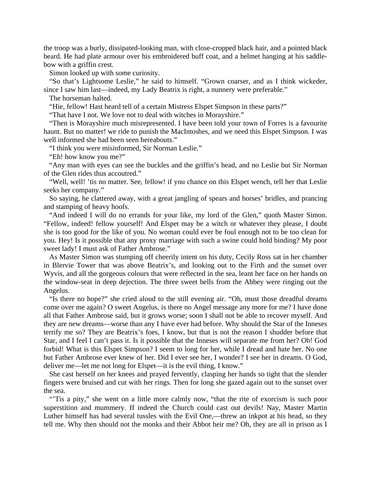the troop was a burly, dissipated-looking man, with close-cropped black hair, and a pointed black beard. He had plate armour over his embroidered buff coat, and a helmet hanging at his saddlebow with a griffin crest.

Simon looked up with some curiosity.

 "So that's Lightsome Leslie," he said to himself. "Grown coarser, and as I think wickeder, since I saw him last—indeed, my Lady Beatrix is right, a nunnery were preferable."

The horseman halted.

"Hie, fellow! Hast heard tell of a certain Mistress Elspet Simpson in these parts?"

"That have I not. We love not to deal with witches in Morayshire."

 "Then is Morayshire much misrepresented. I have been told your town of Forres is a favourite haunt. But no matter! we ride to punish the MacIntoshes, and we need this Elspet Simpson. I was well informed she had been seen hereabouts."

"I think you were misinformed, Sir Norman Leslie."

"Eh! how know you me?"

 "Any man with eyes can see the buckles and the griffin's head, and no Leslie but Sir Norman of the Glen rides thus accoutred."

 "Well, well! 'tis no matter. See, fellow! if you chance on this Elspet wench, tell her that Leslie seeks her company."

 So saying, he clattered away, with a great jangling of spears and horses' bridles, and prancing and stamping of heavy hoofs.

 "And indeed I will do no errands for your like, my lord of the Glen," quoth Master Simon. "Fellow, indeed! fellow yourself! And Elspet may be a witch or whatever they please, I doubt she is too good for the like of you. No woman could ever be foul enough not to be too clean for you. Hey! Is it possible that any proxy marriage with such a swine could hold binding? My poor sweet lady! I must ask of Father Ambrose."

 As Master Simon was stumping off cheerily intent on his duty, Cecily Ross sat in her chamber in Blervie Tower that was above Beatrix's, and looking out to the Firth and the sunset over Wyvis, and all the gorgeous colours that were reflected in the sea, leant her face on her hands on the window-seat in deep dejection. The three sweet bells from the Abbey were ringing out the Angelus.

 "Is there no hope?" she cried aloud to the still evening air. "Oh, must those dreadful dreams come over me again? O sweet Angelus, is there no Angel message any more for me? I have done all that Father Ambrose said, but it grows worse; soon I shall not be able to recover myself. And they are new dreams—worse than any I have ever had before. Why should the Star of the Inneses terrify me so? They are Beatrix's foes, I know, but that is not the reason I shudder before that Star, and I feel I can't pass it. Is it possible that the Inneses will separate me from her? Oh! God forbid! What is this Elspet Simpson? I seem to long for her, while I dread and hate her. No one but Father Ambrose ever knew of her. Did I ever see her, I wonder? I see her in dreams. O God, deliver me—let me not long for Elspet—it is the evil thing, I know."

 She cast herself on her knees and prayed fervently, clasping her hands so tight that the slender fingers were bruised and cut with her rings. Then for long she gazed again out to the sunset over the sea.

"Tis a pity," she went on a little more calmly now, "that the rite of exorcism is such poor superstition and mummery. If indeed the Church could cast out devils! Nay, Master Martin Luther himself has had several tussles with the Evil One,—threw an inkpot at his head, so they tell me. Why then should not the monks and their Abbot heir me? Oh, they are all in prison as I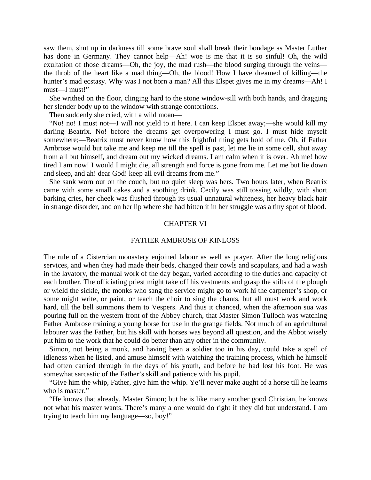saw them, shut up in darkness till some brave soul shall break their bondage as Master Luther has done in Germany. They cannot help—Ah! woe is me that it is so sinful! Oh, the wild exultation of those dreams—Oh, the joy, the mad rush—the blood surging through the veins the throb of the heart like a mad thing—Oh, the blood! How I have dreamed of killing—the hunter's mad ecstasy. Why was I not born a man? All this Elspet gives me in my dreams—Ah! I must—I must!"

 She writhed on the floor, clinging hard to the stone window-sill with both hands, and dragging her slender body up to the window with strange contortions.

Then suddenly she cried, with a wild moan—

 "No! no! I must not—I will not yield to it here. I can keep Elspet away;—she would kill my darling Beatrix. No! before the dreams get overpowering I must go. I must hide myself somewhere;—Beatrix must never know how this frightful thing gets hold of me. Oh, if Father Ambrose would but take me and keep me till the spell is past, let me lie in some cell, shut away from all but himself, and dream out my wicked dreams. I am calm when it is over. Ah me! how tired I am now! I would I might die, all strength and force is gone from me. Let me but lie down and sleep, and ah! dear God! keep all evil dreams from me."

 She sank worn out on the couch, but no quiet sleep was hers. Two hours later, when Beatrix came with some small cakes and a soothing drink, Cecily was still tossing wildly, with short barking cries, her cheek was flushed through its usual unnatural whiteness, her heavy black hair in strange disorder, and on her lip where she had bitten it in her struggle was a tiny spot of blood.

## CHAPTER VI

#### FATHER AMBROSE OF KINLOSS

The rule of a Cistercian monastery enjoined labour as well as prayer. After the long religious services, and when they had made their beds, changed their cowls and scapulars, and had a wash in the lavatory, the manual work of the day began, varied according to the duties and capacity of each brother. The officiating priest might take off his vestments and grasp the stilts of the plough or wield the sickle, the monks who sang the service might go to work hi the carpenter's shop, or some might write, or paint, or teach the choir to sing the chants, but all must work and work hard, till the bell summons them to Vespers. And thus it chanced, when the afternoon sua was pouring full on the western front of the Abbey church, that Master Simon Tulloch was watching Father Ambrose training a young horse for use in the grange fields. Not much of an agricultural labourer was the Father, but his skill with horses was beyond all question, and the Abbot wisely put him to the work that he could do better than any other in the community.

 Simon, not being a monk, and having been a soldier too in his day, could take a spell of idleness when he listed, and amuse himself with watching the training process, which he himself had often carried through in the days of his youth, and before he had lost his foot. He was somewhat sarcastic of the Father's skill and patience with his pupil.

 "Give him the whip, Father, give him the whip. Ye'll never make aught of a horse till he learns who is master."

 "He knows that already, Master Simon; but he is like many another good Christian, he knows not what his master wants. There's many a one would do right if they did but understand. I am trying to teach him my language—so, boy!"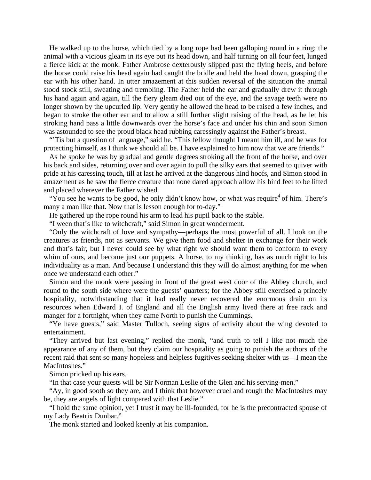He walked up to the horse, which tied by a long rope had been galloping round in a ring; the animal with a vicious gleam in its eye put its head down, and half turning on all four feet, lunged a fierce kick at the monk. Father Ambrose dexterously slipped past the flying heels, and before the horse could raise his head again had caught the bridle and held the head down, grasping the ear with his other hand. In utter amazement at this sudden reversal of the situation the animal stood stock still, sweating and trembling. The Father held the ear and gradually drew it through his hand again and again, till the fiery gleam died out of the eye, and the savage teeth were no longer shown by the upcurled lip. Very gently he allowed the head to be raised a few inches, and began to stroke the other ear and to allow a still further slight raising of the head, as he let his stroking hand pass a little downwards over the horse's face and under his chin and soon Simon was astounded to see the proud black head rubbing caressingly against the Father's breast.

"Tis but a question of language," said he. "This fellow thought I meant him ill, and he was for protecting himself, as I think we should all be. I have explained to him now that we are friends."

 As he spoke he was by gradual and gentle degrees stroking all the front of the horse, and over his back and sides, returning over and over again to pull the silky ears that seemed to quiver with pride at his caressing touch, till at last he arrived at the dangerous hind hoofs, and Simon stood in amazement as he saw the fierce creature that none dared approach allow his hind feet to be lifted and placed wherever the Father wished.

"You see he wants to be good, he only didn't know how, or what was require<sup>4</sup> of him. There's many a man like that. Now that is lesson enough for to-day."

He gathered up the rope round his arm to lead his pupil back to the stable.

"I ween that's like to witchcraft," said Simon in great wonderment.

 "Only the witchcraft of love and sympathy—perhaps the most powerful of all. I look on the creatures as friends, not as servants. We give them food and shelter in exchange for their work and that's fair, but I never could see by what right we should want them to conform to every whim of ours, and become just our puppets. A horse, to my thinking, has as much right to his individuality as a man. And because I understand this they will do almost anything for me when once we understand each other."

 Simon and the monk were passing in front of the great west door of the Abbey church, and round to the south side where were the guests' quarters; for the Abbey still exercised a princely hospitality, notwithstanding that it had really never recovered the enormous drain on its resources when Edward I. of England and all the English army lived there at free rack and manger for a fortnight, when they came North to punish the Cummings.

 "Ye have guests," said Master Tulloch, seeing signs of activity about the wing devoted to entertainment.

 "They arrived but last evening," replied the monk, "and truth to tell I like not much the appearance of any of them, but they claim our hospitality as going to punish the authors of the recent raid that sent so many hopeless and helpless fugitives seeking shelter with us—I mean the MacIntoshes."

Simon pricked up his ears.

"In that case your guests will be Sir Norman Leslie of the Glen and his serving-men."

 "Ay, in good sooth so they are, and I think that however cruel and rough the MacIntoshes may be, they are angels of light compared with that Leslie."

 "I hold the same opinion, yet I trust it may be ill-founded, for he is the precontracted spouse of my Lady Beatrix Dunbar."

The monk started and looked keenly at his companion.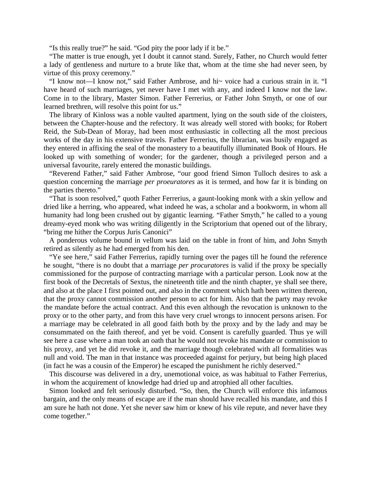"Is this really true?" he said. "God pity the poor lady if it be."

 "The matter is true enough, yet I doubt it cannot stand. Surely, Father, no Church would fetter a lady of gentleness and nurture to a brute like that, whom at the time she had never seen, by virtue of this proxy ceremony."

 "I know not—I know not," said Father Ambrose, and hi~ voice had a curious strain in it. "I have heard of such marriages, yet never have I met with any, and indeed I know not the law. Come in to the library, Master Simon. Father Ferrerius, or Father John Smyth, or one of our learned brethren, will resolve this point for us."

 The library of Kinloss was a noble vaulted apartment, lying on the south side of the cloisters, between the Chapter-house and the refectory. It was already well stored with books; for Robert Reid, the Sub-Dean of Moray, had been most enthusiastic in collecting all the most precious works of the day in his extensive travels. Father Ferrerius, the librarian, was busily engaged as they entered in affixing the seal of the monastery to a beautifully illuminated Book of Hours. He looked up with something of wonder; for the gardener, though a privileged person and a universal favourite, rarely entered the monastic buildings.

 "Reverend Father," said Father Ambrose, "our good friend Simon Tulloch desires to ask a question concerning the marriage *per proeuratores* as it is termed, and how far it is binding on the parties thereto."

 "That is soon resolved," quoth Father Ferrerius, a gaunt-looking monk with a skin yellow and dried like a herring, who appeared, what indeed he was, a scholar and a bookworm, in whom all humanity had long been crushed out by gigantic learning. "Father Smyth," he called to a young dreamy-eyed monk who was writing diligently in the Scriptorium that opened out of the library, "bring me hither the Corpus Juris Canonici"

 A ponderous volume bound in vellum was laid on the table in front of him, and John Smyth retired as silently as he had emerged from his den.

 "Ye see here," said Father Ferrerius, rapidly turning over the pages till he found the reference he sought, "there is no doubt that a marriage *per procuratores* is valid if the proxy be specially commissioned for the purpose of contracting marriage with a particular person. Look now at the first book of the Decretals of Sextus, the nineteenth title and the ninth chapter, ye shall see there, and also at the place I first pointed out, and also in the comment which hath been written thereon, that the proxy cannot commission another person to act for him. Also that the party may revoke the mandate before the actual contract. And this even although the revocation is unknown to the proxy or to the other party, and from this have very cruel wrongs to innocent persons arisen. For a marriage may be celebrated in all good faith both by the proxy and by the lady and may be consummated on the faith thereof, and yet be void. Consent is carefully guarded. Thus ye will see here a case where a man took an oath that he would not revoke his mandate or commission to his proxy, and yet he did revoke it, and the marriage though celebrated with all formalities was null and void. The man in that instance was proceeded against for perjury, but being high placed (in fact he was a cousin of the Emperor) he escaped the punishment he richly deserved."

 This discourse was delivered in a dry, unemotional voice, as was habitual to Father Ferrerius, in whom the acquirement of knowledge had dried up and atrophied all other faculties.

 Simon looked and felt seriously disturbed. "So, then, the Church will enforce this infamous bargain, and the only means of escape are if the man should have recalled his mandate, and this I am sure he hath not done. Yet she never saw him or knew of his vile repute, and never have they come together."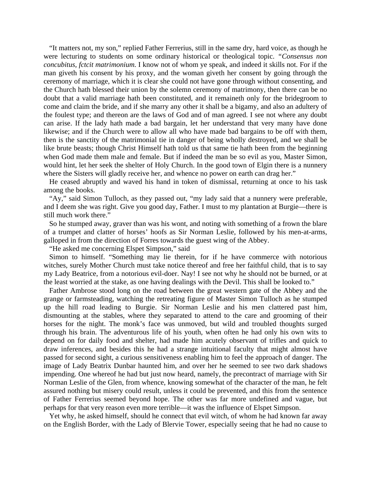"It matters not, my son," replied Father Ferrerius, still in the same dry, hard voice, as though he were lecturing to students on some ordinary historical or theological topic. *"Consensus non concubitus, fctcit matrimonium.* I know not of whom ye speak, and indeed it skills not. For if the man giveth his consent by his proxy, and the woman giveth her consent by going through the ceremony of marriage, which it is clear she could not have gone through without consenting, and the Church hath blessed their union by the solemn ceremony of matrimony, then there can be no doubt that a valid marriage hath been constituted, and it remaineth only for the bridegroom to come and claim the bride, and if she marry any other it shall be a bigamy, and also an adultery of the foulest type; and thereon are the laws of God and of man agreed. I see not where any doubt can arise. If the lady hath made a bad bargain, let her understand that very many have done likewise; and if the Church were to allow all who have made bad bargains to be off with them, then is the sanctity of the matrimonial tie in danger of being wholly destroyed, and we shall be like brute beasts; though Christ Himself hath told us that same tie hath been from the beginning when God made them male and female. But if indeed the man be so evil as you, Master Simon, would hint, let her seek the shelter of Holy Church. In the good town of Elgin there is a nunnery where the Sisters will gladly receive her, and whence no power on earth can drag her."

 He ceased abruptly and waved his hand in token of dismissal, returning at once to his task among the books.

 "Ay," said Simon Tulloch, as they passed out, "my lady said that a nunnery were preferable, and I deem she was right. Give you good day, Father. I must to my plantation at Burgie—there is still much work there."

 So he stumped away, graver than was his wont, and noting with something of a frown the blare of a trumpet and clatter of horses' hoofs as Sir Norman Leslie, followed by his men-at-arms, galloped in from the direction of Forres towards the guest wing of the Abbey.

"He asked me concerning Elspet Simpson," said

 Simon to himself. "Something may lie therein, for if he have commerce with notorious witches, surely Mother Church must take notice thereof and free her faithful child, that is to say my Lady Beatrice, from a notorious evil-doer. Nay! I see not why he should not be burned, or at the least worried at the stake, as one having dealings with the Devil. This shall be looked to."

 Father Ambrose stood long on the road between the great western gate of the Abbey and the grange or farmsteading, watching the retreating figure of Master Simon Tulloch as he stumped up the hill road leading to Burgie. Sir Norman Leslie and his men clattered past him, dismounting at the stables, where they separated to attend to the care and grooming of their horses for the night. The monk's face was unmoved, but wild and troubled thoughts surged through his brain. The adventurous life of his youth, when often he had only his own wits to depend on for daily food and shelter, had made him acutely observant of trifles and quick to draw inferences, and besides this he had a strange intuitional faculty that might almost have passed for second sight, a curious sensitiveness enabling him to feel the approach of danger. The image of Lady Beatrix Dunbar haunted him, and over her he seemed to see two dark shadows impending. One whereof he had but just now heard, namely, the precontract of marriage with Sir Norman Leslie of the Glen, from whence, knowing somewhat of the character of the man, he felt assured nothing but misery could result, unless it could be prevented, and this from the sentence of Father Ferrerius seemed beyond hope. The other was far more undefined and vague, but perhaps for that very reason even more terrible—it was the influence of Elspet Simpson.

 Yet why, he asked himself, should he connect that evil witch, of whom he had known far away on the English Border, with the Lady of Blervie Tower, especially seeing that he had no cause to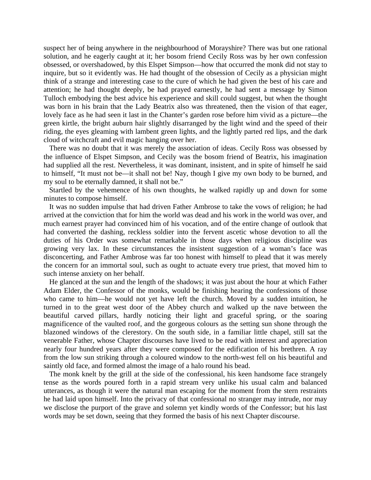suspect her of being anywhere in the neighbourhood of Morayshire? There was but one rational solution, and he eagerly caught at it; her bosom friend Cecily Ross was by her own confession obsessed, or overshadowed, by this Elspet Simpson—how that occurred the monk did not stay to inquire, but so it evidently was. He had thought of the obsession of Cecily as a physician might think of a strange and interesting case to the cure of which he had given the best of his care and attention; he had thought deeply, be had prayed earnestly, he had sent a message by Simon Tulloch embodying the best advice his experience and skill could suggest, but when the thought was born in his brain that the Lady Beatrix also was threatened, then the vision of that eager, lovely face as he had seen it last in the Chanter's garden rose before him vivid as a picture—the green kirtle, the bright auburn hair slightly disarranged by the light wind and the speed of their riding, the eyes gleaming with lambent green lights, and the lightly parted red lips, and the dark cloud of witchcraft and evil magic hanging over her.

 There was no doubt that it was merely the association of ideas. Cecily Ross was obsessed by the influence of Elspet Simpson, and Cecily was the bosom friend of Beatrix, his imagination had supplied all the rest. Nevertheless, it was dominant, insistent, and in spite of himself he said to himself, "It must not be—it shall not be! Nay, though I give my own body to be burned, and my soul to be eternally damned, it shall not be."

 Startled by the vehemence of his own thoughts, he walked rapidly up and down for some minutes to compose himself.

 It was no sudden impulse that had driven Father Ambrose to take the vows of religion; he had arrived at the conviction that for him the world was dead and his work in the world was over, and much earnest prayer had convinced him of his vocation, and of the entire change of outlook that had converted the dashing, reckless soldier into the fervent ascetic whose devotion to all the duties of his Order was somewhat remarkable in those days when religious discipline was growing very lax. In these circumstances the insistent suggestion of a woman's face was disconcerting, and Father Ambrose was far too honest with himself to plead that it was merely the concern for an immortal soul, such as ought to actuate every true priest, that moved him to such intense anxiety on her behalf.

 He glanced at the sun and the length of the shadows; it was just about the hour at which Father Adam Elder, the Confessor of the monks, would be finishing hearing the confessions of those who came to him—he would not yet have left the church. Moved by a sudden intuition, he turned in to the great west door of the Abbey church and walked up the nave between the beautiful carved pillars, hardly noticing their light and graceful spring, or the soaring magnificence of the vaulted roof, and the gorgeous colours as the setting sun shone through the blazoned windows of the clerestory. On the south side, in a familiar little chapel, still sat the venerable Father, whose Chapter discourses have lived to be read with interest and appreciation nearly four hundred years after they were composed for the edification of his brethren. A ray from the low sun striking through a coloured window to the north-west fell on his beautiful and saintly old face, and formed almost the image of a halo round his bead.

 The monk knelt by the grill at the side of the confessional, his keen handsome face strangely tense as the words poured forth in a rapid stream very unlike his usual calm and balanced utterances, as though it were the natural man escaping for the moment from the stern restraints he had laid upon himself. Into the privacy of that confessional no stranger may intrude, nor may we disclose the purport of the grave and solemn yet kindly words of the Confessor; but his last words may be set down, seeing that they formed the basis of his next Chapter discourse.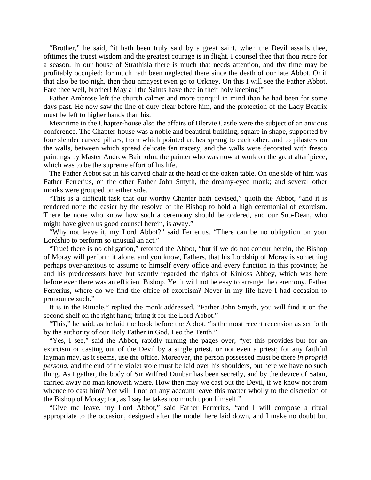"Brother," he said, "it hath been truly said by a great saint, when the Devil assails thee, ofttimes the truest wisdom and the greatest courage is in flight. I counsel thee that thou retire for a season. In our house of Strathisla there is much that needs attention, and thy time may be profitably occupied; for much hath been neglected there since the death of our late Abbot. Or if that also be too nigh, then thou nmayest even go to Orkney. On this I will see the Father Abbot. Fare thee well, brother! May all the Saints have thee in their holy keeping!"

 Father Ambrose left the church calmer and more tranquil in mind than he had been for some days past. He now saw the line of duty clear before him, and the protection of the Lady Beatrix must be left to higher hands than his.

 Meantime in the Chapter-house also the affairs of Blervie Castle were the subject of an anxious conference. The Chapter-house was a noble and beautiful building, square in shape, supported by four slender carved pillars, from which pointed arches sprang to each other, and to pilasters on the walls, between which spread delicate fan tracery, and the walls were decorated with fresco paintings by Master Andrew Bairholm, the painter who was now at work on the great altar'piece, which was to be the supreme effort of his life.

 The Father Abbot sat in his carved chair at the head of the oaken table. On one side of him was Father Ferrerius, on the other Father John Smyth, the dreamy-eyed monk; and several other monks were grouped on either side.

 "This is a difficult task that our worthy Chanter hath devised," quoth the Abbot, "and it is rendered none the easier by the resolve of the Bishop to hold a high ceremonial of exorcism. There be none who know how such a ceremony should be ordered, and our Sub-Dean, who might have given us good counsel herein, is away."

 "Why not leave it, my Lord Abbot?" said Ferrerius. "There can be no obligation on your Lordship to perform so unusual an act."

 "True! there is no obligation," retorted the Abbot, "but if we do not concur herein, the Bishop of Moray will perform it alone, and you know, Fathers, that his Lordship of Moray is something perhaps over-anxious to assume to himself every office and every function in this province; he and his predecessors have but scantly regarded the rights of Kinloss Abbey, which was here before ever there was an efficient Bishop. Yet it will not be easy to arrange the ceremony. Father Ferrerius, where do we find the office of exorcism? Never in my life have I had occasion to pronounce such."

 It is in the Rituale," replied the monk addressed. "Father John Smyth, you will find it on the second shelf on the right hand; bring it for the Lord Abbot."

"This," he said, as he laid the book before the Abbot, "is the most recent recension as set forth by the authority of our Holy Father in God, Leo the Tenth."

"Yes, I see," said the Abbot, rapidly turning the pages over; "yet this provides but for an exorcism or casting out of the Devil by a single priest, or not even a priest; for any faithful layman may, as it seems, use the office. Moreover, the person possessed must be there *in propriâ persona,* and the end of the violet stole must be laid over his shoulders, but here we have no such thing. As I gather, the body of Sir Wilfred Dunbar has been secretly, and by the device of Satan, carried away no man knoweth where. How then may we cast out the Devil, if we know not from whence to cast him? Yet will I not on any account leave this matter wholly to the discretion of the Bishop of Moray; for, as I say he takes too much upon himself."

 "Give me leave, my Lord Abbot," said Father Ferrerius, "and I will compose a ritual appropriate to the occasion, designed after the model here laid down, and I make no doubt but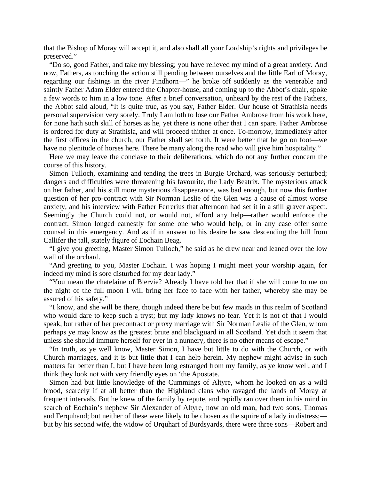that the Bishop of Moray will accept it, and also shall all your Lordship's rights and privileges be preserved."

 "Do so, good Father, and take my blessing; you have relieved my mind of a great anxiety. And now, Fathers, as touching the action still pending between ourselves and the little Earl of Moray, regarding our fishings in the river Findhorn—" he broke off suddenly as the venerable and saintly Father Adam Elder entered the Chapter-house, and coming up to the Abbot's chair, spoke a few words to him in a low tone. After a brief conversation, unheard by the rest of the Fathers, the Abbot said aloud, "It is quite true, as you say, Father Elder. Our house of Strathisla needs personal supervision very sorely. Truly I am loth to lose our Father Ambrose from his work here, for none hath such skill of horses as he, yet there is none other that I can spare. Father Ambrose is ordered for duty at Strathisla, and will proceed thither at once. To-morrow, immediately after the first offices in the church, our Father shall set forth. It were better that he go on foot—we have no plenitude of horses here. There be many along the road who will give him hospitality."

 Here we may leave the conclave to their deliberations, which do not any further concern the course of this history.

 Simon Tulloch, examining and tending the trees in Burgie Orchard, was seriously perturbed; dangers and difficulties were threatening his favourite, the Lady Beatrix. The mysterious attack on her father, and his still more mysterious disappearance, was bad enough, but now this further question of her pro-contract with Sir Norman Leslie of the Glen was a cause of almost worse anxiety, and his interview with Father Ferrerius that afternoon had set it in a still graver aspect. Seemingly the Church could not, or would not, afford any help—rather would enforce the contract. Simon longed earnestly for some one who would help, or in any case offer some counsel in this emergency. And as if in answer to his desire he saw descending the hill from Callifer the tall, stately figure of Eochain Beag.

 "I give you greeting, Master Simon Tulloch," he said as he drew near and leaned over the low wall of the orchard.

 "And greeting to you, Master Eochain. I was hoping I might meet your worship again, for indeed my mind is sore disturbed for my dear lady."

 "You mean the chatelaine of Blervie? Already I have told her that if she will come to me on the night of the full moon I will bring her face to face with her father, whereby she may be assured of his safety."

 "I know, and she will be there, though indeed there be but few maids in this realm of Scotland who would dare to keep such a tryst; but my lady knows no fear. Yet it is not of that I would speak, but rather of her precontract or proxy marriage with Sir Norman Leslie of the Glen, whom perhaps ye may know as the greatest brute and blackguard in all Scotland. Yet doth it seem that unless she should immure herself for ever in a nunnery, there is no other means of escape."

 "In truth, as ye well know, Master Simon, I have but little to do with the Church, or with Church marriages, and it is but little that I can help herein. My nephew might advise in such matters far better than I, but I have been long estranged from my family, as ye know well, and I think they look not with very friendly eyes on 'the Apostate.

 Simon had but little knowledge of the Cummings of Altyre, whom he looked on as a wild brood, scarcely if at all better than the Highland clans who ravaged the lands of Moray at frequent intervals. But he knew of the family by repute, and rapidly ran over them in his mind in search of Eochain's nephew Sir Alexander of Altyre, now an old man, had two sons, Thomas and Ferquhand; but neither of these were likely to be chosen as the squire of a lady in distress; but by his second wife, the widow of Urquhart of Burdsyards, there were three sons—Robert and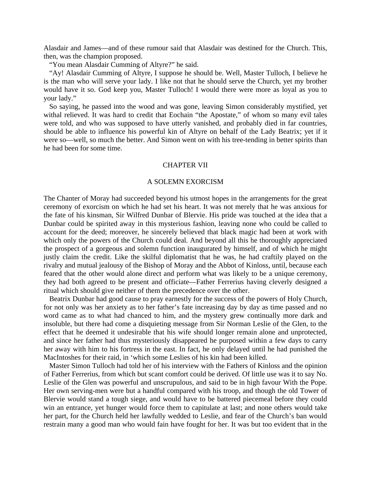Alasdair and James—and of these rumour said that Alasdair was destined for the Church. This, then, was the champion proposed.

"You mean Alasdair Cumming of Altyre?" he said.

 "Ay! Alasdair Cumming of Altyre, I suppose he should be. Well, Master Tulloch, I believe he is the man who will serve your lady. I like not that he should serve the Church, yet my brother would have it so. God keep you, Master Tulloch! I would there were more as loyal as you to your lady."

 So saying, he passed into the wood and was gone, leaving Simon considerably mystified, yet withal relieved. It was hard to credit that Eochain "the Apostate," of whom so many evil tales were told, and who was supposed to have utterly vanished, and probably died in far countries, should be able to influence his powerful kin of Altyre on behalf of the Lady Beatrix; yet if it were so—well, so much the better. And Simon went on with his tree-tending in better spirits than he had been for some time.

#### CHAPTER VII

#### A SOLEMN EXORCISM

The Chanter of Moray had succeeded beyond his utmost hopes in the arrangements for the great ceremony of exorcism on which he had set his heart. It was not merely that he was anxious for the fate of his kinsman, Sir Wilfred Dunbar of Blervie. His pride was touched at the idea that a Dunbar could be spirited away in this mysterious fashion, leaving none who could be called to account for the deed; moreover, he sincerely believed that black magic had been at work with which only the powers of the Church could deal. And beyond all this he thoroughly appreciated the prospect of a gorgeous and solemn function inaugurated by himself, and of which he might justly claim the credit. Like the skilful diplomatist that he was, he had craftily played on the rivalry and mutual jealousy of the Bishop of Moray and the Abbot of Kinloss, until, because each feared that the other would alone direct and perform what was likely to be a unique ceremony, they had both agreed to be present and officiate—Father Ferrerius having cleverly designed a ritual which should give neither of them the precedence over the other.

 Beatrix Dunbar had good cause to pray earnestly for the success of the powers of Holy Church, for not only was her anxiety as to her father's fate increasing day by day as time passed and no word came as to what had chanced to him, and the mystery grew continually more dark and insoluble, but there had come a disquieting message from Sir Norman Leslie of the Glen, to the effect that he deemed it undesirable that his wife should longer remain alone and unprotected, and since her father had thus mysteriously disappeared he purposed within a few days to carry her away with him to his fortress in the east. In fact, he only delayed until he had punished the MacIntoshes for their raid, in 'which some Leslies of his kin had been killed.

 Master Simon Tulloch had told her of his interview with the Fathers of Kinloss and the opinion of Father Ferrerius, from which but scant comfort could be derived. Of little use was it to say No. Leslie of the Glen was powerful and unscrupulous, and said to be in high favour With the Pope. Her own serving-men were but a handful compared with his troop, and though the old Tower of Blervie would stand a tough siege, and would have to be battered piecemeal before they could win an entrance, yet hunger would force them to capitulate at last; and none others would take her part, for the Church held her lawfully wedded to Leslie, and fear of the Church's ban would restrain many a good man who would fain have fought for her. It was but too evident that in the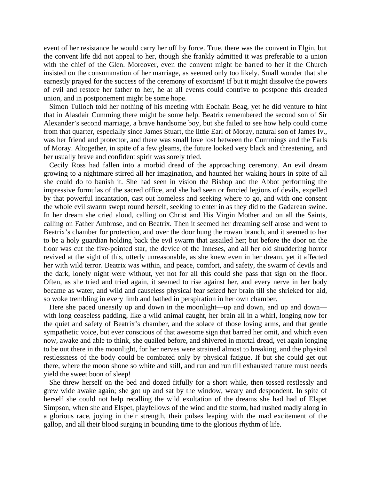event of her resistance he would carry her off by force. True, there was the convent in Elgin, but the convent life did not appeal to her, though she frankly admitted it was preferable to a union with the chief of the Glen. Moreover, even the convent might be barred to her if the Church insisted on the consummation of her marriage, as seemed only too likely. Small wonder that she earnestly prayed for the success of the ceremony of exorcism! If but it might dissolve the powers of evil and restore her father to her, he at all events could contrive to postpone this dreaded union, and in postponement might be some hope.

Simon Tulloch told her nothing of his meeting with Eochain Beag, yet he did venture to hint that in Alasdair Cumming there might be some help. Beatrix remembered the second son of Sir Alexander's second marriage, a brave handsome boy, but she failed to see how help could come from that quarter, especially since James Stuart, the little Earl of Moray, natural son of James Iv., was her friend and protector, and there was small love lost between the Cummings and the Earls of Moray. Altogether, in spite of a few gleams, the future looked very black and threatening, and her usually brave and confident spirit was sorely tried.

 Cecily Ross had fallen into a morbid dread of the approaching ceremony. An evil dream growing to a nightmare stirred all her imagination, and haunted her waking hours in spite of all she could do to banish it. She had seen in vision the Bishop and the Abbot performing the impressive formulas of the sacred office, and she had seen or fancied legions of devils, expelled by that powerful incantation, cast out homeless and seeking where to go, and with one consent the whole evil swarm swept round herself, seeking to enter in as they did to the Gadarean swine. In her dream she cried aloud, calling on Christ and His Virgin Mother and on all the Saints, calling on Father Ambrose, and on Beatrix. Then it seemed her dreaming self arose and went to Beatrix's chamber for protection, and over the door hung the rowan branch, and it seemed to her to be a holy guardian holding back the evil swarm that assailed her; but before the door on the floor was cut the five-pointed star, the device of the Inneses, and all her old shuddering horror revived at the sight of this, utterly unreasonable, as she knew even in her dream, yet it affected her with wild terror. Beatrix was within, and peace, comfort, and safety, the swarm of devils and the dark, lonely night were without, yet not for all this could she pass that sign on the floor. Often, as she tried and tried again, it seemed to rise against her, and every nerve in her body became as water, and wild and causeless physical fear seized her brain till she shrieked for aid, so woke trembling in every limb and bathed in perspiration in her own chamber.

Here she paced uneasily up and down in the moonlight—up and down, and up and down with long ceaseless padding, like a wild animal caught, her brain all in a whirl, longing now for the quiet and safety of Beatrix's chamber, and the solace of those loving arms, and that gentle sympathetic voice, but ever conscious of that awesome sign that barred her omit, and which even now, awake and able to think, she quailed before, and shivered in mortal dread, yet again longing to be out there in the moonlight, for her nerves were strained almost to breaking, and the physical restlessness of the body could be combated only by physical fatigue. If but she could get out there, where the moon shone so white and still, and run and run till exhausted nature must needs yield the sweet boon of sleep!

 She threw herself on the bed and dozed fitfully for a short while, then tossed restlessly and grew wide awake again; she got up and sat by the window, weary and despondent. In spite of herself she could not help recalling the wild exultation of the dreams she had had of Elspet Simpson, when she and Elspet, playfellows of the wind and the storm, had rushed madly along in a glorious race, joying in their strength, their pulses leaping with the mad excitement of the gallop, and all their blood surging in bounding time to the glorious rhythm of life.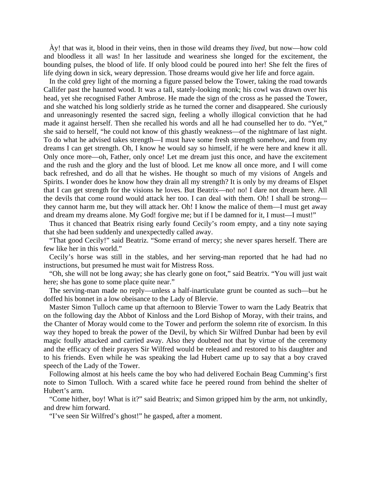Ày! that was it, blood in their veins, then in those wild dreams they *lived,* but now—how cold and bloodless it all was! In her lassitude and weariness she longed for the excitement, the bounding pulses, the blood of life. If only blood could be poured into her! She felt the fires of life dying down in sick, weary depression. Those dreams would give her life and force again.

 In the cold grey light of the morning a figure passed below the Tower, taking the road towards Callifer past the haunted wood. It was a tall, stately-looking monk; his cowl was drawn over his head, yet she recognised Father Ambrose. He made the sign of the cross as he passed the Tower, and she watched his long soldierly stride as he turned the corner and disappeared. She curiously and unreasoningly resented the sacred sign, feeling a wholly illogical conviction that he had made it against herself. Then she recalled his words and all he had counselled her to do. "Yet," she said to herself, "he could not know of this ghastly weakness—of the nightmare of last night. To do what he advised takes strength—I must have some fresh strength somehow, and from my dreams I can get strength. Oh, I know he would say so himself, if he were here and knew it all. Only once more—oh, Father, only once! Let me dream just this once, and have the excitement and the rush and the glory and the lust of blood. Let me know all once more, and I will come back refreshed, and do all that he wishes. He thought so much of my visions of Angels and Spirits. I wonder does he know how they drain all my strength? It is only by my dreams of Elspet that I can get strength for the visions he loves. But Beatrix—no! no! I dare not dream here. All the devils that come round would attack her too. I can deal with them. Oh! I shall be strong they cannot harm me, but they will attack her. Oh! I know the malice of them—I must get away and dream my dreams alone. My God! forgive me; but if I be damned for it, I must—I must!"

 Thus it chanced that Beatrix rising early found Cecily's room empty, and a tiny note saying that she had been suddenly and unexpectedly called away.

 "That good Cecily!" said Beatriz. "Some errand of mercy; she never spares herself. There are few like her in this world."

 Cecily's horse was still in the stables, and her serving-man reported that he had had no instructions, but presumed he must wait for Mistress Ross.

 "Oh, she will not be long away; she has clearly gone on foot," said Beatrix. "You will just wait here; she has gone to some place quite near."

 The serving-man made no reply—unless a half-inarticulate grunt be counted as such—but he doffed his bonnet in a low obeisance to the Lady of Blervie.

 Master Simon Tulloch came up that afternoon to Blervie Tower to warn the Lady Beatrix that on the following day the Abbot of Kinloss and the Lord Bishop of Moray, with their trains, and the Chanter of Moray would come to the Tower and perform the solemn rite of exorcism. In this way they hoped to break the power of the Devil, by which Sir Wilfred Dunbar had been by evil magic foully attacked and carried away. Also they doubted not that by virtue of the ceremony and the efficacy of their prayers Sir Wilfred would be released and restored to his daughter and to his friends. Even while he was speaking the lad Hubert came up to say that a boy craved speech of the Lady of the Tower.

 Following almost at his heels came the boy who had delivered Eochain Beag Cumming's first note to Simon Tulloch. With a scared white face he peered round from behind the shelter of Hubert's arm.

 "Come hither, boy! What is it?" said Beatrix; and Simon gripped him by the arm, not unkindly, and drew him forward.

"I've seen Sir Wilfred's ghost!" he gasped, after a moment.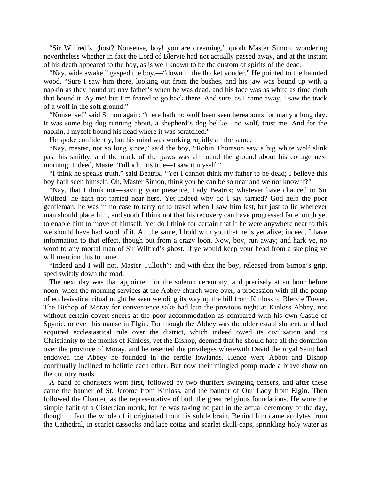"Sir Wilfred's ghost? Nonsense, boy! you are dreaming," quoth Master Simon, wondering nevertheless whether in fact the Lord of Blervie had not actually passed away, and at the instant of his death appeared to the boy, as is well known to be the custom of spirits of the dead.

 "Nay, wide awake," gasped the boy,—"down in the thicket yonder." He pointed to the haunted wood. "Sure I saw him there, looking out from the bushes, and his jaw was bound up with a napkin as they bound up nay father's when he was dead, and his face was as white as time cloth that bound it. Ay me! but I'm feared to go back there. And sure, as I came away, I saw the track of a wolf in the soft ground."

 "Nonsense!" said Simon again; "there hath no wolf been seen hereabouts for many a long day. It was some big dog running about, a shepherd's dog belike—no wolf, trust me. And for the napkin, I myself bound his head where it was scratched."

He spoke confidently, but his mind was working rapidly all the same.

 "Nay, master, not so long since," said the boy, "Robin Thomson saw a big white wolf slink past his smithy, and the track of the paws was all round the ground about his cottage next morning. Indeed, Master Tulloch, 'tis true—I saw it myself."

 "I think he speaks truth," said Beatrix. "Yet I cannot think my father to be dead; I believe this boy hath seen himself. Oh, Master Simon, think you he can be so near and we not know it?"

 "Nay, that I think not—saving your presence, Lady Beatrix; whatever have chanced to Sir Wilfred, he hath not tarried near here. Yet indeed why do I say tarried? God help the poor gentleman, he was in no case to tarry or to travel when I saw him last, but just to lie wherever man should place him, and sooth I think not that his recovery can have progressed far enough yet to enable him to move of himself. Yet do I think for certain that if he were anywhere near to this we should have had word of it, All the same, I hold with you that he is yet alive; indeed, I have information to that effect, though but from a crazy loon. Now, boy, run away; and hark ye, no word to any mortal man of Sir Wilfred's ghost. If ye would keep your head from a skelping ye will mention this to none.

 "Indeed and I will not, Master Tulloch"; and with that the boy, released from Simon's grip, sped swiftly down the road.

 The next day was that appointed for the solemn ceremony, and precisely at an hour before noon, when the morning services at the Abbey church were over, a procession with all the pomp of ecclesiastical ritual might be seen wending its way up the hill from Kinloss to Blervie Tower. The Bishop of Moray for convenience sake had lain the previous night at Kinloss Abbey, not without certain covert sneers at the poor accommodation as compared with his own Castle of Spynie, or even his manse in Elgin. For though the Abbey was the older establishment, and had acquired ecclesiastical rule over the district, which indeed owed its civilisation and its Christianity to the monks of Kinloss, yet the Bishop, deemed that he should hate all the dominion over the province of Moray, and he resented the privileges wherewith David the royal Saint had endowed the Abbey he founded in the fertile lowlands. Hence were Abbot and Bishop continually inclined to belittle each other. But now their mingled pomp made a brave show on the country roads.

 A band of choristers went first, followed by two thurifers swinging censers, and after these came the banner of St. Jerome from Kinloss, and the banner of Our Lady from Elgin. Then followed the Chanter, as the representative of both the great religious foundations. He wore the simple habit of a Cistercian monk, for he was taking no part in the actual ceremony of the day, though in fact the whole of it originated from his subtle brain. Behind him came acolytes from the Cathedral, in scarlet cassocks and lace cottas and scarlet skull-caps, sprinkling holy water as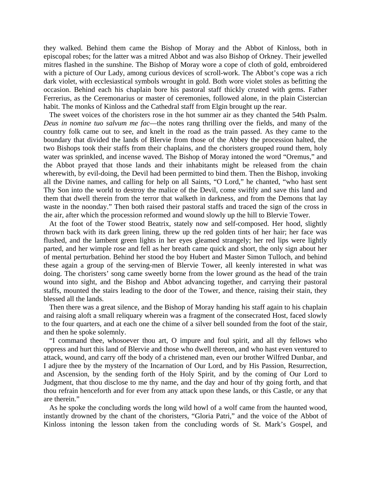they walked. Behind them came the Bishop of Moray and the Abbot of Kinloss, both in episcopal robes; for the latter was a mitred Abbot and was also Bishop of Orkney. Their jewelled mitres flashed in the sunshine. The Bishop of Moray wore a cope of cloth of gold, embroidered with a picture of Our Lady, among curious devices of scroll-work. The Abbot's cope was a rich dark violet, with ecclesiastical symbols wrought in gold. Both wore violet stoles as befitting the occasion. Behind each his chaplain bore his pastoral staff thickly crusted with gems. Father Ferrerius, as the Ceremonarius or master of ceremonies, followed alone, in the plain Cistercian habit. The monks of Kinloss and the Cathedral staff from Elgin brought up the rear.

 The sweet voices of the choristers rose in the hot summer air as they chanted the 54th Psalm. *Deus in nomine tuo salvum me fac*—the notes rang thrilling over the fields, and many of the country folk came out to see, and knelt in the road as the train passed. As they came to the boundary that divided the lands of Blervie from those of the Abbey the procession halted, the two Bishops took their staffs from their chaplains, and the choristers grouped round them, holy water was sprinkled, and incense waved. The Bishop of Moray intoned the word "Oremus," and the Abbot prayed that those lands and their inhabitants might be released from the chain wherewith, by evil-doing, the Devil had been permitted to bind them. Then the Bishop, invoking all the Divine names, and calling for help on all Saints, "O Lord," he chanted, "who hast sent Thy Son into the world to destroy the malice of the Devil, come swiftly and save this land and them that dwell therein from the terror that walketh in darkness, and from the Demons that lay waste in the noonday." Then both raised their pastoral staffs and traced the sign of the cross in the air, after which the procession reformed and wound slowly up the hill to Blervie Tower.

 At the foot of the Tower stood Beatrix, stately now and self-composed. Her hood, slightly thrown back with its dark green lining, threw up the red golden tints of her hair; her face was flushed, and the lambent green lights in her eyes gleamed strangely; her red lips were lightly parted, and her wimple rose and fell as her breath came quick and short, the only sign about her of mental perturbation. Behind her stood the boy Hubert and Master Simon Tulloch, and behind these again a group of the serving-men of Blervie Tower, all keenly interested in what was doing. The choristers' song came sweetly borne from the lower ground as the head of the train wound into sight, and the Bishop and Abbot advancing together, and carrying their pastoral staffs, mounted the stairs leading to the door of the Tower, and thence, raising their stain, they blessed all the lands.

 Then there was a great silence, and the Bishop of Moray handing his staff again to his chaplain and raising aloft a small reliquary wherein was a fragment of the consecrated Host, faced slowly to the four quarters, and at each one the chime of a silver bell sounded from the foot of the stair, and then he spoke solemnly.

 "I command thee, whosoever thou art, O impure and foul spirit, and all thy fellows who oppress and hurt this land of Blervie and those who dwell thereon, and who hast even ventured to attack, wound, and carry off the body of a christened man, even our brother Wilfred Dunbar, and I adjure thee by the mystery of the Incarnation of Our Lord, and by His Passion, Resurrection, and Ascension, by the sending forth of the Holy Spirit, and by the coming of Our Lord to Judgment, that thou disclose to me thy name, and the day and hour of thy going forth, and that thou refrain henceforth and for ever from any attack upon these lands, or this Castle, or any that are therein."

 As he spoke the concluding words the long wild howl of a wolf came from the haunted wood, instantly drowned by the chant of the choristers, "Gloria Patri," and the voice of the Abbot of Kinloss intoning the lesson taken from the concluding words of St. Mark's Gospel, and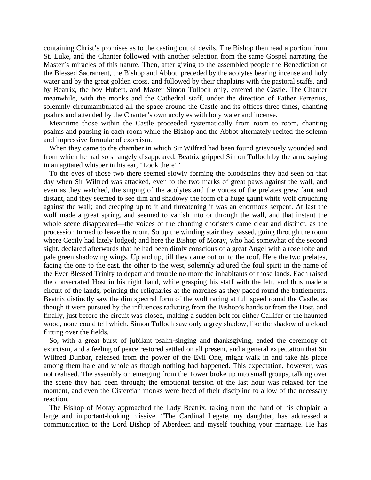containing Christ's promises as to the casting out of devils. The Bishop then read a portion from St. Luke, and the Chanter followed with another selection from the same Gospel narrating the Master's miracles of this nature. Then, after giving to the assembled people the Benediction of the Blessed Sacrament, the Bishop and Abbot, preceded by the acolytes bearing incense and holy water and by the great golden cross, and followed by their chaplains with the pastoral staffs, and by Beatrix, the boy Hubert, and Master Simon Tulloch only, entered the Castle. The Chanter meanwhile, with the monks and the Cathedral staff, under the direction of Father Ferrerius, solemnly circumambulated all the space around the Castle and its offices three times, chanting psalms and attended by the Chanter's own acolytes with holy water and incense.

 Meantime those within the Castle proceeded systematically from room to room, chanting psalms and pausing in each room while the Bishop and the Abbot alternately recited the solemn and impressive formulæ of exorcism.

 When they came to the chamber in which Sir Wilfred had been found grievously wounded and from which he had so strangely disappeared, Beatrix gripped Simon Tulloch by the arm, saying in an agitated whisper in his ear, "Look there!"

 To the eyes of those two there seemed slowly forming the bloodstains they had seen on that day when Sir Wilfred was attacked, even to the two marks of great paws against the wall, and even as they watched, the singing of the acolytes and the voices of the prelates grew faint and distant, and they seemed to see dim and shadowy the form of a huge gaunt white wolf crouching against the wall; and creeping up to it and threatening it was an enormous serpent. At last the wolf made a great spring, and seemed to vanish into or through the wall, and that instant the whole scene disappeared—the voices of the chanting choristers came clear and distinct, as the procession turned to leave the room. So up the winding stair they passed, going through the room where Cecily had lately lodged; and here the Bishop of Moray, who had somewhat of the second sight, declared afterwards that he had been dimly conscious of a great Angel with a rose robe and pale green shadowing wings. Up and up, till they came out on to the roof. Here the two prelates, facing the one to the east, the other to the west, solemnly adjured the foul spirit in the name of the Ever Blessed Trinity to depart and trouble no more the inhabitants of those lands. Each raised the consecrated Host in his right hand, while grasping his staff with the left, and thus made a circuit of the lands, pointing the reliquaries at the marches as they paced round the battlements. Beatrix distinctly saw the dim spectral form of the wolf racing at full speed round the Castle, as though it were pursued by the influences radiating from the Bishop's hands or from the Host, and finally, just before the circuit was closed, making a sudden bolt for either Callifer or the haunted wood, none could tell which. Simon Tulloch saw only a grey shadow, like the shadow of a cloud flitting over the fields.

 So, with a great burst of jubilant psalm-singing and thanksgiving, ended the ceremony of exorcism, and a feeling of peace restored settled on all present, and a general expectation that Sir Wilfred Dunbar, released from the power of the Evil One, might walk in and take his place among them hale and whole as though nothing had happened. This expectation, however, was not realised. The assembly on emerging from the Tower broke up into small groups, talking over the scene they had been through; the emotional tension of the last hour was relaxed for the moment, and even the Cistercian monks were freed of their discipline to allow of the necessary reaction.

 The Bishop of Moray approached the Lady Beatrix, taking from the hand of his chaplain a large and important-looking missive. "The Cardinal Legate, my daughter, has addressed a communication to the Lord Bishop of Aberdeen and myself touching your marriage. He has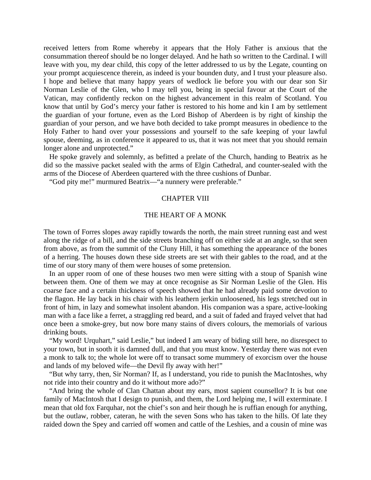received letters from Rome whereby it appears that the Holy Father is anxious that the consummation thereof should be no longer delayed. And he hath so written to the Cardinal. I will leave with you, my dear child, this copy of the letter addressed to us by the Legate, counting on your prompt acquiescence therein, as indeed is your bounden duty, and I trust your pleasure also. I hope and believe that many happy years of wedlock lie before you with our dear son Sir Norman Leslie of the Glen, who I may tell you, being in special favour at the Court of the Vatican, may confidently reckon on the highest advancement in this realm of Scotland. You know that until by God's mercy your father is restored to his home and kin I am by settlement the guardian of your fortune, even as the Lord Bishop of Aberdeen is by right of kinship the guardian of your person, and we have both decided to take prompt measures in obedience to the Holy Father to hand over your possessions and yourself to the safe keeping of your lawful spouse, deeming, as in conference it appeared to us, that it was not meet that you should remain longer alone and unprotected."

 He spoke gravely and solemnly, as befitted a prelate of the Church, handing to Beatrix as he did so the massive packet sealed with the arms of Elgin Cathedral, and counter-sealed with the arms of the Diocese of Aberdeen quartered with the three cushions of Dunbar.

"God pity me!" murmured Beatrix—"a nunnery were preferable."

#### CHAPTER VIII

## THE HEART OF A MONK

The town of Forres slopes away rapidly towards the north, the main street running east and west along the ridge of a bill, and the side streets branching off on either side at an angle, so that seen from above, as from the summit of the Cluny Hill, it has something the appearance of the bones of a herring. The houses down these side streets are set with their gables to the road, and at the time of our story many of them were houses of some pretension.

 In an upper room of one of these houses two men were sitting with a stoup of Spanish wine between them. One of them we may at once recognise as Sir Norman Leslie of the Glen. His coarse face and a certain thickness of speech showed that he had already paid some devotion to the flagon. He lay back in his chair with his leathern jerkin unloosened, his legs stretched out in front of him, in lazy and somewhat insolent abandon. His companion was a spare, active-looking man with a face like a ferret, a straggling red beard, and a suit of faded and frayed velvet that had once been a smoke-grey, but now bore many stains of divers colours, the memorials of various drinking bouts.

 "My word! Urquhart," said Leslie," but indeed I am weary of biding still here, no disrespect to your town, but in sooth it is damned dull, and that you must know. Yesterday there was not even a monk to talk to; the whole lot were off to transact some mummery of exorcism over the house and lands of my beloved wife—the Devil fly away with her!"

 "But why tarry, then, Sir Norman? If, as I understand, you ride to punish the MacIntoshes, why not ride into their country and do it without more ado?"

 "And bring the whole of Clan Chattan about my ears, most sapient counsellor? It is but one family of MacIntosh that I design to punish, and them, the Lord helping me, I will exterminate. I mean that old fox Farquhar, not the chief's son and heir though he is ruffian enough for anything, but the outlaw, robber, cateran, he with the seven Sons who has taken to the hills. Of late they raided down the Spey and carried off women and cattle of the Leshies, and a cousin of mine was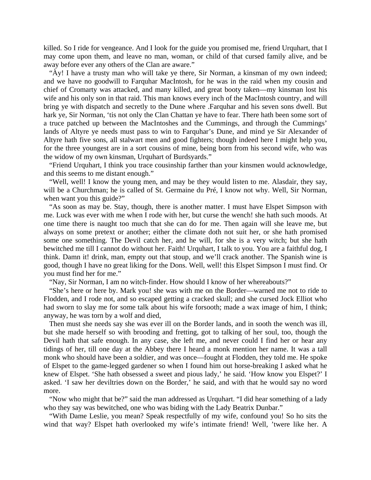killed. So I ride for vengeance. And I look for the guide you promised me, friend Urquhart, that I may come upon them, and leave no man, woman, or child of that cursed family alive, and be away before ever any others of the Clan are aware."

 "Ày! I have a trusty man who will take ye there, Sir Norman, a kinsman of my own indeed; and we have no goodwill to Farquhar MacIntosh, for he was in the raid when my cousin and chief of Cromarty was attacked, and many killed, and great booty taken—my kinsman lost his wife and his only son in that raid. This man knows every inch of the MacIntosh country, and will bring ye with dispatch and secretly to the Dune where .Farquhar and his seven sons dwell. But hark ye, Sir Norman, 'tis not only the Clan Chattan ye have to fear. There hath been some sort of a truce patched up between the MacIntoshes and the Cummings, and through the Cummings' lands of Altyre ye needs must pass to win to Farquhar's Dune, and mind ye Sir Alexander of Altyre hath five sons, all stalwart men and good fighters; though indeed here I might help you, for the three youngest are in a sort cousins of mine, being born from his second wife, who was the widow of my own kinsman, Urquhart of Burdsyards."

 "Friend Urquhart, I think you trace cousinship farther than your kinsmen would acknowledge, and this seems to me distant enough."

 "Well, well! I know the young men, and may be they would listen to me. Alasdair, they say, will be a Churchman; he is called of St. Germaine du Pré, I know not why. Well, Sir Norman, when want you this guide?"

 "As soon as may be. Stay, though, there is another matter. I must have Elspet Simpson with me. Luck was ever with me when I rode with her, but curse the wench! she hath such moods. At one time there is naught too much that she can do for me. Then again will she leave me, but always on some pretext or another; either the climate doth not suit her, or she hath promised some one something. The Devil catch her, and he will, for she is a very witch; but she hath bewitched me till I cannot do without her. Faith! Urquhart, I talk to you. You are a faithful dog, I think. Damn it! drink, man, empty out that stoup, and we'll crack another. The Spanish wine is good, though I have no great liking for the Dons. Well, well! this Elspet Simpson I must find. Or you must find her for me."

"Nay, Sir Norman, I am no witch-finder. How should I know of her whereabouts?"

 "She's here or here by. Mark you! she was with me on the Border—warned me not to ride to Flodden, and I rode not, and so escaped getting a cracked skull; and she cursed Jock Elliot who had sworn to slay me for some talk about his wife forsooth; made a wax image of him, I think; anyway, he was torn by a wolf and died,

 Then must she needs say she was ever ill on the Border lands, and in sooth the wench was ill, but she made herself so with brooding and fretting, got to talking of her soul, too, though the Devil hath that safe enough. In any case, she left me, and never could I find her or hear any tidings of her, till one day at the Abbey there I heard a monk mention her name. It was a tall monk who should have been a soldier, and was once—fought at Flodden, they told me. He spoke of Elspet to the game-legged gardener so when I found him out horse-breaking I asked what he knew of Elspet. 'She hath obsessed a sweet and pious lady,' he said. 'How know you Elspet?' I asked. 'I saw her deviltries down on the Border,' he said, and with that he would say no word more.

 "Now who might that be?" said the man addressed as Urquhart. "I did hear something of a lady who they say was bewitched, one who was biding with the Lady Beatrix Dunbar."

 "With Dame Leslie, you mean? Speak respectfully of my wife, confound you! So ho sits the wind that way? Elspet hath overlooked my wife's intimate friend! Well, 'twere like her. A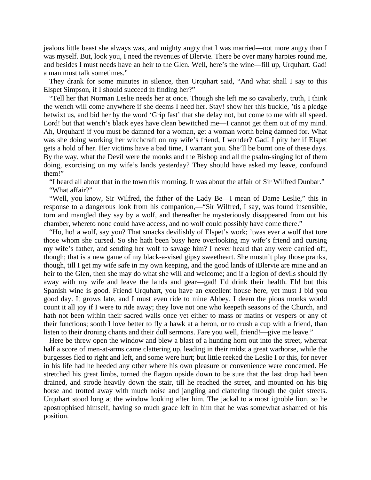jealous little beast she always was, and mighty angry that I was married—not more angry than I was myself. But, look you, I need the revenues of Blervie. There be over many harpies round me, and besides I must needs have an heir to the Glen. Well, here's the wine—fill up, Urquhart. Gad! a man must talk sometimes."

 They drank for some minutes in silence, then Urquhart said, "And what shall I say to this Elspet Simpson, if I should succeed in finding her?"

 "Tell her that Norman Leslie needs her at once. Though she left me so cavalierly, truth, I think the wench will come anywhere if she deems I need her. Stay! show her this buckle, 'tis a pledge betwixt us, and bid her by the word 'Grip fast' that she delay not, but come to me with all speed. Lord! but that wench's black eyes have clean bewitched me—I cannot get them out of my mind. Ah, Urquhart! if you must be damned for a woman, get a woman worth being damned for. What was she doing working her witchcraft on my wife's friend, I wonder? Gad! I pity her if Elspet gets a hold of her. Her victims have a bad time, I warrant you. She'll be burnt one of these days. By the way, what the Devil were the monks and the Bishop and all the psalm-singing lot of them doing, exorcising on my wife's lands yesterday? They should have asked my leave, confound them!"

 "I heard all about that in the town this morning. It was about the affair of Sir Wilfred Dunbar." "What affair?"

 "Well, you know, Sir Wilfred, the father of the Lady Be—I mean of Dame Leslie," this in response to a dangerous look from his companion,—"Sir Wilfred, I say, was found insensible, torn and mangled they say by a wolf, and thereafter he mysteriously disappeared from out his chamber, whereto none could have access, and no wolf could possibly have come there."

 "Ho, ho! a wolf, say you? That smacks devilishly of Elspet's work; 'twas ever a wolf that tore those whom she cursed. So she hath been busy here overlooking my wife's friend and cursing my wife's father, and sending her wolf to savage him? I never heard that any were carried off, though; that is a new game of my black-a-vised gipsy sweetheart. She mustn't play those pranks, though, till I get my wife safe in my own keeping, and the good lands of iBlervie are mine and an heir to the Glen, then she may do what she will and welcome; and if a legion of devils should fly away with my wife and leave the lands and gear—gad! I'd drink their health. Eh! but this Spanish wine is good. Friend Urquhart, you have an excellent house here, yet must I bid you good day. It grows late, and I must even ride to mine Abbey. I deem the pious monks would count it all joy if I were to ride away; they love not one who keepeth seasons of the Church, and hath not been within their sacred walls once yet either to mass or matins or vespers or any of their functions; sooth I love better to fly a hawk at a heron, or to crush a cup with a friend, than listen to their droning chants and their dull sermons. Fare you well, friend!—give me leave."

 Here be threw open the window and blew a blast of a hunting horn out into the street, whereat half a score of men-at-arms came clattering up, leading in their midst a great warhorse, while the burgesses fled to right and left, and some were hurt; but little reeked the Leslie I or this, for never in his life had he heeded any other where his own pleasure or convenience were concerned. He stretched his great limbs, turned the flagon upside down to be sure that the last drop had been drained, and strode heavily down the stair, till he reached the street, and mounted on his big horse and trotted away with much noise and jangling and clattering through the quiet streets. Urquhart stood long at the window looking after him. The jackal to a most ignoble lion, so he apostrophised himself, having so much grace left in him that he was somewhat ashamed of his position.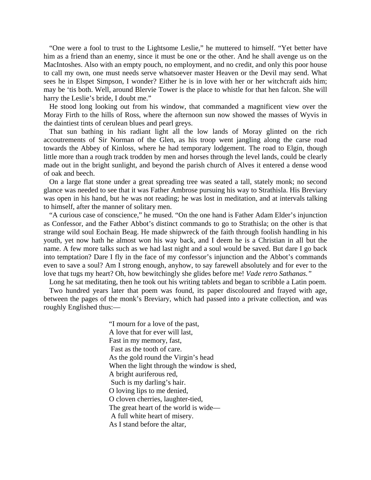"One were a fool to trust to the Lightsome Leslie," he muttered to himself. "Yet better have him as a friend than an enemy, since it must be one or the other. And he shall avenge us on the MacIntoshes. Also with an empty pouch, no employment, and no credit, and only this poor house to call my own, one must needs serve whatsoever master Heaven or the Devil may send. What sees he in Elspet Simpson, I wonder? Either he is in love with her or her witchcraft aids him; may be 'tis both. Well, around Blervie Tower is the place to whistle for that hen falcon. She will harry the Leslie's bride, I doubt me."

 He stood long looking out from his window, that commanded a magnificent view over the Moray Firth to the hills of Ross, where the afternoon sun now showed the masses of Wyvis in the daintiest tints of cerulean blues and pearl greys.

 That sun bathing in his radiant light all the low lands of Moray glinted on the rich accoutrements of Sir Norman of the Glen, as his troop went jangling along the carse road towards the Abbey of Kinloss, where he had temporary lodgement. The road to Elgin, though little more than a rough track trodden by men and horses through the level lands, could be clearly made out in the bright sunlight, and beyond the parish church of Alves it entered a dense wood of oak and beech.

 On a large flat stone under a great spreading tree was seated a tall, stately monk; no second glance was needed to see that it was Father Ambrose pursuing his way to Strathisla. His Breviary was open in his hand, but he was not reading; he was lost in meditation, and at intervals talking to himself, after the manner of solitary men.

 "A curious case of conscience," he mused. "On the one hand is Father Adam Elder's injunction as Confessor, and the Father Abbot's distinct commands to go to Strathisla; on the other is that strange wild soul Eochain Beag. He made shipwreck of the faith through foolish handling in his youth, yet now hath he almost won his way back, and I deem he is a Christian in all but the name. A few more talks such as we had last night and a soul would be saved. But dare I go back into temptation? Dare I fly in the face of my confessor's injunction and the Abbot's commands even to save a soul? Am I strong enough, anyhow, to say farewell absolutely and for ever to the love that tugs my heart? Oh, how bewitchingly she glides before me! *Vade retro Sathanas."* 

Long he sat meditating, then he took out his writing tablets and began to scribble a Latin poem.

 Two hundred years later that poem was found, its paper discoloured and frayed with age, between the pages of the monk's Breviary, which had passed into a private collection, and was roughly Englished thus:—

> "I mourn for a love of the past, A love that for ever will last, Fast in my memory, fast, Fast as the tooth of care. As the gold round the Virgin's head When the light through the window is shed, A bright auriferous red, Such is my darling's hair. O loving lips to me denied, O cloven cherries, laughter-tied, The great heart of the world is wide— A full white heart of misery. As I stand before the altar,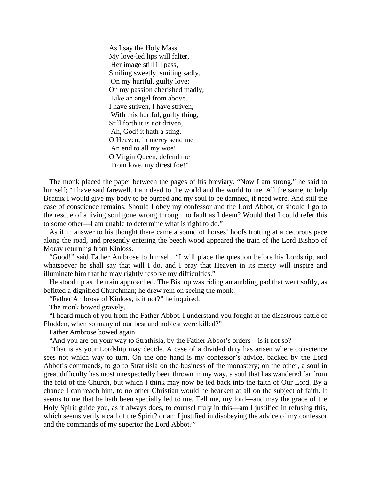As I say the Holy Mass, My love-led lips will falter, Her image still ill pass, Smiling sweetly, smiling sadly, On my hurtful, guilty love; On my passion cherished madly, Like an angel from above. I have striven, I have striven, With this hurtful, guilty thing, Still forth it is not driven,— Ah, God! it hath a sting. O Heaven, in mercy send me An end to all my woe! O Virgin Queen, defend me From love, my direst foe!"

The monk placed the paper between the pages of his breviary. "Now I am strong," he said to himself; "I have said farewell. I am dead to the world and the world to me. All the same, to help Beatrix I would give my body to be burned and my soul to be damned, if need were. And still the case of conscience remains. Should I obey my confessor and the Lord Abbot, or should I go to the rescue of a living soul gone wrong through no fault as I deem? Would that I could refer this to some other—I am unable to determine what is right to do."

 As if in answer to his thought there came a sound of horses' hoofs trotting at a decorous pace along the road, and presently entering the beech wood appeared the train of the Lord Bishop of Moray returning from Kinloss.

 "Good!" said Father Ambrose to himself. "I will place the question before his Lordship, and whatsoever he shall say that will I do, and I pray that Heaven in its mercy will inspire and illuminate him that he may rightly resolve my difficulties."

 He stood up as the train approached. The Bishop was riding an ambling pad that went softly, as befitted a dignified Churchman; he drew rein on seeing the monk.

"Father Ambrose of Kinloss, is it not?" he inquired.

The monk bowed gravely.

 "I heard much of you from the Father Abbot. I understand you fought at the disastrous battle of Flodden, when so many of our best and noblest were killed?"

Father Ambrose bowed again.

"And you are on your way to Strathisla, by the Father Abbot's orders—is it not so?

 "That is as your Lordship may decide. A case of a divided duty has arisen where conscience sees not which way to turn. On the one hand is my confessor's advice, backed by the Lord Abbot's commands, to go to Strathisla on the business of the monastery; on the other, a soul in great difficulty has most unexpectedly been thrown in my way, a soul that has wandered far from the fold of the Church, but which I think may now be led back into the faith of Our Lord. By a chance I can reach him, to no other Christian would he hearken at all on the subject of faith. It seems to me that he hath been specially led to me. Tell me, my lord—and may the grace of the Holy Spirit guide you, as it always does, to counsel truly in this—am I justified in refusing this, which seems verily a call of the Spirit? or am I justified in disobeying the advice of my confessor and the commands of my superior the Lord Abbot?"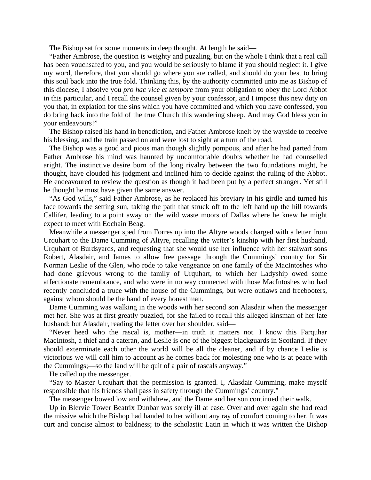The Bishop sat for some moments in deep thought. At length he said—

 "Father Ambrose, the question is weighty and puzzling, but on the whole I think that a real call has been vouchsafed to you, and you would be seriously to blame if you should neglect it. I give my word, therefore, that you should go where you are called, and should do your best to bring this soul back into the true fold. Thinking this, by the authority committed unto me as Bishop of this diocese, I absolve you *pro hac vice et tempore* from your obligation to obey the Lord Abbot in this particular, and I recall the counsel given by your confessor, and I impose this new duty on you that, in expiation for the sins which you have committed and which you have confessed, you do bring back into the fold of the true Church this wandering sheep. And may God bless you in your endeavours!"

 The Bishop raised his hand in benediction, and Father Ambrose knelt by the wayside to receive his blessing, and the train passed on and were lost to sight at a turn of the road.

 The Bishop was a good and pious man though slightly pompous, and after he had parted from Father Ambrose his mind was haunted by uncomfortable doubts whether he had counselled aright. The instinctive desire born of the long rivalry between the two foundations might, he thought, have clouded his judgment and inclined him to decide against the ruling of the Abbot. He endeavoured to review the question as though it had been put by a perfect stranger. Yet still he thought he must have given the same answer.

 "As God wills," said Father Ambrose, as he replaced his breviary in his girdle and turned his face towards the setting sun, taking the path that struck off to the left hand up the hill towards Callifer, leading to a point away on the wild waste moors of Dallas where he knew he might expect to meet with Eochain Beag.

 Meanwhile a messenger sped from Forres up into the Altyre woods charged with a letter from Urquhart to the Dame Cumming of Altyre, recalling the writer's kinship with her first husband, Urquhart of Burdsyards, and requesting that she would use her influence with her stalwart sons Robert, Alasdair, and James to allow free passage through the Cummings' country for Sir Norman Leslie of the Glen, who rode to take vengeance on one family of the MacIntoshes who had done grievous wrong to the family of Urquhart, to which her Ladyship owed some affectionate remembrance, and who were in no way connected with those MacIntoshes who had recently concluded a truce with the house of the Cummings, but were outlaws and freebooters, against whom should be the hand of every honest man.

 Dame Cumming was walking in the woods with her second son Alasdair when the messenger met her. She was at first greatly puzzled, for she failed to recall this alleged kinsman of her late husband; but Alasdair, reading the letter over her shoulder, said—

 "Never heed who the rascal is, mother—in truth it matters not. I know this Farquhar MacIntosh, a thief and a cateran, and Leslie is one of the biggest blackguards in Scotland. If they should exterminate each other the world will be all the cleaner, and if by chance Leslie is victorious we will call him to account as he comes back for molesting one who is at peace with the Cummings;—so the land will be quit of a pair of rascals anyway."

He called up the messenger.

 "Say to Master Urquhart that the permission is granted. I, Alasdair Cumming, make myself responsible that his friends shall pass in safety through the Cummings' country."

The messenger bowed low and withdrew, and the Dame and her son continued their walk.

 Up in Blervie Tower Beatrix Dunbar was sorely ill at ease. Over and over again she had read the missive which the Bishop had handed to her without any ray of comfort coming to her. It was curt and concise almost to baldness; to the scholastic Latin in which it was written the Bishop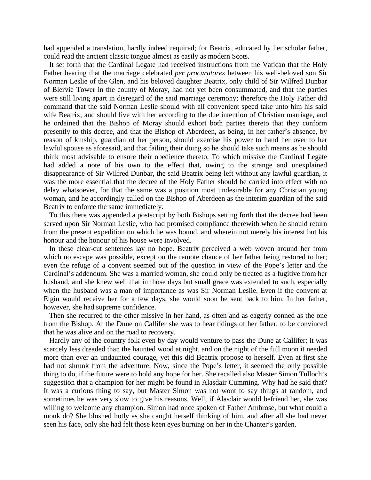had appended a translation, hardly indeed required; for Beatrix, educated by her scholar father, could read the ancient classic tongue almost as easily as modern Scots.

 It set forth that the Cardinal Legate had received instructions from the Vatican that the Holy Father hearing that the marriage celebrated *per procuratores* between his well-beloved son Sir Norman Leslie of the Glen, and his beloved daughter Beatrix, only child of Sir Wilfred Dunbar of Blervie Tower in the county of Moray, had not yet been consummated, and that the parties were still living apart in disregard of the said marriage ceremony; therefore the Holy Father did command that the said Norman Leslie should with all convenient speed take unto him his said wife Beatrix, and should live with her according to the due intention of Christian marriage, and he ordained that the Bishop of Moray should exhort both parties thereto that they conform presently to this decree, and that the Bishop of Aberdeen, as being, in her father's absence, by reason of kinship, guardian of her person, should exercise his power to hand her over to her lawful spouse as aforesaid, and that failing their doing so he should take such means as he should think most advisable to ensure their obedience thereto. To which missive the Cardinal Legate had added a note of his own to the effect that, owing to the strange and unexplained disappearance of Sir Wilfred Dunbar, the said Beatrix being left without any lawful guardian, it was the more essential that the decree of the Holy Father should be carried into effect with no delay whatsoever, for that the same was a position most undesirable for any Christian young woman, and he accordingly called on the Bishop of Aberdeen as the interim guardian of the said Beatrix to enforce the same immediately.

 To this there was appended a postscript by both Bishops setting forth that the decree had been served upon Sir Norman Leslie, who had promised compliance therewith when he should return from the present expedition on which he was bound, and wherein not merely his interest but his honour and the honour of his house were involved.

 In these clear-cut sentences lay no hope. Beatrix perceived a web woven around her from which no escape was possible, except on the remote chance of her father being restored to her; even the refuge of a convent seemed out of the question in view of the Pope's letter and the Cardinal's addendum. She was a married woman, she could only be treated as a fugitive from her husband, and she knew well that in those days but small grace was extended to such, especially when the husband was a man of importance as was Sir Norman Leslie. Even if the convent at Elgin would receive her for a few days, she would soon be sent back to him. In her father, however, she had supreme confidence.

 Then she recurred to the other missive in her hand, as often and as eagerly conned as the one from the Bishop. At the Dune on Callifer she was to hear tidings of her father, to be convinced that he was alive and on the road to recovery.

 Hardly any of the country folk even by day would venture to pass the Dune at Callifer; it was scarcely less dreaded than the haunted wood at night, and on the night of the full moon it needed more than ever an undaunted courage, yet this did Beatrix propose to herself. Even at first she had not shrunk from the adventure. Now, since the Pope's letter, it seemed the only possible thing to do, if the future were to hold any hope for her. She recalled also Master Simon Tulloch's suggestion that a champion for her might be found in Alasdair Cumming. Why had he said that? It was a curious thing to say, but Master Simon was not wont to say things at random, and sometimes he was very slow to give his reasons. Well, if Alasdair would befriend her, she was willing to welcome any champion. Simon had once spoken of Father Ambrose, but what could a monk do? She blushed hotly as she caught herself thinking of him, and after all she had never seen his face, only she had felt those keen eyes burning on her in the Chanter's garden.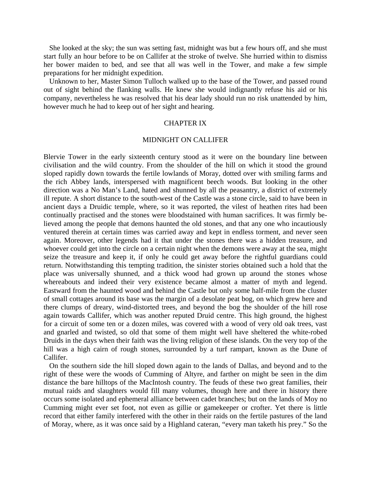She looked at the sky; the sun was setting fast, midnight was but a few hours off, and she must start fully an hour before to be on Callifer at the stroke of twelve. She hurried within to dismiss her bower maiden to bed, and see that all was well in the Tower, and make a few simple preparations for her midnight expedition.

 Unknown to her, Master Simon Tulloch walked up to the base of the Tower, and passed round out of sight behind the flanking walls. He knew she would indignantly refuse his aid or his company, nevertheless he was resolved that his dear lady should run no risk unattended by him, however much he had to keep out of her sight and hearing.

# CHAPTER IX

# MIDNIGHT ON CALLIFER

Blervie Tower in the early sixteenth century stood as it were on the boundary line between civilisation and the wild country. From the shoulder of the hill on which it stood the ground sloped rapidly down towards the fertile lowlands of Moray, dotted over with smiling farms and the rich Abbey lands, interspersed with magnificent beech woods. But looking in the other direction was a No Man's Land, hated and shunned by all the peasantry, a district of extremely ill repute. A short distance to the south-west of the Castle was a stone circle, said to have been in ancient days a Druidic temple, where, so it was reported, the vilest of heathen rites had been continually practised and the stones were bloodstained with human sacrifices. It was firmly believed among the people that demons haunted the old stones, and that any one who incautiously ventured therein at certain times was carried away and kept in endless torment, and never seen again. Moreover, other legends had it that under the stones there was a hidden treasure, and whoever could get into the circle on a certain night when the demons were away at the sea, might seize the treasure and keep it, if only he could get away before the rightful guardians could return. Notwithstanding this tempting tradition, the sinister stories obtained such a hold that the place was universally shunned, and a thick wood had grown up around the stones whose whereabouts and indeed their very existence became almost a matter of myth and legend. Eastward from the haunted wood and behind the Castle but only some half-mile from the cluster of small cottages around its base was the margin of a desolate peat bog, on which grew here and there clumps of dreary, wind-distorted trees, and beyond the bog the shoulder of the hill rose again towards Callifer, which was another reputed Druid centre. This high ground, the highest for a circuit of some ten or a dozen miles, was covered with a wood of very old oak trees, vast and gnarled and twisted, so old that some of them might well have sheltered the white-robed Druids in the days when their faith was the living religion of these islands. On the very top of the hill was a high cairn of rough stones, surrounded by a turf rampart, known as the Dune of Callifer.

 On the southern side the hill sloped down again to the lands of Dallas, and beyond and to the right of these were the woods of Cumming of Altyre, and farther on might be seen in the dim distance the bare hilltops of the MacIntosh country. The feuds of these two great families, their mutual raids and slaughters would fill many volumes, though here and there in history there occurs some isolated and ephemeral alliance between cadet branches; but on the lands of Moy no Cumming might ever set foot, not even as gillie or gamekeeper or crofter. Yet there is little record that either family interfered with the other in their raids on the fertile pastures of the land of Moray, where, as it was once said by a Highland cateran, "every man taketh his prey." So the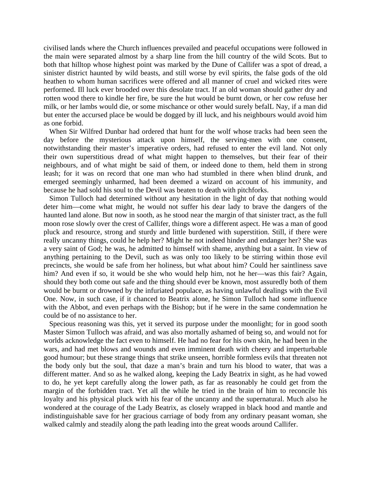civilised lands where the Church influences prevailed and peaceful occupations were followed in the main were separated almost by a sharp line from the hill country of the wild Scots. But to both that hilltop whose highest point was marked by the Dune of Callifer was a spot of dread, a sinister district haunted by wild beasts, and still worse by evil spirits, the false gods of the old heathen to whom human sacrifices were offered and all manner of cruel and wicked rites were performed. Ill luck ever brooded over this desolate tract. If an old woman should gather dry and rotten wood there to kindle her fire, be sure the hut would be burnt down, or her cow refuse her milk, or her lambs would die, or some mischance or other would surely befalL Nay, if a man did but enter the accursed place be would be dogged by ill luck, and his neighbours would avoid him as one forbid.

 When Sir Wilfred Dunbar had ordered that hunt for the wolf whose tracks had been seen the day before the mysterious attack upon himself, the serving-men with one consent, notwithstanding their master's imperative orders, had refused to enter the evil land. Not only their own superstitious dread of what might happen to themselves, but their fear of their neighbours, and of what might be said of them, or indeed done to them, held them in strong leash; for it was on record that one man who had stumbled in there when blind drunk, and emerged seemingly unharmed, had been deemed a wizard on account of his immunity, and because he had sold his soul to the Devil was beaten to death with pitchforks.

 Simon Tulloch had determined without any hesitation in the light of day that nothing would deter him—come what might, he would not suffer his dear lady to brave the dangers of the haunted land alone. But now in sooth, as he stood near the margin of that sinister tract, as the full moon rose slowly over the crest of Callifer, things wore a different aspect. He was a man of good pluck and resource, strong and sturdy and little burdened with superstition. Still, if there were really uncanny things, could he help her? Might he not indeed hinder and endanger her? She was a very saint of God; he was, he admitted to himself with shame, anything but a saint. In view of anything pertaining to the Devil, such as was only too likely to be stirring within those evil precincts, she would be safe from her holiness, but what about him? Could her saintliness save him? And even if so, it would be she who would help him, not he her—was this fair? Again, should they both come out safe and the thing should ever be known, most assuredly both of them would be burnt or drowned by the infuriated populace, as having unlawful dealings with the Evil One. Now, in such case, if it chanced to Beatrix alone, he Simon Tulloch had some influence with the Abbot, and even perhaps with the Bishop; but if he were in the same condemnation he could be of no assistance to her.

 Specious reasoning was this, yet it served its purpose under the moonlight; for in good sooth Master Simon Tulloch was afraid, and was also mortally ashamed of being so, and would not for worlds acknowledge the fact even to himself. He had no fear for his own skin, he had been in the wars, and had met blows and wounds and even imminent death with cheery and imperturbable good humour; but these strange things that strike unseen, horrible formless evils that threaten not the body only but the soul, that daze a man's brain and turn his blood to water, that was a different matter. And so as he walked along, keeping the Lady Beatrix in sight, as he had vowed to do, he yet kept carefully along the lower path, as far as reasonably he could get from the margin of the forbidden tract. Yet all the while he tried in the brain of him to reconcile his loyalty and his physical pluck with his fear of the uncanny and the supernatural. Much also he wondered at the courage of the Lady Beatrix, as closely wrapped in black hood and mantle and indistinguishable save for her gracious carriage of body from any ordinary peasant woman, she walked calmly and steadily along the path leading into the great woods around Callifer.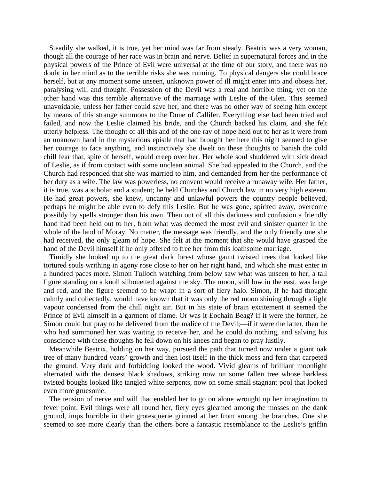Steadily she walked, it is true, yet her mind was far from steady. Beatrix was a very woman, though all the courage of her race was in brain and nerve. Belief in supernatural forces and in the physical powers of the Prince of Evil were universal at the time of our story, and there was no doubt in her mind as to the terrible risks she was running. To physical dangers she could brace herself, but at any moment some unseen, unknown power of ill might enter into and obsess her, paralysing will and thought. Possession of the Devil was a real and horrible thing, yet on the other hand was this terrible alternative of the marriage with Leslie of the Glen. This seemed unavoidable, unless her father could save her, and there was no other way of seeing him except by means of this strange summons to the Dune of Callifer. Everything else had been tried and failed, and now the Leslie claimed his bride, and the Church backed his claim, and she felt utterly helpless. The thought of all this and of the one ray of hope held out to her as it were from an unknown hand in the mysterious epistle that had brought her here this night seemed to give her courage to face anything, and instinctively she dwelt on these thoughts to banish the cold chill fear that, spite of herself, would creep over her. Her whole soul shuddered with sick dread of Leslie, as if from contact with some unclean animal. She had appealed to the Church, and the Church had responded that she was married to him, and demanded from her the performance of her duty as a wife. The law was powerless, no convent would receive a runaway wife. Her father, it is true, was a scholar and a student; he held Churches and Church law in no very high esteem. He had great powers, she knew, uncanny and unlawful powers the country people believed, perhaps he might be able even to defy this Leslie. But he was gone, spirited away, overcome possibly by spells stronger than his own. Then out of all this darkness and confusion a friendly hand had been held out to her, from what was deemed the most evil and sinister quarter in the whole of the land of Moray. No matter, the message was friendly, and the only friendly one she had received, the only gleam of hope. She felt at the moment that she would have grasped the hand of the Devil himself if he only offered to free her from this loathsome marriage.

 Timidly she looked up to the great dark forest whose gaunt twisted trees that looked like tortured souls writhing in agony rose close to her on her right hand, and which she must enter in a hundred paces more. Simon Tulloch watching from below saw what was unseen to her, a tall figure standing on a knoll silhouetted against the sky. The moon, still low in the east, was large and red, and the figure seemed to be wrapt in a sort of fiery halo. Simon, if he had thought calmly and collectedly, would have known that it was only the red moon shining through a light vapour condensed from the chill night air. But in his state of brain excitement it seemed the Prince of Evil himself in a garment of flame. Or was it Eochain Beag? If it were the former, he Simon could but pray to be delivered from the malice of the Devil;—if it were the latter, then he who had summoned her was waiting to receive her, and he could do nothing, and salving his conscience with these thoughts he fell down on his knees and began to pray lustily.

 Meanwhile Beatrix, holding on her way, pursued the path that turned now under a giant oak tree of many hundred years' growth and then lost itself in the thick moss and fern that carpeted the ground. Very dark and forbidding looked the wood. Vivid gleams of brilliant moonlight alternated with the densest black shadows, striking now on some fallen tree whose barkless twisted boughs looked like tangled white serpents, now on some small stagnant pool that looked even more gruesome.

 The tension of nerve and will that enabled her to go on alone wrought up her imagination to fever point. Evil things were all round her, fiery eyes gleamed among the mosses on the dank ground, imps horrible in their grotesquerie grinned at her from among the branches. One she seemed to see more clearly than the others bore a fantastic resemblance to the Leslie's griffin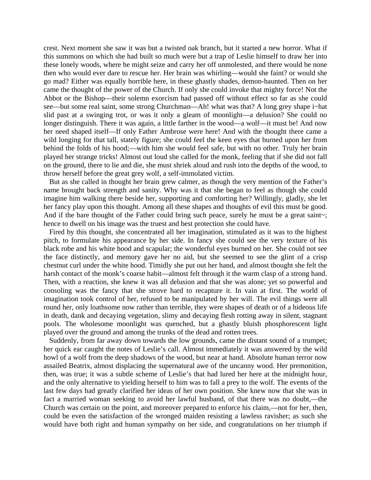crest. Next moment she saw it was but a twisted oak branch, but it started a new horror. What if this summons on which she had built so much were but a trap of Leslie himself to draw her into these lonely woods, where he might seize and carry her off unmolested, and there would be none then who would ever dare to rescue her. Her brain was whirling—would she faint? or would she go mad? Either was equally horrible here, in these ghastly shades, demon-haunted. Then on her came the thought of the power of the Church. If only she could invoke that mighty force! Not the Abbot or the Bishop—their solemn exorcism had passed off without effect so far as she could see—but some real saint, some strong Churchman—Ah! what was that? A long grey shape i~hat slid past at a swinging trot, or was it only a gleam of moonlight—a delusion? She could no longer distinguish. There it was again, a little farther in the wood—a wolf—it must be! And now her need shaped itself—If only Father Ambrose were here! And with the thought there came a wild longing for that tall, stately figure; she could feel the keen eyes that burned upon her from behind the folds of his hood;—with him she would feel safe, but with no other. Truly her brain played her strange tricks! Almost out loud she called for the monk, feeling that if she did not fall on the ground, there to lie and die, she must shriek aloud and rush into the depths of the wood, to throw herself before the great grey wolf, a self-immolated victim.

 But as she called in thought her brain grew calmer, as though the very mention of the Father's name brought back strength and sanity. Why was it that she began to feel as though she could imagine him walking there beside her, supporting and comforting her? Willingly, gladly, she let her fancy play upon this thought. Among all these shapes and thoughts of evil this must be good. And if the bare thought of the Father could bring such peace, surely he must be a great saint~; hence to dwell on his image was the truest and best protection she could have.

 Fired by this thought, she concentrated all her imagination, stimulated as it was to the highest pitch, to formulate his appearance by her side. In fancy she could see the very texture of his black robe and his white hood and scapular; the wonderful eyes burned on her. She could not see the face distinctly, and memory gave her no aid, but she seemed to see the glint of a crisp chestnut curl under the white hood. Timidly she put out her hand, and almost thought she felt the harsh contact of the monk's coarse habit—almost felt through it the warm clasp of a strong hand. Then, with a reaction, she knew it was all delusion and that she was alone; yet so powerful and consoling was the fancy that she strove hard to recapture it. In vain at first. The world of imagination took control of her, refused to be manipulated by her will. The evil things were all round her, only loathsome now rather than terrible, they were shapes of death or of a hideous life in death, dank and decaying vegetation, slimy and decaying flesh rotting away in silent, stagnant pools. The wholesome moonlight was quenched, but a ghastly bluish phosphorescent light played over the ground and among the trunks of the dead and rotten trees.

 Suddenly, from far away down towards the low grounds, came the distant sound of a trumpet; her quick ear caught the notes of Leslie's call. Almost immediately it was answered by the wild howl of a wolf from the deep shadows of the wood, but near at hand. Absolute human terror now assailed Beatrix, almost displacing the supernatural awe of the uncanny wood. Her premonition, then, was true; it was a subtle scheme of Leslie's that had lured her here at the midnight hour, and the only alternative to yielding herself to him was to fall a prey to the wolf. The events of the last few days had greatly clarified her ideas of her own position. She knew now that she was in fact a married woman seeking to avoid her lawful husband, of that there was no doubt,—the Church was certain on the point, and moreover prepared to enforce his claim,—not for her, then, could be even the satisfaction of the wronged maiden resisting a lawless ravisher; as such she would have both right and human sympathy on her side, and congratulations on her triumph if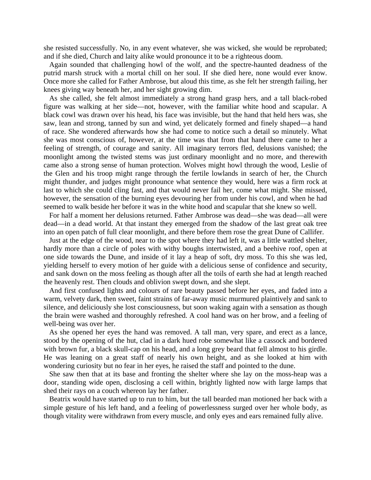she resisted successfully. No, in any event whatever, she was wicked, she would be reprobated; and if she died, Church and laity alike would pronounce it to be a righteous doom.

 Again sounded that challenging howl of the wolf, and the spectre-haunted deadness of the putrid marsh struck with a mortal chill on her soul. If she died here, none would ever know. Once more she called for Father Ambrose, but aloud this time, as she felt her strength failing, her knees giving way beneath her, and her sight growing dim.

 As she called, she felt almost immediately a strong hand grasp hers, and a tall black-robed figure was walking at her side—not, however, with the familiar white hood and scapular. A black cowl was drawn over his head, his face was invisible, but the hand that held hers was, she saw, lean and strong, tanned by sun and wind, yet delicately formed and finely shaped—a hand of race. She wondered afterwards how she had come to notice such a detail so minutely. What she was most conscious of, however, at the time was that from that hand there came to her a feeling of strength, of courage and sanity. All imaginary terrors fled, delusions vanished; the moonlight among the twisted stems was just ordinary moonlight and no more, and therewith came also a strong sense of human protection. Wolves might howl through the wood, Leslie of the Glen and his troop might range through the fertile lowlands in search of her, the Church might thunder, and judges might pronounce what sentence they would, here was a firm rock at last to which she could cling fast, and that would never fail her, come what might. She missed, however, the sensation of the burning eyes devouring her from under his cowl, and when he had seemed to walk beside her before it was in the white hood and scapular that she knew so well.

 For half a moment her delusions returned. Father Ambrose was dead—she was dead—all were dead—in a dead world. At that instant they emerged from the shadow of the last great oak tree into an open patch of full clear moonlight, and there before them rose the great Dune of Callifer.

 Just at the edge of the wood, near to the spot where they had left it, was a little wattled shelter, hardly more than a circle of poles with withy boughs intertwisted, and a beehive roof, open at one side towards the Dune, and inside of it lay a heap of soft, dry moss. To this she was led, yielding herself to every motion of her guide with a delicious sense of confidence and security, and sank down on the moss feeling as though after all the toils of earth she had at length reached the heavenly rest. Then clouds and oblivion swept down, and she slept.

 And first confused lights and colours of rare beauty passed before her eyes, and faded into a warm, velvety dark, then sweet, faint strains of far-away music murmured plaintively and sank to silence, and deliciously she lost consciousness, but soon waking again with a sensation as though the brain were washed and thoroughly refreshed. A cool hand was on her brow, and a feeling of well-being was over her.

 As she opened her eyes the hand was removed. A tall man, very spare, and erect as a lance, stood by the opening of the hut, clad in a dark hued robe somewhat like a cassock and bordered with brown fur, a black skull-cap on his head, and a long grey beard that fell almost to his girdle. He was leaning on a great staff of nearly his own height, and as she looked at him with wondering curiosity but no fear in her eyes, he raised the staff and pointed to the dune.

 She saw then that at its base and fronting the shelter where she lay on the moss-heap was a door, standing wide open, disclosing a cell within, brightly lighted now with large lamps that shed their rays on a couch whereon lay her father.

 Beatrix would have started up to run to him, but the tall bearded man motioned her back with a simple gesture of his left hand, and a feeling of powerlessness surged over her whole body, as though vitality were withdrawn from every muscle, and only eyes and ears remained fully alive.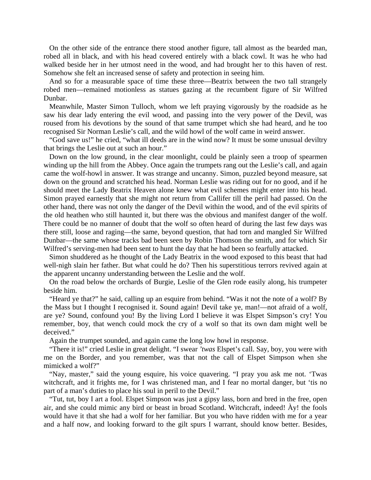On the other side of the entrance there stood another figure, tall almost as the bearded man, robed all in black, and with his head covered entirely with a black cowl. It was he who had walked beside her in her utmost need in the wood, and had brought her to this haven of rest. Somehow she felt an increased sense of safety and protection in seeing him.

 And so for a measurable space of time these three—Beatrix between the two tall strangely robed men—remained motionless as statues gazing at the recumbent figure of Sir Wilfred Dunbar.

 Meanwhile, Master Simon Tulloch, whom we left praying vigorously by the roadside as he saw his dear lady entering the evil wood, and passing into the very power of the Devil, was roused from his devotions by the sound of that same trumpet which she had heard, and he too recognised Sir Norman Leslie's call, and the wild howl of the wolf came in weird answer.

 "God save us!" he cried, "what ill deeds are in the wind now? It must be some unusual deviltry that brings the Leslie out at such an hour."

 Down on the low ground, in the clear moonlight, could be plainly seen a troop of spearmen winding up the hill from the Abbey. Once again the trumpets rang out the Leslie's call, and again came the wolf-howl in answer. It was strange and uncanny. Simon, puzzled beyond measure, sat down on the ground and scratched his head. Norman Leslie was riding out for no good, and if he should meet the Lady Beatrix Heaven alone knew what evil schemes might enter into his head. Simon prayed earnestly that she might not return from Callifer till the peril had passed. On the other hand, there was not only the danger of the Devil within the wood, and of the evil spirits of the old heathen who still haunted it, but there was the obvious and manifest danger of the wolf. There could be no manner of doubt that the wolf so often heard of during the last few days was there still, loose and raging—the same, beyond question, that had torn and mangled Sir Wilfred Dunbar—the same whose tracks bad been seen by Robin Thomson the smith, and for which Sir Wilfred's serving-men had been sent to hunt the day that he had been so fearfully attacked.

 Simon shuddered as he thought of the Lady Beatrix in the wood exposed to this beast that had well-nigh slain her father. But what could he do? Then his superstitious terrors revived again at the apparent uncanny understanding between the Leslie and the wolf.

 On the road below the orchards of Burgie, Leslie of the Glen rode easily along, his trumpeter beside him.

 "Heard ye that?" he said, calling up an esquire from behind. "Was it not the note of a wolf? By the Mass but I thought I recognised it. Sound again! Devil take ye, man!—not afraid of a wolf, are ye? Sound, confound you! By the living Lord I believe it was Elspet Simpson's cry! You remember, boy, that wench could mock the cry of a wolf so that its own dam might well be deceived."

Again the trumpet sounded, and again came the long low howl in response.

 "There it is!" cried Leslie in great delight. "I swear *'twas* Elspet's call. Say, boy, you were with me on the Border, and you remember, was that not the call of Elspet Simpson when she mimicked a wolf?"

"Nay, master," said the young esquire, his voice quavering. "I pray you ask me not. 'Twas witchcraft, and it frights me, for I was christened man, and I fear no mortal danger, but 'tis no part of a man's duties to place his soul in peril to the Devil."

 "Tut, tut, boy I art a fool. Elspet Simpson was just a gipsy lass, born and bred in the free, open air, and she could mimic any bird or beast in broad Scotland. Witchcraft, indeed! Ày! the fools would have it that she had a wolf for her familiar. But you who have ridden with me for a year and a half now, and looking forward to the gilt spurs I warrant, should know better. Besides,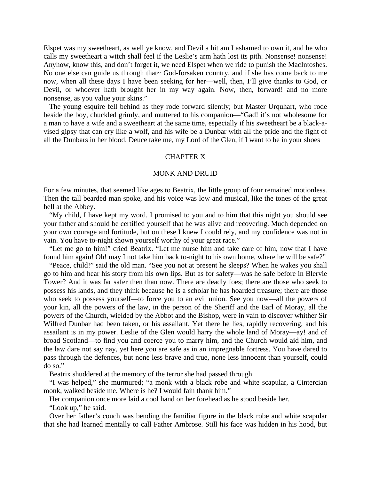Elspet was my sweetheart, as well ye know, and Devil a hit am I ashamed to own it, and he who calls my sweetheart a witch shall feel if the Leslie's arm hath lost its pith. Nonsense! nonsense! Anyhow, know this, and don't forget it, we need Elspet when we ride to punish the MacIntoshes. No one else can guide us through that~ God-forsaken country, and if she has come back to me now, when all these days I have been seeking for her—well, then, I'll give thanks to God, or Devil, or whoever hath brought her in my way again. Now, then, forward! and no more nonsense, as you value your skins."

 The young esquire fell behind as they rode forward silently; but Master Urquhart, who rode beside the boy, chuckled grimly, and muttered to his companion—"Gad! it's not wholesome for a man to have a wife and a sweetheart at the same time, especially if his sweetheart be a black-avised gipsy that can cry like a wolf, and his wife be a Dunbar with all the pride and the fight of all the Dunbars in her blood. Deuce take me, my Lord of the Glen, if I want to be in your shoes

# CHAPTER X

## MONK AND DRUID

For a few minutes, that seemed like ages to Beatrix, the little group of four remained motionless. Then the tall bearded man spoke, and his voice was low and musical, like the tones of the great hell at the Abbey.

 "My child, I have kept my word. I promised to you and to him that this night you should see your father and should be certified yourself that he was alive and recovering. Much depended on your own courage and fortitude, but on these I knew I could rely, and my confidence was not in vain. You have to-night shown yourself worthy of your great race."

 "Let me go to him!" cried Beatrix. "Let me nurse him and take care of him, now that I have found him again! Oh! may I not take him back to-night to his own home, where he will be safe?"

 "Peace, child!" said the old man. "See you not at present he sleeps? When he wakes you shall go to him and hear his story from his own lips. But as for safety—was he safe before in Blervie Tower? And it was far safer then than now. There are deadly foes; there are those who seek to possess his lands, and they think because he is a scholar he has hoarded treasure; there are those who seek to possess yourself—to force you to an evil union. See you now—all the powers of your kin, all the powers of the law, in the person of the Sheriff and the Earl of Moray, all the powers of the Church, wielded by the Abbot and the Bishop, were in vain to discover whither Sir Wilfred Dunbar had been taken, or his assailant. Yet there he lies, rapidly recovering, and his assailant is in my power. Leslie of the Glen would harry the whole land of Moray—ay! and of broad Scotland—to find you and coerce you to marry him, and the Church would aid him, and the law dare not say nay, yet here you are safe as in an impregnable fortress. You have dared to pass through the defences, but none less brave and true, none less innocent than yourself, could do so."

Beatrix shuddered at the memory of the terror she had passed through.

 "I was helped," she murmured; "a monk with a black robe and white scapular, a Cintercian monk, walked beside me. Where is he? I would fain thank him."

Her companion once more laid a cool hand on her forehead as he stood beside her.

"Look up," he said.

 Over her father's couch was bending the familiar figure in the black robe and white scapular that she had learned mentally to call Father Ambrose. Still his face was hidden in his hood, but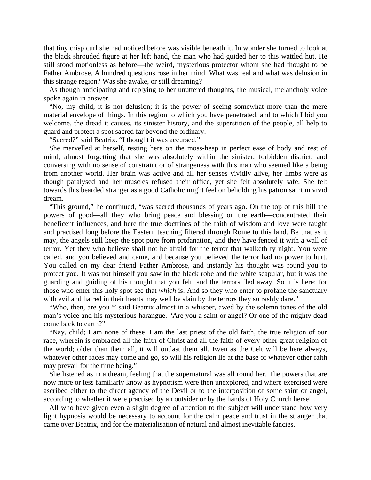that tiny crisp curl she had noticed before was visible beneath it. In wonder she turned to look at the black shrouded figure at her left hand, the man who had guided her to this wattled hut. He still stood motionless as before—the weird, mysterious protector whom she had thought to be Father Ambrose. A hundred questions rose in her mind. What was real and what was delusion in this strange region? Was she awake, or still dreaming?

 As though anticipating and replying to her unuttered thoughts, the musical, melancholy voice spoke again in answer.

 "No, my child, it is not delusion; it is the power of seeing somewhat more than the mere material envelope of things. In this region to which you have penetrated, and to which I bid you welcome, the dread it causes, its sinister history, and the superstition of the people, all help to guard and protect a spot sacred far beyond the ordinary.

"Sacred?" said Beatrix. "I thought it was accursed."

 She marvelled at herself, resting here on the moss-heap in perfect ease of body and rest of mind, almost forgetting that she was absolutely within the sinister, forbidden district, and conversing with no sense of constraint or of strangeness with this man who seemed like a being from another world. Her brain was active and all her senses vividly alive, her limbs were as though paralysed and her muscles refused their office, yet she felt absolutely safe. She felt towards this bearded stranger as a good Catholic might feel on beholding his patron saint in vivid dream.

 "This ground," he continued, "was sacred thousands of years ago. On the top of this hill the powers of good—all they who bring peace and blessing on the earth—concentrated their beneficent influences, and here the true doctrines of the faith of wisdom and love were taught and practised long before the Eastern teaching filtered through Rome to this land. Be that as it may, the angels still keep the spot pure from profanation, and they have fenced it with a wall of terror. Yet they who believe shall not be afraid for the terror that walketh ty night. You were called, and you believed and came, and because you believed the terror had no power to hurt. You called on my dear friend Father Ambrose, and instantly his thought was round you to protect you. It was not himself you saw in the black robe and the white scapular, but it was the guarding and guiding of his thought that you felt, and the terrors fled away. So it is here; for those who enter this holy spot see that *which* is. And so they who enter to profane the sanctuary with evil and hatred in their hearts may well be slain by the terrors they so rashly dare."

 "Who, then, are you?" said Beatrix almost in a whisper, awed by the solemn tones of the old man's voice and his mysterious harangue. "Are you a saint or angel? Or one of the mighty dead come back to earth?"

 "Nay, child; I am none of these. I am the last priest of the old faith, the true religion of our race, wherein is embraced all the faith of Christ and all the faith of every other great religion of the world; older than them all, it will outlast them all. Even as the Celt will be here always, whatever other races may come and go, so will his religion lie at the base of whatever other faith may prevail for the time being."

 She listened as in a dream, feeling that the supernatural was all round her. The powers that are now more or less familiarly know as hypnotism were then unexplored, and where exercised were ascribed either to the direct agency of the Devil or to the interposition of some saint or angel, according to whether it were practised by an outsider or by the hands of Holy Church herself.

 All who have given even a slight degree of attention to the subject will understand how very light hypnosis would be necessary to account for the calm peace and trust in the stranger that came over Beatrix, and for the materialisation of natural and almost inevitable fancies.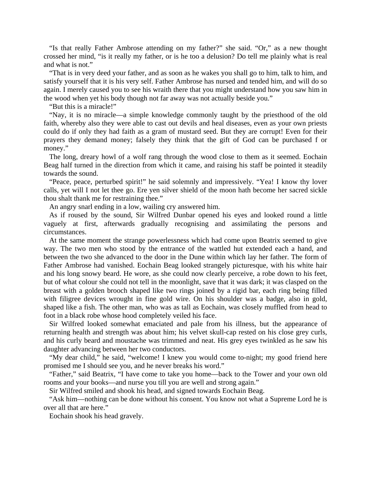"Is that really Father Ambrose attending on my father?" she said. "Or," as a new thought crossed her mind, "is it really my father, or is he too a delusion? Do tell me plainly what is real and what is not."

 "That is in very deed your father, and as soon as he wakes you shall go to him, talk to him, and satisfy yourself that it is his very self. Father Ambrose has nursed and tended him, and will do so again. I merely caused you to see his wraith there that you might understand how you saw him in the wood when yet his body though not far away was not actually beside you."

"But this is a miracle!"

"Nay, it is no miracle—a simple knowledge commonly taught by the priesthood of the old faith, whereby also they were able to cast out devils and heal diseases, even as your own priests could do if only they had faith as a gram of mustard seed. But they are corrupt! Even for their prayers they demand money; falsely they think that the gift of God can be purchased f or money."

 The long, dreary howl of a wolf rang through the wood close to them as it seemed. Eochain Beag half turned in the direction from which it came, and raising his staff be pointed it steadily towards the sound.

 "Peace, peace, perturbed spirit!" he said solemnly and impressively. "Yea! I know thy lover calls, yet will I not let thee go. Ere yen silver shield of the moon hath become her sacred sickle thou shalt thank me for restraining thee."

An angry snarl ending in a low, wailing cry answered him.

 As if roused by the sound, Sir Wilfred Dunbar opened his eyes and looked round a little vaguely at first, afterwards gradually recognising and assimilating the persons and circumstances.

 At the same moment the strange powerlessness which had come upon Beatrix seemed to give way. The two men who stood by the entrance of the wattled hut extended each a hand, and between the two she advanced to the door in the Dune within which lay her father. The form of Father Ambrose had vanished. Eochain Beag looked strangely picturesque, with his white hair and his long snowy beard. He wore, as she could now clearly perceive, a robe down to his feet, but of what colour she could not tell in the moonlight, save that it was dark; it was clasped on the breast with a golden brooch shaped like two rings joined by a rigid bar, each ring being filled with filigree devices wrought in fine gold wire. On his shoulder was a badge, also in gold, shaped like a fish. The other man, who was as tall as Eochain, was closely muffled from head to foot in a black robe whose hood completely veiled his face.

 Sir Wilfred looked somewhat emaciated and pale from his illness, but the appearance of returning health and strength was about him; his velvet skull-cap rested on his close grey curls, and his curly beard and moustache was trimmed and neat. His grey eyes twinkled as he saw his daughter advancing between her two conductors.

 "My dear child," he said, "welcome! I knew you would come to-night; my good friend here promised me I should see you, and he never breaks his word."

 "Father," said Beatrix, "I have come to take you home—back to the Tower and your own old rooms and your books—and nurse you till you are well and strong again."

Sir Wilfred smiled and shook his head, and signed towards Eochain Beag.

 "Ask him—nothing can be done without his consent. You know not what a Supreme Lord he is over all that are here."

Eochain shook his head gravely.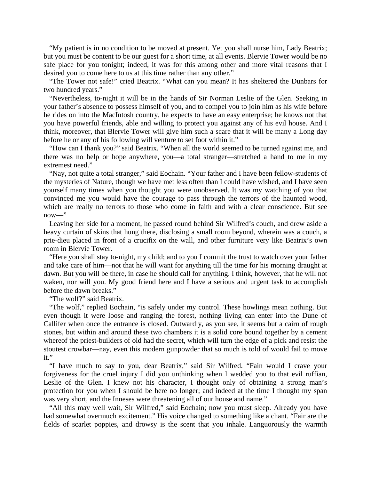"My patient is in no condition to be moved at present. Yet you shall nurse him, Lady Beatrix; but you must be content to be our guest for a short time, at all events. Blervie Tower would be no safe place for you tonight; indeed, it was for this among other and more vital reasons that I desired you to come here to us at this time rather than any other."

 "The Tower not safe!" cried Beatrix. "What can you mean? It has sheltered the Dunbars for two hundred years."

 "Nevertheless, to-night it will be in the hands of Sir Norman Leslie of the Glen. Seeking in your father's absence to possess himself of you, and to compel you to join him as his wife before he rides on into the MacIntosh country, he expects to have an easy enterprise; he knows not that you have powerful friends, able and willing to protect you against any of his evil house. And I think, moreover, that Blervie Tower will give him such a scare that it will be many a Long day before he or any of his following will venture to set foot within it."

 "How can I thank you?" said Beatrix. "When all the world seemed to be turned against me, and there was no help or hope anywhere, you—a total stranger—stretched a hand to me in my extremest need."

 "Nay, not quite a total stranger," said Eochain. "Your father and I have been fellow-students of the mysteries of Nature, though we have met less often than I could have wished, and I have seen yourself many times when you thought you were unobserved. It was my watching of you that convinced me you would have the courage to pass through the terrors of the haunted wood, which are really no terrors to those who come in faith and with a clear conscience. But see  $now -$ "

 Leaving her side for a moment, he passed round behind Sir Wilfred's couch, and drew aside a heavy curtain of skins that hung there, disclosing a small room beyond, wherein was a couch, a prie-dieu placed in front of a crucifix on the wall, and other furniture very like Beatrix's own room in Blervie Tower.

 "Here you shall stay to-night, my child; and to you I commit the trust to watch over your father and take care of him—not that he will want for anything till the time for his morning draught at dawn. But you will be there, in case he should call for anything. I think, however, that he will not waken, nor will you. My good friend here and I have a serious and urgent task to accomplish before the dawn breaks."

"The wolf?" said Beatrix.

 "The wolf," replied Eochain, "is safely under my control. These howlings mean nothing. But even though it were loose and ranging the forest, nothing living can enter into the Dune of Callifer when once the entrance is closed. Outwardly, as you see, it seems but a cairn of rough stones, but within and around these two chambers it is a solid core bound together by a cement whereof the priest-builders of old had the secret, which will turn the edge of a pick and resist the stoutest crowbar—nay, even this modern gunpowder that so much is told of would fail to move it."

 "I have much to say to you, dear Beatrix," said Sir Wilfred. "Fain would I crave your forgiveness for the cruel injury I did you unthinking when I wedded you to that evil ruffian, Leslie of the Glen. I knew not his character, I thought only of obtaining a strong man's protection for you when I should be here no longer; and indeed at the time I thought my span was very short, and the Inneses were threatening all of our house and name."

 "All this may well wait, Sir Wilfred," said Eochain; now you must sleep. Already you have had somewhat overmuch excitement." His voice changed to something like a chant. "Fair are the fields of scarlet poppies, and drowsy is the scent that you inhale. Languorously the warmth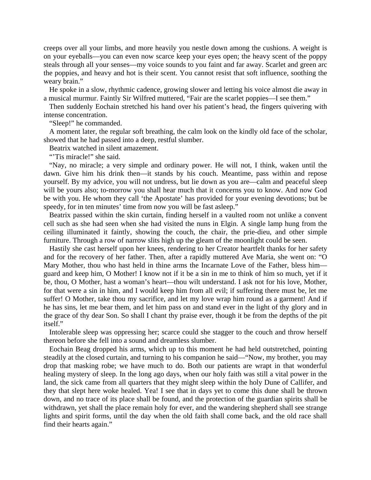creeps over all your limbs, and more heavily you nestle down among the cushions. A weight is on your eyeballs—you can even now scarce keep your eyes open; the heavy scent of the poppy steals through all your senses—my voice sounds to you faint and far away. Scarlet and green arc the poppies, and heavy and hot is their scent. You cannot resist that soft influence, soothing the weary brain."

 He spoke in a slow, rhythmic cadence, growing slower and letting his voice almost die away in a musical murmur. Faintly Sir Wilfred muttered, "Fair are the scarlet poppies—I see them."

 Then suddenly Eochain stretched his hand over his patient's head, the fingers quivering with intense concentration.

"Sleep!" he commanded.

 A moment later, the regular soft breathing, the calm look on the kindly old face of the scholar, showed that he had passed into a deep, restful slumber.

Beatrix watched in silent amazement.

"Tis miracle!" she said.

 "Nay, no miracle; a very simple and ordinary power. He will not, I think, waken until the dawn. Give him his drink then—it stands by his couch. Meantime, pass within and repose yourself. By my advice, you will not undress, but lie down as you are—calm and peaceful sleep will be yours also; to-morrow you shall hear much that it concerns you to know. And now God be with you. He whom they call 'the Apostate' has provided for your evening devotions; but be speedy, for in ten minutes' time from now you will be fast asleep."

 Beatrix passed within the skin curtain, finding herself in a vaulted room not unlike a convent cell such as she had seen when she had visited the nuns in Elgin. A single lamp hung from the ceiling illuminated it faintly, showing the couch, the chair, the prie-dieu, and other simple furniture. Through a row of narrow slits high up the gleam of the moonlight could be seen.

 Hastily she cast herself upon her knees, rendering to her Creator heartfelt thanks for her safety and for the recovery of her father. Then, after a rapidly muttered Ave Maria, she went on: "O Mary Mother, thou who hast held in thine arms the Incarnate Love of the Father, bless him guard and keep him, O Mother! I know not if it be a sin in me to think of him so much, yet if it be, thou, O Mother, hast a woman's heart—thou wilt understand. I ask not for his love, Mother, for that were a sin in him, and I would keep him from all evil; if suffering there must be, let me suffer! O Mother, take thou my sacrifice, and let my love wrap him round as a garment! And if he has sins, let me bear them, and let him pass on and stand ever in the light of thy glory and in the grace of thy dear Son. So shall I chant thy praise ever, though it be from the depths of the pit itself."

 Intolerable sleep was oppressing her; scarce could she stagger to the couch and throw herself thereon before she fell into a sound and dreamless slumber.

 Eochain Beag dropped his arms, which up to this moment he had held outstretched, pointing steadily at the closed curtain, and turning to his companion he said—"Now, my brother, you may drop that masking robe; we have much to do. Both our patients are wrapt in that wonderful healing mystery of sleep. In the long ago days, when our holy faith was still a vital power in the land, the sick came from all quarters that they might sleep within the holy Dune of Callifer, and they that slept here woke healed. Yea! I see that in days yet to come this dune shall be thrown down, and no trace of its place shall be found, and the protection of the guardian spirits shall be withdrawn, yet shall the place remain holy for ever, and the wandering shepherd shall see strange lights and spirit forms, until the day when the old faith shall come back, and the old race shall find their hearts again."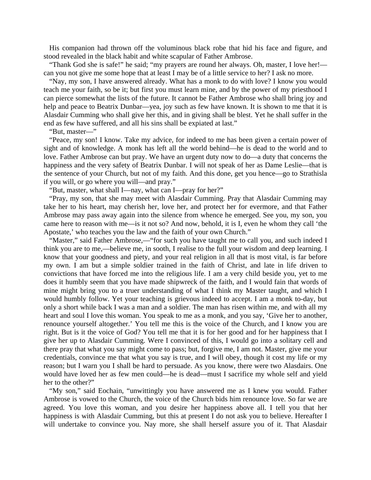His companion had thrown off the voluminous black robe that hid his face and figure, and stood revealed in the black habit and white scapular of Father Ambrose.

 "Thank God she is safe!" he said; "my prayers are round her always. Oh, master, I love her! can you not give me some hope that at least I may be of a little service to her? I ask no more.

 "Nay, my son, I have answered already. What has a monk to do with love? I know you would teach me your faith, so be it; but first you must learn mine, and by the power of my priesthood I can pierce somewhat the lists of the future. It cannot be Father Ambrose who shall bring joy and help and peace to Beatrix Dunbar—yea, joy such as few have known. It is shown to me that it is Alasdair Cumming who shall give her this, and in giving shall be blest. Yet he shall suffer in the end as few have suffered, and all his sins shall be expiated at last."

"But, master—"

 "Peace, my son! I know. Take my advice, for indeed to me has been given a certain power of sight and of knowledge. A monk has left all the world behind—he is dead to the world and to love. Father Ambrose can but pray. We have an urgent duty now to do—a duty that concerns the happiness and the very safety of Beatrix Dunbar. I will not speak of her as Dame Leslie—that is the sentence of your Church, but not of my faith. And this done, get you hence—go to Strathisla if you will, or go where you will—and pray."

"But, master, what shall I—nay, what can I—pray for her?"

 "Pray, my son, that she may meet with Alasdair Cumming. Pray that Alasdair Cumming may take her to his heart, may cherish her, love her, and protect her for evermore, and that Father Ambrose may pass away again into the silence from whence he emerged. See you, my son, you came here to reason with me—is it not so? And now, behold, it is I, even he whom they call 'the Apostate,' who teaches you the law and the faith of your own Church."

"Master," said Father Ambrose,—"for such you have taught me to call you, and such indeed I think you are to me,—believe me, in sooth, I realise to the full your wisdom and deep learning. I know that your goodness and piety, and your real religion in all that is most vital, is far before my own. I am but a simple soldier trained in the faith of Christ, and late in life driven to convictions that have forced me into the religious life. I am a very child beside you, yet to me does it humbly seem that you have made shipwreck of the faith, and I would fain that words of mine might bring you to a truer understanding of what I think my Master taught, and which I would humbly follow. Yet your teaching is grievous indeed to accept. I am a monk to-day, but only a short while back I was a man and a soldier. The man has risen within me, and with all my heart and soul I love this woman. You speak to me as a monk, and you say, 'Give her to another, renounce yourself altogether.' You tell me this is the voice of the Church, and I know you are right. But is it the voice of God? You tell me that it is for her good and for her happiness that I give her up to Alasdair Cumming. Were I convinced of this, I would go into a solitary cell and there pray that what you say might come to pass; but, forgive me, I am not. Master, give me your credentials, convince me that what you say is true, and I will obey, though it cost my life or my reason; but I warn you I shall be hard to persuade. As you know, there were two Alasdairs. One would have loved her as few men could—he is dead—must I sacrifice my whole self and yield her to the other?"

 "My son," said Eochain, "unwittingly you have answered me as I knew you would. Father Ambrose is vowed to the Church, the voice of the Church bids him renounce love. So far we are agreed. You love this woman, and you desire her happiness above all. I tell you that her happiness is with Alasdair Cumming, but this at present I do not ask you to believe. Hereafter I will undertake to convince you. Nay more, she shall herself assure you of it. That Alasdair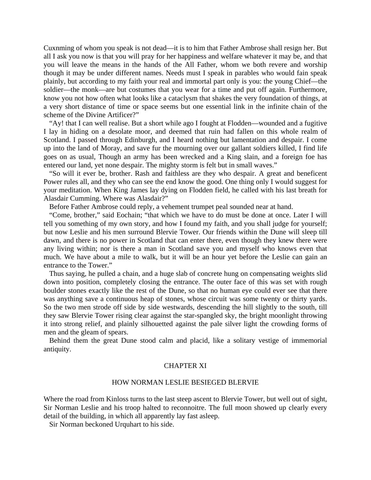Cuxnming of whom you speak is not dead—it is to him that Father Ambrose shall resign her. But all I ask you now is that you will pray for her happiness and welfare whatever it may be, and that you will leave the means in the hands of the All Father, whom we both revere and worship though it may be under different names. Needs must I speak in parables who would fain speak plainly, but according to my faith your real and immortal part only is you: the young Chief—the soldier—the monk—are but costumes that you wear for a time and put off again. Furthermore, know you not how often what looks like a cataclysm that shakes the very foundation of things, at a very short distance of time or space seems but one essential link in the infinite chain of the scheme of the Divine Artificer?"

 "Ay! that I can well realise. But a short while ago I fought at Flodden—wounded and a fugitive I lay in hiding on a desolate moor, and deemed that ruin had fallen on this whole realm of Scotland. I passed through Edinburgh, and I heard nothing but lamentation and despair. I come up into the land of Moray, and save fur the mourning over our gallant soldiers killed, I find life goes on as usual, Though an army has been wrecked and a King slain, and a foreign foe has entered our land, yet none despair. The mighty storm is felt but in small waves."

 "So will it ever be, brother. Rash and faithless are they who despair. A great and beneficent Power rules all, and they who can see the end know the good. One thing only I would suggest for your meditation. When King James lay dying on Flodden field, he called with his last breath for Alasdair Cumming. Where was Alasdair?"

Before Father Ambrose could reply, a vehement trumpet peal sounded near at hand.

 "Come, brother," said Eochain; "that which we have to do must be done at once. Later I will tell you something of my own story, and how I found my faith, and you shall judge for yourself; but now Leslie and his men surround Blervie Tower. Our friends within the Dune will sleep till dawn, and there is no power in Scotland that can enter there, even though they knew there were any living within; nor is there a man in Scotland save you and myself who knows even that much. We have about a mile to walk, but it will be an hour yet before the Leslie can gain an entrance to the Tower."

 Thus saying, he pulled a chain, and a huge slab of concrete hung on compensating weights slid down into position, completely closing the entrance. The outer face of this was set with rough boulder stones exactly like the rest of the Dune, so that no human eye could ever see that there was anything save a continuous heap of stones, whose circuit was some twenty or thirty yards. So the two men strode off side by side westwards, descending the hill slightly to the south, till they saw Blervie Tower rising clear against the star-spangled sky, the bright moonlight throwing it into strong relief, and plainly silhouetted against the pale silver light the crowding forms of men and the gleam of spears.

 Behind them the great Dune stood calm and placid, like a solitary vestige of immemorial antiquity.

### CHAPTER XI

#### HOW NORMAN LESLIE BESIEGED BLERVIE

Where the road from Kinloss turns to the last steep ascent to Blervie Tower, but well out of sight, Sir Norman Leslie and his troop halted to reconnoitre. The full moon showed up clearly every detail of the building, in which all apparently lay fast asleep.

Sir Norman beckoned Urquhart to his side.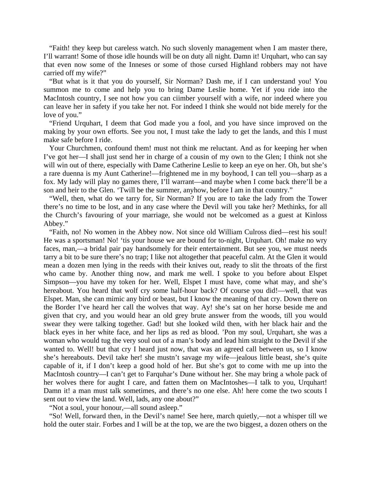"Faith! they keep but careless watch. No such slovenly management when I am master there, I'll warrant! Some of those idle hounds will be on duty all night. Damn it! Urquhart, who can say that even now some of the Inneses or some of those cursed Highland robbers may not have carried off my wife?"

 "But what is it that you do yourself, Sir Norman? Dash me, if I can understand you! You summon me to come and help you to bring Dame Leslie home. Yet if you ride into the MacIntosh country, I see not how you can ciimber yourself with a wife, nor indeed where you can leave her in safety if you take her not. For indeed I think she would not bide merely for the love of you."

 "Friend Urquhart, I deem that God made you a fool, and you have since improved on the making by your own efforts. See you not, I must take the lady to get the lands, and this I must make safe before I ride.

 Your Churchmen, confound them! must not think me reluctant. And as for keeping her when I've got her—I shall just send her in charge of a cousin of my own to the Glen; I think not she will win out of there, especially with Dame Catherine Leslie to keep an eye on her. Oh, but she's a rare duenna is my Aunt Catherine!—frightened me in my boyhood, I can tell you—sharp as a fox. My lady will play no games there, I'll warrant—and maybe when I come back there'll be a son and heir to the Glen. 'Twill be the summer, anyhow, before I am in that country."

 "Well, then, what do we tarry for, Sir Norman? If you are to take the lady from the Tower there's no time to be lost, and in any case where the Devil will you take her? Methinks, for all the Church's favouring of your marriage, she would not be welcomed as a guest at Kinloss Abbey."

 "Faith, no! No women in the Abbey now. Not since old William Culross died—rest his soul! He was a sportsman! No! 'tis your house we are bound for to-night, Urquhart. Oh! make no wry faces, man,—a bridal pair pay handsomely for their entertainment. But see you, we must needs tarry a bit to be sure there's no trap; I like not altogether that peaceful calm. At the Glen it would mean a dozen men lying in the reeds with their knives out, ready to slit the throats of the first who came by. Another thing now, and mark me well. I spoke to you before about Elspet Simpson—you have my token for her. Well, Elspet I must have, come what may, and she's hereabout. You heard that wolf cry some half-hour back? Of course you did!—well, that was Elspet. Man, she can mimic any bird or beast, but I know the meaning of that cry. Down there on the Border I've heard her call the wolves that way. Ay! she's sat on her horse beside me and given that cry, and you would hear an old grey brute answer from the woods, till you would swear they were talking together. Gad! but she looked wild then, with her black hair and the black eyes in her white face, and her lips as red as blood. 'Pon my soul, Urquhart, she was a woman who would tug the very soul out of a man's body and lead him straight to the Devil if she wanted to. Well! but that cry I heard just now, that was an agreed call between us, so I know she's hereabouts. Devil take her! she mustn't savage my wife—jealous little beast, she's quite capable of it, if I don't keep a good hold of her. But she's got to come with me up into the MacIntosh country—I can't get to Farquhar's Dune without her. She may bring a whole pack of her wolves there for aught I care, and fatten them on MacIntoshes—I talk to you, Urquhart! Damn it! a man must talk sometimes, and there's no one else. Ah! here come the two scouts I sent out to view the land. Well, lads, any one about?"

"Not a soul, your honour,—all sound asleep."

 "So! Well, forward then, in the Devil's name! See here, march quietly,—not a whisper till we hold the outer stair. Forbes and I will be at the top, we are the two biggest, a dozen others on the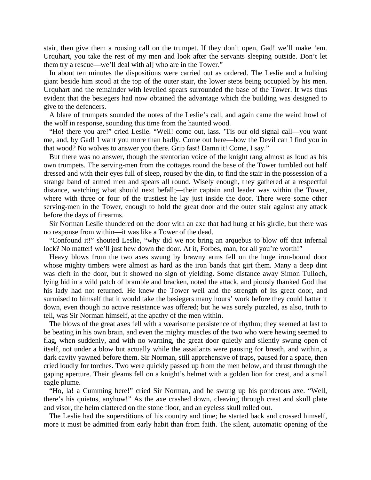stair, then give them a rousing call on the trumpet. If they don't open, Gad! we'll make 'em. Urquhart, you take the rest of my men and look after the servants sleeping outside. Don't let them try a rescue—we'll deal with al] who are in the Tower."

 In about ten minutes the dispositions were carried out as ordered. The Leslie and a hulking giant beside him stood at the top of the outer stair, the lower steps being occupied by his men. Urquhart and the remainder with levelled spears surrounded the base of the Tower. It was thus evident that the besiegers had now obtained the advantage which the building was designed to give to the defenders.

 A blare of trumpets sounded the notes of the Leslie's call, and again came the weird howl of the wolf in response, sounding this time from the haunted wood.

 "Ho! there you are!" cried Leslie. "Well! come out, lass. 'Tis our old signal call—you want me, and, by Gad! I want you more than badly. Come out here—how the Devil can I find you in that wood? No wolves to answer you there. Grip fast! Damn it! Come, I say."

 But there was no answer, though the stentorian voice of the knight rang almost as loud as his own trumpets. The serving-men from the cottages round the base of the Tower tumbled out half dressed and with their eyes full of sleep, roused by the din, to find the stair in the possession of a strange band of armed men and spears all round. Wisely enough, they gathered at a respectful distance, watching what should next befall;—their captain and leader was within the Tower, where with three or four of the trustiest he lay just inside the door. There were some other serving-men in the Tower, enough to hold the great door and the outer stair against any attack before the days of firearms.

 Sir Norman Leslie thundered on the door with an axe that had hung at his girdle, but there was no response from within—it was like a Tower of the dead.

 "Confound it!" shouted Leslie, "why did we not bring an arquebus to blow off that infernal lock? No matter! we'll just hew down the door. At it, Forbes, man, for all you're worth!"

 Heavy blows from the two axes swung by brawny arms fell on the huge iron-bound door whose mighty timbers were almost as hard as the iron bands that girt them. Many a deep dint was cleft in the door, but it showed no sign of yielding. Some distance away Simon Tulloch, lying hid in a wild patch of bramble and bracken, noted the attack, and piously thanked God that his lady had not returned. He knew the Tower well and the strength of its great door, and surmised to himself that it would take the besiegers many hours' work before they could batter it down, even though no active resistance was offered; but he was sorely puzzled, as also, truth to tell, was Sir Norman himself, at the apathy of the men within.

 The blows of the great axes fell with a wearisome persistence of rhythm; they seemed at last to be beating in his own brain, and even the mighty muscles of the two who were hewing seemed to flag, when suddenly, and with no warning, the great door quietly and silently swung open of itself, not under a blow but actually while the assailants were pausing for breath, and within, a dark cavity yawned before them. Sir Norman, still apprehensive of traps, paused for a space, then cried loudly for torches. Two were quickly passed up from the men below, and thrust through the gaping aperture. Their gleams fell on a knight's helmet with a golden lion for crest, and a small eagle plume.

 "Ho, la! a Cumming here!" cried Sir Norman, and he swung up his ponderous axe. "Well, there's his quietus, anyhow!" As the axe crashed down, cleaving through crest and skull plate and visor, the helm clattered on the stone floor, and an eyeless skull rolled out.

 The Leslie had the superstitions of his country and time; he started back and crossed himself, more it must be admitted from early habit than from faith. The silent, automatic opening of the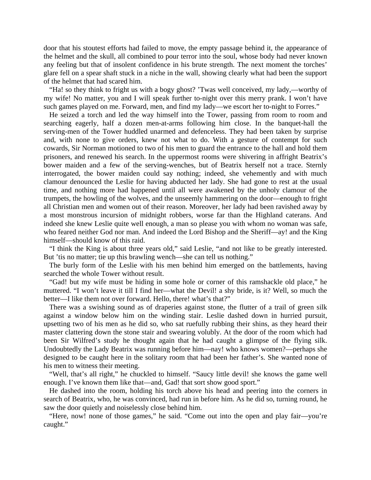door that his stoutest efforts had failed to move, the empty passage behind it, the appearance of the helmet and the skull, all combined to pour terror into the soul, whose body had never known any feeling but that of insolent confidence in his brute strength. The next moment the torches' glare fell on a spear shaft stuck in a niche in the wall, showing clearly what had been the support of the helmet that had scared him.

 "Ha! so they think to fright us with a bogy ghost? 'Twas well conceived, my lady,—worthy of my wife! No matter, you and I will speak further to-night over this merry prank. I won't have such games played on me. Forward, men, and find my lady—we escort her to-night to Forres."

 He seized a torch and led the way himself into the Tower, passing from room to room and searching eagerly, half a dozen men-at-arms following him close. In the banquet-hall the serving-men of the Tower huddled unarmed and defenceless. They had been taken by surprise and, with none to give orders, knew not what to do. With a gesture of contempt for such cowards, Sir Norman motioned to two of his men to guard the entrance to the hall and hold them prisoners, and renewed his search. In the uppermost rooms were shivering in affright Beatrix's bower maiden and a few of the serving-wenches, but of Beatrix herself not a trace. Sternly interrogated, the bower maiden could say nothing; indeed, she vehemently and with much clamour denounced the Leslie for having abducted her lady. She had gone to rest at the usual time, and nothing more had happened until all were awakened by the unholy clamour of the trumpets, the howling of the wolves, and the unseemly hammering on the door—enough to fright all Christian men and women out of their reason. Moreover, her lady had been ravished away by a most monstrous incursion of midnight robbers, worse far than the Highland caterans. And indeed she knew Leslie quite well enough, a man so please you with whom no woman was safe, who feared neither God nor man. And indeed the Lord Bishop and the Sheriff—ay! and the King himself—should know of this raid.

 "I think the King is about three years old," said Leslie, "and not like to be greatly interested. But 'tis no matter; tie up this brawling wench—she can tell us nothing."

 The burly form of the Leslie with his men behind him emerged on the battlements, having searched the whole Tower without result.

 "Gad! but my wife must be hiding in some hole or corner of this ramshackle old place," he muttered. "I won't leave it till I find her—what the Devil! a shy bride, is it? Well, so much the better—I like them not over forward. Hello, there! what's that?"

 There was a swishing sound as of draperies against stone, the flutter of a trail of green silk against a window below him on the winding stair. Leslie dashed down in hurried pursuit, upsetting two of his men as he did so, who sat ruefully rubbing their shins, as they heard their master clattering down the stone stair and swearing volubly. At the door of the room which had been Sir Wilfred's study he thought again that he had caught a glimpse of the flying silk. Undoubtedly the Lady Beatrix was running before him—nay! who knows women?—perhaps she designed to be caught here in the solitary room that had been her father's. She wanted none of his men to witness their meeting.

 "Well, that's all right," he chuckled to himself. "Saucy little devil! she knows the game well enough. I've known them like that—and, Gad! that sort show good sport."

 He dashed into the room, holding his torch above his head and peering into the corners in search of Beatrix, who, he was convinced, had run in before him. As he did so, turning round, he saw the door quietly and noiselessly close behind him.

 "Here, now! none of those games," he said. "Come out into the open and play fair—you're caught."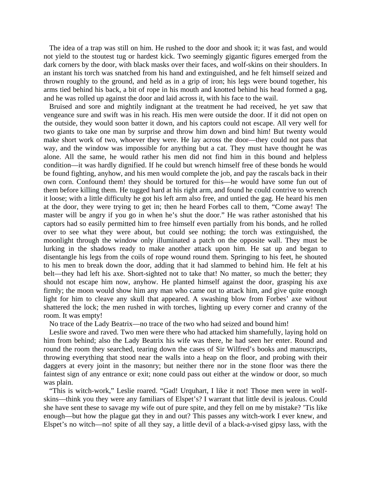The idea of a trap was still on him. He rushed to the door and shook it; it was fast, and would not yield to the stoutest tug or hardest kick. Two seemingly gigantic figures emerged from the dark corners by the door, with black masks over their faces, and wolf-skins on their shoulders. In an instant his torch was snatched from his hand and extinguished, and he felt himself seized and thrown roughly to the ground, and held as in a grip of iron; his legs were bound together, his arms tied behind his back, a bit of rope in his mouth and knotted behind his head formed a gag, and he was rolled up against the door and laid across it, with his face to the wail.

 Bruised and sore and mightily indignant at the treatment he had received, he yet saw that vengeance sure and swift was in his reach. His men were outside the door. If it did not open on the outside, they would soon batter it down, and his captors could not escape. All very well for two giants to take one man by surprise and throw him down and bind him! But twenty would make short work of two, whoever they were. He lay across the door—they could not pass that way, and the window was impossible for anything but a cat. They must have thought he was alone. All the same, he would rather his men did not find him in this bound and helpless condition—it was hardly dignified. If he could but wrench himself free of these bonds he would be found fighting, anyhow, and his men would complete the job, and pay the rascals back in their own corn. Confound them! they should be tortured for this—he would have some fun out of them before killing them. He tugged hard at his right arm, and found he could contrive to wrench it loose; with a little difficulty he got his left arm also free, and untied the gag. He heard his men at the door, they were trying to get in; then he heard Forbes call to them, "Come away! The master will be angry if you go in when he's shut the door." He was rather astonished that his captors had so easily permitted him to free himself even partially from his bonds, and he rolled over to see what they were about, but could see nothing; the torch was extinguished, the moonlight through the window only illuminated a patch on the opposite wall. They must be lurking in the shadows ready to make another attack upon him. He sat up and began to disentangle his legs from the coils of rope wound round them. Springing to his feet, he shouted to his men to break down the door, adding that it had slammed to behind him. He felt at his belt—they had left his axe. Short-sighted not to take that! No matter, so much the better; they should not escape him now, anyhow. He planted himself against the door, grasping his axe firmly; the moon would show him any man who came out to attack him, and give quite enough light for him to cleave any skull that appeared. A swashing blow from Forbes' axe without shattered the lock; the men rushed in with torches, lighting up every corner and cranny of the room. It was empty!

No trace of the Lady Beatrix—no trace of the two who had seized and bound him!

 Leslie swore and raved. Two men were there who had attacked him shamefully, laying hold on him from behind; also the Lady Beatrix his wife was there, he had seen her enter. Round and round the room they searched, tearing down the cases of Sir Wilfred's books and manuscripts, throwing everything that stood near the walls into a heap on the floor, and probing with their daggers at every joint in the masonry; but neither there nor in the stone floor was there the faintest sign of any entrance or exit; none could pass out either at the window or door, so much was plain.

 "This is witch-work," Leslie roared. "Gad! Urquhart, I like it not! Those men were in wolfskins—think you they were any familiars of Elspet's? I warrant that little devil is jealous. Could she have sent these to savage my wife out of pure spite, and they fell on me by mistake? 'Tis like enough—but how the plague gat they in and out? This passes any witch-work I ever knew, and Elspet's no witch—no! spite of all they say, a little devil of a black-a-vised gipsy lass, with the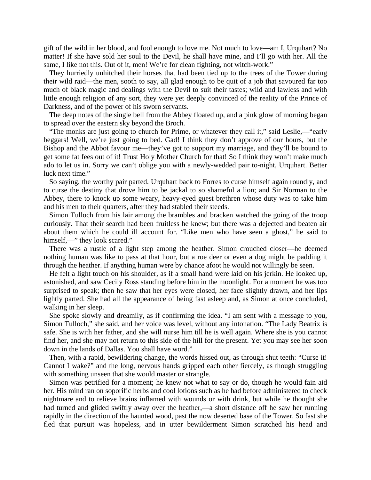gift of the wild in her blood, and fool enough to love me. Not much to love—am I, Urquhart? No matter! If she have sold her soul to the Devil, he shall have mine, and I'll go with her. All the same, I like not this. Out of it, men! We're for clean fighting, not witch-work."

 They hurriedly unhitched their horses that had been tied up to the trees of the Tower during their wild raid—the men, sooth to say, all glad enough to be quit of a job that savoured far too much of black magic and dealings with the Devil to suit their tastes; wild and lawless and with little enough religion of any sort, they were yet deeply convinced of the reality of the Prince of Darkness, and of the power of his sworn servants.

 The deep notes of the single bell from the Abbey floated up, and a pink glow of morning began to spread over the eastern sky beyond the Broch.

 "The monks are just going to church for Prime, or whatever they call it," said Leslie,—"early beggars! Well, we're just going to bed. Gad! I think they don't approve of our hours, but the Bishop and the Abbot favour me—they've got to support my marriage, and they'll be bound to get some fat fees out of it! Trust Holy Mother Church for that! So I think they won't make much ado to let us in. Sorry we can't oblige you with a newly-wedded pair to-night, Urquhart. Better luck next time."

 So saying, the worthy pair parted. Urquhart back to Forres to curse himself again roundly, and to curse the destiny that drove him to be jackal to so shameful a lion; and Sir Norman to the Abbey, there to knock up some weary, heavy-eyed guest brethren whose duty was to take him and his men to their quarters, after they had stabled their steeds.

 Simon Tulloch from his lair among the brambles and bracken watched the going of the troop curiously. That their search had been fruitless he knew; but there was a dejected and beaten air about them which he could ill account for. "Like men who have seen a ghost," he said to himself,—" they look scared."

 There was a rustle of a light step among the heather. Simon crouched closer—he deemed nothing human was like to pass at that hour, but a roe deer or even a dog might be padding it through the heather. If anything human were by chance afoot he would not willingly be seen.

 He felt a light touch on his shoulder, as if a small hand were laid on his jerkin. He looked up, astonished, and saw Cecily Ross standing before him in the moonlight. For a moment he was too surprised to speak; then he saw that her eyes were closed, her face slightly drawn, and her lips lightly parted. She had all the appearance of being fast asleep and, as Simon at once concluded, walking in her sleep.

 She spoke slowly and dreamily, as if confirming the idea. "I am sent with a message to you, Simon Tulloch," she said, and her voice was level, without any intonation. "The Lady Beatrix is safe. She is with her father, and she will nurse him till he is well again. Where she is you cannot find her, and she may not return to this side of the hill for the present. Yet you may see her soon down in the lands of Dallas. You shall have word."

 Then, with a rapid, bewildering change, the words hissed out, as through shut teeth: "Curse it! Cannot I wake?" and the long, nervous hands gripped each other fiercely, as though struggling with something unseen that she would master or strangle.

 Simon was petrified for a moment; he knew not what to say or do, though he would fain aid her. His mind ran on soporific herbs and cool lotions such as he had before administered to check nightmare and to relieve brains inflamed with wounds or with drink, but while he thought she had turned and glided swiftly away over the heather,—a short distance off he saw her running rapidly in the direction of the haunted wood, past the now deserted base of the Tower. So fast she fled that pursuit was hopeless, and in utter bewilderment Simon scratched his head and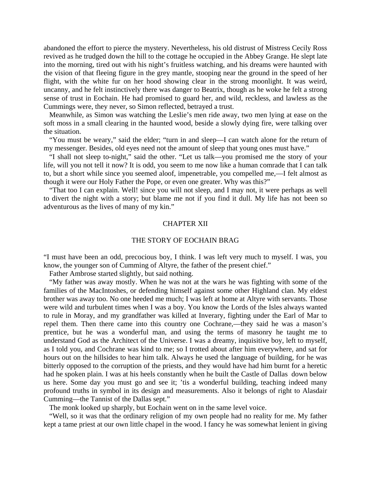abandoned the effort to pierce the mystery. Nevertheless, his old distrust of Mistress Cecily Ross revived as he trudged down the hill to the cottage he occupied in the Abbey Grange. He slept late into the morning, tired out with his night's fruitless watching, and his dreams were haunted with the vision of that fleeing figure in the grey mantle, stooping near the ground in the speed of her flight, with the white fur on her hood showing clear in the strong moonlight. It was weird, uncanny, and he felt instinctively there was danger to Beatrix, though as he woke he felt a strong sense of trust in Eochain. He had promised to guard her, and wild, reckless, and lawless as the Cummings were, they never, so Simon reflected, betrayed a trust.

 Meanwhile, as Simon was watching the Leslie's men ride away, two men lying at ease on the soft moss in a small clearing in the haunted wood, beside a slowly dying fire, were talking over the situation.

 "You must be weary," said the elder; "turn in and sleep—I can watch alone for the return of my messenger. Besides, old eyes need not the amount of sleep that young ones must have."

 "I shall not sleep to-night," said the other. "Let us talk—you promised me the story of your life, will you not tell it now? It is odd, you seem to me now like a human comrade that I can talk to, but a short while since you seemed aloof, impenetrable, you compelled me,—I felt almost as though it were our Holy Father the Pope, or even one greater. Why was this?"

 "That too I can explain. Well! since you will not sleep, and I may not, it were perhaps as well to divert the night with a story; but blame me not if you find it dull. My life has not been so adventurous as the lives of many of my kin."

# CHAPTER XII

## THE STORY OF EOCHAIN BRAG

"I must have been an odd, precocious boy, I think. I was left very much to myself. I was, you know, the younger son of Cumming of Altyre, the father of the present chief."

Father Ambrose started slightly, but said nothing.

 "My father was away mostly. When he was not at the wars he was fighting with some of the families of the MacIntoshes, or defending himself against some other Highland clan. My eldest brother was away too. No one heeded me much; I was left at home at Altyre with servants. Those were wild and turbulent times when I was a boy. You know the Lords of the Isles always wanted to rule in Moray, and my grandfather was killed at Inverary, fighting under the Earl of Mar to repel them. Then there came into this country one Cochrane,—they said he was a mason's prentice, but he was a wonderful man, and using the terms of masonry he taught me to understand God as the Architect of the Universe. I was a dreamy, inquisitive boy, left to myself, as I told you, and Cochrane was kind to me; so I trotted about after him everywhere, and sat for hours out on the hillsides to hear him talk. Always he used the language of building, for he was bitterly opposed to the corruption of the priests, and they would have had him burnt for a heretic had he spoken plain. I was at his heels constantly when he built the Castle of Dallas down below us here. Some day you must go and see it; 'tis a wonderful building, teaching indeed many profound truths in symbol in its design and measurements. Also it belongs of right to Alasdair Cumming—the Tannist of the Dallas sept."

The monk looked up sharply, but Eochain went on in the same level voice.

 "Well, so it was that the ordinary religion of my own people had no reality for me. My father kept a tame priest at our own little chapel in the wood. I fancy he was somewhat lenient in giving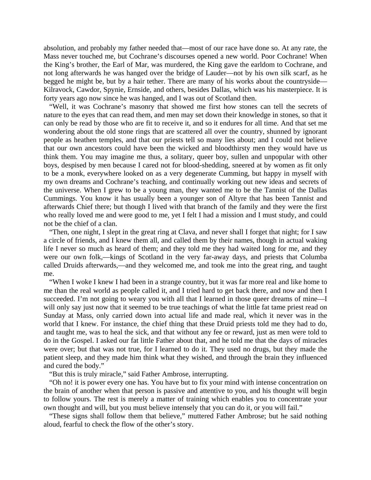absolution, and probably my father needed that—most of our race have done so. At any rate, the Mass never touched me, but Cochrane's discourses opened a new world. Poor Cochrane! When the King's brother, the Earl of Mar, was murdered, the King gave the earldom to Cochrane, and not long afterwards he was hanged over the bridge of Lauder—not by his own silk scarf, as he begged he might be, but by a hair tether. There are many of his works about the countryside— Kilravock, Cawdor, Spynie, Ernside, and others, besides Dallas, which was his masterpiece. It is forty years ago now since he was hanged, and I was out of Scotland then.

 "Well, it was Cochrane's masonry that showed me first how stones can tell the secrets of nature to the eyes that can read them, and men may set down their knowledge in stones, so that it can only be read by those who are fit to receive it, and so it endures for all time. And that set me wondering about the old stone rings that are scattered all over the country, shunned by ignorant people as heathen temples, and that our priests tell so many lies about; and I could not believe that our own ancestors could have been the wicked and bloodthirsty men they would have us think them. You may imagine me thus, a solitary, queer boy, sullen and unpopular with other boys, despised by men because I cared not for blood-shedding, sneered at by women as fit only to be a monk, everywhere looked on as a very degenerate Cumming, but happy in myself with my own dreams and Cochrane's teaching, and continually working out new ideas and secrets of the universe. When I grew to be a young man, they wanted me to be the Tannist of the Dallas Cummings. You know it has usually been a younger son of Altyre that has been Tannist and afterwards Chief there; but though I lived with that branch of the family and they were the first who really loved me and were good to me, yet I felt I had a mission and I must study, and could not be the chief of a clan.

 "Then, one night, I slept in the great ring at Clava, and never shall I forget that night; for I saw a circle of friends, and I knew them all, and called them by their names, though in actual waking life I never so much as heard of them; and they told me they had waited long for me, and they were our own folk,—kings of Scotland in the very far-away days, and priests that Columba called Druids afterwards,—and they welcomed me, and took me into the great ring, and taught me.

 "When I woke I knew I had been in a strange country, but it was far more real and like home to me than the real world as people called it, and I tried hard to get back there, and now and then I succeeded. I'm not going to weary you with all that I learned in those queer dreams of mine—I will only say just now that it seemed to be true teachings of what the little fat tame priest read on Sunday at Mass, only carried down into actual life and made real, which it never was in the world that I knew. For instance, the chief thing that these Druid priests told me they had to do, and taught me, was to heal the sick, and that without any fee or reward, just as men were told to do in the Gospel. I asked our fat little Father about that, and he told me that the days of miracles were over; but that was not true, for I learned to do it. They used no drugs, but they made the patient sleep, and they made him think what they wished, and through the brain they influenced and cured the body."

"But this is truly miracle," said Father Ambrose, interrupting.

 "Oh no! it is power every one has. You have but to fix your mind with intense concentration on the brain of another when that person is passive and attentive to you, and his thought will begin to follow yours. The rest is merely a matter of training which enables you to concentrate your own thought and will, but you must believe intensely that you can do it, or you will fail."

 "These signs shall follow them that believe," muttered Father Ambrose; but he said nothing aloud, fearful to check the flow of the other's story.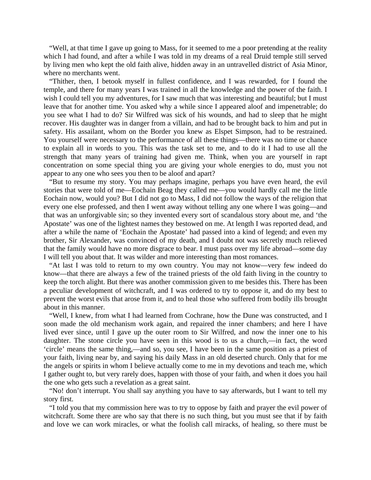"Well, at that time I gave up going to Mass, for it seemed to me a poor pretending at the reality which I had found, and after a while I was told in my dreams of a real Druid temple still served by living men who kept the old faith alive, hidden away in an untravelled district of Asia Minor, where no merchants went.

 "Thither, then, I betook myself in fullest confidence, and I was rewarded, for I found the temple, and there for many years I was trained in all the knowledge and the power of the faith. I wish I could tell you my adventures, for I saw much that was interesting and beautiful; but I must leave that for another time. You asked why a while since I appeared aloof and impenetrable; do you see what I had to do? Sir Wilfred was sick of his wounds, and had to sleep that he might recover. His daughter was in danger from a villain, and had to be brought back to him and put in safety. His assailant, whom on the Border you knew as Elspet Simpson, had to be restrained. You yourself were necessary to the performance of all these things—there was no time or chance to explain all in words to you. This was the task set to me, and to do it I had to use all the strength that many years of training had given me. Think, when you are yourself in rapt concentration on some special thing you are giving your whole energies to do, must you not appear to any one who sees you then to be aloof and apart?

 "But to resume my story. You may perhaps imagine, perhaps you have even heard, the evil stories that were told of me—Eochain Beag they called me—you would hardly call me the little Eochain now, would you? But I did not go to Mass, I did not follow the ways of the religion that every one else professed, and then I went away without telling any one where I was going—and that was an unforgivable sin; so they invented every sort of scandalous story about me, and 'the Apostate' was one of the lightest names they bestowed on me. At length I was reported dead, and after a while the name of 'Eochain the Apostate' had passed into a kind of legend; and even my brother, Sir Alexander, was convinced of my death, and I doubt not was secretly much relieved that the family would have no more disgrace to bear. I must pass over my life abroad—some day I will tell you about that. It was wilder and more interesting than most romances.

 "At last I was told to return to my own country. You may not know—very few indeed do know—that there are always a few of the trained priests of the old faith living in the country to keep the torch alight. But there was another commission given to me besides this. There has been a peculiar development of witchcraft, and I was ordered to try to oppose it, and do my best to prevent the worst evils that arose from it, and to heal those who suffered from bodily ills brought about in this manner.

 "Well, I knew, from what I had learned from Cochrane, how the Dune was constructed, and I soon made the old mechanism work again, and repaired the inner chambers; and here I have lived ever since, until I gave up the outer room to Sir Wilfred, and now the inner one to his daughter. The stone circle you have seen in this wood is to us a church,—in fact, the word 'circle' means the same thing,—and so, you see, I have been in the same position as a priest of your faith, living near by, and saying his daily Mass in an old deserted church. Only that for me the angels or spirits in whom I believe actually come to me in my devotions and teach me, which I gather ought to, but very rarely does, happen with those of your faith, and when it does you hail the one who gets such a revelation as a great saint.

 "No! don't interrupt. You shall say anything you have to say afterwards, but I want to tell my story first.

 "I told you that my commission here was to try to oppose by faith and prayer the evil power of witchcraft. Some there are who say that there is no such thing, but you must see that if by faith and love we can work miracles, or what the foolish call miracks, of healing, so there must be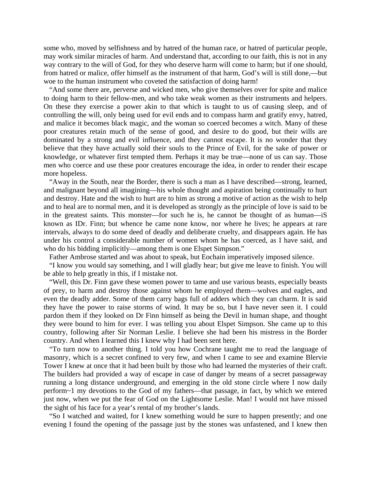some who, moved by selfishness and by hatred of the human race, or hatred of particular people, may work similar miracles of harm. And understand that, according to our faith, this is not in any way contrary to the will of God, for they who deserve harm will come to harm; but if one should, from hatred or malice, offer himself as the instrument of that harm, God's will is still done,—but woe to the human instrument who coveted the satisfaction of doing harm!

 "And some there are, perverse and wicked men, who give themselves over for spite and malice to doing harm to their fellow-men, and who take weak women as their instruments and helpers. On these they exercise a power akin to that which is taught to us of causing sleep, and of controlling the will, only being used for evil ends and to compass harm and gratify envy, hatred, and malice it becomes black magic, and the woman so coerced becomes a witch. Many of these poor creatures retain much of the sense of good, and desire to do good, but their wills are dominated by a strong and evil influence, and they cannot escape. It is no wonder that they believe that they have actually sold their souls to the Prince of Evil, for the sake of power or knowledge, or whatever first tempted them. Perhaps it may be true—none of us can say. Those men who coerce and use these poor creatures encourage the idea, in order to render their escape more hopeless.

 "Away in the South, near the Border, there is such a man as I have described—strong, learned, and malignant beyond all imagining—his whole thought and aspiration being continually to hurt and destroy. Hate and the wish to hurt are to him as strong a motive of action as the wish to help and to heal are to normal men, and it is developed as strongly as the principle of love is said to be in the greatest saints. This monster—for such he is, he cannot be thought of as human—iS known as IDr. Finn; but whence he came none know, nor where he lives; he appears at rare intervals, always to do some deed of deadly and deliberate cruelty, and disappears again. He has under his control a considerable number of women whom he has coerced, as I have said, and who do his bidding implicitly—among them is one Elspet Simpson."

Father Ambrose started and was about to speak, but Eochain imperatively imposed silence.

 "I know you would say something, and I will gladly hear; but give me leave to finish. You will be able to help greatly in this, if I mistake not.

 "Well, this Dr. Finn gave these women power to tame and use various beasts, especially beasts of prey, to harm and destroy those against whom he employed them—wolves and eagles, and even the deadly adder. Some of them carry bags full of adders which they can charm. It is said they have the power to raise storms of wind. It may be so, but I have never seen it. I could pardon them if they looked on Dr Finn himself as being the Devil in human shape, and thought they were bound to him for ever. I was telling you about Elspet Simpson. She came up to this country, following after Sir Norman Leslie. I believe she had been his mistress in the Border country. And when I learned this I knew why I had been sent here.

 "To turn now to another thing. I told you how Cochrane taught me to read the language of masonry, which is a secret confined to very few, and when I came to see and examine Blervie Tower I knew at once that it had been built by those who had learned the mysteries of their craft. The builders had provided a way of escape in case of danger by means of a secret passageway running a long distance underground, and emerging in the old stone circle where I now daily perform~1 my devotions to the God of my fathers—that passage, in fact, by which we entered just now, when we put the fear of God on the Lightsome Leslie. Man! I would not have missed the sight of his face for a year's rental of my brother's lands.

 "So I watched and waited, for I knew something would be sure to happen presently; and one evening I found the opening of the passage just by the stones was unfastened, and I knew then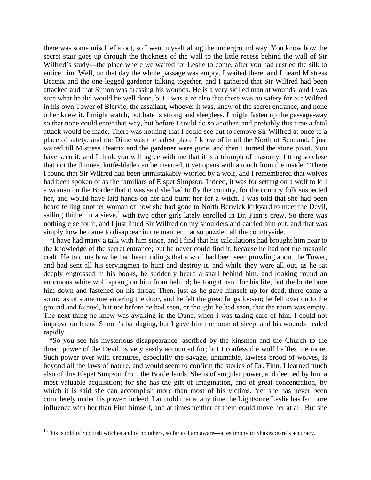there was some mischief afoot, so I went myself along the underground way. You know how the secret stair goes up through the thickness of the wall to the little recess behind the wall of Sir Wilfred's study—the place where we waited for Leslie to come, after you had rustled the silk to entice him. Well, on that day the whole passage was empty. I waited there, and I heard Mistress Beatrix and the one-legged gardener talking together, and I gathered that Sir Wilfred had been attacked and that Simon was dressing his wounds. He is a very skilled man at wounds, and I was sure what he did would be well done, but I was sure also that there was no safety for Sir Wilfred in his own Tower of Blervie; the assailant, whoever it was, knew of the secret entrance, and none other knew it. I might watch, but hate is strong and sleepless. I might fasten up the passage-way so that none could enter that way, but before I could do so another, and probably this time a fatal attack would be made. There was nothing that I could see but to remove Sir Wilfred at once to a place of safety, and the Dime was the safest place I knew of in all the North of Scotland. I just waited till Mistress Beatrix and the gardener were gone, and then I turned the stone pivot. You have seen it, and I think you will agree with me that it is a triumph of masonry; fitting so close that not the thinnest knife-blade can be inserted, it yet opens with a touch from the inside. "There I found that Sir Wilfred had been unmistakably worried by a wolf, and I remembered that wolves had been spoken of as the familiars of Elspet Simpson. Indeed, it was for setting on a wolf to kill a woman on the Border that it was said she had to fly the country, for the country folk suspected her, and would have laid hands on her and burnt her for a witch. I was told that she had been heard telling another woman of how she had gone to North Berwick kirkyard to meet the Devil, sailing thither in a sieve,<sup>1</sup> with two other girls lately enrolled in Dr. Finn's crew. So there was nothing else for it, and I just lifted Sir Wilfred on my shoulders and carried him out, and that was simply how he came to disappear in the manner that so puzzled all the countryside.

 "I have had many a talk with him since, and I find that his calculations had brought him near to the knowledge of the secret entrance; but he never could find it, because he had not the masonic craft. He told me how he had heard tidings that a wolf had been seen prowling about the Tower, and had sent all his servingmen to hunt and destroy it, and while they were all out, as he sat deeply engrossed in his books, he suddenly heard a snarl behind him, and looking round an enormous white wolf sprang on him from behind; he fought hard for his life, but the brute bore him down and fastened on his throat. Then, just as he gave himself up for dead, there came a sound as of some one entering the door, and he felt the great fangs loosen; he fell over on to the ground and fainted, but not before he had seen, or thought he had seen, that the room was empty. The next thing he knew was awaking in the Dune, when I was taking care of him. I could not improve on friend Simon's bandaging, but I gave him the boon of sleep, and his wounds healed rapidly.

 "So you see his mysterious disappearance, ascribed by the kinsmen and the Church to the direct power of the Devil, is very easily accounted for; but I confess the wolf baffles me more. Such power over wild creatures, especially the savage, untamable, lawless brood of wolves, is beyond all the laws of nature, and would seem to confirm the stories of Dr. Finn. I learned much also of this Elspet Simpson from the Borderlands. She is of singular power, and deemed by him a most valuable acquisition; for she has the gift of imagination, and of great concentration, by which it is said she can accomplish more than most of his victims. Yet she has never been completely under his power; indeed, I am told that at any time the Lightsome Leslie has far more influence with her than Finn himself, and at times neither of them could move her at all. But she

 $\overline{a}$ 

<sup>&</sup>lt;sup>1</sup> This is told of Scottish witches and of no others, so far as I am aware—a testimony to Shakespeare's accuracy.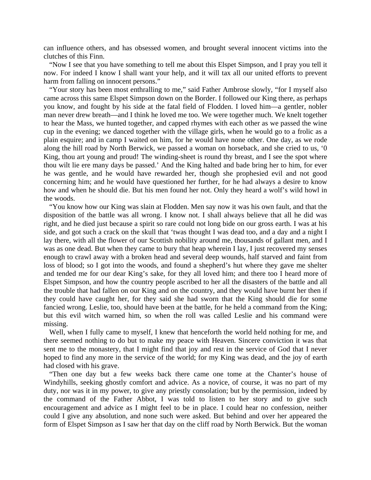can influence others, and has obsessed women, and brought several innocent victims into the clutches of this Finn.

 "Now I see that you have something to tell me about this Elspet Simpson, and I pray you tell it now. For indeed I know I shall want your help, and it will tax all our united efforts to prevent harm from falling on innocent persons."

 "Your story has been most enthralling to me," said Father Ambrose slowly, "for I myself also came across this same Elspet Simpson down on the Border. I followed our King there, as perhaps you know, and fought by his side at the fatal field of Flodden. I loved him—a gentler, nobler man never drew breath—and I think he loved me too. We were together much. We knelt together to hear the Mass, we hunted together, and capped rhymes with each other as we passed the wine cup in the evening; we danced together with the village girls, when he would go to a frolic as a plain esquire; and in camp I waited on him, for he would have none other. One day, as we rode along the hill road by North Berwick, we passed a woman on horseback, and she cried to us, '0 King, thou art young and proud! The winding-sheet is round thy breast, and I see the spot where thou wilt lie ere many days be passed.' And the King halted and bade bring her to him, for ever he was gentle, and he would have rewarded her, though she prophesied evil and not good concerning him; and he would have questioned her further, for he had always a desire to know how and when he should die. But his men found her not. Only they heard a wolf's wild howl in the woods.

 "You know how our King was slain at Flodden. Men say now it was his own fault, and that the disposition of the battle was all wrong. I know not. I shall always believe that all he did was right, and he died just because a spirit so rare could not long bide on our gross earth. I was at his side, and got such a crack on the skull that 'twas thought I was dead too, and a day and a night I lay there, with all the flower of our Scottish nobility around me, thousands of gallant men, and I was as one dead. But when they came to bury that heap wherein I lay, I just recovered my senses enough to crawl away with a broken head and several deep wounds, half starved and faint from loss of blood; so I got into the woods, and found a shepherd's hut where they gave me shelter and tended me for our dear King's sake, for they all loved him; and there too I heard more of Elspet Simpson, and how the country people ascribed to her all the disasters of the battle and all the trouble that had fallen on our King and on the country, and they would have burnt her then if they could have caught her, for they said she had sworn that the King should die for some fancied wrong. Leslie, too, should have been at the battle, for he held a command from the King; but this evil witch warned him, so when the roll was called Leslie and his command were missing.

 Well, when I fully came to myself, I knew that henceforth the world held nothing for me, and there seemed nothing to do but to make my peace with Heaven. Sincere conviction it was that sent me to the monastery, that I might find that joy and rest in the service of God that I never hoped to find any more in the service of the world; for my King was dead, and the joy of earth had closed with his grave.

 "Then one day but a few weeks back there came one tome at the Chanter's house of Windyhills, seeking ghostly comfort and advice. As a novice, of course, it was no part of my duty, nor was it in my power, to give any priestly consolation; but by the permission, indeed by the command of the Father Abbot, I was told to listen to her story and to give such encouragement and advice as I might feel to be in place. I could hear no confession, neither could I give any absolution, and none such were asked. But behind and over her appeared the form of Elspet Simpson as I saw her that day on the cliff road by North Berwick. But the woman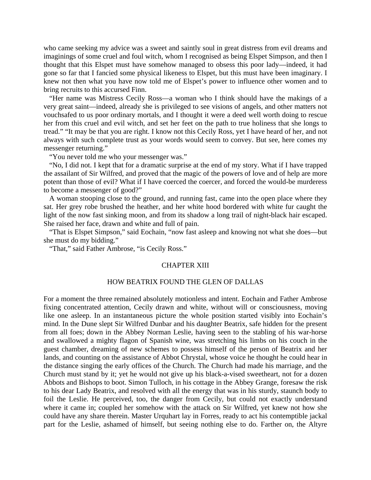who came seeking my advice was a sweet and saintly soul in great distress from evil dreams and imaginings of some cruel and foul witch, whom I recognised as being Elspet Simpson, and then I thought that this Elspet must have somehow managed to obsess this poor lady—indeed, it had gone so far that I fancied some physical likeness to Elspet, but this must have been imaginary. I knew not then what you have now told me of Elspet's power to influence other women and to bring recruits to this accursed Finn.

 "Her name was Mistress Cecily Ross—a woman who I think should have the makings of a very great saint—indeed, already she is privileged to see visions of angels, and other matters not vouchsafed to us poor ordinary mortals, and I thought it were a deed well worth doing to rescue her from this cruel and evil witch, and set her feet on the path to true holiness that she longs to tread." "It may be that you are right. I know not this Cecily Ross, yet I have heard of her, and not always with such complete trust as your words would seem to convey. But see, here comes my messenger returning."

"You never told me who your messenger was."

 "No, I did not. I kept that for a dramatic surprise at the end of my story. What if I have trapped the assailant of Sir Wilfred, and proved that the magic of the powers of love and of help are more potent than those of evil? What if I have coerced the coercer, and forced the would-be murderess to become a messenger of good?"

 A woman stooping close to the ground, and running fast, came into the open place where they sat. Her grey robe brushed the heather, and her white hood bordered with white fur caught the light of the now fast sinking moon, and from its shadow a long trail of night-black hair escaped. She raised her face, drawn and white and full of pain.

 "That is Elspet Simpson," said Eochain, "now fast asleep and knowing not what she does—but she must do my bidding."

"That," said Father Ambrose, "is Cecily Ross."

### CHAPTER XIII

### HOW BEATRIX FOUND THE GLEN OF DALLAS

For a moment the three remained absolutely motionless and intent. Eochain and Father Ambrose fixing concentrated attention, Cecily drawn and white, without will or consciousness, moving like one asleep. In an instantaneous picture the whole position started visibly into Eochain's mind. In the Dune slept Sir Wilfred Dunbar and his daughter Beatrix, safe hidden for the present from all foes; down in the Abbey Norman Leslie, having seen to the stabling of his war-horse and swallowed a mighty flagon of Spanish wine, was stretching his limbs on his couch in the guest chamber, dreaming of new schemes to possess himself of the person of Beatrix and her lands, and counting on the assistance of Abbot Chrystal, whose voice he thought he could hear in the distance singing the early offices of the Church. The Church had made his marriage, and the Church must stand by it; yet he would not give up his black-a-vised sweetheart, not for a dozen Abbots and Bishops to boot. Simon Tulloch, in his cottage in the Abbey Grange, foresaw the risk to his dear Lady Beatrix, and resolved with all the energy that was in his sturdy, staunch body to foil the Leslie. He perceived, too, the danger from Cecily, but could not exactly understand where it came in; coupled her somehow with the attack on Sir Wilfred, yet knew not how she could have any share therein. Master Urquhart lay in Forres, ready to act his contemptible jackal part for the Leslie, ashamed of himself, but seeing nothing else to do. Farther on, the Altyre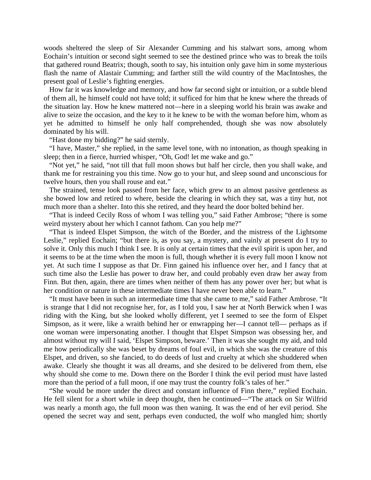woods sheltered the sleep of Sir Alexander Cumming and his stalwart sons, among whom Eochain's intuition or second sight seemed to see the destined prince who was to break the toils that gathered round Beatrix; though, sooth to say, his intuition only gave him in some mysterious flash the name of Alastair Cumming; and farther still the wild country of the MacIntoshes, the present goal of Leslie's fighting energies.

 How far it was knowledge and memory, and how far second sight or intuition, or a subtle blend of them all, he himself could not have told; it sufficed for him that he knew where the threads of the situation lay. How he knew mattered not—here in a sleeping world his brain was awake and alive to seize the occasion, and the key to it he knew to be with the woman before him, whom as yet he admitted to himself he only half comprehended, though she was now absolutely dominated by his will.

"Hast done my bidding?" he said sternly.

 "I have, Master," she replied, in the same level tone, with no intonation, as though speaking in sleep; then in a fierce, hurried whisper, "Oh, God! let me wake and go."

 "Not yet," he said, "not till that full moon shows but half her circle, then you shall wake, and thank me for restraining you this time. Now go to your hut, and sleep sound and unconscious for twelve hours, then you shall rouse and eat."

 The strained, tense look passed from her face, which grew to an almost passive gentleness as she bowed low and retired to where, beside the clearing in which they sat, was a tiny hut, not much more than a shelter. Into this she retired, and they heard the door bolted behind her.

 "That is indeed Cecily Ross of whom I was telling you," said Father Ambrose; "there is some weird mystery about her which I cannot fathom. Can you help me?"

 "That is indeed Elspet Simpson, the witch of the Border, and the mistress of the Lightsome Leslie," replied Eochain; "but there is, as you say, a mystery, and vainly at present do I try to solve it. Only this much I think I see. It is only at certain times that the evil spirit is upon her, and it seems to be at the time when the moon is full, though whether it is every full moon I know not yet. At such time I suppose as that Dr. Finn gained his influence over her, and I fancy that at such time also the Leslie has power to draw her, and could probably even draw her away from Finn. But then, again, there are times when neither of them has any power over her; but what is her condition or nature in these intermediate times I have never been able to learn."

 "It must have been in such an intermediate time that she came to me," said Father Ambrose. "It is strange that I did not recognise her, for, as I told you, I saw her at North Berwick when I was riding with the King, but she looked wholly different, yet I seemed to see the form of Elspet Simpson, as it were, like a wraith behind her or enwrapping her—I cannot tell— perhaps as if one woman were impersonating another. I thought that Elspet Simpson was obsessing her, and almost without my will I said, 'Elspet Simpson, beware.' Then it was she sought my aid, and told me how periodically she was beset by dreams of foul evil, in which she was the creature of this Elspet, and driven, so she fancied, to do deeds of lust and cruelty at which she shuddered when awake. Clearly she thought it was all dreams, and she desired to be delivered from them, else why should she come to me. Down there on the Border I think the evil period must have lasted more than the period of a full moon, if one may trust the country folk's tales of her."

 "She would be more under the direct and constant influence of Finn there," replied Eochain. He fell silent for a short while in deep thought, then he continued—"The attack on Sir Wilfrid was nearly a month ago, the full moon was then waning. It was the end of her evil period. She opened the secret way and sent, perhaps even conducted, the wolf who mangled him; shortly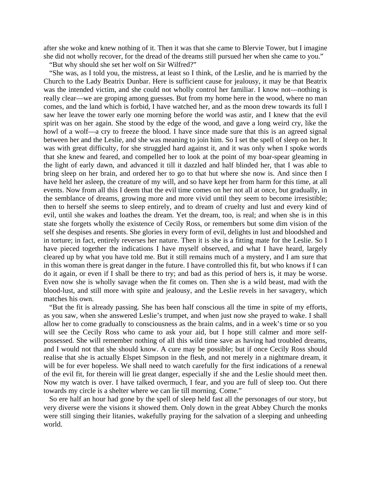after she woke and knew nothing of it. Then it was that she came to Blervie Tower, but I imagine she did not wholly recover, for the dread of the dreams still pursued her when she came to you."

"But why should she set her wolf on Sir Wilfred?"

 "She was, as I told you, the mistress, at least so I think, of the Leslie, and he is married by the Church to the Lady Beatrix Dunbar. Here is sufficient cause for jealousy, it may be that Beatrix was the intended victim, and she could not wholly control her familiar. I know not—nothing is really clear—we are groping among guesses. But from my home here in the wood, where no man comes, and the land which is forbid, I have watched her, and as the moon drew towards its full I saw her leave the tower early one morning before the world was astir, and I knew that the evil spirit was on her again. She stood by the edge of the wood, and gave a long weird cry, like the howl of a wolf—a cry to freeze the blood. I have since made sure that this is an agreed signal between her and the Leslie, and she was meaning to join him. So I set the spell of sleep on her. It was with great difficulty, for she struggled hard against it, and it was only when I spoke words that she knew and feared, and compelled her to look at the point of my boar-spear gleaming in the light of early dawn, and advanced it till it dazzled and half blinded her, that I was able to bring sleep on her brain, and ordered her to go to that hut where she now is. And since then I have held her asleep, the creature of my will, and so have kept her from harm for this time, at all events. Now from all this I deem that the evil time comes on her not all at once, but gradually, in the semblance of dreams, growing more and more vivid until they seem to become irresistible; then to herself she seems to sleep entirely, and to dream of cruelty and lust and every kind of evil, until she wakes and loathes the dream. Yet the dream, too, is real; and when she is in this state she forgets wholly the existence of Cecily Ross, or remembers but some dim vision of the self she despises and resents. She glories in every form of evil, delights in lust and bloodshed and in torture; in fact, entirely reverses her nature. Then it is she is a fitting mate for the Leslie. So I have pieced together the indications I have myself observed, and what I have heard, largely cleared up by what you have told me. But it still remains much of a mystery, and I am sure that in this woman there is great danger in the future. I have controlled this fit, but who knows if I can do it again, or even if I shall be there to try; and bad as this period of hers is, it may be worse. Even now she is wholly savage when the fit comes on. Then she is a wild beast, mad with the blood-lust, and still more with spite and jealousy, and the Leslie revels in her savagery, which matches his own.

 "But the fit is already passing. She has been half conscious all the time in spite of my efforts, as you saw, when she answered Leslie's trumpet, and when just now she prayed to wake. I shall allow her to come gradually to consciousness as the brain calms, and in a week's time or so you will see the Cecily Ross who came to ask your aid, but I hope still calmer and more selfpossessed. She will remember nothing of all this wild time save as having had troubled dreams, and I would not that she should know. A cure may be possible; but if once Cecily Ross should realise that she is actually Elspet Simpson in the flesh, and not merely in a nightmare dream, it will be for ever hopeless. We shall need to watch carefully for the first indications of a renewal of the evil fit, for therein will lie great danger, especially if she and the Leslie should meet then. Now my watch is over. I have talked overmuch, I fear, and you are full of sleep too. Out there towards my circle is a shelter where we can lie till morning. Come."

 So ere half an hour had gone by the spell of sleep held fast all the personages of our story, but very diverse were the visions it showed them. Only down in the great Abbey Church the monks were still singing their litanies, wakefully praying for the salvation of a sleeping and unheeding world.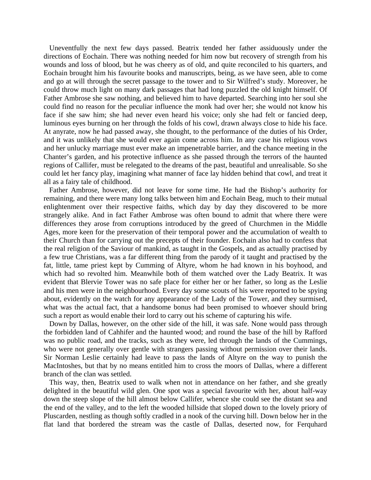Uneventfully the next few days passed. Beatrix tended her father assiduously under the directions of Eochain. There was nothing needed for him now but recovery of strength from his wounds and loss of blood, but he was cheery as of old, and quite reconciled to his quarters, and Eochain brought him his favourite books and manuscripts, being, as we have seen, able to come and go at will through the secret passage to the tower and to Sir Wilfred's study. Moreover, he could throw much light on many dark passages that had long puzzled the old knight himself. Of Father Ambrose she saw nothing, and believed him to have departed. Searching into her soul she could find no reason for the peculiar influence the monk had over her; she would not know his face if she saw him; she had never even heard his voice; only she had felt or fancied deep, luminous eyes burning on her through the folds of his cowl, drawn always close to hide his face. At anyrate, now he had passed away, she thought, to the performance of the duties of his Order, and it was unlikely that she would ever again come across him. In any case his religious vows and her unlucky marriage must ever make an impenetrable barrier, and the chance meeting in the Chanter's garden, and his protective influence as she passed through the terrors of the haunted regions of Callifer, must be relegated to the dreams of the past, beautiful and unrealisable. So she could let her fancy play, imagining what manner of face lay hidden behind that cowl, and treat it all as a fairy tale of childhood.

 Father Ambrose, however, did not leave for some time. He had the Bishop's authority for remaining, and there were many long talks between him and Eochain Beag, much to their mutual enlightenment over their respective faiths, which day by day they discovered to be more strangely alike. And in fact Father Ambrose was often bound to admit that where there were differences they arose from corruptions introduced by the greed of Churchmen in the Middle Ages, more keen for the preservation of their temporal power and the accumulation of wealth to their Church than for carrying out the precepts of their founder. Eochain also had to confess that the real religion of the Saviour of mankind, as taught in the Gospels, and as actually practised by a few true Christians, was a far different thing from the parody of it taught and practised by the fat, little, tame priest kept by Cumming of Altyre, whom he had known in his boyhood, and which had so revolted him. Meanwhile both of them watched over the Lady Beatrix. It was evident that Blervie Tower was no safe place for either her or her father, so long as the Leslie and his men were in the neighbourhood. Every day some scouts of his were reported to be spying about, evidently on the watch for any appearance of the Lady of the Tower, and they surmised, what was the actual fact, that a handsome bonus had been promised to whoever should bring such a report as would enable their lord to carry out his scheme of capturing his wife.

 Down by Dallas, however, on the other side of the hill, it was safe. None would pass through the forbidden land of Cahhifer and the haunted wood; and round the base of the hill by Rafford was no public road, and the tracks, such as they were, led through the lands of the Cummings, who were not generally over gentle with strangers passing without permission over their lands. Sir Norman Leslie certainly had leave to pass the lands of Altyre on the way to punish the MacIntoshes, but that by no means entitled him to cross the moors of Dallas, where a different branch of the clan was settled.

 This way, then, Beatrix used to walk when not in attendance on her father, and she greatly delighted in the beautiful wild glen. One spot was a special favourite with her, about half-way down the steep slope of the hill almost below Callifer, whence she could see the distant sea and the end of the valley, and to the left the wooded hillside that sloped down to the lovely priory of Pluscarden, nestling as though softly cradled in a nook of the curving hill. Down below her in the flat land that bordered the stream was the castle of Dallas, deserted now, for Ferquhard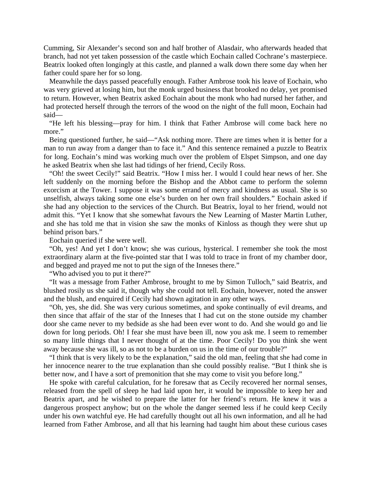Cumming, Sir Alexander's second son and half brother of Alasdair, who afterwards headed that branch, had not yet taken possession of the castle which Eochain called Cochrane's masterpiece. Beatrix looked often longingly at this castle, and planned a walk down there some day when her father could spare her for so long.

 Meanwhile the days passed peacefully enough. Father Ambrose took his leave of Eochain, who was very grieved at losing him, but the monk urged business that brooked no delay, yet promised to return. However, when Beatrix asked Eochain about the monk who had nursed her father, and had protected herself through the terrors of the wood on the night of the full moon, Eochain had said—

 "He left his blessing—pray for him. I think that Father Ambrose will come back here no more."

 Being questioned further, he said—"Ask nothing more. There are times when it is better for a man to run away from a danger than to face it." And this sentence remained a puzzle to Beatrix for long. Eochain's mind was working much over the problem of Elspet Simpson, and one day he asked Beatrix when she last had tidings of her friend, Cecily Ross.

 "Oh! the sweet Cecily!" said Beatrix. "How I miss her. I would I could hear news of her. She left suddenly on the morning before the Bishop and the Abbot came to perform the solemn exorcism at the Tower. I suppose it was some errand of mercy and kindness as usual. She is so unselfish, always taking some one else's burden on her own frail shoulders." Eochain asked if she had any objection to the services of the Church. But Beatrix, loyal to her friend, would not admit this. "Yet I know that she somewhat favours the New Learning of Master Martin Luther, and she has told me that in vision she saw the monks of Kinloss as though they were shut up behind prison bars."

Eochain queried if she were well.

 "Oh, yes! And yet I don't know; she was curious, hysterical. I remember she took the most extraordinary alarm at the five-pointed star that I was told to trace in front of my chamber door, and begged and prayed me not to put the sign of the Inneses there."

"Who advised you to put it there?"

 "It was a message from Father Ambrose, brought to me by Simon Tulloch," said Beatrix, and blushed rosily us she said it, though why she could not tell. Eochain, however, noted the answer and the blush, and enquired if Cecily had shown agitation in any other ways.

 "Oh, yes, she did. She was very curious sometimes, and spoke continually of evil dreams, and then since that affair of the star of the Inneses that I had cut on the stone outside my chamber door she came never to my bedside as she had been ever wont to do. And she would go and lie down for long periods. Oh! I fear she must have been ill, now you ask me. I seem to remember so many little things that I never thought of at the time. Poor Cecily! Do you think she went away because she was ill, so as not to be a burden on us in the time of our trouble?"

 "I think that is very likely to be the explanation," said the old man, feeling that she had come in her innocence nearer to the true explanation than she could possibly realise. "But I think she is better now, and I have a sort of premonition that she may come to visit you before long."

 He spoke with careful calculation, for he foresaw that as Cecily recovered her normal senses, released from the spell of sleep he had laid upon her, it would be impossible to keep her and Beatrix apart, and he wished to prepare the latter for her friend's return. He knew it was a dangerous prospect anyhow; but on the whole the danger seemed less if he could keep Cecily under his own watchful eye. He had carefully thought out all his own information, and all he had learned from Father Ambrose, and all that his learning had taught him about these curious cases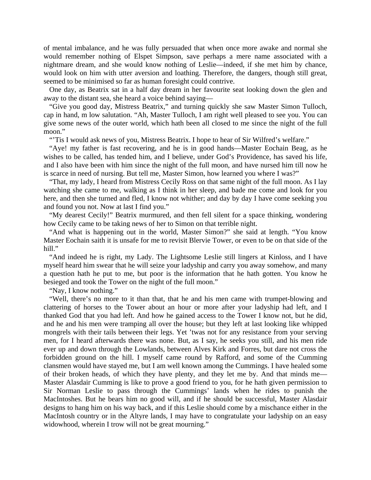of mental imbalance, and he was fully persuaded that when once more awake and normal she would remember nothing of Elspet Simpson, save perhaps a mere name associated with a nightmare dream, and she would know nothing of Leslie—indeed, if she met him by chance, would look on him with utter aversion and loathing. Therefore, the dangers, though still great, seemed to be minimised so far as human foresight could contrive.

 One day, as Beatrix sat in a half day dream in her favourite seat looking down the glen and away to the distant sea, she heard a voice behind saying—

 "Give you good day, Mistress Beatrix," and turning quickly she saw Master Simon Tulloch, cap in hand, m low salutation. "Ah, Master Tulloch, I am right well pleased to see you. You can give some news of the outer world, which hath been all closed to me since the night of the full moon."

"Tis I would ask news of you, Mistress Beatrix. I hope to hear of Sir Wilfred's welfare."

 "Aye! my father is fast recovering, and he is in good hands—Master Eochain Beag, as he wishes to be called, has tended him, and I believe, under God's Providence, has saved his life, and I also have been with him since the night of the full moon, and have nursed him till now he is scarce in need of nursing. But tell me, Master Simon, how learned you where I was?"

 "That, my lady, I heard from Mistress Cecily Ross on that same night of the full moon. As I lay watching she came to me, walking as I think in her sleep, and bade me come and look for you here, and then she turned and fled, I know not whither; and day by day I have come seeking you and found you not. Now at last I find you."

 "My dearest Cecily!" Beatrix murmured, and then fell silent for a space thinking, wondering how Cecily came to be taking news of her to Simon on that terrible night.

 "And what is happening out in the world, Master Simon?" she said at length. "You know Master Eochain saith it is unsafe for me to revisit Blervie Tower, or even to be on that side of the hill."

 "And indeed he is right, my Lady. The Lightsome Leslie still lingers at Kinloss, and I have myself heard him swear that he will seize your ladyship and carry you away somehow, and many a question hath he put to me, but poor is the information that he hath gotten. You know he besieged and took the Tower on the night of the full moon."

"Nay, I know nothing."

 "Well, there's no more to it than that, that he and his men came with trumpet-blowing and clattering of horses to the Tower about an hour or more after your ladyship had left, and I thanked God that you had left. And how he gained access to the Tower I know not, but he did, and he and his men were tramping all over the house; but they left at last looking like whipped mongrels with their tails between their legs. Yet 'twas not for any resistance from your serving men, for I heard afterwards there was none. But, as I say, he seeks you still, and his men ride ever up and down through the Lowlands, between Alves Kirk and Forres, but dare not cross the forbidden ground on the hill. I myself came round by Rafford, and some of the Cumming clansmen would have stayed me, but I am well known among the Cummings. I have healed some of their broken heads, of which they have plenty, and they let me by. And that minds me— Master Alasdair Cumming is like to prove a good friend to you, for he hath given permission to Sir Norman Leslie to pass through the Cummings' lands when he rides to punish the MacIntoshes. But he bears him no good will, and if he should be successful, Master Alasdair designs to hang him on his way back, and if this Leslie should come by a mischance either in the MacIntosh country or in the Altyre lands, I may have to congratulate your ladyship on an easy widowhood, wherein I trow will not be great mourning."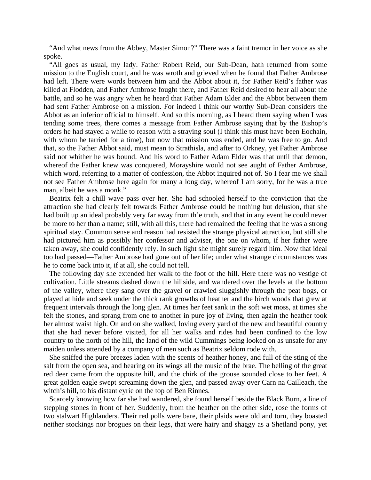"And what news from the Abbey, Master Simon?" There was a faint tremor in her voice as she spoke.

 "All goes as usual, my lady. Father Robert Reid, our Sub-Dean, hath returned from some mission to the English court, and he was wroth and grieved when he found that Father Ambrose had left. There were words between him and the Abbot about it, for Father Reid's father was killed at Flodden, and Father Ambrose fought there, and Father Reid desired to hear all about the battle, and so he was angry when he heard that Father Adam Elder and the Abbot between them had sent Father Ambrose on a mission. For indeed I think our worthy Sub-Dean considers the Abbot as an inferior official to himself. And so this morning, as I heard them saying when I was tending some trees, there comes a message from Father Ambrose saying that by the Bishop's orders he had stayed a while to reason with a straying soul (I think this must have been Eochain, with whom he tarried for a time), but now that mission was ended, and he was free to go. And that, so the Father Abbot said, must mean to Strathisla, and after to Orkney, yet Father Ambrose said not whither he was bound. And his word to Father Adam Elder was that until that demon, whereof the Father knew was conquered, Morayshire would not see aught of Father Ambrose, which word, referring to a matter of confession, the Abbot inquired not of. So I fear me we shall not see Father Ambrose here again for many a long day, whereof I am sorry, for he was a true man, albeit he was a monk."

 Beatrix felt a chill wave pass over her. She had schooled herself to the conviction that the attraction she had clearly felt towards Father Ambrose could be nothing but delusion, that she had built up an ideal probably very far away from th'e truth, and that in any event he could never be more to her than a name; still, with all this, there had remained the feeling that he was a strong spiritual stay. Common sense and reason had resisted the strange physical attraction, but still she had pictured him as possibly her confessor and adviser, the one on whom, if her father were taken away, she could confidently rely. In such light she might surely regard him. Now that ideal too had passed—Father Ambrose had gone out of her life; under what strange circumstances was he to come back into it, if at all, she could not tell.

 The following day she extended her walk to the foot of the hill. Here there was no vestige of cultivation. Little streams dashed down the hillside, and wandered over the levels at the bottom of the valley, where they sang over the gravel or crawled sluggishly through the peat bogs, or played at hide and seek under the thick rank growths of heather and the birch woods that grew at frequent intervals through the long glen. At times her feet sank in the soft wet moss, at times she felt the stones, and sprang from one to another in pure joy of living, then again the heather took her almost waist high. On and on she walked, loving every yard of the new and beautiful country that she had never before visited, for all her walks and rides had been confined to the low country to the north of the hill, the land of the wild Cummings being looked on as unsafe for any maiden unless attended by a company of men such as Beatrix seldom rode with.

 She sniffed the pure breezes laden with the scents of heather honey, and full of the sting of the salt from the open sea, and bearing on its wings all the music of the brae. The belling of the great red deer came from the opposite hill, and the chirk of the grouse sounded close to her feet. A great golden eagle swept screaming down the glen, and passed away over Carn na Cailleach, the witch's hill, to his distant eyrie on the top of Ben Rinnes.

 Scarcely knowing how far she had wandered, she found herself beside the Black Burn, a line of stepping stones in front of her. Suddenly, from the heather on the other side, rose the forms of two stalwart Highlanders. Their red polls were bare, their plaids were old and torn, they boasted neither stockings nor brogues on their legs, that were hairy and shaggy as a Shetland pony, yet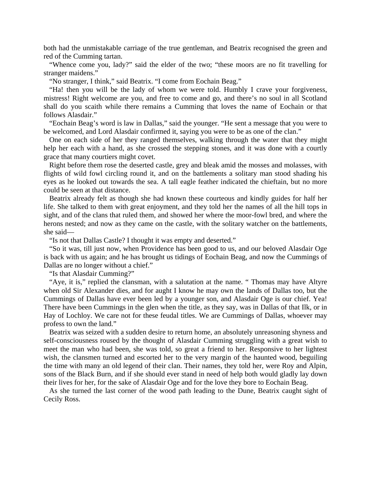both had the unmistakable carriage of the true gentleman, and Beatrix recognised the green and red of the Cumming tartan.

 "Whence come you, lady?" said the elder of the two; "these moors are no fit travelling for stranger maidens."

"No stranger, I think," said Beatrix. "I come from Eochain Beag."

 "Ha! then you will be the lady of whom we were told. Humbly I crave your forgiveness, mistress! Right welcome are you, and free to come and go, and there's no soul in all Scotland shall do you scaith while there remains a Cumming that loves the name of Eochain or that follows Alasdair."

 "Eochain Beag's word is law in Dallas," said the younger. "He sent a message that you were to be welcomed, and Lord Alasdair confirmed it, saying you were to be as one of the clan."

 One on each side of her they ranged themselves, walking through the water that they might help her each with a hand, as she crossed the stepping stones, and it was done with a courtly grace that many courtiers might covet.

 Right before them rose the deserted castle, grey and bleak amid the mosses and molasses, with flights of wild fowl circling round it, and on the battlements a solitary man stood shading his eyes as he looked out towards the sea. A tall eagle feather indicated the chieftain, but no more could be seen at that distance.

 Beatrix already felt as though she had known these courteous and kindly guides for half her life. She talked to them with great enjoyment, and they told her the names of all the hill tops in sight, and of the clans that ruled them, and showed her where the moor-fowl bred, and where the herons nested; and now as they came on the castle, with the solitary watcher on the battlements, she said—

"Is not that Dallas Castle? I thought it was empty and deserted."

 "So it was, till just now, when Providence has been good to us, and our beloved Alasdair Oge is back with us again; and he has brought us tidings of Eochain Beag, and now the Cummings of Dallas are no longer without a chief."

"Is that Alasdair Cumming?"

 "Aye, it is," replied the clansman, with a salutation at the name. " Thomas may have Altyre when old Sir Alexander dies, and for aught I know he may own the lands of Dallas too, but the Cummings of Dallas have ever been led by a younger son, and Alasdair Oge is our chief. Yea! There have been Cummings in the glen when the title, as they say, was in Dallas of that Ilk, or in Hay of Lochloy. We care not for these feudal titles. We are Cummings of Dallas, whoever may profess to own the land."

 Beatrix was seized with a sudden desire to return home, an absolutely unreasoning shyness and self-consciousness roused by the thought of Alasdair Cumming struggling with a great wish to meet the man who had been, she was told, so great a friend to her. Responsive to her lightest wish, the clansmen turned and escorted her to the very margin of the haunted wood, beguiling the time with many an old legend of their clan. Their names, they told her, were Roy and Alpin, sons of the Black Burn, and if she should ever stand in need of help both would gladly lay down their lives for her, for the sake of Alasdair Oge and for the love they bore to Eochain Beag.

 As she turned the last corner of the wood path leading to the Dune, Beatrix caught sight of Cecily Ross.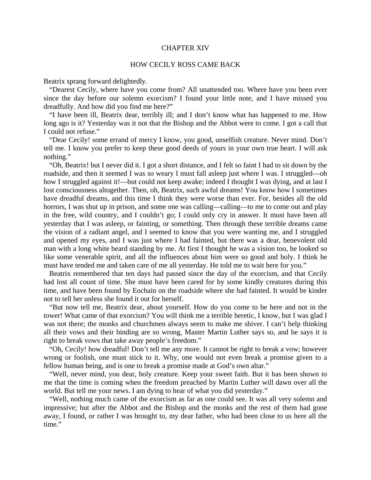#### CHAPTER XIV

# HOW CECILY ROSS CAME BACK

Beatrix sprang forward delightedly.

 "Dearest Cecily, where have you come from? All unattended too. Where have you been ever since the day before our solemn exorcism? I found your little note, and I have missed you dreadfully. And how did you find me here?"

 "I have been ill, Beatrix dear, terribly ill; and I don't know what has happened to me. How long ago is it? Yesterday was it not that the Bishop and the Abbot were to come. I got a call that I could not refuse."

 "Dear Cecily! some errand of mercy I know, you good, unselfish creature. Never mind. Don't tell me. I know you prefer to keep these good deeds of yours in your own true heart. I will ask nothing."

 "Oh, Beatrix! but I never did it. I got a short distance, and I felt so faint I had to sit down by the roadside, and then it seemed I was so weary I must fall asleep just where I was. I struggled—oh how I struggled against it!—but could not keep awake; indeed I thought I was dying, and at last I lost consciousness altogether. Then, oh, Beatrix, such awful dreams! You know how I sometimes have dreadful dreams, and this time I think they were worse than ever. For, besides all the old horrors, I was shut up in prison, and some one was calling—calling—to me to come out and play in the free, wild country, and I couldn't go; I could only cry in answer. It must have been all yesterday that I was asleep, or fainting, or something. Then through these terrible dreams came the vision of a radiant angel, and I seemed to know that you were wanting me, and I struggled and opened my eyes, and I was just where I had fainted, but there was a dear, benevolent old man with a long white beard standing by me. At first I thought he was a vision too, he looked so like some venerable spirit, and all the influences about him were so good and holy. I think he must have tended me and taken care of me all yesterday. He told me to wait here for you."

 Beatrix remembered that ten days had passed since the day of the exorcism, and that Cecily had lost all count of time. She must have been cared for by some kindly creatures during this time, and have been found by Eochain on the roadside where she had fainted. It would be kinder not to tell her unless she found it out for herself.

 "But now tell me, Beatrix dear, about yourself. How do you come to be here and not in the tower! What came of that exorcism? You will think me a terrible heretic, I know, but I was glad I was not there; the monks and churchmen always seem to make me shiver. I can't help thinking all their vows and their binding are so wrong, Master Martin Luther says so, and he says it is right to break vows that take away people's freedom."

 "Oh, Cecily! how dreadful! Don't tell me any more. It cannot be right to break a vow; however wrong or foolish, one must stick to it. Why, one would not even break a promise given to a fellow human being, and is one to break a promise made at God's own altar."

 "Well, never mind, you dear, holy creature. Keep your sweet faith. But it has been shown to me that the time is coming when the freedom preached by Martin Luther will dawn over all the world. But tell me your news. I am dying to hear of what you did yesterday."

 "Well, nothing much came of the exorcism as far as one could see. It was all very solemn and impressive; but after the Abbot and the Bishop and the monks and the rest of them had gone away, I found, or rather I was brought to, my dear father, who had been close to us here all the time."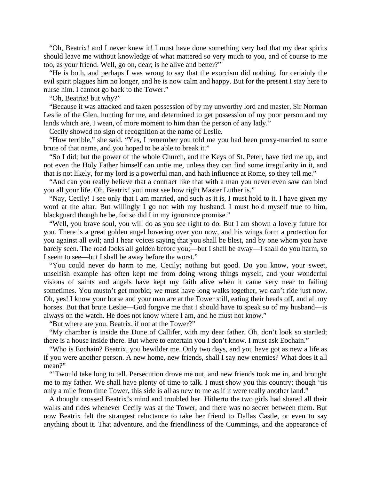"Oh, Beatrix! and I never knew it! I must have done something very bad that my dear spirits should leave me without knowledge of what mattered so very much to you, and of course to me too, as your friend. Well, go on, dear; is he alive and better?"

 "He is both, and perhaps I was wrong to say that the exorcism did nothing, for certainly the evil spirit plagues him no longer, and he is now calm and happy. But for the present I stay here to nurse him. I cannot go back to the Tower."

"Oh, Beatrix! but why?"

 "Because it was attacked and taken possession of by my unworthy lord and master, Sir Norman Leslie of the Glen, hunting for me, and determined to get possession of my poor person and my lands which are, I wean, of more moment to him than the person of any lady."

Cecily showed no sign of recognition at the name of Leslie.

 "How terrible," she said. "Yes, I remember you told me you had been proxy-married to some brute of that name, and you hoped to be able to break it."

 "So I did; but the power of the whole Church, and the Keys of St. Peter, have tied me up, and not even the Holy Father himself can untie me, unless they can find some irregularity in it, and that is not likely, for my lord is a powerful man, and hath influence at Rome, so they tell me."

 "And can you really believe that a contract like that with a man you never even saw can bind you all your life. Oh, Beatrix! you must see how right Master Luther is."

 "Nay, Cecily! I see only that I am married, and such as it is, I must hold to it. I have given my word at the altar. But willingly I go not with my husband. I must hold myself true to him, blackguard though he be, for so did I in my ignorance promise."

 "Well, you brave soul, you will do as you see right to do. But I am shown a lovely future for you. There is a great golden angel hovering over you now, and his wings form a protection for you against all evil; and I hear voices saying that you shall be blest, and by one whom you have barely seen. The road looks all golden before you;—but I shall be away—I shall do you harm, so I seem to see—but I shall be away before the worst."

 "You could never do harm to me, Cecily; nothing but good. Do you know, your sweet, unselfish example has often kept me from doing wrong things myself, and your wonderful visions of saints and angels have kept my faith alive when it came very near to failing sometimes. You mustn't get morbid; we must have long walks together, we can't ride just now. Oh, yes! I know your horse and your man are at the Tower still, eating their heads off, and all my horses. But that brute Leslie—God forgive me that I should have to speak so of my husband—is always on the watch. He does not know where I am, and he must not know."

"But where are you, Beatrix, if not at the Tower?"

 "My chamber is inside the Dune of Callifer, with my dear father. Oh, don't look so startled; there is a house inside there. But where to entertain you I don't know. I must ask Eochain."

 "Who is Eochain? Beatrix, you bewilder me. Only two days, and you have got as new a life as if you were another person. A new home, new friends, shall I say new enemies? What does it all mean?"

 "'Twould take long to tell. Persecution drove me out, and new friends took me in, and brought me to my father. We shall have plenty of time to talk. I must show you this country; though 'tis only a mile from time Tower, this side is all as new to me as if it were really another land."

 A thought crossed Beatrix's mind and troubled her. Hitherto the two girls had shared all their walks and rides whenever Cecily was at the Tower, and there was no secret between them. But now Beatrix felt the strangest reluctance to take her friend to Dallas Castle, or even to say anything about it. That adventure, and the friendliness of the Cummings, and the appearance of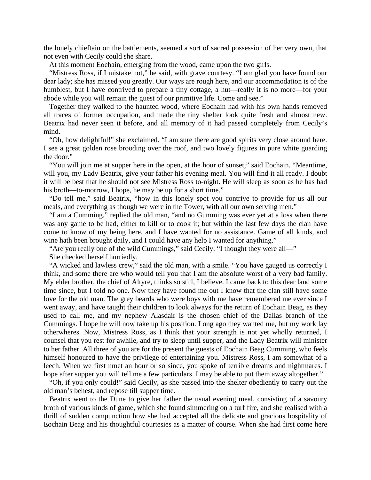the lonely chieftain on the battlements, seemed a sort of sacred possession of her very own, that not even with Cecily could she share.

At this moment Eochain, emerging from the wood, came upon the two girls.

 "Mistress Ross, if I mistake not," he said, with grave courtesy. "I am glad you have found our dear lady; she has missed you greatly. Our ways are rough here, and our accommodation is of the humblest, but I have contrived to prepare a tiny cottage, a hut—really it is no more—for your abode while you will remain the guest of our primitive life. Come and see."

 Together they walked to the haunted wood, where Eochain had with his own hands removed all traces of former occupation, and made the tiny shelter look quite fresh and almost new. Beatrix had never seen it before, and all memory of it had passed completely from Cecily's mind.

 "Oh, how delightful!" she exclaimed. "I am sure there are good spirits very close around here. I see a great golden rose brooding over the roof, and two lovely figures in pure white guarding the door."

 "You will join me at supper here in the open, at the hour of sunset," said Eochain. "Meantime, will you, my Lady Beatrix, give your father his evening meal. You will find it all ready. I doubt it will be best that he should not see Mistress Ross to-night. He will sleep as soon as he has had his broth—to-morrow, I hope, he may be up for a short time."

 "Do tell me," said Beatrix, "how in this lonely spot you contrive to provide for us all our meals, and everything as though we were in the Tower, with all our own serving men."

 "I am a Cumming," replied the old man, "and no Gumming was ever yet at a loss when there was any game to be had, either to kill or to cook it; but within the last few days the clan have come to know of my being here, and I have wanted for no assistance. Game of all kinds, and wine hath been brought daily, and I could have any help I wanted for anything."

"Are you really one of the wild Cummings," said Cecily. "I thought they were all—"

She checked herself hurriedly.

 "A wicked and lawless crew," said the old man, with a smile. "You have gauged us correctly I think, and some there are who would tell you that I am the absolute worst of a very bad family. My elder brother, the chief of Altyre, thinks so still, I believe. I came back to this dear land some time since, but I told no one. Now they have found me out I know that the clan still have some love for the old man. The grey beards who were boys with me have remembered me ever since I went away, and have taught their children to look always for the return of Eochain Beag, as they used to call me, and my nephew Alasdair is the chosen chief of the Dallas branch of the Cummings. I hope he will now take up his position. Long ago they wanted me, but my work lay otherwheres. Now, Mistress Ross, as I think that your strength is not yet wholly returned, I counsel that you rest for awhile, and try to sleep until supper, and the Lady Beatrix will minister to her father. All three of you are for the present the guests of Eochain Beag Cumming, who feels himself honoured to have the privilege of entertaining you. Mistress Ross, I am somewhat of a leech. When we first nmet an hour or so since, you spoke of terrible dreams and nightmares. I hope after supper you will tell me a few particulars. I may be able to put them away altogether."

 "Oh, if you only could!" said Cecily, as she passed into the shelter obediently to carry out the old man's behest, and repose till supper time.

 Beatrix went to the Dune to give her father the usual evening meal, consisting of a savoury broth of various kinds of game, which she found simmering on a turf fire, and she realised with a thrill of sudden compunction how she had accepted all the delicate and gracious hospitality of Eochain Beag and his thoughtful courtesies as a matter of course. When she had first come here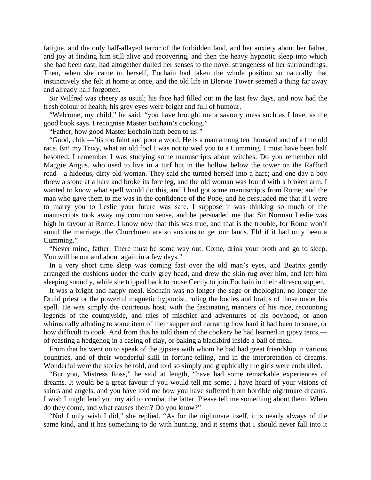fatigue, and the only half-allayed terror of the forbidden land, and her anxiety about her father, and joy at finding him still alive and recovering, and then the heavy hypnotic sleep into which she had been cast, had altogether dulled her senses to the novel strangeness of her surroundings. Then, when she came to herself, Eochain had taken the whole position so naturally that instinctively she felt at home at once, and the old life in Blervie Tower seemed a thing far away and already half forgotten.

 Sir Wilfred was cheery as usual; his face had filled out in the last few days, and now had the fresh colour of health; his grey eyes were bright and full of humour.

 "Welcome, my child," he said, "you have brought me a savoury mess such as I love, as the good book says. I recognise Master Eochain's cooking."

"Father, how good Master Eochain hath been to us!"

 "Good, child—'tis too faint and poor a word. He is a man among ten thousand and of a fine old race. En! my Trixy, what an old fool I was not to wed you to a Cumming. I must have been half besotted. I remember I was studying some manuscripts about witches. Do you remember old Maggie Angus, who used to live in a turf hut in the hollow below the tower on the Rafford road—a hideous, dirty old woman. They said she turned herself into a hare; and one day a boy threw a stone at a hare and broke its fore leg, and the old woman was found with a broken arm. I wanted to know what spell would do this, and I had got some manuscripts from Rome; and the man who gave them to me was in the confidence of the Pope, and he persuaded me that if I were to marry you to Leslie your future was safe. I suppose it was thinking so much of the manuscripts took away my common sense, and he persuaded me that Sir Norman Leslie was high in favour at Rome. I know now that this was true, and that is the trouble, for Rome won't annul the marriage, the Churchmen are so anxious to get our lands. Eh! if it had only been a Cumming."

 "Never mind, father. There must be some way out. Come, drink your broth and go to sleep. You will be out and about again in a few days."

 In a very short time sleep was coming fast over the old man's eyes, and Beatrix gently arranged the cushions under the curly grey head, and drew the skin rug over him, and left him sleeping soundly, while she tripped back to rouse Cecily to join Eochain in their alfresco supper.

 It was a bright and happy meal. Eochain was no longer the sage or theologian, no longer the Druid priest or the powerful magnetic hypnotist, ruling the bodies and brains of those under his spell. He was simply the courteous host, with the fascinating manners of his race, recounting legends of the countryside, and tales of mischief and adventures of his boyhood, or anon whimsically alluding to some item of their supper and narrating how hard it had been to snare, or how difficult to cook. And from this he told them of the cookery he had learned in gipsy tents, of roasting a hedgehog in a casing of clay, or baking a blackbird inside a ball of meal.

 From that he went on to speak of the gipsies with whom he had had great friendship in various countries, and of their wonderful skill in fortune-telling, and in the interpretation of dreams. Wonderful were the stories he told, and told so simply and graphically the girls were enthralled.

 "But you, Mistress Ross," he said at length, "have had some remarkable experiences of dreams. It would be a great favour if you would tell me some. I have heard of your visions of saints and angels, and you have told me how you have suffered from horrible nightmare dreams. I wish I might lend you my aid to combat the latter. Please tell me something about them. When do they come, and what causes them? Do you know?"

 "No! I only wish I did," she replied. "As for the nightmare itself, it is nearly always of the same kind, and it has something to do with hunting, and it seems that I should never fall into it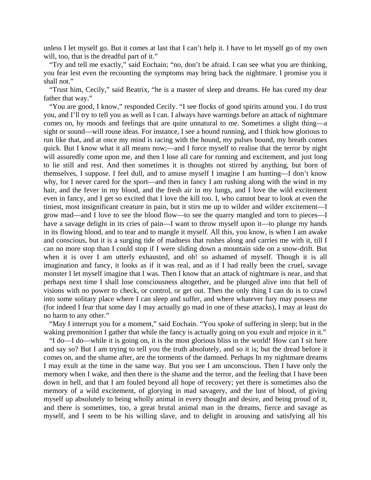unless I let myself go. But it comes at last that I can't help it. I have to let myself go of my own will, too, that is the dreadful part of it."

 "Try and tell me exactly," said Eochain; "no, don't be afraid. I can see what you are thinking, you fear lest even the recounting the symptoms may bring back the nightmare. I promise you it shall not."

 "Trust him, Cecily," said Beatrix, "he is a master of sleep and dreams. He has cured my dear father that way."

 "You are good, I know," responded Cecily. "I see flocks of good spirits around you. I do trust you, and I'll try to tell you as well as I can. I always have warnings before an attack of nightmare comes on, by moods and feelings that are quite unnatural to me. Sometimes a slight thing—a sight or sound—will rouse ideas. For instance, I see a hound running, and I think how glorious to run like that, and at once my mind is racing with the hound, my pulses bound, my breath comes quick. But I know what it all means now;—and I force myself to realise that the terror by night will assuredly come upon me, and then I lose all care for running and excitement, and just long to lie still and rest. And then sometimes it is thoughts not stirred by anything, but born of themselves, I suppose. I feel dull, and to amuse myself I imagine I am hunting—I don't know why, for I never cared for the sport—and then in fancy I am rushing along with the wind in my hair, and the fever in my blood, and the fresh air in my lungs, and I love the wild excitement even in fancy, and I get so excited that I love the kill too. I, who cannot bear to look at even the tiniest, most insignificant creature in pain, but it stirs me up to wilder and wilder excitement—I grow mad—and I love to see the blood flow—to see the quarry mangled and torn to pieces—I have a savage delight in its cries of pain—I want to throw myself upon it—to plunge my hands in its flowing blood, and to tear and to mangle it myself. All this, you know, is when I am awake and conscious, but it is a surging tide of madness that rushes along and carries me with it, till I can no more stop than I could stop if I were sliding down a mountain side on a snow-drift. But when it is over I am utterly exhausted, and oh! so ashamed of myself. Though it is all imagination and fancy, it looks as if it was real, and as if I had really been the cruel, savage monster I let myself imagine that I was. Then I know that an attack of nightmare is near, and that perhaps next time I shall lose consciousness altogether, and be plunged alive into that hell of visions with no power to check, or control, or get out. Then the only thing I can do is to crawl into some solitary place where I can sleep and suffer, and where whatever fury may possess me (for indeed I fear that some day I may actually go mad in one of these attacks), I may at least do no harm to any other."

 "May I interrupt you for a moment," said Eochain. "You spoke of suffering in sleep; but in the waking premonition I gather that while the fancy is actually going on you exult and rejoice in it."

 "I do—I do—while it is going on, it is the most glorious bliss in the world! How can I sit here and say so? But I am trying to tell you the truth absolutely, and so it is; but the dread before it comes on, and the shame after, are the torments of the damned. Perhaps In my nightmare dreams I may exult at the time in the same way. But you see I am unconscious. Then I have only the memory when I wake, and then there is the shame and the terror, and the feeling that I have been down in hell, and that I am fouled beyond all hope of recovery; yet there is sometimes also the memory of a wild excitement, of glorying in mad savagery, and the lust of blood, of giving myself up absolutely to being wholly animal in every thought and desire, and being proud of it, and there is sometimes, too, a great brutal animal man in the dreams, fierce and savage as myself, and I seem to be his willing slave, and to delight in arousing and satisfying all his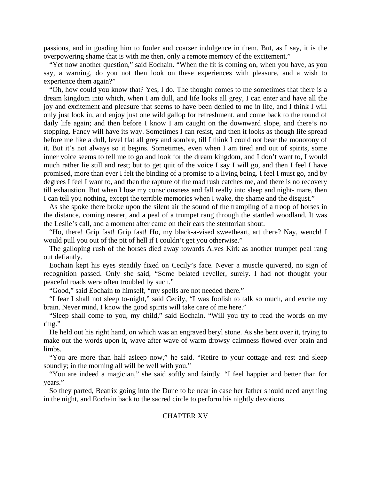passions, and in goading him to fouler and coarser indulgence in them. But, as I say, it is the overpowering shame that is with me then, only a remote memory of the excitement."

 "Yet now another question," said Eochain. "When the fit is coming on, when you have, as you say, a warning, do you not then look on these experiences with pleasure, and a wish to experience them again?"

 "Oh, how could you know that? Yes, I do. The thought comes to me sometimes that there is a dream kingdom into which, when I am dull, and life looks all grey, I can enter and have all the joy and excitement and pleasure that seems to have been denied to me in life, and I think I will only just look in, and enjoy just one wild gallop for refreshment, and come back to the round of daily life again; and then before I know I am caught on the downward slope, and there's no stopping. Fancy will have its way. Sometimes I can resist, and then it looks as though life spread before me like a dull, level flat all grey and sombre, till I think I could not bear the monotony of it. But it's not always so it begins. Sometimes, even when I am tired and out of spirits, some inner voice seems to tell me to go and look for the dream kingdom, and I don't want to, I would much rather lie still and rest; but to get quit of the voice I say I will go, and then I feel I have promised, more than ever I felt the binding of a promise to a living being. I feel I must go, and by degrees I feel I want to, and then the rapture of the mad rush catches me, and there is no recovery till exhaustion. But when I lose my consciousness and fall really into sleep and night- mare, then I can tell you nothing, except the terrible memories when I wake, the shame and the disgust."

 As she spoke there broke upon the silent air the sound of the trampling of a troop of horses in the distance, coming nearer, and a peal of a trumpet rang through the startled woodland. It was the Leslie's call, and a moment after came on their ears the stentorian shout.

 "Ho, there! Grip fast! Grip fast! Ho, my black-a-vised sweetheart, art there? Nay, wench! I would pull you out of the pit of hell if I couldn't get you otherwise."

 The galloping rush of the horses died away towards Alves Kirk as another trumpet peal rang out defiantly.

 Eochain kept his eyes steadily fixed on Cecily's face. Never a muscle quivered, no sign of recognition passed. Only she said, "Some belated reveller, surely. I had not thought your peaceful roads were often troubled by such."

"Good," said Eochain to himself, "my spells are not needed there."

 "I fear I shall not sleep to-night," said Cecily, "I was foolish to talk so much, and excite my brain. Never mind, I know the good spirits will take care of me here."

 "Sleep shall come to you, my child," said Eochain. "Will you try to read the words on my ring."

 He held out his right hand, on which was an engraved beryl stone. As she bent over it, trying to make out the words upon it, wave after wave of warm drowsy calmness flowed over brain and limbs.

 "You are more than half asleep now," he said. "Retire to your cottage and rest and sleep soundly; in the morning all will be well with you."

 "You are indeed a magician," she said softly and faintly. "I feel happier and better than for years."

 So they parted, Beatrix going into the Dune to be near in case her father should need anything in the night, and Eochain back to the sacred circle to perform his nightly devotions.

### CHAPTER XV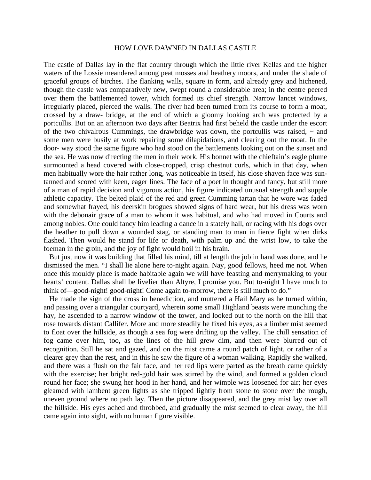### HOW LOVE DAWNED IN DALLAS CASTLE

The castle of Dallas lay in the flat country through which the little river Kellas and the higher waters of the Lossie meandered among peat mosses and heathery moors, and under the shade of graceful groups of birches. The flanking walls, square in form, and already grey and hichened, though the castle was comparatively new, swept round a considerable area; in the centre peered over them the battlemented tower, which formed its chief strength. Narrow lancet windows, irregularly placed, pierced the walls. The river had been turned from its course to form a moat, crossed by a draw- bridge, at the end of which a gloomy looking arch was protected by a portcullis. But on an afternoon two days after Beatrix had first beheld the castle under the escort of the two chivalrous Cummings, the drawbridge was down, the portcullis was raised,  $\sim$  and some men were busily at work repairing some dilapidations, and clearing out the moat. In the door- way stood the same figure who had stood on the battlements looking out on the sunset and the sea. He was now directing the men in their work. His bonnet with the chieftain's eagle plume surmounted a head covered with close-cropped, crisp chestnut curls, which in that day, when men habitually wore the hair rather long, was noticeable in itself, his close shaven face was suntanned and scored with keen, eager lines. The face of a poet in thought and fancy, but still more of a man of rapid decision and vigorous action, his figure indicated unusual strength and supple athletic capacity. The belted plaid of the red and green Cumming tartan that he wore was faded and somewhat frayed, his deerskin brogues showed signs of hard wear, but his dress was worn with the debonair grace of a man to whom it was habitual, and who had moved in Courts and among nobles. One could fancy him leading a dance in a stately hall, or racing with his dogs over the heather to pull down a wounded stag, or standing man to man in fierce fight when dirks flashed. Then would he stand for life or death, with palm up and the wrist low, to take the foeman in the groin, and the joy of fight would boil in his brain.

 But just now it was building that filled his mind, till at length the job in hand was done, and he dismissed the men. "I shall lie alone here to-night again. Nay, good fellows, heed me not. When once this mouldy place is made habitable again we will have feasting and merrymaking to your hearts' content. Dallas shall be livelier than Altyre, I promise you. But to-night I have much to think of—good-night! good-night! Come again to-morrow, there is still much to do."

 He made the sign of the cross in benediction, and muttered a Hail Mary as he turned within, and passing over a triangular courtyard, wherein some small Highland beasts were munching the hay, he ascended to a narrow window of the tower, and looked out to the north on the hill that rose towards distant Callifer. More and more steadily he fixed his eyes, as a limber mist seemed to float over the hillside, as though a sea fog were drifting up the valley. The chill sensation of fog came over him, too, as the lines of the hill grew dim, and then were blurred out of recognition. Still he sat and gazed, and on the mist came a round patch of light, or rather of a clearer grey than the rest, and in this he saw the figure of a woman walking. Rapidly she walked, and there was a flush on the fair face, and her red lips were parted as the breath came quickly with the exercise; her bright red-gold hair was stirred by the wind, and formed a golden cloud round her face; she swung her hood in her hand, and her wimple was loosened for air; her eyes gleamed with lambent green lights as she tripped lightly from stone to stone over the rough, uneven ground where no path lay. Then the picture disappeared, and the grey mist lay over all the hillside. His eyes ached and throbbed, and gradually the mist seemed to clear away, the hill came again into sight, with no human figure visible.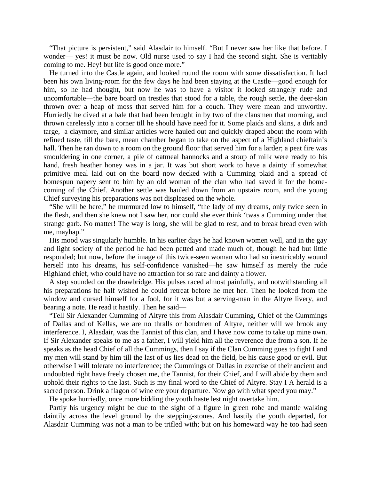"That picture is persistent," said Alasdair to himself. "But I never saw her like that before. I wonder— yes! it must be now. Old nurse used to say I had the second sight. She is veritably coming to me. Hey! but life is good once more."

 He turned into the Castle again, and looked round the room with some dissatisfaction. It had been his own living-room for the few days he had been staying at the Castle—good enough for him, so he had thought, but now he was to have a visitor it looked strangely rude and uncomfortable—the bare board on trestles that stood for a table, the rough settle, the deer-skin thrown over a heap of moss that served him for a couch. They were mean and unworthy. Hurriedly he dived at a bale that had been brought in by two of the clansmen that morning, and thrown carelessly into a corner till he should have need for it. Some plaids and skins, a dirk and targe, a claymore, and similar articles were hauled out and quickly draped about the room with refined taste, till the bare, mean chamber began to take on the aspect of a Highland chieftain's hall. Then he ran down to a room on the ground floor that served him for a larder; a peat fire was smouldering in one corner, a pile of oatmeal bannocks and a stoup of milk were ready to his hand, fresh heather honey was in a jar. It was but short work to have a dainty if somewhat primitive meal laid out on the board now decked with a Cumming plaid and a spread of homespun napery sent to him by an old woman of the clan who had saved it for the homecoming of the Chief. Another settle was hauled down from an upstairs room, and the young Chief surveying his preparations was not displeased on the whole.

 "She will be here," he murmured low to himself, "the lady of my dreams, only twice seen in the flesh, and then she knew not I saw her, nor could she ever think 'twas a Cumming under that strange garb. No matter! The way is long, she will be glad to rest, and to break bread even with me, mayhap."

 His mood was singularly humble. In his earlier days he had known women well, and in the gay and light society of the period he had been petted and made much of, though he had but little responded; but now, before the image of this twice-seen woman who had so inextricably wound herself into his dreams, his self-confidence vanished—he saw himself as merely the rude Highland chief, who could have no attraction for so rare and dainty a flower.

 A step sounded on the drawbridge. His pulses raced almost painfully, and notwithstanding all his preparations he half wished he could retreat before he met her. Then he looked from the window and cursed himself for a fool, for it was but a serving-man in the Altyre livery, and bearing a note. He read it hastily. Then he said—

 "Tell Sir Alexander Cumming of Altyre this from Alasdair Cumming, Chief of the Cummings of Dallas and of Kellas, we are no thralls or bondmen of Altyre, neither will we brook any interference. I, Alasdair, was the Tannist of this clan, and I have now come to take up mine own. If Sir Alexander speaks to me as a father, I will yield him all the reverence due from a son. If he speaks as the head Chief of all the Cummings, then I say if the Clan Cumming goes to fight I and my men will stand by him till the last of us lies dead on the field, be his cause good or evil. But otherwise I will tolerate no interference; the Cummings of Dallas in exercise of their ancient and undoubted right have freely chosen me, the Tannist, for their Chief, and I will abide by them and uphold their rights to the last. Such is my final word to the Chief of Altyre. Stay I A herald is a sacred person. Drink a flagon of wine ere your departure. Now go with what speed you may."

He spoke hurriedly, once more bidding the youth haste lest night overtake him.

 Partly his urgency might be due to the sight of a figure in green robe and mantle walking daintily across the level ground by the stepping-stones. And hastily the youth departed, for Alasdair Cumming was not a man to be trifled with; but on his homeward way he too had seen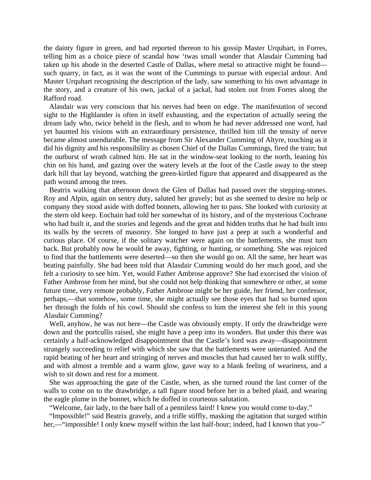the dainty figure in green, and had reported thereon to his gossip Master Urquhart, in Forres, telling him as a choice piece of scandal how 'twas small wonder that Alasdair Cumming had taken up his abode in the deserted Castle of Dallas, where metal so attractive might be found such quarry, in fact, as it was the wont of the Cummings to pursue with especial ardour. And Master Urquhart recognising the description of the lady, saw something to his own advantage in the story, and a creature of his own, jackal of a jackal, had stolen out from Forres along the Rafford road.

 Alasdair was very conscious that his nerves had been on edge. The manifestation of second sight to the Highlander is often in itself exhausting, and the expectation of actually seeing the dream lady who, twice beheld in the flesh, and to whom he had never addressed one word, had yet haunted his visions with an extraordinary persistence, thrilled him till the tensity of nerve became almost unendurable. The message from Sir Alexander Cumming of Altyre, touching as it did his dignity and his responsibility as chosen Chief of the Dallas Cummings, fired the train; but the outburst of wrath calmed him. He sat in the window-seat looking to the north, leaning his chin on his hand, and gazing over the watery levels at the foot of the Castle away to the steep dark hill that lay beyond, watching the green-kirtled figure that appeared and disappeared as the path wound among the trees.

 Beatrix walking that afternoon down the Glen of Dallas had passed over the stepping-stones. Roy and Alpin, again on sentry duty, saluted her gravely; but as she seemed to desire no help or company they stood aside with doffed bonnets, allowing her to pass. She looked with curiosity at the stern old keep. Eochain had told her somewhat of its history, and of the mysterious Cochrane who had built it, and the stories and legends and the great and hidden truths that he had built into its walls by the secrets of masonry. She longed to have just a peep at such a wonderful and curious place. Of course, if the solitary watcher were again on the battlements, she must turn back. But probably now he would be away, fighting, or hunting, or something. She was rejoiced to find that the battlements were deserted—so then she would go on. All the same, her heart was beating painfully. She had been told that Alasdair Cumming would do her much good, and she felt a curiosity to see him. Yet, would Father Ambrose approve? She had exorcised the vision of Father Ambrose from her mind, but she could not help thinking that somewhere or other, at some future time, very remote probably, Father Ambrose might be her guide, her friend, her confessor, perhaps,—that somehow, some time, she might actually see those eyes that had so burned upon her through the folds of his cowl. Should she confess to him the interest she felt in this young Alasdair Cumming?

 Well, anyhow, he was not here—the Castle was obviously empty. If only the drawbridge were down and the portcullis raised, she might have a peep into its wonders. But under this there was certainly a half-acknowledged disappointment that the Castle's lord was away—disappointment strangely succeeding to relief with which she saw that the battlements were untenanted. And the rapid beating of her heart and stringing of nerves and muscles that had caused her to walk stiffly, and with almost a tremble and a warm glow, gave way to a blank feeling of weariness, and a wish to sit down and rest for a moment.

 She was approaching the gate of the Castle, when, as she turned round the last corner of the walls to come on to the drawbridge, a tall figure stood before her in a belted plaid, and wearing the eagle plume in the bonnet, which he doffed in courteous salutation.

"Welcome, fair lady, to the bare hall of a penniless laird! I knew you would come to-day."

 "Impossible!" said Beatrix gravely, and a trifle stiffly, masking the agitation that surged within her,—"impossible! I only knew myself within the last half-hour; indeed, had I known that you-"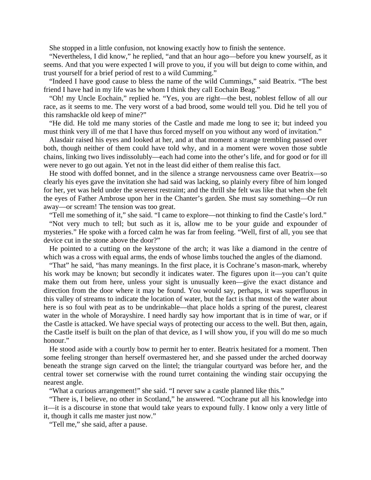She stopped in a little confusion, not knowing exactly how to finish the sentence.

 "Nevertheless, I did know," he replied, "and that an hour ago—before you knew yourself, as it seems. And that you were expected I will prove to you, if you will but deign to come within, and trust yourself for a brief period of rest to a wild Cumming."

 "Indeed I have good cause to bless the name of the wild Cummings," said Beatrix. "The best friend I have had in my life was he whom I think they call Eochain Beag."

 "Oh! my Uncle Eochain," replied he. "Yes, you are right—the best, noblest fellow of all our race, as it seems to me. The very worst of a bad brood, some would tell you. Did he tell you of this ramshackle old keep of mine?"

 "He did. He told me many stories of the Castle and made me long to see it; but indeed you must think very ill of me that I have thus forced myself on you without any word of invitation."

 Alasdair raised his eyes and looked at her, and at that moment a strange trembling passed over both, though neither of them could have told why, and in a moment were woven those subtle chains, linking two lives indissolubly—each had come into the other's life, and for good or for ill were never to go out again. Yet not in the least did either of them realise this fact.

 He stood with doffed bonnet, and in the silence a strange nervousness came over Beatrix—so clearly his eyes gave the invitation she had said was lacking, so plainly every fibre of him longed for her, yet was held under the severest restraint; and the thrill she felt was like that when she felt the eyes of Father Ambrose upon her in the Chanter's garden. She must say something—Or run away—or scream! The tension was too great.

"Tell me something of it," she said. "I came to explore—not thinking to find the Castle's lord."

 "Not very much to tell; but such as it is, allow me to be your guide and expounder of mysteries." He spoke with a forced calm he was far from feeling. "Well, first of all, you see that device cut in the stone above the door?"

 He pointed to a cutting on the keystone of the arch; it was like a diamond in the centre of which was a cross with equal arms, the ends of whose limbs touched the angles of the diamond.

"That" he said, "has many meanings. In the first place, it is Cochrane's mason-mark, whereby his work may be known; but secondly it indicates water. The figures upon it—you can't quite make them out from here, unless your sight is unusually keen—give the exact distance and direction from the door where it may be found. You would say, perhaps, it was superfluous in this valley of streams to indicate the location of water, but the fact is that most of the water about here is so foul with peat as to be undrinkable—that place holds a spring of the purest, clearest water in the whole of Morayshire. I need hardly say how important that is in time of war, or if the Castle is attacked. We have special ways of protecting our access to the well. But then, again, the Castle itself is built on the plan of that device, as I will show you, if you will do me so much honour."

 He stood aside with a courtly bow to permit her to enter. Beatrix hesitated for a moment. Then some feeling stronger than herself overmastered her, and she passed under the arched doorway beneath the strange sign carved on the lintel; the triangular courtyard was before her, and the central tower set cornerwise with the round turret containing the winding stair occupying the nearest angle.

"What a curious arrangement!" she said. "I never saw a castle planned like this."

 "There is, I believe, no other in Scotland," he answered. "Cochrane put all his knowledge into it—it is a discourse in stone that would take years to expound fully. I know only a very little of it, though it calls me master just now."

"Tell me," she said, after a pause.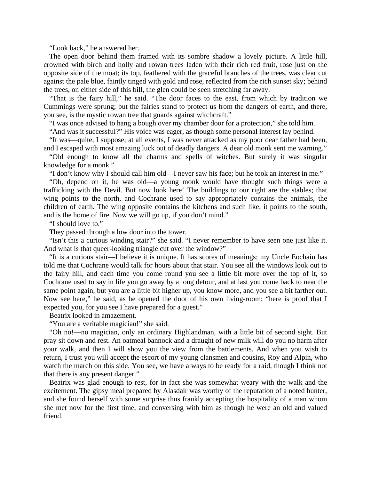"Look back," he answered her.

 The open door behind them framed with its sombre shadow a lovely picture. A little hill, crowned with birch and holly and rowan trees laden with their rich red fruit, rose just on the opposite side of the moat; its top, feathered with the graceful branches of the trees, was clear cut against the pale blue, faintly tinged with gold and rose, reflected from the rich sunset sky; behind the trees, on either side of this bill, the glen could be seen stretching far away.

 "That is the fairy hill," he said. "The door faces to the east, from which by tradition we Cummings were sprung; but the fairies stand to protect us from the dangers of earth, and there, you see, is the mystic rowan tree that guards against witchcraft."

"I was once advised to hang a bough over my chamber door for a protection," she told him.

"And was it successful?" His voice was eager, as though some personal interest lay behind.

 "It was—quite, I suppose; at all events, I was never attacked as my poor dear father had been, and I escaped with most amazing luck out of deadly dangers. A dear old monk sent me warning."

 "Old enough to know all the charms and spells of witches. But surely it was singular knowledge for a monk."

"I don't know why I should call him old—I never saw his face; but he took an interest in me."

 "Oh, depend on it, he was old—a young monk would have thought such things were a trafficking with the Devil. But now look here! The buildings to our right are the stables; that wing points to the north, and Cochrane used to say appropriately contains the animals, the children of earth. The wing opposite contains the kitchens and such like; it points to the south, and is the home of fire. Now we will go up, if you don't mind."

"I should love to."

They passed through a low door into the tower.

 "Isn't this a curious winding stair?" she said. "I never remember to have seen one just like it. And what is that queer-looking triangle cut over the window?"

 "It is a curious stair—I believe it is unique. It has scores of meanings; my Uncle Eochain has told me that Cochrane would talk for hours about that stair. You see all the windows look out to the fairy hill, and each time you come round you see a little bit more over the top of it, so Cochrane used to say in life you go away by a long detour, and at last you come back to near the same point again, but you are a little bit higher up, you know more, and you see a bit farther out. Now see here," he said, as he opened the door of his own living-room; "here is proof that I expected you, for you see I have prepared for a guest."

Beatrix looked in amazement.

"You are a veritable magician!" she said.

 "Oh no!—no magician, only an ordinary Highlandman, with a little bit of second sight. But pray sit down and rest. An oatmeal bannock and a draught of new milk will do you no harm after your walk, and then I will show you the view from the battlements. And when you wish to return, I trust you will accept the escort of my young clansmen and cousins, Roy and Alpin, who watch the march on this side. You see, we have always to be ready for a raid, though I think not that there is any present danger."

 Beatrix was glad enough to rest, for in fact she was somewhat weary with the walk and the excitement. The gipsy meal prepared by Alasdair was worthy of the reputation of a noted hunter, and she found herself with some surprise thus frankly accepting the hospitality of a man whom she met now for the first time, and conversing with him as though he were an old and valued friend.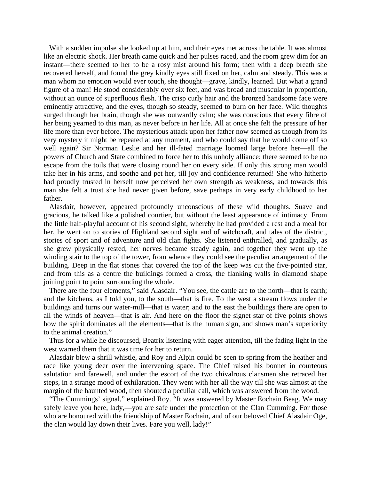With a sudden impulse she looked up at him, and their eyes met across the table. It was almost like an electric shock. Her breath came quick and her pulses raced, and the room grew dim for an instant—there seemed to her to be a rosy mist around his form; then with a deep breath she recovered herself, and found the grey kindly eyes still fixed on her, calm and steady. This was a man whom no emotion would ever touch, she thought—grave, kindly, learned. But what a grand figure of a man! He stood considerably over six feet, and was broad and muscular in proportion, without an ounce of superfluous flesh. The crisp curly hair and the bronzed handsome face were eminently attractive; and the eyes, though so steady, seemed to burn on her face. Wild thoughts surged through her brain, though she was outwardly calm; she was conscious that every fibre of her being yearned to this man, as never before in her life. All at once she felt the pressure of her life more than ever before. The mysterious attack upon her father now seemed as though from its very mystery it might be repeated at any moment, and who could say that he would come off so well again? Sir Norman Leslie and her ill-fated marriage loomed large before her—all the powers of Church and State combined to force her to this unholy alliance; there seemed to be no escape from the toils that were closing round her on every side. If only this strong man would take her in his arms, and soothe and pet her, till joy and confidence returned! She who hitherto had proudly trusted in herself now perceived her own strength as weakness, and towards this man she felt a trust she had never given before, save perhaps in very early childhood to her father.

 Alasdair, however, appeared profoundly unconscious of these wild thoughts. Suave and gracious, he talked like a polished courtier, but without the least appearance of intimacy. From the little half-playful account of his second sight, whereby he had provided a rest and a meal for her, he went on to stories of Highland second sight and of witchcraft, and tales of the district, stories of sport and of adventure and old clan fights. She listened enthralled, and gradually, as she grew physically rested, her nerves became steady again, and together they went up the winding stair to the top of the tower, from whence they could see the peculiar arrangement of the building. Deep in the flat stones that covered the top of the keep was cut the five-pointed star, and from this as a centre the buildings formed a cross, the flanking walls in diamond shape joining point to point surrounding the whole.

 There are the four elements," said Alasdair. "You see, the cattle are to the north—that is earth; and the kitchens, as I told you, to the south—that is fire. To the west a stream flows under the buildings and turns our water-mill—that is water; and to the east the buildings there are open to all the winds of heaven—that is air. And here on the floor the signet star of five points shows how the spirit dominates all the elements—that is the human sign, and shows man's superiority to the animal creation."

 Thus for a while he discoursed, Beatrix listening with eager attention, till the fading light in the west warned them that it was time for her to return.

 Alasdair blew a shrill whistle, and Roy and Alpin could be seen to spring from the heather and race like young deer over the intervening space. The Chief raised his bonnet in courteous salutation and farewell, and under the escort of the two chivalrous clansmen she retraced her steps, in a strange mood of exhilaration. They went with her all the way till she was almost at the margin of the haunted wood, then shouted a peculiar call, which was answered from the wood.

 "The Cummings' signal," explained Roy. "It was answered by Master Eochain Beag. We may safely leave you here, lady,—you are safe under the protection of the Clan Cumming. For those who are honoured with the friendship of Master Eochain, and of our beloved Chief Alasdair Oge, the clan would lay down their lives. Fare you well, lady!"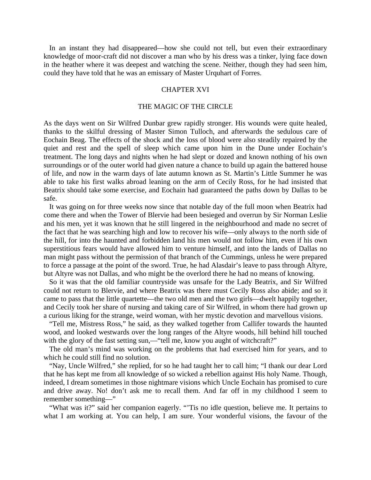In an instant they had disappeared—how she could not tell, but even their extraordinary knowledge of moor-craft did not discover a man who by his dress was a tinker, lying face down in the heather where it was deepest and watching the scene. Neither, though they had seen him, could they have told that he was an emissary of Master Urquhart of Forres.

## CHAPTER XVI

### THE MAGIC OF THE CIRCLE

As the days went on Sir Wilfred Dunbar grew rapidly stronger. His wounds were quite healed, thanks to the skilful dressing of Master Simon Tulloch, and afterwards the sedulous care of Eochain Beag. The effects of the shock and the loss of blood were also steadily repaired by the quiet and rest and the spell of sleep which came upon him in the Dune under Eochain's treatment. The long days and nights when he had slept or dozed and known nothing of his own surroundings or of the outer world had given nature a chance to build up again the battered house of life, and now in the warm days of late autumn known as St. Martin's Little Summer he was able to take his first walks abroad leaning on the arm of Cecily Ross, for he had insisted that Beatrix should take some exercise, and Eochain had guaranteed the paths down by Dallas to be safe.

 It was going on for three weeks now since that notable day of the full moon when Beatrix had come there and when the Tower of Blervie had been besieged and overrun by Sir Norman Leslie and his men, yet it was known that he still lingered in the neighbourhood and made no secret of the fact that he was searching high and low to recover his wife—only always to the north side of the hill, for into the haunted and forbidden land his men would not follow him, even if his own superstitious fears would have allowed him to venture himself, and into the lands of Dallas no man might pass without the permission of that branch of the Cummings, unless he were prepared to force a passage at the point of the sword. True, he had Alasdair's leave to pass through Altyre, but Altyre was not Dallas, and who might be the overlord there he had no means of knowing.

 So it was that the old familiar countryside was unsafe for the Lady Beatrix, and Sir Wilfred could not return to Blervie, and where Beatrix was there must Cecily Ross also abide; and so it came to pass that the little quartette—the two old men and the two girls—dwelt happily together, and Cecily took her share of nursing and taking care of Sir Wilfred, in whom there had grown up a curious liking for the strange, weird woman, with her mystic devotion and marvellous visions.

 "Tell me, Mistress Ross," he said, as they walked together from Callifer towards the haunted wood, and looked westwards over the long ranges of the Altyre woods, hill behind hill touched with the glory of the fast setting sun,—"tell me, know you aught of witchcraft?"

 The old man's mind was working on the problems that had exercised him for years, and to which he could still find no solution.

 "Nay, Uncle Wilfred," she replied, for so he had taught her to call him; "I thank our dear Lord that he has kept me from all knowledge of so wicked a rebellion against His holy Name. Though, indeed, I dream sometimes in those nightmare visions which Uncle Eochain has promised to cure and drive away. No! don't ask me to recall them. And far off in my childhood I seem to remember something—"

 "What was it?" said her companion eagerly. "'Tis no idle question, believe me. It pertains to what I am working at. You can help, I am sure. Your wonderful visions, the favour of the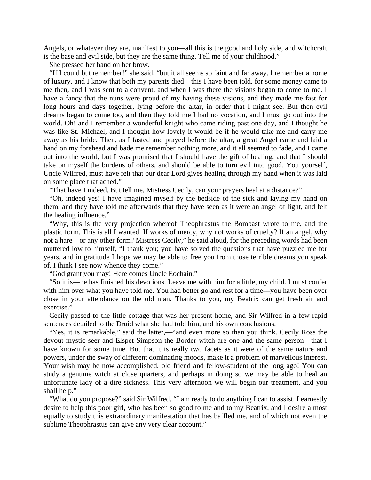Angels, or whatever they are, manifest to you—all this is the good and holy side, and witchcraft is the base and evil side, but they are the same thing. Tell me of your childhood."

She pressed her hand on her brow.

 "If I could but remember!" she said, "but it all seems so faint and far away. I remember a home of luxury, and I know that both my parents died—this I have been told, for some money came to me then, and I was sent to a convent, and when I was there the visions began to come to me. I have a fancy that the nuns were proud of my having these visions, and they made me fast for long hours and days together, lying before the altar, in order that I might see. But then evil dreams began to come too, and then they told me I had no vocation, and I must go out into the world. Oh! and I remember a wonderful knight who came riding past one day, and I thought he was like St. Michael, and I thought how lovely it would be if he would take me and carry me away as his bride. Then, as I fasted and prayed before the altar, a great Angel came and laid a hand on my forehead and bade me remember nothing more, and it all seemed to fade, and I came out into the world; but I was promised that I should have the gift of healing, and that I should take on myself the burdens of others, and should be able to turn evil into good. You yourself, Uncle Wilfred, must have felt that our dear Lord gives healing through my hand when it was laid on some place that ached."

"That have I indeed. But tell me, Mistress Cecily, can your prayers heal at a distance?"

 "Oh, indeed yes! I have imagined myself by the bedside of the sick and laying my hand on them, and they have told me afterwards that they have seen as it were an angel of light, and felt the healing influence."

 "Why, this is the very projection whereof Theophrastus the Bombast wrote to me, and the plastic form. This is all I wanted. If works of mercy, why not works of cruelty? If an angel, why not a hare—or any other form? Mistress Cecily," he said aloud, for the preceding words had been muttered low to himself, "I thank you; you have solved the questions that have puzzled me for years, and in gratitude I hope we may be able to free you from those terrible dreams you speak of. I think I see now whence they come."

"God grant you may! Here comes Uncle Eochain."

 "So it is—he has finished his devotions. Leave me with him for a little, my child. I must confer with him over what you have told me. You had better go and rest for a time—you have been over close in your attendance on the old man. Thanks to you, my Beatrix can get fresh air and exercise."

 Cecily passed to the little cottage that was her present home, and Sir Wilfred in a few rapid sentences detailed to the Druid what she had told him, and his own conclusions.

 "Yes, it is remarkable," said the latter,—"and even more so than you think. Cecily Ross the devout mystic seer and Elspet Simpson the Border witch are one and the same person—that I have known for some time. But that it is really two facets as it were of the same nature and powers, under the sway of different dominating moods, make it a problem of marvellous interest. Your wish may be now accomplished, old friend and fellow-student of the long ago! You can study a genuine witch at close quarters, and perhaps in doing so we may be able to heal an unfortunate lady of a dire sickness. This very afternoon we will begin our treatment, and you shall help."

 "What do you propose?" said Sir Wilfred. "I am ready to do anything I can to assist. I earnestly desire to help this poor girl, who has been so good to me and to my Beatrix, and I desire almost equally to study this extraordinary manifestation that has baffled me, and of which not even the sublime Theophrastus can give any very clear account."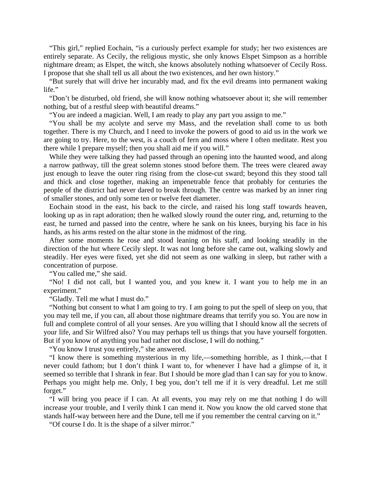"This girl," replied Eochain, "is a curiously perfect example for study; her two existences are entirely separate. As Cecily, the religious mystic, she only knows Elspet Simpson as a horrible nightmare dream; as Elspet, the witch, she knows absolutely nothing whatsoever of Cecily Ross. I propose that she shall tell us all about the two existences, and her own history."

 "But surely that will drive her incurably mad, and fix the evil dreams into permanent waking life."

 "Don't be disturbed, old friend, she will know nothing whatsoever about it; she will remember nothing, but of a restful sleep with beautiful dreams."

"You are indeed a magician. Well, I am ready to play any part you assign to me."

 "You shall be my acolyte and serve my Mass, and the revelation shall come to us both together. There is my Church, and I need to invoke the powers of good to aid us in the work we are going to try. Here, to the west, is a couch of fern and moss where I often meditate. Rest you there while I prepare myself; then you shall aid me if you will."

 While they were talking they had passed through an opening into the haunted wood, and along a narrow pathway, till the great solemn stones stood before them. The trees were cleared away just enough to leave the outer ring rising from the close-cut sward; beyond this they stood tall and thick and close together, making an impenetrable fence that probably for centuries the people of the district had never dared to break through. The centre was marked by an inner ring of smaller stones, and only some ten or twelve feet diameter.

 Eochain stood in the east, his back to the circle, and raised his long staff towards heaven, looking up as in rapt adoration; then he walked slowly round the outer ring, and, returning to the east, he turned and passed into the centre, where he sank on his knees, burying his face in his hands, as his arms rested on the altar stone in the midmost of the ring.

 After some moments he rose and stood leaning on his staff, and looking steadily in the direction of the hut where Cecily slept. It was not long before she came out, walking slowly and steadily. Her eyes were fixed, yet she did not seem as one walking in sleep, but rather with a concentration of purpose.

"You called me," she said.

 "No! I did not call, but I wanted you, and you knew it. I want you to help me in an experiment."

"Gladly. Tell me what I must do."

 "Nothing but consent to what I am going to try. I am going to put the spell of sleep on you, that you may tell me, if you can, all about those nightmare dreams that terrify you so. You are now in full and complete control of all your senses. Are you willing that I should know all the secrets of your life, and Sir Wilfred also? You may perhaps tell us things that you have yourself forgotten. But if you know of anything you had rather not disclose, I will do nothing."

"You know I trust you entirely," she answered.

 "I know there is something mysterious in my life,—something horrible, as I think,—that I never could fathom; but I don't think I want to, for whenever I have had a glimpse of it, it seemed so terrible that I shrank in fear. But I should be more glad than I can say for you to know. Perhaps you might help me. Only, I beg you, don't tell me if it is very dreadful. Let me still forget."

 "I will bring you peace if I can. At all events, you may rely on me that nothing I do will increase your trouble, and I verily think I can mend it. Now you know the old carved stone that stands half-way between here and the Dune, tell me if you remember the central carving on it."

"Of course I do. It is the shape of a silver mirror."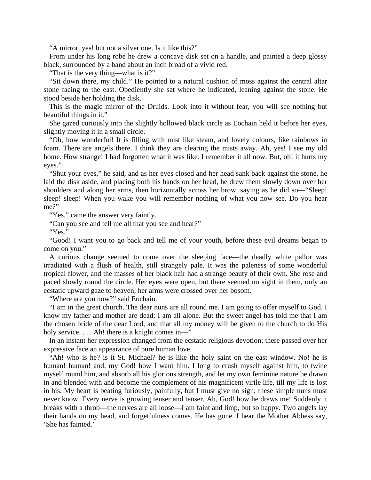"A mirror, yes! but not a silver one. Is it like this?"

 From under his long robe he drew a concave disk set on a handle, and painted a deep glossy black, surrounded by a band about an inch broad of a vivid red.

"That is the very thing—what is it?"

 "Sit down there, my child." He pointed to a natural cushion of moss against the central altar stone facing to the east. Obediently she sat where he indicated, leaning against the stone. He stood beside her holding the disk.

 This is the magic mirror of the Druids. Look into it without fear, you will see nothing but beautiful things in it."

 She gazed curiously into the slightly hollowed black circle as Eochain held it before her eyes, slightly moving it in a small circle.

 "Oh, how wonderful! It is filling with mist like steam, and lovely colours, like rainbows in foam. There are angels there. I think they are clearing the mists away. Ah, yes! I see my old home. How strange! I had forgotten what it was like. I remember it all now. But, oh! it hurts my eyes."

 "Shut your eyes," he said, and as her eyes closed and her head sank back against the stone, he laid the disk aside, and placing both his hands on her head, he drew them slowly down over her shoulders and along her arms, then horizontally across her brow, saying as he did so—"Sleep! sleep! sleep! When you wake you will remember nothing of what you now see. Do you hear me?"

"Yes," came the answer very faintly.

"Can you see and tell me all that you see and hear?"

"Yes."

 "Good! I want you to go back and tell me of your youth, before these evil dreams began to come on you."

 A curious change seemed to come over the sleeping face—the deadly white pallor was irradiated with a flush of health, still strangely pale. It was the paleness of some wonderful tropical flower, and the masses of her black hair had a strange beauty of their own. She rose and paced slowly round the circle. Her eyes were open, but there seemed no sight in them, only an ecstatic upward gaze to heaven; her arms were crossed over her bosom.

"Where are you now?" said Eochain.

 "I am in the great church. The dear nuns are all round me. I am going to offer myself to God. I know my father and mother are dead; I am all alone. But the sweet angel has told me that I am the chosen bride of the dear Lord, and that all my money will be given to the church to do His holy service. . . . Ah! there is a knight comes in—"

 In an instant her expression changed from the ecstatic religious devotion; there passed over her expressive face an appearance of pure human love.

 "Ah! who is he? is it St. Michael? he is like the holy saint on the east window. No! he is human! human! and, my God! how I want him. I long to crush myself against him, to twine myself round him, and absorb all his glorious strength, and let my own feminine nature be drawn in and blended with and become the complement of his magnificent virile life, till my life is lost in his. My heart is beating furiously, painfully, but I must give no sign; these simple nuns must never know. Every nerve is growing tenser and tenser. Ah, God! how he draws me! Suddenly it breaks with a throb—the nerves are all loose—I am faint and limp, but so happy. Two angels lay their hands on my head, and forgetfulness comes. He has gone. I hear the Mother Abbess say, 'She has fainted.'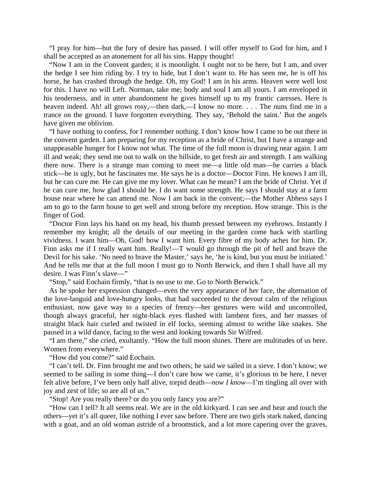"I pray for him—but the fury of desire has passed. I will offer myself to God for him, and I shall be accepted as an atonement for all his sins. Happy thought!

 "Now I am in the Convent garden; it is moonlight. I ought not to be here, but I am, and over the hedge I see him riding by. I try to hide, but I don't want to. He has seen me, he is off his horse, he has crashed through the hedge. Oh, my God! I am in his arms. Heaven were well lost for this. I have no will Left. Norman, take me; body and soul I am all yours. I am enveloped in his tenderness, and in utter abandonment he gives himself up to my frantic caresses. Here is heaven indeed. Ah! all grows rosy,—then dark,—I know no more. . . . The nuns find me in a trance on the ground. I have forgotten everything. They say, 'Behold the saint.' But the angels have given me oblivion.

 "I have nothing to confess, for I remember nothing. I don't know how I came to be out there in the convent garden. I am preparing for my reception as a bride of Christ, but I have a strange and unappeasable hunger for I know not what. The time of the full moon is drawing near again. I am ill and weak; they send me out to walk on the hillside, to get fresh air and strength. I am walking there now. There is a strange man coming to meet me—a little old man—he carries a black stick—he is ugly, but he fascinates me. He says he is a doctor—Doctor Finn. He knows I am ill, but he can cure me. He can give me my lover. What can he mean? I am the bride of Christ. Yet if he can cure me, how glad I should be. I do want some strength. He says I should stay at a farm house near where he can attend me. Now I am back in the convent;—the Mother Abhess says I am to go to the farm house to get well and strong before my reception. How strange. This is the finger of God.

 "Doctor Finn lays his hand on my head, his thumb pressed between my eyebrows. Instantly I remember my knight; all the details of our meeting in the garden come back with startling vividness. I want him—Oh, God! how I want him. Every fibre of my body aches for him. Dr. Finn asks me if I really want him. Really!—T would go through the pit of hell and brave the Devil for his sake. 'No need to brave the Master,' says he, 'he is kind, but you must be initiated.' And he tells me that at the full moon I must go to North Berwick, and then I shall have all my desire. I was Finn's slave—"

"Stop," said Eochain firmly, "that is no use to me. Go to North Berwick."

 As he spoke her expression changed—even the very appearance of her face, the alternation of the love-languid and love-hungry looks, that had succeeded to the devout calm of the religious enthusiast, now gave way to a species of frenzy—her gestures were wild and uncontrolled, though always graceful, her night-black eyes flashed with lambent fires, and her masses of straight black hair curled and twisted in elf locks, seeming almost to writhe like snakes. She paused in a wild dance, facing to the west and looking towards Sir Wilfred.

 "I am there," she cried, exultantly. "How the full moon shines. There are multitudes of us here. Women from everywhere."

"How did you come?" said Eochain.

 "I can't tell. Dr. Finn brought me and two others; he said we sailed in a sieve. I don't know; we seemed to be sailing in some thing—I don't care how we came, it's glorious to be here, I never felt alive before, I've been only half alive, torpid death—*now I know*—I'm tingling all over with joy and zest of life; so are all of us."

"Stop! Are you really there? or do you only fancy you are?"

 "How can I tell? It all seems real. We are in the old kirkyard. I can see and hear and touch the others—yet it's all queer, like nothing I ever saw before. There are two girls stark naked, dancing with a goat, and an old woman astride of a broomstick, and a lot more capering over the graves,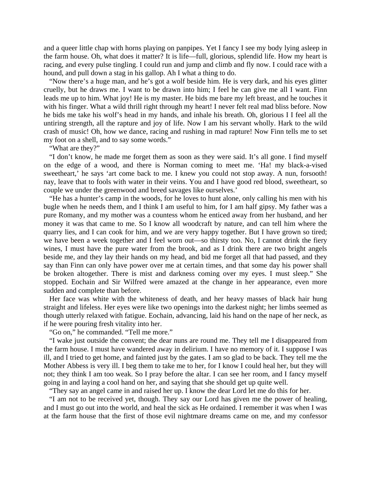and a queer little chap with horns playing on panpipes. Yet I fancy I see my body lying asleep in the farm house. Oh, what does it matter? It is life—full, glorious, splendid life. How my heart is racing, and every pulse tingling. I could run and jump and climb and fly now. I could race with a hound, and pull down a stag in his gallop. Ah I what a thing to do.

 "Now there's a huge man, and he's got a wolf beside him. He is very dark, and his eyes glitter cruelly, but he draws me. I want to be drawn into him; I feel he can give me all I want. Finn leads me up to him. What joy! He is my master. He bids me bare my left breast, and he touches it with his finger. What a wild thrill right through my heart! I never felt real mad bliss before. Now he bids me take his wolf's head in my hands, and inhale his breath. Oh, glorious I I feel all the untiring strength, all the rapture and joy of life. Now I am his servant wholly. Hark to the wild crash of music! Oh, how we dance, racing and rushing in mad rapture! Now Finn tells me to set my foot on a shell, and to say some words."

"What are they?"

 "I don't know, he made me forget them as soon as they were said. It's all gone. I find myself on the edge of a wood, and there is Norman coming to meet me. 'Ha! my black-a-vised sweetheart,' he says 'art come back to me. I knew you could not stop away. A nun, forsooth! nay, leave that to fools with water in their veins. You and I have good red blood, sweetheart, so couple we under the greenwood and breed savages like ourselves.'

 "He has a hunter's camp in the woods, for he loves to hunt alone, only calling his men with his bugle when he needs them, and I think I am useful to him, for I am half gipsy. My father was a pure Romany, and my mother was a countess whom he enticed away from her husband, and her money it was that came to me. So I know all woodcraft by nature, and can tell him where the quarry lies, and I can cook for him, and we are very happy together. But I have grown so tired; we have been a week together and I feel worn out—so thirsty too. No, I cannot drink the fiery wines, I must have the pure water from the brook, and as I drink there are two bright angels beside me, and they lay their hands on my head, and bid me forget all that had passed, and they say than Finn can only have power over me at certain times, and that some day his power shall be broken altogether. There is mist and darkness coming over my eyes. I must sleep." She stopped. Eochain and Sir Wilfred were amazed at the change in her appearance, even more sudden and complete than before.

 Her face was white with the whiteness of death, and her heavy masses of black hair hung straight and lifeless. Her eyes were like two openings into the darkest night; her limbs seemed as though utterly relaxed with fatigue. Eochain, advancing, laid his hand on the nape of her neck, as if he were pouring fresh vitality into her.

"Go on," he commanded. "Tell me more."

 "I wake just outside the convent; the dear nuns are round me. They tell me I disappeared from the farm house. I must have wandered away in delirium. I have no memory of it. I suppose I was ill, and I tried to get home, and fainted just by the gates. I am so glad to be back. They tell me the Mother Abbess is very ill. I beg them to take me to her, for I know I could heal her, but they will not; they think I am too weak. So I pray before the altar. I can see her room, and I fancy myself going in and laying a cool hand on her, and saying that she should get up quite well.

"They say an angel came in and raised her up. I know the dear Lord let me do this for her.

 "I am not to be received yet, though. They say our Lord has given me the power of healing, and I must go out into the world, and heal the sick as He ordained. I remember it was when I was at the farm house that the first of those evil nightmare dreams came on me, and my confessor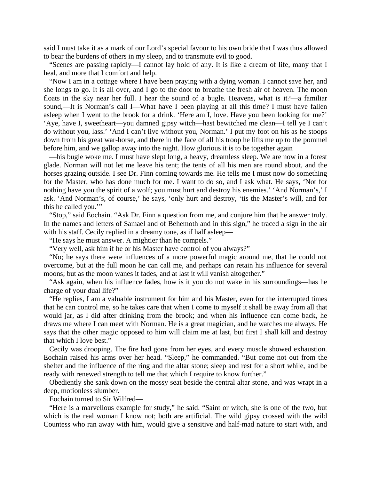said I must take it as a mark of our Lord's special favour to his own bride that I was thus allowed to bear the burdens of others in my sleep, and to transmute evil to good.

 "Scenes are passing rapidly—I cannot lay hold of any. It is like a dream of life, many that I heal, and more that I comfort and help.

 "Now I am in a cottage where I have been praying with a dying woman. I cannot save her, and she longs to go. It is all over, and I go to the door to breathe the fresh air of heaven. The moon floats in the sky near her full. I hear the sound of a bugle. Heavens, what is it?—a familiar sound,—It is Norman's call I—What have I been playing at all this time? I must have fallen asleep when I went to the brook for a drink. 'Here am I, love. Have you been looking for me?' 'Aye, have I, sweetheart—you damned gipsy witch—hast bewitched me clean—I tell ye I can't do without you, lass.' 'And I can't live without you, Norman.' I put my foot on his as he stoops down from his great war-horse, and there in the face of all his troop he lifts me up to the pommel before him, and we gallop away into the night. How glorious it is to be together again

 —his bugle woke me. I must have slept long, a heavy, dreamless sleep. We are now in a forest glade. Norman will not let me leave his tent; the tents of all his men are round about, and the horses grazing outside. I see Dr. Finn coming towards me. He tells me I must now do something for the Master, who has done much for me. I want to do so, and I ask what. He says, 'Not for nothing have you the spirit of a wolf; you must hurt and destroy his enemies.' 'And Norman's,' I ask. 'And Norman's, of course,' he says, 'only hurt and destroy, 'tis the Master's will, and for this he called you.'"

 "Stop," said Eochain. "Ask Dr. Finn a question from me, and conjure him that he answer truly. In the names and letters of Samael and of Behemoth and in this sign," he traced a sign in the air with his staff. Cecily replied in a dreamy tone, as if half asleep—

"He says he must answer. A mightier than he compels."

"Very well, ask him if he or his Master have control of you always?"

 "No; he says there were influences of a more powerful magic around me, that he could not overcome, but at the full moon he can call me, and perhaps can retain his influence for several moons; but as the moon wanes it fades, and at last it will vanish altogether."

 "Ask again, when his influence fades, how is it you do not wake in his surroundings—has he charge of your dual life?"

 "He replies, I am a valuable instrument for him and his Master, even for the interrupted times that he can control me, so he takes care that when I come to myself it shall be away from all that would jar, as I did after drinking from the brook; and when his influence can come back, he draws me where I can meet with Norman. He is a great magician, and he watches me always. He says that the other magic opposed to him will claim me at last, but first I shall kill and destroy that which I love best."

 Cecily was drooping. The fire had gone from her eyes, and every muscle showed exhaustion. Eochain raised his arms over her head. "Sleep," he commanded. "But come not out from the shelter and the influence of the ring and the altar stone; sleep and rest for a short while, and be ready with renewed strength to tell me that which I require to know further."

 Obediently she sank down on the mossy seat beside the central altar stone, and was wrapt in a deep, motionless slumber.

Eochain turned to Sir Wilfred—

 "Here is a marvellous example for study," he said. "Saint or witch, she is one of the two, but which is the real woman I know not; both are artificial. The wild gipsy crossed with the wild Countess who ran away with him, would give a sensitive and half-mad nature to start with, and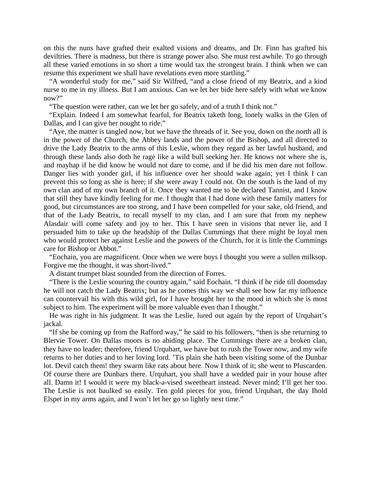on this the nuns have grafted their exalted visions and dreams, and Dr. Finn has grafted his deviltries. There is madness, but there is strange power also. She must rest awhile. To go through all these varied emotions in so short a time would tax the strongest brain. I think when we can resume this experiment we shall have revelations even more startling."

 "A wonderful study for me," said Sir Wilfred, "and a close friend of my Beatrix, and a kind nurse to me in my illness. But I am anxious. Can we let her bide here safely with what we know now?"

"The question were rather, can we let her go safely, and of a truth I think not."

 "Explain. Indeed I am somewhat fearful, for Beatrix taketh long, lonely walks in the Glen of Dallas, and I can give her nought to ride."

 "Aye, the matter is tangled now, but we have the threads of it. See you, down on the north all is in the power of the Church, the Abbey lands and the power of the Bishop, and all directed to drive the Lady Beatrix to the arms of this Leslie, whom they regard as her lawful husband, and through these lands also doth he rage like a wild bull seeking her. He knows not where she is, and mayhap if he did know he would not dare to come, and if he did his men dare not follow. Danger lies with yonder girl, if his influence over her should wake again; yet I think I can prevent this so long as she is here; if she were away I could not. On the south is the land of my own clan and of my own branch of it. Once they wanted me to be declared Tannist, and I know that still they have kindly feeling for me. I thought that I had done with these family matters for good, but circumstances are too strong, and I have been compelled for your sake, old friend, and that of the Lady Beatrix, to recall myself to my clan, and I am sure that from my nephew Alasdair will come safety and joy to her. This I have seen in visions that never lie, and I persuaded him to take up the headship of the Dallas Cummings that there might be loyal men who would protect her against Leslie and the powers of the Church, for it is little the Cummings care for Bishop or Abbot."

 "Eochain, you are magnificent. Once when we were boys I thought you were a sullen milksop. Forgive me the thought, it was short-lived."

A distant trumpet blast sounded from the direction of Forres.

 "There is the Leslie scouring the country again," said Eochain. "I think if he ride till doomsday he will not catch the Lady Beatrix; but as he comes this way we shall see how far my influence can countervail his with this wild girl, for I have brought her to the mood in which she is most subject to him. The experiment will be more valuable even than I thought."

 He was right in his judgment. It was the Leslie, lured out again by the report of Urquhart's jackal.

 "If she be coming up from the Rafford way," he said to his followers, "then is she returning to Blervie Tower. On Dallas moors is no abiding place. The Cummings there are a broken clan, they have no leader; therefore, friend Urquhart, we have but to rush the Tower now, and my wife returns to her duties and to her loving lord. 'Tis plain she hath been visiting some of the Dunbar lot. Devil catch them! they swarm like rats about here. Now I think of it; she went to Pluscarden. Of course there are Dunbars there. Urquhart, you shall have a wedded pair in your house after all. Damn it! I would it were my black-a-vised sweetheart instead. Never mind; I'll get her too. The Leslie is not baulked so easily. Ten gold pieces for you, friend Urquhart, the day Ihold Elspet in my arms again, and I won't let her go so lightly next time."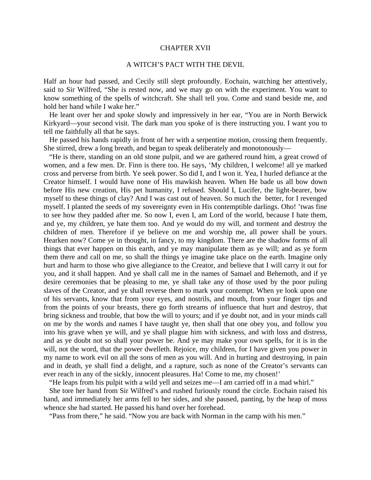### CHAPTER XVII

# A WITCH'S PACT WITH THE DEVIL

Half an hour had passed, and Cecily still slept profoundly. Eochain, watching her attentively, said to Sir Wilfred, "She is rested now, and we may go on with the experiment. You want to know something of the spells of witchcraft. She shall tell you. Come and stand beside me, and hold her hand while I wake her."

 He leant over her and spoke slowly and impressively in her ear, "You are in North Berwick Kirkyard—your second visit. The dark man you spoke of is there instructing you. I want you to tell me faithfully all that he says.

 He passed his hands rapidly in front of her with a serpentine motion, crossing them frequently. She stirred, drew a long breath, and began to speak deliberately and monotonously—

 "He is there, standing on an old stone pulpit, and we are gathered round him, a great crowd of women, and a few men. Dr. Finn is there too. He says, 'My children, I welcome! all ye marked cross and perverse from birth. Ye seek power. So did I, and I won it. Yea, I hurled defiance at the Creator himself. I would have none of His mawkish heaven. When He bade us all bow down before His new creation, His pet humanity, I refused. Should I, Lucifer, the light-bearer, bow myself to these things of clay? And I was cast out of heaven. So much the better, for I revenged myself. I planted the seeds of my sovereignty even in His contemptible darlings. Oho! 'twas fine to see how they padded after me. So now I, even I, am Lord of the world, because I hate them, and ye, my children, ye hate them too. And ye would do my will, and torment and destroy the children of men. Therefore if ye believe on me and worship me, all power shall be yours. Hearken now? Come ye in thought, in fancy, to my kingdom. There are the shadow forms of all things that ever happen on this earth, and ye may manipulate them as ye will; and as ye form them there and call on me, so shall the things ye imagine take place on the earth. Imagine only hurt and harm to those who give allegiance to the Creator, and believe that I will carry it out for you, and it shall happen. And ye shall call me in the names of Samael and Behemoth, and if ye desire ceremonies that be pleasing to me, ye shall take any of those used by the poor puling slaves of the Creator, and ye shall reverse them to mark your contempt. When ye look upon one of his servants, know that from your eyes, and nostrils, and mouth, from your finger tips and from the points of your breasts, there go forth streams of influence that hurt and destroy, that bring sickness and trouble, that bow the will to yours; and if ye doubt not, and in your minds call on me by the words and names I have taught ye, then shall that one obey you, and follow you into his grave when ye will, and ye shall plague him with sickness, and with loss and distress, and as ye doubt not so shall your power be. And ye may make your own spells, for it is in the will, not the word, that the power dwelleth. Rejoice, my children, for I have given you power in my name to work evil on all the sons of men as you will. And in hurting and destroying, in pain and in death, ye shall find a delight, and a rapture, such as none of the Creator's servants can ever reach in any of the sickly, innocent pleasures. Ha! Come to me, my chosen!'

"He leaps from his pulpit with a wild yell and seizes me—I am carried off in a mad whirl."

 She tore her hand from Sir Wilfred's and rushed furiously round the circle. Eochain raised his hand, and immediately her arms fell to her sides, and she paused, panting, by the heap of moss whence she had started. He passed his hand over her forehead.

"Pass from there," he said. "Now you are back with Norman in the camp with his men."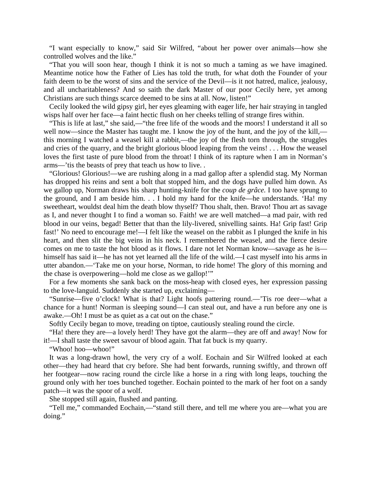"I want especially to know," said Sir Wilfred, "about her power over animals—how she controlled wolves and the like."

 "That you will soon hear, though I think it is not so much a taming as we have imagined. Meantime notice how the Father of Lies has told the truth, for what doth the Founder of your faith deem to be the worst of sins and the service of the Devil—is it not hatred, malice, jealousy, and all uncharitableness? And so saith the dark Master of our poor Cecily here, yet among Christians are such things scarce deemed to be sins at all. Now, listen!"

 Cecily looked the wild gipsy girl, her eyes gleaming with eager life, her hair straying in tangled wisps half over her face—a faint hectic flush on her cheeks telling of strange fires within.

 "This is life at last," she said,—"the free life of the woods and the moors! I understand it all so well now—since the Master has taught me. I know the joy of the hunt, and the joy of the kill, this morning I watched a weasel kill a rabbit,—the joy of the flesh torn through, the struggles and cries of the quarry, and the bright glorious blood leaping from the veins! . . . How the weasel loves the first taste of pure blood from the throat! I think of its rapture when I am in Norman's arms—'tis the beasts of prey that teach us how to live. .

 "Glorious! Glorious!—we are rushing along in a mad gallop after a splendid stag. My Norman has dropped his reins and sent a bolt that stopped him, and the dogs have pulled him down. As we gallop up, Norman draws his sharp hunting-knife for the *coup de grâce.* I too have sprung to the ground, and I am beside him. . . I hold my hand for the knife—he understands. 'Ha! my sweetheart, wouldst deal him the death blow thyself? Thou shalt, then. Bravo! Thou art as savage as I, and never thought I to find a woman so. Faith! we are well matched—a mad pair, with red blood in our veins, begad! Better that than the lily-livered, snivelling saints. Ha! Grip fast! Grip fast!' No need to encourage me!—I felt like the weasel on the rabbit as I plunged the knife in his heart, and then slit the big veins in his neck. I remembered the weasel, and the fierce desire comes on me to taste the hot blood as it flows. I dare not let Norman know—savage as he is himself has said it—he has not yet learned all the life of the wild.—I cast myself into his arms in utter abandon.—'Take me on your horse, Norman, to ride home! The glory of this morning and the chase is overpowering—hold me close as we gallop!'"

 For a few moments she sank back on the moss-heap with closed eyes, her expression passing to the love-languid. Suddenly she started up, exclaiming—

 "Sunrise—five o'clock! What is that? Light hoofs pattering round.—'Tis roe deer—what a chance for a hunt! Norman is sleeping sound—I can steal out, and have a run before any one is awake.—Oh! I must be as quiet as a cat out on the chase."

Softly Cecily began to move, treading on tiptoe, cautiously stealing round the circle.

 "Ha! there they are—a lovely herd! They have got the alarm—they are off and away! Now for it!—I shall taste the sweet savour of blood again. That fat buck is my quarry.

"Whoo! hoo—whoo!"

 It was a long-drawn howl, the very cry of a wolf. Eochain and Sir Wilfred looked at each other—they had heard that cry before. She had bent forwards, running swiftly, and thrown off her footgear—now racing round the circle like a horse in a ring with long leaps, touching the ground only with her toes bunched together. Eochain pointed to the mark of her foot on a sandy patch—it was the spoor of a wolf.

She stopped still again, flushed and panting.

 "Tell me," commanded Eochain,—"stand still there, and tell me where you are—what you are doing."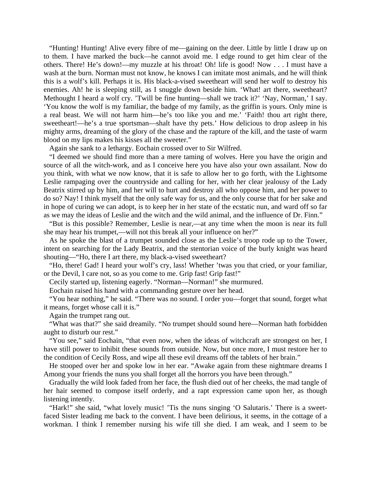"Hunting! Hunting! Alive every fibre of me—gaining on the deer. Little by little I draw up on to them. I have marked the buck—he cannot avoid me. I edge round to get him clear of the others. There! He's down!—my muzzle at his throat! Oh! life is good! Now . . . I must have a wash at the burn. Norman must not know, he knows I can imitate most animals, and he will think this is a wolf's kill. Perhaps it is. His black-a-vised sweetheart will send her wolf to destroy his enemies. Ah! he is sleeping still, as I snuggle down beside him. 'What! art there, sweetheart? Methought I heard a wolf cry. 'Twill be fine hunting—shall we track it?' 'Nay, Norman,' I say. 'You know the wolf is my familiar, the badge of my family, as the griffin is yours. Only mine is a real beast. We will not harm him—he's too like you and me.' 'Faith! thou art right there, sweetheart!—he's a true sportsman—shalt have thy pets.' How delicious to drop asleep in his mighty arms, dreaming of the glory of the chase and the rapture of the kill, and the taste of warm blood on my lips makes his kisses all the sweeter."

Again she sank to a lethargy. Eochain crossed over to Sir Wilfred.

 "I deemed we should find more than a mere taming of wolves. Here you have the origin and source of all the witch-work, and as I conceive here you have also your own assailant. Now do you think, with what we now know, that it is safe to allow her to go forth, with the Lightsome Leslie rampaging over the countryside and calling for her, with her clear jealousy of the Lady Beatrix stirred up by him, and her will to hurt and destroy all who oppose him, and her power to do so? Nay! I think myself that the only safe way for us, and the only course that for her sake and in hope of curing we can adopt, is to keep her in her state of the ecstatic nun, and ward off so far as we may the ideas of Leslie and the witch and the wild animal, and the influence of Dr. Finn."

 "But is this possible? Remember, Leslie is near,—at any time when the moon is near its full she may hear his trumpet,—will not this break all your influence on her?"

 As he spoke the blast of a trumpet sounded close as the Leslie's troop rode up to the Tower, intent on searching for the Lady Beatrix, and the stentorian voice of the burly knight was heard shouting—"Ho, there I art there, my black-a-vised sweetheart?

 "Ho, there! Gad! I heard your wolf's cry, lass! Whether 'twas you that cried, or your familiar, or the Devil, I care not, so as you come to me. Grip fast! Grip fast!"

Cecily started up, listening eagerly. "Norman—Norman!" she murmured.

Eochain raised his hand with a commanding gesture over her head.

 "You hear nothing," he said. "There was no sound. I order you—forget that sound, forget what it means, forget whose call it is."

Again the trumpet rang out.

 "What was that?" she said dreamily. "No trumpet should sound here—Norman hath forbidden aught to disturb our rest."

 "You see," said Eochain, "that even now, when the ideas of witchcraft are strongest on her, I have still power to inhibit these sounds from outside. Now, but once more, I must restore her to the condition of Cecily Ross, and wipe all these evil dreams off the tablets of her brain."

He stooped over her and spoke low in her ear. "Awake again from these nightmare dreams I Among your friends the nuns you shall forget all the horrors you have been through."

 Gradually the wild look faded from her face, the flush died out of her cheeks, the mad tangle of her hair seemed to compose itself orderly, and a rapt expression came upon her, as though listening intently.

 "Hark!" she said, "what lovely music! 'Tis the nuns singing 'O Salutaris.' There is a sweetfaced Sister leading me back to the convent. I have been delirious, it seems, in the cottage of a workman. I think I remember nursing his wife till she died. I am weak, and I seem to be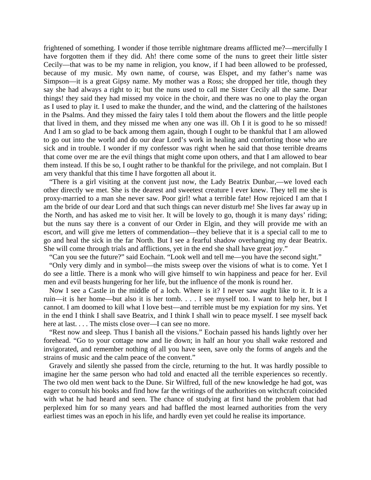frightened of something. I wonder if those terrible nightmare dreams afflicted me?—mercifully I have forgotten them if they did. Ah! there come some of the nuns to greet their little sister Cecily—that was to be my name in religion, you know, if I had been allowed to be professed, because of my music. My own name, of course, was Elspet, and my father's name was Simpson—it is a great Gipsy name. My mother was a Ross; she dropped her title, though they say she had always a right to it; but the nuns used to call me Sister Cecily all the same. Dear things! they said they had missed my voice in the choir, and there was no one to play the organ as I used to play it. I used to make the thunder, and the wind, and the clattering of the hailstones in the Psalms. And they missed the fairy tales I told them about the flowers and the little people that lived in them, and they missed me when any one was ill. Oh I it is good to he so missed! And I am so glad to be back among them again, though I ought to be thankful that I am allowed to go out into the world and do our dear Lord's work in healing and comforting those who are sick and in trouble. I wonder if my confessor was right when he said that those terrible dreams that come over me are the evil things that might come upon others, and that I am allowed to bear them instead. If this be so, I ought rather to be thankful for the privilege, and not complain. But I am very thankful that this time I have forgotten all about it.

 "There is a girl visiting at the convent just now, the Lady Beatrix Dunbar,—we loved each other directly we met. She is the dearest and sweetest creature I ever knew. They tell me she is proxy-married to a man she never saw. Poor girl! what a terrible fate! How rejoiced I am that I am the bride of our dear Lord and that such things can never disturb me! She lives far away up in the North, and has asked me to visit her. It will be lovely to go, though it is many days' riding; but the nuns say there is a convent of our Order in Elgin, and they will provide me with an escort, and will give me letters of commendation—they believe that it is a special call to me to go and heal the sick in the far North. But I see a fearful shadow overhanging my dear Beatrix. She will come through trials and afflictions, yet in the end she shall have great joy."

"Can you see the future?" said Eochain. "Look well and tell me—you have the second sight."

 "Only very dimly and in symbol—the mists sweep over the visions of what is to come. Yet I do see a little. There is a monk who will give himself to win happiness and peace for her. Evil men and evil beasts hungering for her life, but the influence of the monk is round her.

 Now I see a Castle in the middle of a loch. Where is it? I never saw aught like to it. It is a ruin—it is her home—but also it is her tomb. . . . I see myself too. I want to help her, but I cannot. I am doomed to kill what I love best—and terrible must be my expiation for my sins. Yet in the end I think I shall save Beatrix, and I think I shall win to peace myself. I see myself back here at last. . . . The mists close over—I can see no more.

 "Rest now and sleep. Thus I banish all the visions." Eochain passed his hands lightly over her forehead. "Go to your cottage now and lie down; in half an hour you shall wake restored and invigorated, and remember nothing of all you have seen, save only the forms of angels and the strains of music and the calm peace of the convent."

 Gravely and silently she passed from the circle, returning to the hut. It was hardly possible to imagine her the same person who had told and enacted all the terrible experiences so recently. The two old men went back to the Dune. Sir Wilfred, full of the new knowledge he had got, was eager to consult his books and find how far the writings of the authorities on witchcraft coincided with what he had heard and seen. The chance of studying at first hand the problem that had perplexed him for so many years and had baffled the most learned authorities from the very earliest times was an epoch in his life, and hardly even yet could he realise its importance.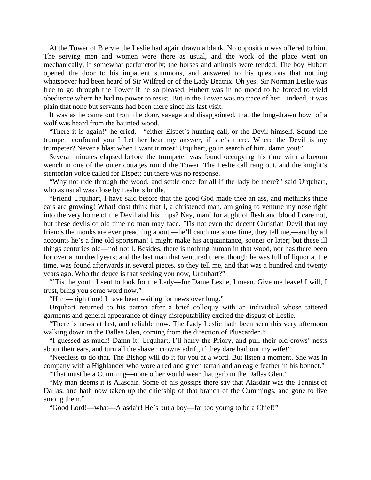At the Tower of Blervie the Leslie had again drawn a blank. No opposition was offered to him. The serving men and women were there as usual, and the work of the place went on mechanically, if somewhat perfunctorily; the horses and animals were tended. The boy Hubert opened the door to his impatient summons, and answered to his questions that nothing whatsoever had been heard of Sir Wilfred or of the Lady Beatrix. Oh yes! Sir Norman Leslie was free to go through the Tower if he so pleased. Hubert was in no mood to be forced to yield obedience where he had no power to resist. But in the Tower was no trace of her—indeed, it was plain that none but servants had been there since his last visit.

 It was as he came out from the door, savage and disappointed, that the long-drawn howl of a wolf was heard from the haunted wood.

 "There it is again!" he cried,—"either Elspet's hunting call, or the Devil himself. Sound the trumpet, confound you I Let her hear my answer, if she's there. Where the Devil is my trumpeter? Never a blast when I want it most! Urquhart, go in search of him, damn you!"

 Several minutes elapsed before the trumpeter was found occupying his time with a buxom wench in one of the outer cottages round the Tower. The Leslie call rang out, and the knight's stentorian voice called for Elspet; but there was no response.

 "Why not ride through the wood, and settle once for all if the lady be there?" said Urquhart, who as usual was close by Leslie's bridle.

 "Friend Urquhart, I have said before that the good God made thee an ass, and methinks thine ears are growing! What! dost think that I, a christened man, am going to venture my nose right into the very home of the Devil and his imps? Nay, man! for aught of flesh and blood I care not, but these devils of old time no man may face. 'Tis not even the decent Christian Devil that my friends the monks are ever preaching about,—he'll catch me some time, they tell me,—and by all accounts he's a fine old sportsman! I might make his acquaintance, sooner or later; but these ill things centuries old—no! not I. Besides, there is nothing human in that wood, nor has there been for over a hundred years; and the last man that ventured there, though he was full of liquor at the time, was found afterwards in several pieces, so they tell me, and that was a hundred and twenty years ago. Who the deuce is that seeking you now, Urquhart?"

"Tis the youth I sent to look for the Lady—for Dame Leslie, I mean. Give me leave! I will, I trust, bring you some word now."

"H'm—high time! I have been waiting for news over long."

 Urquhart returned to his patron after a brief colloquy with an individual whose tattered garments and general appearance of dingy disreputability excited the disgust of Leslie.

 "There is news at last, and reliable now. The Lady Leslie hath been seen this very afternoon walking down in the Dallas Glen, coming from the direction of Pluscarden."

 "I guessed as much! Damn it! Urquhart, I'll harry the Priory, and pull their old crows' nests about their ears, and turn all the shaven crowns adrift, if they dare harbour my wife!"

 "Needless to do that. The Bishop will do it for you at a word. But listen a moment. She was in company with a Highlander who wore a red and green tartan and an eagle feather in his bonnet."

"That must be a Cumming—none other would wear that garb in the Dallas Glen."

 "My man deems it is Alasdair. Some of his gossips there say that Alasdair was the Tannist of Dallas, and hath now taken up the chiefship of that branch of the Cummings, and gone to live among them."

"Good Lord!—what—Alasdair! He's but a boy—far too young to be a Chief!"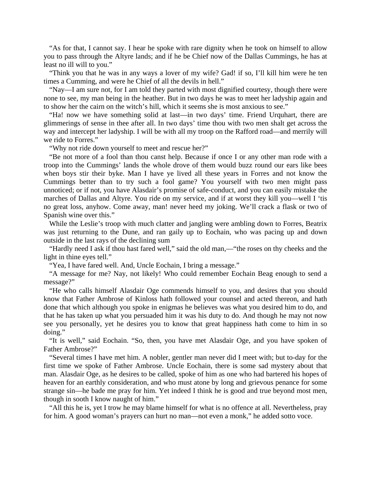"As for that, I cannot say. I hear he spoke with rare dignity when he took on himself to allow you to pass through the Altyre lands; and if he be Chief now of the Dallas Cummings, he has at least no ill will to you."

 "Think you that he was in any ways a lover of my wife? Gad! if so, I'll kill him were he ten times a Cumming, and were he Chief of all the devils in hell."

 "Nay—I am sure not, for I am told they parted with most dignified courtesy, though there were none to see, my man being in the heather. But in two days he was to meet her ladyship again and to show her the cairn on the witch's hill, which it seems she is most anxious to see."

 "Ha! now we have something solid at last—in two days' time. Friend Urquhart, there are glimmerings of sense in thee after all. In two days' time thou with two men shalt get across the way and intercept her ladyship. I will be with all my troop on the Rafford road—and merrily will we ride to Forres."

"Why not ride down yourself to meet and rescue her?"

 "Be not more of a fool than thou canst help. Because if once I or any other man rode with a troop into the Cummings' lands the whole drove of them would buzz round our ears like bees when boys stir their byke. Man I have ye lived all these years in Forres and not know the Cummings better than to try such a fool game? You yourself with two men might pass unnoticed; or if not, you have Alasdair's promise of safe-conduct, and you can easily mistake the marches of Dallas and Altyre. You ride on my service, and if at worst they kill you—well I 'tis no great loss, anyhow. Come away, man! never heed my joking. We'll crack a flask or two of Spanish wine over this."

 While the Leslie's troop with much clatter and jangling were ambling down to Forres, Beatrix was just returning to the Dune, and ran gaily up to Eochain, who was pacing up and down outside in the last rays of the declining sum

 "Hardly need I ask if thou hast fared well," said the old man,—"the roses on thy cheeks and the light in thine eyes tell."

"Yea, I have fared well. And, Uncle Eochain, I bring a message."

 "A message for me? Nay, not likely! Who could remember Eochain Beag enough to send a message?"

 "He who calls himself Alasdair Oge commends himself to you, and desires that you should know that Father Ambrose of Kinloss hath followed your counsel and acted thereon, and hath done that which although you spoke in enigmas he believes was what you desired him to do, and that he has taken up what you persuaded him it was his duty to do. And though he may not now see you personally, yet he desires you to know that great happiness hath come to him in so doing."

 "It is well," said Eochain. "So, then, you have met Alasdair Oge, and you have spoken of Father Ambrose?"

 "Several times I have met him. A nobler, gentler man never did I meet with; but to-day for the first time we spoke of Father Ambrose. Uncle Eochain, there is some sad mystery about that man. Alasdair Oge, as he desires to be called, spoke of him as one who had bartered his hopes of heaven for an earthly consideration, and who must atone by long and grievous penance for some strange sin—he bade me pray for him. Yet indeed I think he is good and true beyond most men, though in sooth I know naught of him."

 "All this he is, yet I trow he may blame himself for what is no offence at all. Nevertheless, pray for him. A good woman's prayers can hurt no man—not even a monk," he added sotto voce.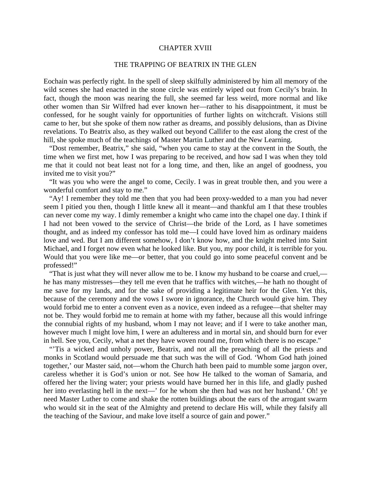#### CHAPTER XVIII

# THE TRAPPING OF BEATRIX IN THE GLEN

Eochain was perfectly right. In the spell of sleep skilfully administered by him all memory of the wild scenes she had enacted in the stone circle was entirely wiped out from Cecily's brain. In fact, though the moon was nearing the full, she seemed far less weird, more normal and like other women than Sir Wilfred had ever known her—rather to his disappointment, it must be confessed, for he sought vainly for opportunities of further lights on witchcraft. Visions still came to her, but she spoke of them now rather as dreams, and possibly delusions, than as Divine revelations. To Beatrix also, as they walked out beyond Callifer to the east along the crest of the hill, she spoke much of the teachings of Master Martin Luther and the New Learning.

 "Dost remember, Beatrix," she said, "when you came to stay at the convent in the South, the time when we first met, how I was preparing to be received, and how sad I was when they told me that it could not beat least not for a long time, and then, like an angel of goodness, you invited me to visit you?"

 "It was you who were the angel to come, Cecily. I was in great trouble then, and you were a wonderful comfort and stay to me."

 "Ay! I remember they told me then that you had been proxy-wedded to a man you had never seem I pitied you then, though I little knew all it meant—and thankful am I that these troubles can never come my way. I dimly remember a knight who came into the chapel one day. I think if I had not been vowed to the service of Christ—the bride of the Lord, as I have sometimes thought, and as indeed my confessor has told me—I could have loved him as ordinary maidens love and wed. But I am different somehow, I don't know how, and the knight melted into Saint Michael, and I forget now even what he looked like. But you, my poor child, it is terrible for you. Would that you were like me—or better, that you could go into some peaceful convent and be professed!"

 "That is just what they will never allow me to be. I know my husband to be coarse and cruel, he has many mistresses—they tell me even that he traffics with witches,—he hath no thought of me save for my lands, and for the sake of providing a legitimate heir for the Glen. Yet this, because of the ceremony and the vows I swore in ignorance, the Church would give him. They would forbid me to enter a convent even as a novice, even indeed as a refugee—that shelter may not be. They would forbid me to remain at home with my father, because all this would infringe the connubial rights of my husband, whom I may not leave; and if I were to take another man, however much I might love him, I were an adulteress and in mortal sin, and should burn for ever in hell. See you, Cecily, what a net they have woven round me, from which there is no escape."

"Tis a wicked and unholy power, Beatrix, and not all the preaching of all the priests and monks in Scotland would persuade me that such was the will of God. 'Whom God hath joined together,' our Master said, not—whom the Church hath been paid to mumble some jargon over, careless whether it is God's union or not. See how He talked to the woman of Samaria, and offered her the living water; your priests would have burned her in this life, and gladly pushed her into everlasting hell in the next—' for he whom she then had was not her husband.' Oh! ye need Master Luther to come and shake the rotten buildings about the ears of the arrogant swarm who would sit in the seat of the Almighty and pretend to declare His will, while they falsify all the teaching of the Saviour, and make love itself a source of gain and power."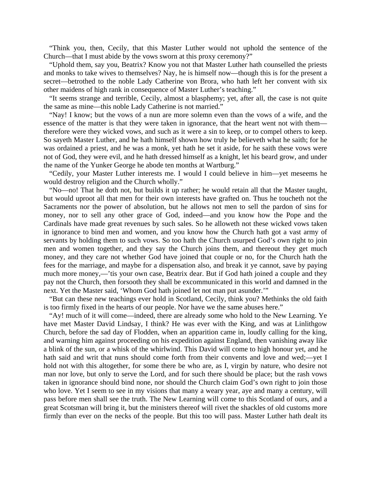"Think you, then, Cecily, that this Master Luther would not uphold the sentence of the Church—that I must abide by the vows sworn at this proxy ceremony?"

 "Uphold them, say you, Beatrix? Know you not that Master Luther hath counselled the priests and monks to take wives to themselves? Nay, he is himself now—though this is for the present a secret—betrothed to the noble Lady Catherine von Brora, who hath left her convent with six other maidens of high rank in consequence of Master Luther's teaching."

 "It seems strange and terrible, Cecily, almost a blasphemy; yet, after all, the case is not quite the same as mine—this noble Lady Catherine is not married."

 "Nay! I know; but the vows of a nun are more solemn even than the vows of a wife, and the essence of the matter is that they were taken in ignorance, that the heart went not with them therefore were they wicked vows, and such as it were a sin to keep, or to compel others to keep. So sayeth Master Luther, and he hath himself shown how truly he believeth what he saith; for he was ordained a priest, and he was a monk, yet hath he set it aside, for he saith these vows were not of God, they were evil, and he hath dressed himself as a knight, let his beard grow, and under the name of the Yunker George he abode ten months at Wartburg."

 "Cedily, your Master Luther interests me. I would I could believe in him—yet meseems he would destroy religion and the Church wholly."

 "No—no! That he doth not, but builds it up rather; he would retain all that the Master taught, but would uproot all that men for their own interests have grafted on. Thus he toucheth not the Sacraments nor the power of absolution, but he allows not men to sell the pardon of sins for money, nor to sell any other grace of God, indeed—and you know how the Pope and the Cardinals have made great revenues by such sales. So he alloweth not these wicked vows taken in ignorance to bind men and women, and you know how the Church hath got a vast army of servants by holding them to such vows. So too hath the Church usurped God's own right to join men and women together, and they say the Church joins them, and thereout they get much money, and they care not whether God have joined that couple or no, for the Church hath the fees for the marriage, and maybe for a dispensation also, and break it ye cannot, save by paying much more money,—'tis your own case, Beatrix dear. But if God hath joined a couple and they pay not the Church, then forsooth they shall be excommunicated in this world and damned in the next. Yet the Master said, 'Whom God hath joined let not man put asunder.'"

 "But can these new teachings ever hold in Scotland, Cecily, think you? Methinks the old faith is too firmly fixed in the hearts of our people. Nor have we the same abuses here."

 "Ay! much of it will come—indeed, there are already some who hold to the New Learning. Ye have met Master David Lindsay, I think? He was ever with the King, and was at Linlithgow Church, before the sad day of Flodden, when an apparition came in, loudly calling for the king, and warning him against proceeding on his expedition against England, then vanishing away like a blink of the sun, or a whisk of the whirlwind. This David will come to high honour yet, and he hath said and writ that nuns should come forth from their convents and love and wed;—yet I hold not with this altogether, for some there be who are, as I, virgin by nature, who desire not man nor love, but only to serve the Lord, and for such there should be place; but the rash vows taken in ignorance should bind none, nor should the Church claim God's own right to join those who love. Yet I seem to see in my visions that many a weary year, aye and many a century, will pass before men shall see the truth. The New Learning will come to this Scotland of ours, and a great Scotsman will bring it, but the ministers thereof will rivet the shackles of old customs more firmly than ever on the necks of the people. But this too will pass. Master Luther hath dealt its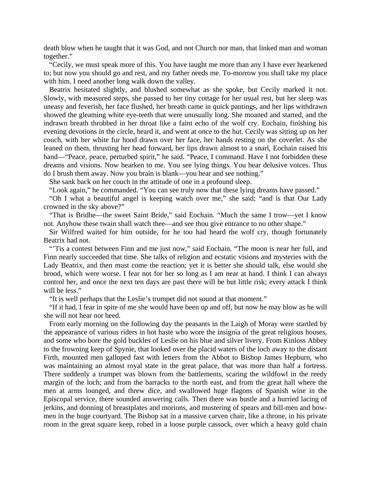death blow when he taught that it was God, and not Church nor man, that linked man and woman together."

 "Cecily, we must speak more of this. You have taught me more than any I have ever hearkened to; but now you should go and rest, and my father needs me. To-morrow you shall take my place with him. I need another long walk down the valley.

 Beatrix hesitated slightly, and blushed somewhat as she spoke, but Cecily marked it not. Slowly, with measured steps, she passed to her tiny cottage for her usual rest, but her sleep was uneasy and feverish, her face flushed, her breath came in quick pantings, and her lips withdrawn showed the gleaming white eye-teeth that were unusually long. She moaned and started, and the indrawn breath throbbed in her throat like a faint echo of the wolf cry. Eochain, finishing his evening devotions in the circle, heard it, and went at once to the hut. Cecily was sitting up on her couch, with her white fur hood drawn over her face, her hands resting on the coverlet. As she leaned on them, thrusting her head forward, her lips drawn almost to a snarl, Eochain raised his hand—"Peace, peace, perturbed spirit," he said. "Peace, I command. Have I not forbidden these dreams and visions. Now hearken to me. You see lying things. You hear delusive voices. Thus do I brush them away. Now you brain is blank—you hear and see nothing."

She sank back on her couch in the attitude of one in a profound sleep.

"Look again," he commanded. "You can see truly now that these lying dreams have passed."

 "Oh I what a beautiful angel is keeping watch over me," she said; "and is that Our Lady crowned in the sky above?"

 "That is Bridhe—the sweet Saint Bride," said Eochain. "Much the same I trow—yet I know not. Anyhow these twain shall watch thee—and see thou give entrance to no other shape."

 Sir Wilfred waited for him outside, for he too had heard the wolf cry, though fortunately Beatrix had not.

"Tis a contest between Finn and me just now," said Eochain. "The moon is near her full, and Finn nearly succeeded that time. She talks of religion and ecstatic visions and mysteries with the Lady Beatrix, and then must come the reaction; yet it is better she should talk, else would she brood, which were worse. I fear not for her so long as I am near at hand. I think I can always control her, and once the next ten days are past there will be but little risk; every attack I think will be less."

"It is well perhaps that the Leslie's trumpet did not sound at that moment."

 "If it had, I fear in spite of me she would have been up and off, but now he may blow as he will she will not hear nor heed.

 From early morning on the following day the peasants in the Laigh of Moray were startled by the appearance of various riders in hot haste who wore the insignia of the great religious houses, and some who bore the gold buckles of Leslie on his blue and silver livery. From Kinloss Abbey to the frowning keep of Spynie, that looked over the placid waters of the loch away to the distant Firth, mounted men galloped fast with letters from the Abbot to Bishop James Hepburn, who was maintaining an almost royal state in the great palace, that was more than half a fortress. There suddenly a trumpet was blown from the battlements, scaring the wildfowl in the reedy margin of the loch; and from the barracks to the north east, and from the great hall where the men at arms lounged, and threw dice, and swallowed huge flagons of Spanish wine in the Episcopal service, there sounded answering calls. Then there was bustle and a hurried lacing of jerkins, and donning of breastplates and morions, and mustering of spears and bill-men and bowmen in the huge courtyard. The Bishop sat in a massive carven chair, like a throne, in his private room in the great square keep, robed in a loose purple cassock, over which a heavy gold chain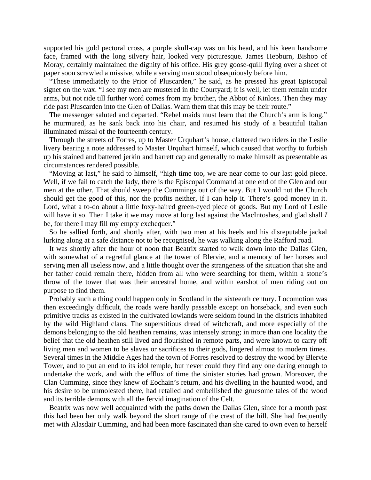supported his gold pectoral cross, a purple skull-cap was on his head, and his keen handsome face, framed with the long silvery hair, looked very picturesque. James Hepburn, Bishop of Moray, certainly maintained the dignity of his office. His grey goose-quill flying over a sheet of paper soon scrawled a missive, while a serving man stood obsequiously before him.

 "These immediately to the Prior of Pluscarden," he said, as he pressed his great Episcopal signet on the wax. "I see my men are mustered in the Courtyard; it is well, let them remain under arms, but not ride till further word comes from my brother, the Abbot of Kinloss. Then they may ride past Pluscarden into the Glen of Dallas. Warn them that this may be their route."

 The messenger saluted and departed. "Rebel maids must learn that the Church's arm is long," he murmured, as he sank back into his chair, and resumed his study of a beautiful Italian illuminated missal of the fourteenth century.

 Through the streets of Forres, up to Master Urquhart's house, clattered two riders in the Leslie livery bearing a note addressed to Master Urquhart himself, which caused that worthy to furbish up his stained and battered jerkin and barrett cap and generally to make himself as presentable as circumstances rendered possible.

 "Moving at last," he said to himself, "high time too, we are near come to our last gold piece. Well, if we fail to catch the lady, there is the Episcopal Command at one end of the Glen and our men at the other. That should sweep the Cummings out of the way. But I would not the Church should get the good of this, nor the profits neither, if I can help it. There's good money in it. Lord, what a to-do about a little foxy-haired green-eyed piece of goods. But my Lord of Leslie will have it so. Then I take it we may move at long last against the MacIntoshes, and glad shall *I*  be, for there I may fill my empty exchequer."

 So he sallied forth, and shortly after, with two men at his heels and his disreputable jackal lurking along at a safe distance not to be recognised, he was walking along the Rafford road.

 It was shortly after the hour of noon that Beatrix started to walk down into the Dallas Glen, with somewhat of a regretful glance at the tower of Blervie, and a memory of her horses and serving men all useless now, and a little thought over the strangeness of the situation that she and her father could remain there, hidden from all who were searching for them, within a stone's throw of the tower that was their ancestral home, and within earshot of men riding out on purpose to find them.

 Probably such a thing could happen only in Scotland in the sixteenth century. Locomotion was then exceedingly difficult, the roads were hardly passable except on horseback, and even such primitive tracks as existed in the cultivated lowlands were seldom found in the districts inhabited by the wild Highland clans. The superstitious dread of witchcraft, and more especially of the demons belonging to the old heathen remains, was intensely strong; in more than one locality the belief that the old heathen still lived and flourished in remote parts, and were known to carry off living men and women to be slaves or sacrifices to their gods, lingered almost to modern times. Several times in the Middle Ages had the town of Forres resolved to destroy the wood by Blervie Tower, and to put an end to its idol temple, but never could they find any one daring enough to undertake the work, and with the efflux of time the sinister stories had grown. Moreover, the Clan Cumming, since they knew of Eochain's return, and his dwelling in the haunted wood, and his desire to be unmolested there, had retailed and embellished the gruesome tales of the wood and its terrible demons with all the fervid imagination of the Celt.

 Beatrix was now well acquainted with the paths down the Dallas Glen, since for a month past this had been her only walk beyond the short range of the crest of the hill. She had frequently met with Alasdair Cumming, and had been more fascinated than she cared to own even to herself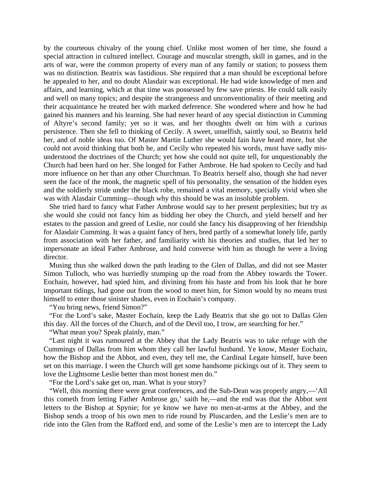by the courteous chivalry of the young chief. Unlike most women of her time, she found a special attraction in cultured intellect. Courage and muscular strength, skill in games, and in the arts of war, were the common property of every man of any family or station; to possess them was no distinction. Beatrix was fastidious. She required that a man should be exceptional before he appealed to her, and no doubt Alasdair was exceptional. He had wide knowledge of men and affairs, and learning, which at that time was possessed by few save priests. He could talk easily and well on many topics; and despite the strangeness and unconventionality of their meeting and their acquaintance he treated her with marked deference. She wondered where and how he had gained his manners and his learning. She had never heard of any special distinction in Cumming of Altyre's second family; yet so it was, and her thoughts dwelt on him with a curious persistence. Then she fell to thinking of Cecily. A sweet, unselfish, saintly soul, so Beatrix held her, and of noble ideas too. Of Master Martin Luther she would fain have heard more, but she could not avoid thinking that both he, and Cecily who repeated his words, must have sadly misunderstood the doctrines of the Church; yet how she could not quite tell, for unquestionably the Church had been hard on her. She longed for Father Ambrose. He had spoken to Cecily and had more influence on her than any other Churchman. To Beatrix herself also, though she had never seen the face of the monk, the magnetic spell of his personality, the sensation of the hidden eyes and the soldierly stride under the black robe, remained a vital memory, specially vivid when she was with Alasdair Cumming—though why this should be was an insoluble problem.

 She tried hard to fancy what Father Ambrose would say to her present perplexities; but try as she would she could not fancy him as bidding her obey the Church, and yield herself and her estates to the passion and greed of Leslie, nor could she fancy his disapproving of her friendship for Alasdair Cumming. It was a quaint fancy of hers, bred partly of a somewhat lonely life, partly from association with her father, and familiarity with his theories and studies, that led her to impersonate an ideal Father Ambrose, and hold converse with him as though he were a living director.

 Musing thus she walked down the path leading to the Glen of Dallas, and did not see Master Simon Tulloch, who was hurriedly stumping up the road from the Abbey towards the Tower. Eochain, however, had spied him, and divining from his haste and from his look that he bore important tidings, had gone out from the wood to meet him, for Simon would by no means trust himself to enter those sinister shades, even in Eochain's company.

"You bring news, friend Simon?"

 "For the Lord's sake, Master Eochain, keep the Lady Beatrix that she go not to Dallas Glen this day. All the forces of the Church, and of the Devil too, I trow, are searching for her."

"What mean you? Speak plainly, man."

 "Last night it was rumoured at the Abbey that the Lady Beatrix was to take refuge with the Cummings of Dallas from him whom they call her lawful husband. Ye know, Master Eochain, how the Bishop and the Abbot, and even, they tell me, the Cardinal Legate himself, have been set on this marriage. I ween the Church will get some handsome pickings out of it. They seem to love the Lightsome Leslie better than most honest men do."

"For the Lord's sake get on, man. What is your story?

 "Well, this morning there were great conferences, and the Sub-Dean was properly angry,—'All this cometh from letting Father Ambrose go,' saith he,—and the end was that the Abbot sent letters to the Bishop at Spynie; for ye know we have no men-at-arms at the Abbey, and the Bishop sends a troop of his own men to ride round by Pluscarden, and the Leslie's men are to ride into the Glen from the Rafford end, and some of the Leslie's men are to intercept the Lady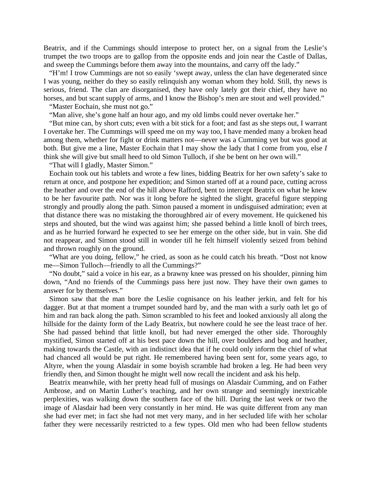Beatrix, and if the Cummings should interpose to protect her, on a signal from the Leslie's trumpet the two troops are to gallop from the opposite ends and join near the Castle of Dallas, and sweep the Cummings before them away into the mountains, and carry off the lady."

 "H'm! I trow Cummings are not so easily 'swept away, unless the clan have degenerated since I was young, neither do they so easily relinquish any woman whom they hold. Still, thy news is serious, friend. The clan are disorganised, they have only lately got their chief, they have no horses, and but scant supply of arms, and I know the Bishop's men are stout and well provided."

"Master Eochain, she must not go."

"Man alive, she's gone half an hour ago, and my old limbs could never overtake her."

 "But mine can, by short cuts; even with a bit stick for a foot; and fast as she steps out, I warrant I overtake her. The Cummings will speed me on my way too, I have mended many a broken head among them, whether for fight or drink matters not—never was a Cumming yet but was good at both. But give me a line, Master Eochain that I may show the lady that I come from you, else *I*  think she will give but small heed to old Simon Tulloch, if she be bent on her own will."

"That will I gladly, Master Simon."

 Eochain took out his tablets and wrote a few lines, bidding Beatrix for her own safety's sake to return at once, and postpone her expedition; and Simon started off at a round pace, cutting across the heather and over the end of the hill above Rafford, bent to intercept Beatrix on what he knew to be her favourite path. Nor was it long before he sighted the slight, graceful figure stepping strongly and proudly along the path. Simon paused a moment in undisguised admiration; even at that distance there was no mistaking the thoroughbred air of every movement. He quickened his steps and shouted, but the wind was against him; she passed behind a little knoll of birch trees, and as he hurried forward he expected to see her emerge on the other side, but in vain. She did not reappear, and Simon stood still in wonder till he felt himself violently seized from behind and thrown roughly on the ground.

 "What are you doing, fellow," he cried, as soon as he could catch his breath. "Dost not know me—Simon Tulloch—friendly to all the Cummings?"

 "No doubt," said a voice in his ear, as a brawny knee was pressed on his shoulder, pinning him down, "And no friends of the Cummings pass here just now. They have their own games to answer for by themselves."

 Simon saw that the man bore the Leslie cognisance on his leather jerkin, and felt for his dagger. But at that moment a trumpet sounded hard by, and the man with a surly oath let go of him and ran back along the path. Simon scrambled to his feet and looked anxiously all along the hillside for the dainty form of the Lady Beatrix, but nowhere could he see the least trace of her. She had passed behind that little knoll, but had never emerged the other side. Thoroughly mystified, Simon started off at his best pace down the hill, over boulders and bog and heather, making towards the Castle, with an indistinct idea that if he could only inform the chief of what had chanced all would be put right. He remembered having been sent for, some years ago, to Altyre, when the young Alasdair in some boyish scramble had broken a leg. He had been very friendly then, and Simon thought he might well now recall the incident and ask his help.

 Beatrix meanwhile, with her pretty head full of musings on Alasdair Cumming, and on Father Ambrose, and on Martin Luther's teaching, and her own strange and seemingly inextricable perplexities, was walking down the southern face of the hill. During the last week or two the image of Alasdair had been very constantly in her mind. He was quite different from any man she had ever met; in fact she had not met very many, and in her secluded life with her scholar father they were necessarily restricted to a few types. Old men who had been fellow students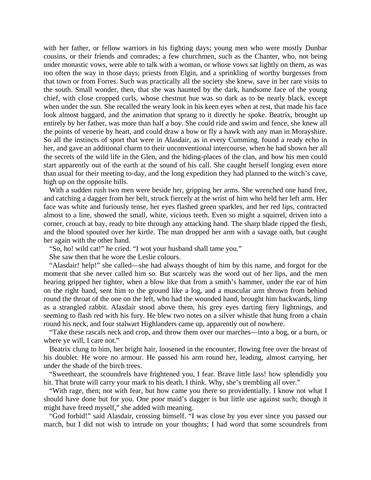with her father, or fellow warriors in his fighting days; young men who were mostly Dunbar cousins, or their friends and comrades; a few churchmen, such as the Chanter, who, not being under monastic vows, were able to talk with a woman, or whose vows sat lightly on them, as was too often the way in those days; priests from Elgin, and a sprinkling of worthy burgesses from that town or from Forres. Such was practically all the society she knew, save in her rare visits to the south. Small wonder, then, that she was haunted by the dark, handsome face of the young chief, with close cropped curls, whose chestnut hue was so dark as to be nearly black, except when under the sun. She recalled the weary look in his keen eyes when at rest, that made his face look almost haggard, and the animation that sprang to it directly he spoke. Beatrix, brought up entirely by her father, was more than half a boy. She could ride and swim and fence, she knew all the points of venerie by heart, and could draw a bow or fly a hawk with any man in Morayshire. So all the instincts of sport that were in Alasdair, as in every Cumming, found a ready echo in her, and gave an additional charm to their unconventional intercourse, when he had shown her all the secrets of the wild life in the Glen, and the hiding-places of the clan, and how his men could start apparently out of the earth at the sound of his call. She caught herself longing even more than usual for their meeting to-day, and the long expedition they had planned to the witch's cave, high up on the opposite hills.

 With a sudden rush two men were beside her, gripping her arms. She wrenched one hand free, and catching a dagger from her belt, struck fiercely at the wrist of him who held her left arm. Her face was white and furiously tense, her eyes flashed green sparkles, and her red lips, contracted almost to a line, showed the small, white, vicious teeth. Even so might a squirrel, driven into a corner, crouch at bay, ready to bite through any attacking hand. The sharp blade ripped the flesh, and the blood spouted over her kirtle. The man dropped her arm with a savage oath, but caught her again with the other hand.

"So, ho! wild cat!" he cried. "I wot your husband shall tame you."

She saw then that he wore the Leslie colours.

 "Alasdair! help!" she called—she had always thought of him by this name, and forgot for the moment that she never called him so. But scarcely was the word out of her lips, and the men hearing gripped her tighter, when a blow like that from a smith's hammer, under the ear of him on the right hand, sent him to the ground like a log, and a muscular arm thrown from behind round the throat of the one on the left, who had the wounded hand, brought him backwards, limp as a strangled rabbit. Alasdair stood above them, his grey eyes darting fiery lightnings, and seeming to flash red with his fury. He blew two notes on a silver whistle that hung from a chain round his neck, and four stalwart Highlanders came up, apparently out of nowhere.

 "Take these rascals neck and crop, and throw them over our marches—into a bog, or a burn, or where ye will, I care not."

 Beatrix clung to him, her bright hair, loosened in the encounter, flowing free over the breast of his doublet. He wore no armour. He passed his arm round her, leading, almost carrying, her under the shade of the birch trees.

 "Sweetheart, the scoundrels have frightened you, I fear. Brave little lass! how splendidly you hit. That brute will carry your mark to his death, I think. Why, she's trembling all over."

 "With rage, then; not with fear, but how came you there so providentially. I know not what I should have done but for you. One poor maid's dagger is but little use against such; though it might have freed myself," she added with meaning.

 "God forbid!" said Alasdair, crossing himself. "I was close by you ever since you passed our march, but I did not wish to intrude on your thoughts; I had word that some scoundrels from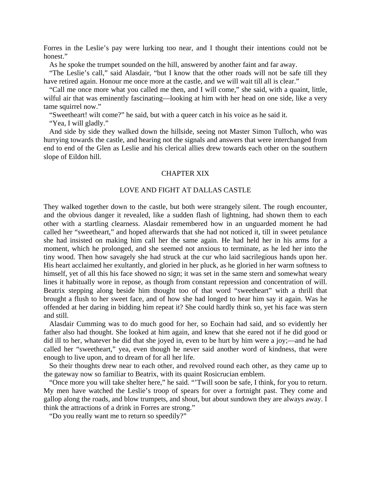Forres in the Leslie's pay were lurking too near, and I thought their intentions could not be honest."

As he spoke the trumpet sounded on the hill, answered by another faint and far away.

 "The Leslie's call," said Alasdair, "but I know that the other roads will not be safe till they have retired again. Honour me once more at the castle, and we will wait till all is clear."

 "Call me once more what you called me then, and I will come," she said, with a quaint, little, wilful air that was eminently fascinating—looking at him with her head on one side, like a very tame squirrel now."

"Sweetheart! wilt come?" he said, but with a queer catch in his voice as he said it.

"Yea, I will gladly."

 And side by side they walked down the hillside, seeing not Master Simon Tulloch, who was hurrying towards the castle, and hearing not the signals and answers that were interchanged from end to end of the Glen as Leslie and his clerical allies drew towards each other on the southern slope of Eildon hill.

### CHAPTER XIX

## LOVE AND FIGHT AT DALLAS CASTLE

They walked together down to the castle, but both were strangely silent. The rough encounter, and the obvious danger it revealed, like a sudden flash of lightning, had shown them to each other with a startling clearness. Alasdair remembered how in an unguarded moment he had called her "sweetheart," and hoped afterwards that she had not noticed it, till in sweet petulance she had insisted on making him call her the same again. He had held her in his arms for a moment, which he prolonged, and she seemed not anxious to terminate, as he led her into the tiny wood. Then how savagely she had struck at the cur who laid sacrilegious hands upon her. His heart acclaimed her exultantly, and gloried in her pluck, as he gloried in her warm softness to himself, yet of all this his face showed no sign; it was set in the same stern and somewhat weary lines it habitually wore in repose, as though from constant repression and concentration of will. Beatrix stepping along beside him thought too of that word "sweetheart" with a thrill that brought a flush to her sweet face, and of how she had longed to hear him say it again. Was he offended at her daring in bidding him repeat it? She could hardly think so, yet his face was stern and still.

 Alasdair Cumming was to do much good for her, so Eochain had said, and so evidently her father also had thought. She looked at him again, and knew that she eared not if he did good or did ill to her, whatever he did that she joyed in, even to be hurt by him were a joy;—and he had called her "sweetheart," yea, even though he never said another word of kindness, that were enough to live upon, and to dream of for all her life.

 So their thoughts drew near to each other, and revolved round each other, as they came up to the gateway now so familiar to Beatrix, with its quaint Rosicrucian emblem.

 "Once more you will take shelter here," he said. "'Twill soon be safe, I think, for you to return. My men have watched the Leslie's troop of spears for over a fortnight past. They come and gallop along the roads, and blow trumpets, and shout, but about sundown they are always away. I think the attractions of a drink in Forres are strong."

"Do you really want me to return so speedily?"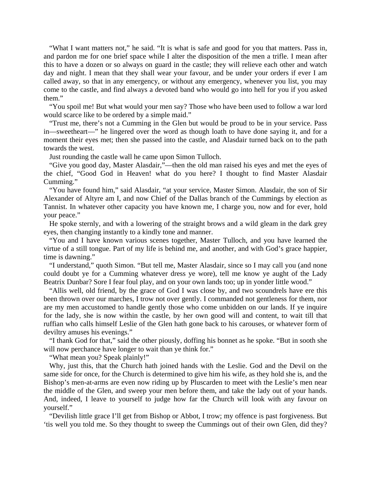"What I want matters not," he said. "It is what is safe and good for you that matters. Pass in, and pardon me for one brief space while I alter the disposition of the men a trifle. I mean after this to have a dozen or so always on guard in the castle; they will relieve each other and watch day and night. I mean that they shall wear your favour, and be under your orders if ever I am called away, so that in any emergency, or without any emergency, whenever you list, you may come to the castle, and find always a devoted band who would go into hell for you if you asked them."

 "You spoil me! But what would your men say? Those who have been used to follow a war lord would scarce like to be ordered by a simple maid."

 "Trust me, there's not a Cumming in the Glen but would be proud to be in your service. Pass in—sweetheart—" he lingered over the word as though loath to have done saying it, and for a moment their eyes met; then she passed into the castle, and Alasdair turned back on to the path towards the west.

Just rounding the castle wall he came upon Simon Tulloch.

 "Give you good day, Master Alasdair,"—then the old man raised his eyes and met the eyes of the chief, "Good God in Heaven! what do you here? I thought to find Master Alasdair Cumming."

 "You have found him," said Alasdair, "at your service, Master Simon. Alasdair, the son of Sir Alexander of Altyre am I, and now Chief of the Dallas branch of the Cummings by election as Tannist. In whatever other capacity you have known me, I charge you, now and for ever, hold your peace."

 He spoke sternly, and with a lowering of the straight brows and a wild gleam in the dark grey eyes, then changing instantly to a kindly tone and manner.

 "You and I have known various scenes together, Master Tulloch, and you have learned the virtue of a still tongue. Part of my life is behind me, and another, and with God's grace happier, time is dawning."

 "I understand," quoth Simon. "But tell me, Master Alasdair, since so I may call you (and none could doubt ye for a Cumming whatever dress ye wore), tell me know ye aught of the Lady Beatrix Dunbar? Sore I fear foul play, and on your own lands too; up in yonder little wood."

 "Allis well, old friend, by the grace of God I was close by, and two scoundrels have ere this been thrown over our marches, I trow not over gently. I commanded not gentleness for them, nor are my men accustomed to handle gently those who come unbidden on our lands. If ye inquire for the lady, she is now within the castle, by her own good will and content, to wait till that ruffian who calls himself Leslie of the Glen hath gone back to his carouses, or whatever form of deviltry amuses his evenings."

 "I thank God for that," said the other piously, doffing his bonnet as he spoke. "But in sooth she will now perchance have longer to wait than ye think for."

"What mean you? Speak plainly!"

 Why, just this, that the Church hath joined hands with the Leslie. God and the Devil on the same side for once, for the Church is determined to give him his wife, as they hold she is, and the Bishop's men-at-arms are even now riding up by Pluscarden to meet with the Leslie's men near the middle of the Glen, and sweep your men before them, and take the lady out of your hands. And, indeed, I leave to yourself to judge how far the Church will look with any favour on yourself."

 "Devilish little grace I'll get from Bishop or Abbot, I trow; my offence is past forgiveness. But 'tis well you told me. So they thought to sweep the Cummings out of their own Glen, did they?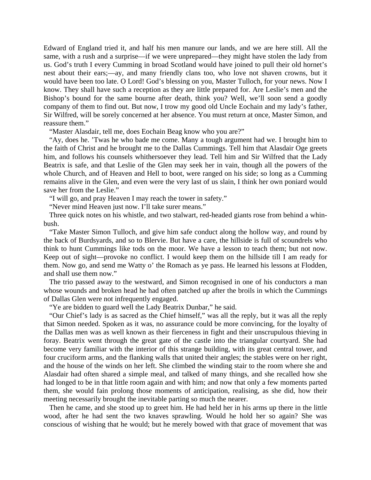Edward of England tried it, and half his men manure our lands, and we are here still. All the same, with a rush and a surprise—if we were unprepared—they might have stolen the lady from us. God's truth I every Cumming in broad Scotland would have joined to pull their old hornet's nest about their ears;—ay, and many friendly clans too, who love not shaven crowns, but it would have been too late. O Lord! God's blessing on you, Master Tulloch, for your news. Now I know. They shall have such a reception as they are little prepared for. Are Leslie's men and the Bishop's bound for the same bourne after death, think you? Well, we'll soon send a goodly company of them to find out. But now, I trow my good old Uncle Eochain and my lady's father, Sir Wilfred, will be sorely concerned at her absence. You must return at once, Master Simon, and reassure them."

"Master Alasdair, tell me, does Eochain Beag know who you are?"

 "Ay, does he. 'Twas he who bade me come. Many a tough argument had we. I brought him to the faith of Christ and he brought me to the Dallas Cummings. Tell him that Alasdair Oge greets him, and follows his counsels whithersoever they lead. Tell him and Sir Wilfred that the Lady Beatrix is safe, and that Leslie of the Glen may seek her in vain, though all the powers of the whole Church, and of Heaven and Hell to boot, were ranged on his side; so long as a Cumming remains alive in the Glen, and even were the very last of us slain, I think her own poniard would save her from the Leslie."

"I will go, and pray Heaven I may reach the tower in safety."

"Never mind Heaven just now. I'll take surer means."

 Three quick notes on his whistle, and two stalwart, red-headed giants rose from behind a whinbush.

 "Take Master Simon Tulloch, and give him safe conduct along the hollow way, and round by the back of Burdsyards, and so to Blervie. But have a care, the hillside is full of scoundrels who think to hunt Cummings like tods on the moor. We have a lesson to teach them; but not now. Keep out of sight—provoke no conflict. I would keep them on the hillside till I am ready for them. Now go, and send me Watty o' the Romach as ye pass. He learned his lessons at Flodden, and shall use them now."

 The trio passed away to the westward, and Simon recognised in one of his conductors a man whose wounds and broken head he had often patched up after the broils in which the Cummings of Dallas Glen were not infrequently engaged.

"Ye are bidden to guard well the Lady Beatrix Dunbar," he said.

 "Our Chief's lady is as sacred as the Chief himself," was all the reply, but it was all the reply that Simon needed. Spoken as it was, no assurance could be more convincing, for the loyalty of the Dallas men was as well known as their fierceness in fight and their unscrupulous thieving in foray. Beatrix went through the great gate of the castle into the triangular courtyard. She had become very familiar with the interior of this strange building, with its great central tower, and four cruciform arms, and the flanking walls that united their angles; the stables were on her right, and the house of the winds on her left. She climbed the winding stair to the room where she and Alasdair had often shared a simple meal, and talked of many things, and she recalled how she had longed to be in that little room again and with him; and now that only a few moments parted them, she would fain prolong those moments of anticipation, realising, as she did, how their meeting necessarily brought the inevitable parting so much the nearer.

 Then he came, and she stood up to greet him. He had held her in his arms up there in the little wood, after he had sent the two knaves sprawling. Would he hold her so again? She was conscious of wishing that he would; but he merely bowed with that grace of movement that was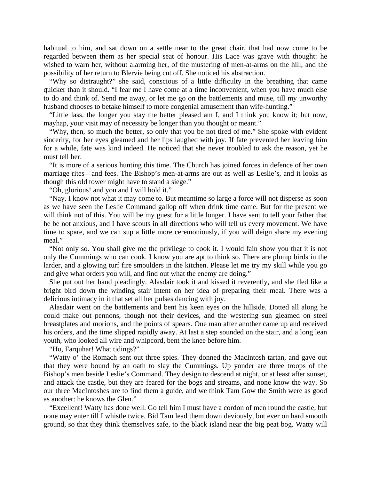habitual to him, and sat down on a settle near to the great chair, that had now come to be regarded between them as her special seat of honour. His Lace was grave with thought: he wished to warn her, without alarming her, of the mustering of men-at-arms on the hill, and the possibility of her return to Blervie being cut off. She noticed his abstraction.

 "Why so distraught?" she said, conscious of a little difficulty in the breathing that came quicker than it should. "I fear me I have come at a time inconvenient, when you have much else to do and think of. Send me away, or let me go on the battlements and muse, till my unworthy husband chooses to betake himself to more congenial amusement than wife-hunting."

 "Little lass, the longer you stay the better pleased am I, and I think you know it; but now, mayhap, your visit may of necessity be longer than you thought or meant."

 "Why, then, so much the better, so only that you be not tired of me." She spoke with evident sincerity, for her eyes gleamed and her lips laughed with joy. If fate prevented her leaving him for a while, fate was kind indeed. He noticed that she never troubled to ask the reason, yet he must tell her.

 "It is more of a serious hunting this time. The Church has joined forces in defence of her own marriage rites—and fees. The Bishop's men-at-arms are out as well as Leslie's, and it looks as though this old tower might have to stand a siege."

"Oh, glorious! and you and I will hold it."

 "Nay. I know not what it may come to. But meantime so large a force will not disperse as soon as we have seen the Leslie Command gallop off when drink time came. But for the present we will think not of this. You will be my guest for a little longer. I have sent to tell your father that he be not anxious, and I have scouts in all directions who will tell us every movement. We have time to spare, and we can sup a little more ceremoniously, if you will deign share my evening meal."

 "Not only so. You shall give me the privilege to cook it. I would fain show you that it is not only the Cummings who can cook. I know you are apt to think so. There are plump birds in the larder, and a glowing turf fire smoulders in the kitchen. Please let me try my skill while you go and give what orders you will, and find out what the enemy are doing."

 She put out her hand pleadingly. Alasdair took it and kissed it reverently, and she fled like a bright bird down the winding stair intent on her idea of preparing their meal. There was a delicious intimacy in it that set all her pulses dancing with joy.

 Alasdair went on the battlements and bent his keen eyes on the hillside. Dotted all along he could make out pennons, though not their devices, and the westering sun gleamed on steel breastplates and morions, and the points of spears. One man after another came up and received his orders, and the time slipped rapidly away. At last a step sounded on the stair, and a long lean youth, who looked all wire and whipcord, bent the knee before him.

"Ho, Farquhar! What tidings?"

 "Watty o' the Romach sent out three spies. They donned the MacIntosh tartan, and gave out that they were bound by an oath to slay the Cummings. Up yonder are three troops of the Bishop's men beside Leslie's Command. They design to descend at night, or at least after sunset, and attack the castle, but they are feared for the bogs and streams, and none know the way. So our three MacIntoshes are to find them a guide, and we think Tam Gow the Smith were as good as another: he knows the Glen."

 "Excellent! Watty has done well. Go tell him I must have a cordon of men round the castle, but none may enter till I whistle twice. Bid Tam lead them down deviously, but ever on hard smooth ground, so that they think themselves safe, to the black island near the big peat bog. Watty will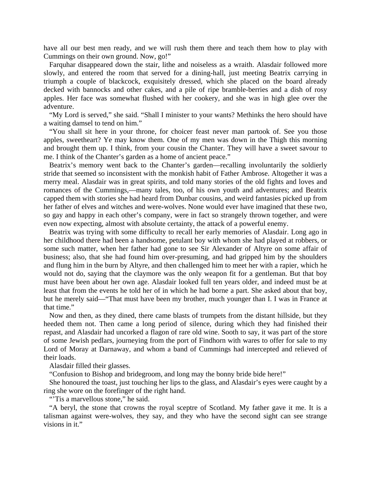have all our best men ready, and we will rush them there and teach them how to play with Cummings on their own ground. Now, go!"

 Farquhar disappeared down the stair, lithe and noiseless as a wraith. Alasdair followed more slowly, and entered the room that served for a dining-hall, just meeting Beatrix carrying in triumph a couple of blackcock, exquisitely dressed, which she placed on the board already decked with bannocks and other cakes, and a pile of ripe bramble-berries and a dish of rosy apples. Her face was somewhat flushed with her cookery, and she was in high glee over the adventure.

 "My Lord is served," she said. "Shall I minister to your wants? Methinks the hero should have a waiting damsel to tend on him."

 "You shall sit here in your throne, for choicer feast never man partook of. See you those apples, sweetheart? Ye may know them. One of my men was down in the Thigh this morning and brought them up. I think, from your cousin the Chanter. They will have a sweet savour to me. I think of the Chanter's garden as a home of ancient peace."

 Beatrix's memory went back to the Chanter's garden—recalling involuntarily the soldierly stride that seemed so inconsistent with the monkish habit of Father Ambrose. Altogether it was a merry meal. Alasdair was in great spirits, and told many stories of the old fights and loves and romances of the Cummings,—many tales, too, of his own youth and adventures; and Beatrix capped them with stories she had heard from Dunbar cousins, and weird fantasies picked up from her father of elves and witches and were-wolves. None would ever have imagined that these two, so gay and happy in each other's company, were in fact so strangely thrown together, and were even now expecting, almost with absolute certainty, the attack of a powerful enemy.

 Beatrix was trying with some difficulty to recall her early memories of Alasdair. Long ago in her childhood there had been a handsome, petulant boy with whom she had played at robbers, or some such matter, when her father had gone to see Sir Alexander of Altyre on some affair of business; also, that she had found him over-presuming, and had gripped him by the shoulders and flung him in the burn by Altyre, and then challenged him to meet her with a rapier, which he would not do, saying that the claymore was the only weapon fit for a gentleman. But that boy must have been about her own age. Alasdair looked full ten years older, and indeed must be at least that from the events he told her of in which he had borne a part. She asked about that boy, but he merely said—"That must have been my brother, much younger than I. I was in France at that time."

 Now and then, as they dined, there came blasts of trumpets from the distant hillside, but they heeded them not. Then came a long period of silence, during which they had finished their repast, and Alasdair had uncorked a flagon of rare old wine. Sooth to say, it was part of the store of some Jewish pedlars, journeying from the port of Findhorn with wares to offer for sale to my Lord of Moray at Darnaway, and whom a band of Cummings had intercepted and relieved of their loads.

Alasdair filled their glasses.

"Confusion to Bishop and bridegroom, and long may the bonny bride bide here!"

 She honoured the toast, just touching her lips to the glass, and Alasdair's eyes were caught by a ring she wore on the forefinger of the right hand.

"Tis a marvellous stone," he said.

 "A beryl, the stone that crowns the royal sceptre of Scotland. My father gave it me. It is a talisman against were-wolves, they say, and they who have the second sight can see strange visions in it."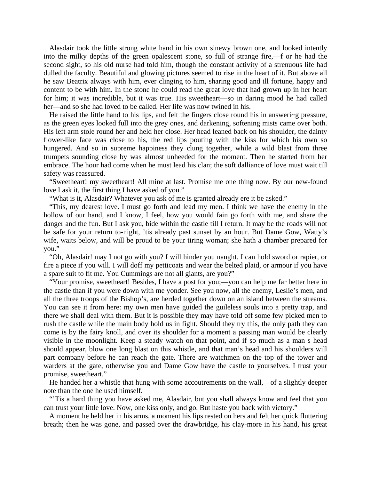Alasdair took the little strong white hand in his own sinewy brown one, and looked intently into the milky depths of the green opalescent stone, so full of strange fire,—f or he had the second sight, so his old nurse had told him, though the constant activity of a strenuous life had dulled the faculty. Beautiful and glowing pictures seemed to rise in the heart of it. But above all he saw Beatrix always with him, ever clinging to him, sharing good and ill fortune, happy and content to be with him. In the stone he could read the great love that had grown up in her heart for him; it was incredible, but it was true. His sweetheart—so in daring mood he had called her—and so she had loved to be called. Her life was now twined in his.

 He raised the little hand to his lips, and felt the fingers close round his in answeri~g pressure, as the green eyes looked full into the grey ones, and darkening, softening mists came over both. His left arm stole round her and held her close. Her head leaned back on his shoulder, the dainty flower-like face was close to his, the red lips pouting with the kiss for which his own so hungered. And so in supreme happiness they clung together, while a wild blast from three trumpets sounding close by was almost unheeded for the moment. Then he started from her embrace. The hour had come when he must lead his clan; the soft dalliance of love must wait till safety was reassured.

 "Sweetheart! my sweetheart! All mine at last. Promise me one thing now. By our new-found love I ask it, the first thing I have asked of you."

"What is it, Alasdair? Whatever you ask of me is granted already ere it be asked."

 "This, my dearest love. I must go forth and lead my men. I think we have the enemy in the hollow of our hand, and I know, I feel, how you would fain go forth with me, and share the danger and the fun. But I ask you, bide within the castle till I return. It may be the roads will not be safe for your return to-night, 'tis already past sunset by an hour. But Dame Gow, Watty's wife, waits below, and will be proud to be your tiring woman; she hath a chamber prepared for you."

 "Oh, Alasdair! may I not go with you? I will hinder you naught. I can hold sword or rapier, or fire a piece if you will. I will doff my petticoats and wear the belted plaid, or armour if you have a spare suit to fit me. You Cummings are not all giants, are you?"

 "Your promise, sweetheart! Besides, I have a post for you;—you can help me far better here in the castle than if you were down with me yonder. See you now, all the enemy, Leslie's men, and all the three troops of the Bishop's, are herded together down on an island between the streams. You can see it from here: my own men have guided the guileless souls into a pretty trap, and there we shall deal with them. But it is possible they may have told off some few picked men to rush the castle while the main body hold us in fight. Should they try this, the only path they can come is by the fairy knoll, and over its shoulder for a moment a passing man would be clearly visible in the moonlight. Keep a steady watch on that point, and if so much as a man s head should appear, blow one long blast on this whistle, and that man's head and his shoulders will part company before he can reach the gate. There are watchmen on the top of the tower and warders at the gate, otherwise you and Dame Gow have the castle to yourselves. I trust your promise, sweetheart."

 He handed her a whistle that hung with some accoutrements on the wall,—of a slightly deeper note than the one he used himself.

 "'Tis a hard thing you have asked me, Alasdair, but you shall always know and feel that you can trust your little love. Now, one kiss only, and go. But haste you back with victory."

 A moment he held her in his arms, a moment his lips rested on hers and felt her quick fluttering breath; then he was gone, and passed over the drawbridge, his clay-more in his hand, his great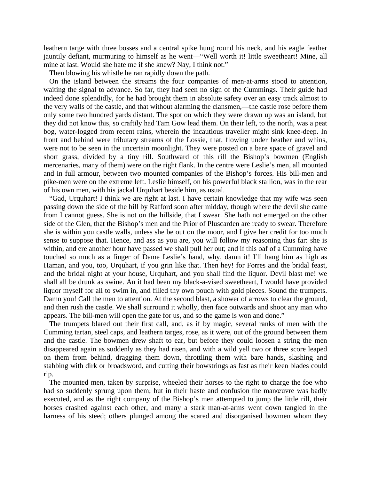leathern targe with three bosses and a central spike hung round his neck, and his eagle feather jauntily defiant, murmuring to himself as he went—"Well worth it! little sweetheart! Mine, all mine at last. Would she hate me if she knew? Nay, I think not."

Then blowing his whistle he ran rapidly down the path.

 On the island between the streams the four companies of men-at-arms stood to attention, waiting the signal to advance. So far, they had seen no sign of the Cummings. Their guide had indeed done splendidly, for he had brought them in absolute safety over an easy track almost to the very walls of the castle, and that without alarming the clansmen,—the castle rose before them only some two hundred yards distant. The spot on which they were drawn up was an island, but they did not know this, so craftily had Tam Gow lead them. On their left, to the north, was a peat bog, water-logged from recent rains, wherein the incautious traveller might sink knee-deep. In front and behind were tributary streams of the Lossie, that, flowing under heather and whins, were not to be seen in the uncertain moonlight. They were posted on a bare space of gravel and short grass, divided by a tiny rill. Southward of this rill the Bishop's bowmen (English mercenaries, many of them) were on the right flank. In the centre were Leslie's men, all mounted and in full armour, between two mounted companies of the Bishop's forces. His bill-men and pike-men were on the extreme left. Leslie himself, on his powerful black stallion, was in the rear of his own men, with his jackal Urquhart beside him, as usual.

 "Gad, Urquhart! I think we are right at last. I have certain knowledge that my wife was seen passing down the side of the hill by Rafford soon after midday, though where the devil she came from I cannot guess. She is not on the hillside, that I swear. She hath not emerged on the other side of the Glen, that the Bishop's men and the Prior of Pluscarden are ready to swear. Therefore she is within you castle walls, unless she be out on the moor, and I give her credit for too much sense to suppose that. Hence, and ass as you are, you will follow my reasoning thus far: she is within, and ere another hour have passed we shall pull her out; and if this oaf of a Cumming have touched so much as a finger of Dame Leslie's hand, why, damn it! I'll hang him as high as Haman, and you, too, Urquhart, if you grin like that. Then hey! for Forres and the bridal feast, and the bridal night at your house, Urquhart, and you shall find the liquor. Devil blast me! we shall all be drunk as swine. An it had been my black-a-vised sweetheart, I would have provided liquor myself for all to swim in, and filled thy own pouch with gold pieces. Sound the trumpets. Damn you! Call the men to attention. At the second blast, a shower of arrows to clear the ground, and then rush the castle. We shall surround it wholly, then face outwards and shoot any man who appears. The bill-men will open the gate for us, and so the game is won and done."

 The trumpets blared out their first call, and, as if by magic, several ranks of men with the Cumming tartan, steel caps, and leathern targes, rose, as it were, out of the ground between them and the castle. The bowmen drew shaft to ear, but before they could loosen a string the men disappeared again as suddenly as they had risen, and with a wild yell two or three score leaped on them from behind, dragging them down, throttling them with bare hands, slashing and stabbing with dirk or broadsword, and cutting their bowstrings as fast as their keen blades could rip.

 The mounted men, taken by surprise, wheeled their horses to the right to charge the foe who had so suddenly sprung upon them; but in their haste and confusion the manœuvre was badly executed, and as the right company of the Bishop's men attempted to jump the little rill, their horses crashed against each other, and many a stark man-at-arms went down tangled in the harness of his steed; others plunged among the scared and disorganised bowmen whom they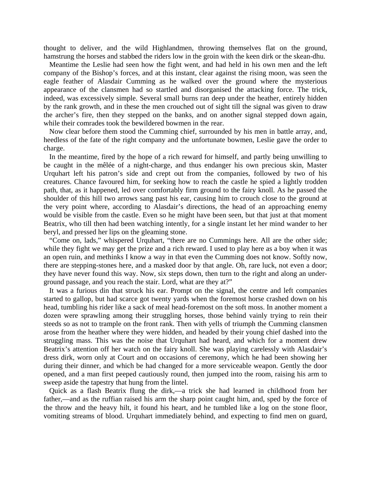thought to deliver, and the wild Highlandmen, throwing themselves flat on the ground, hamstrung the horses and stabbed the riders low in the groin with the keen dirk or the skean-dhu.

 Meantime the Leslie had seen how the fight went, and had held in his own men and the left company of the Bishop's forces, and at this instant, clear against the rising moon, was seen the eagle feather of Alasdair Cumming as he walked over the ground where the mysterious appearance of the clansmen had so startled and disorganised the attacking force. The trick, indeed, was excessively simple. Several small burns ran deep under the heather, entirely hidden by the rank growth, and in these the men crouched out of sight till the signal was given to draw the archer's fire, then they stepped on the banks, and on another signal stepped down again, while their comrades took the bewildered bowmen in the rear.

 Now clear before them stood the Cumming chief, surrounded by his men in battle array, and, heedless of the fate of the right company and the unfortunate bowmen, Leslie gave the order to charge.

 In the meantime, fired by the hope of a rich reward for himself, and partly being unwilling to be caught in the mêlée of a night-charge, and thus endanger his own precious skin, Master Urquhart left his patron's side and crept out from the companies, followed by two of his creatures. Chance favoured him, for seeking how to reach the castle he spied a lightly trodden path, that, as it happened, led over comfortably firm ground to the fairy knoll. As he passed the shoulder of this hill two arrows sang past his ear, causing him to crouch close to the ground at the very point where, according to Alasdair's directions, the head of an approaching enemy would be visible from the castle. Even so he might have been seen, but that just at that moment Beatrix, who till then had been watching intently, for a single instant let her mind wander to her beryl, and pressed her lips on the gleaming stone.

 "Come on, lads," whispered Urquhart, "there are no Cummings here. All are the other side; while they fight we may get the prize and a rich reward. I used to play here as a boy when it was an open ruin, and methinks I know a way in that even the Cumming does not know. Softly now, there are stepping-stones here, and a masked door by that angle. Oh, rare luck, not even a door; they have never found this way. Now, six steps down, then turn to the right and along an underground passage, and you reach the stair. Lord, what are they at?"

 It was a furious din that struck his ear. Prompt on the signal, the centre and left companies started to gallop, but had scarce got twenty yards when the foremost horse crashed down on his head, tumbling his rider like a sack of meal head-foremost on the soft moss. In another moment a dozen were sprawling among their struggling horses, those behind vainly trying to rein their steeds so as not to trample on the front rank. Then with yells of triumph the Cumming clansmen arose from the heather where they were hidden, and headed by their young chief dashed into the struggling mass. This was the noise that Urquhart had heard, and which for a moment drew Beatrix's attention off her watch on the fairy knoll. She was playing carelessly with Alasdair's dress dirk, worn only at Court and on occasions of ceremony, which he had been showing her during their dinner, and which be had changed for a more serviceable weapon. Gently the door opened, and a man first peeped cautiously round, then jumped into the room, raising his arm to sweep aside the tapestry that hung from the lintel.

 Quick as a flash Beatrix flung the dirk,—a trick she had learned in childhood from her father,—and as the ruffian raised his arm the sharp point caught him, and, sped by the force of the throw and the heavy hilt, it found his heart, and he tumbled like a log on the stone floor, vomiting streams of blood. Urquhart immediately behind, and expecting to find men on guard,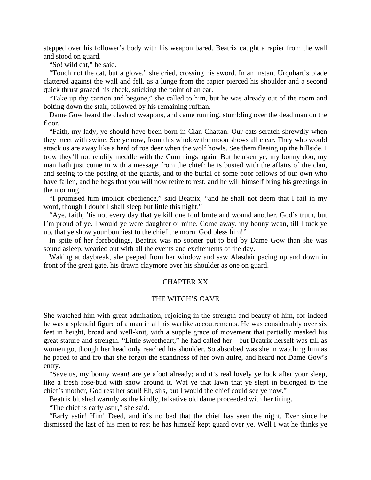stepped over his follower's body with his weapon bared. Beatrix caught a rapier from the wall and stood on guard.

"So! wild cat," he said.

 "Touch not the cat, but a glove," she cried, crossing his sword. In an instant Urquhart's blade clattered against the wall and fell, as a lunge from the rapier pierced his shoulder and a second quick thrust grazed his cheek, snicking the point of an ear.

 "Take up thy carrion and begone," she called to him, but he was already out of the room and bolting down the stair, followed by his remaining ruffian.

 Dame Gow heard the clash of weapons, and came running, stumbling over the dead man on the floor.

 "Faith, my lady, ye should have been born in Clan Chattan. Our cats scratch shrewdly when they meet with swine. See ye now, from this window the moon shows all clear. They who would attack us are away like a herd of roe deer when the wolf howls. See them fleeing up the hillside. I trow they'll not readily meddle with the Cummings again. But hearken ye, my bonny doo, my man hath just come in with a message from the chief: he is busied with the affairs of the clan, and seeing to the posting of the guards, and to the burial of some poor fellows of our own who have fallen, and he begs that you will now retire to rest, and he will himself bring his greetings in the morning."

 "I promised him implicit obedience," said Beatrix, "and he shall not deem that I fail in my word, though I doubt I shall sleep but little this night."

 "Aye, faith, 'tis not every day that ye kill one foul brute and wound another. God's truth, but I'm proud of ye. I would ye were daughter o' mine. Come away, my bonny wean, till I tuck ye up, that ye show your bonniest to the chief the morn. God bless him!"

 In spite of her forebodings, Beatrix was no sooner put to bed by Dame Gow than she was sound asleep, wearied out with all the events and excitements of the day.

 Waking at daybreak, she peeped from her window and saw Alasdair pacing up and down in front of the great gate, his drawn claymore over his shoulder as one on guard.

### CHAPTER XX

#### THE WITCH'S CAVE

She watched him with great admiration, rejoicing in the strength and beauty of him, for indeed he was a splendid figure of a man in all his warlike accoutrements. He was considerably over six feet in height, broad and well-knit, with a supple grace of movement that partially masked his great stature and strength. "Little sweetheart," he had called her—but Beatrix herself was tall as women go, though her head only reached his shoulder. So absorbed was she in watching him as he paced to and fro that she forgot the scantiness of her own attire, and heard not Dame Gow's entry.

 "Save us, my bonny wean! are ye afoot already; and it's real lovely ye look after your sleep, like a fresh rose-bud with snow around it. Wat ye that lawn that ye slept in belonged to the chief's mother, God rest her soul! Eh, sirs, but I would the chief could see ye now."

Beatrix blushed warmly as the kindly, talkative old dame proceeded with her tiring.

"The chief is early astir," she said.

 "Early astir! Him! Deed, and it's no bed that the chief has seen the night. Ever since he dismissed the last of his men to rest he has himself kept guard over ye. Well I wat he thinks ye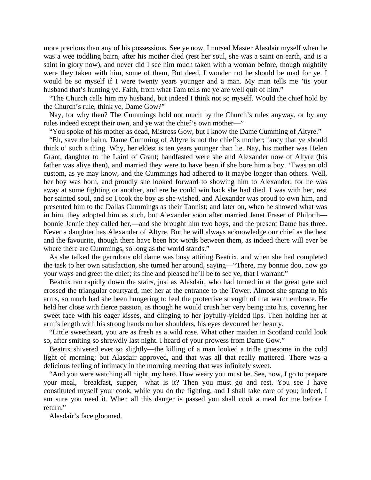more precious than any of his possessions. See ye now, I nursed Master Alasdair myself when he was a wee toddling bairn, after his mother died (rest her soul, she was a saint on earth, and is a saint in glory now), and never did I see him much taken with a woman before, though mightily were they taken with him, some of them, But deed, I wonder not he should be mad for ye. I would be so myself if I were twenty years younger and a man. My man tells me 'tis your husband that's hunting ye. Faith, from what Tam tells me ye are well quit of him."

 "The Church calls him my husband, but indeed I think not so myself. Would the chief hold by the Church's rule, think ye, Dame Gow?"

 Nay, for why then? The Cummings hold not much by the Church's rules anyway, or by any rules indeed except their own, and ye wat the chief's own mother—"

"You spoke of his mother as dead, Mistress Gow, but I know the Dame Cumming of Altyre."

 "Eh, save the bairn, Dame Cumming of Altyre is not the chief's mother; fancy that ye should think o' such a thing. Why, her eldest is ten years younger than lie. Nay, his mother was Helen Grant, daughter to the Laird of Grant; handfasted were she and Alexander now of Altyre (his father was alive then), and married they were to have been if she bore him a boy. 'Twas an old custom, as ye may know, and the Cummings had adhered to it maybe longer than others. Well, her boy was born, and proudly she looked forward to showing him to Alexander, for he was away at some fighting or another, and ere he could win back she had died. I was with her, rest her sainted soul, and so I took the boy as she wished, and Alexander was proud to own him, and presented him to the Dallas Cummings as their Tannist; and later on, when he showed what was in him, they adopted him as such, but Alexander soon after married Janet Fraser of Philorth bonnie Jennie they called her,—and she brought him two boys, and the present Dame has three. Never a daughter has Alexander of Altyre. But he will always acknowledge our chief as the best and the favourite, though there have been hot words between them, as indeed there will ever be where there are Cummings, so long as the world stands."

 As she talked the garrulous old dame was busy attiring Beatrix, and when she had completed the task to her own satisfaction, she turned her around, saying—"There, my bonnie doo, now go your ways and greet the chief; its fine and pleased he'll be to see ye, that I warrant."

 Beatrix ran rapidly down the stairs, just as Alasdair, who had turned in at the great gate and crossed the triangular courtyard, met her at the entrance to the Tower. Almost she sprang to his arms, so much had she been hungering to feel the protective strength of that warm embrace. He held her close with fierce passion, as though he would crush her very being into his, covering her sweet face with his eager kisses, and clinging to her joyfully-yielded lips. Then holding her at arm's length with his strong hands on her shoulders, his eyes devoured her beauty.

 "Little sweetheart, you are as fresh as a wild rose. What other maiden in Scotland could look so, after smiting so shrewdly last night. I heard of your prowess from Dame Gow."

 Beatrix shivered ever so slightly—the killing of a man looked a trifle gruesome in the cold light of morning; but Alasdair approved, and that was all that really mattered. There was a delicious feeling of intimacy in the morning meeting that was infinitely sweet.

 "And you were watching all night, my hero. How weary you must be. See, now, I go to prepare your meal,—breakfast, supper,—what is it? Then you must go and rest. You see I have constituted myself your cook, while you do the fighting, and I shall take care of you; indeed, I am sure you need it. When all this danger is passed you shall cook a meal for me before I return."

Alasdair's face gloomed.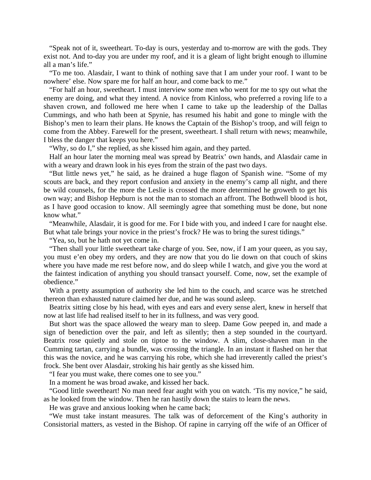"Speak not of it, sweetheart. To-day is ours, yesterday and to-morrow are with the gods. They exist not. And to-day you are under my roof, and it is a gleam of light bright enough to illumine all a man's life."

 "To me too. Alasdair, I want to think of nothing save that I am under your roof. I want to be nowhere' else. Now spare me for half an hour, and come back to me."

 "For half an hour, sweetheart. I must interview some men who went for me to spy out what the enemy are doing, and what they intend. A novice from Kinloss, who preferred a roving life to a shaven crown, and followed me here when I came to take up the leadership of the Dallas Cummings, and who hath been at Spynie, has resumed his habit and gone to mingle with the Bishop's men to learn their plans. He knows the Captain of the Bishop's troop, and will feign to come from the Abbey. Farewell for the present, sweetheart. I shall return with news; meanwhile, I bless the danger that keeps you here."

"Why, so do I," she replied, as she kissed him again, and they parted.

 Half an hour later the morning meal was spread by Beatrix' own hands, and Alasdair came in with a weary and drawn look in his eyes from the strain of the past two days.

 "But little news yet," he said, as he drained a huge flagon of Spanish wine. "Some of my scouts are back, and they report confusion and anxiety in the enemy's camp all night, and there be wild counsels, for the more the Leslie is crossed the more determined he groweth to get his own way; and Bishop Hepburn is not the man to stomach an affront. The Bothwell blood is hot, as I have good occasion to know. All seemingly agree that something must be done, but none know what."

 "Meanwhile, Alasdair, it is good for me. For I bide with you, and indeed I care for naught else. But what tale brings your novice in the priest's frock? He was to bring the surest tidings."

"Yea, so, but he hath not yet come in.

 "Then shall your little sweetheart take charge of you. See, now, if I am your queen, as you say, you must e'en obey my orders, and they are now that you do lie down on that couch of skins where you have made me rest before now, and do sleep while I watch, and give you the word at the faintest indication of anything you should transact yourself. Come, now, set the example of obedience."

 With a pretty assumption of authority she led him to the couch, and scarce was he stretched thereon than exhausted nature claimed her due, and he was sound asleep.

 Beatrix sitting close by his head, with eyes and ears and every sense alert, knew in herself that now at last life had realised itself to her in its fullness, and was very good.

 But short was the space allowed the weary man to sleep. Dame Gow peeped in, and made a sign of benediction over the pair, and left as silently; then a step sounded in the courtyard. Beatrix rose quietly and stole on tiptoe to the window. A slim, close-shaven man in the Cumming tartan, carrying a bundle, was crossing the triangle. In an instant it flashed on her that this was the novice, and he was carrying his robe, which she had irreverently called the priest's frock. She bent over Alasdair, stroking his hair gently as she kissed him.

"I fear you must wake, there comes one to see you."

In a moment he was broad awake, and kissed her back.

 "Good little sweetheart! No man need fear aught with you on watch. 'Tis my novice," he said, as he looked from the window. Then he ran hastily down the stairs to learn the news.

He was grave and anxious looking when he came back;

 "We must take instant measures. The talk was of deforcement of the King's authority in Consistorial matters, as vested in the Bishop. Of rapine in carrying off the wife of an Officer of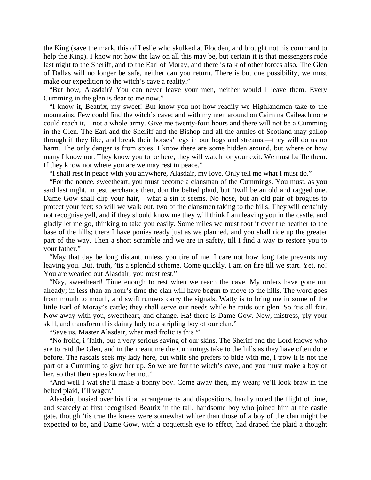the King (save the mark, this of Leslie who skulked at Flodden, and brought not his command to help the King). I know not how the law on all this may be, but certain it is that messengers rode last night to the Sheriff, and to the Earl of Moray, and there is talk of other forces also. The Glen of Dallas will no longer be safe, neither can you return. There is but one possibility, we must make our expedition to the witch's cave a reality."

 "But how, Alasdair? You can never leave your men, neither would I leave them. Every Cumming in the glen is dear to me now."

 "I know it, Beatrix, my sweet! But know you not how readily we Highlandmen take to the mountains. Few could find the witch's cave; and with my men around on Cairn na Caileach none could reach it,—not a whole army. Give me twenty-four hours and there will not be a Cumming in the Glen. The Earl and the Sheriff and the Bishop and all the armies of Scotland may gallop through if they like, and break their horses' legs in our bogs and streams,—they will do us no harm. The only danger is from spies. I know there are some hidden around, but where or how many I know not. They know you to be here; they will watch for your exit. We must baffle them. If they know not where you are we may rest in peace."

"I shall rest in peace with you anywhere, Alasdair, my love. Only tell me what I must do."

 "For the nonce, sweetheart, you must become a clansman of the Cummings. You must, as you said last night, in jest perchance then, don the belted plaid, but 'twill be an old and ragged one. Dame Gow shall clip your hair,—what a sin it seems. No hose, but an old pair of brogues to protect your feet; so will we walk out, two of the clansmen taking to the hills. They will certainly not recognise yell, and if they should know me they will think I am leaving you in the castle, and gladly let me go, thinking to take you easily. Some miles we must foot it over the heather to the base of the hills; there I have ponies ready just as we planned, and you shall ride up the greater part of the way. Then a short scramble and we are in safety, till I find a way to restore you to your father."

 "May that day be long distant, unless you tire of me. I care not how long fate prevents my leaving you. But, truth, 'tis a splendid scheme. Come quickly. I am on fire till we start. Yet, no! You are wearied out Alasdair, you must rest."

 "Nay, sweetheart! Time enough to rest when we reach the cave. My orders have gone out already; in less than an hour's time the clan will have begun to move to the hills. The word goes from mouth to mouth, and swift runners carry the signals. Watty is to bring me in some of the little Earl of Moray's cattle; they shall serve our needs while he raids our glen. So 'tis all fair. Now away with you, sweetheart, and change. Ha! there is Dame Gow. Now, mistress, ply your skill, and transform this dainty lady to a stripling boy of our clan."

"Save us, Master Alasdair, what mad frolic is this?"

 "No frolic, i 'faith, but a very serious saving of our skins. The Sheriff and the Lord knows who are to raid the Glen, and in the meantime the Cummings take to the hills as they have often done before. The rascals seek my lady here, but while she prefers to bide with me, I trow it is not the part of a Cumming to give her up. So we are for the witch's cave, and you must make a boy of her, so that their spies know her not."

 "And well I wat she'll make a bonny boy. Come away then, my wean; ye'll look braw in the belted plaid, I'll wager."

 Alasdair, busied over his final arrangements and dispositions, hardly noted the flight of time, and scarcely at first recognised Beatrix in the tall, handsome boy who joined him at the castle gate, though 'tis true the knees were somewhat whiter than those of a boy of the clan might be expected to be, and Dame Gow, with a coquettish eye to effect, had draped the plaid a thought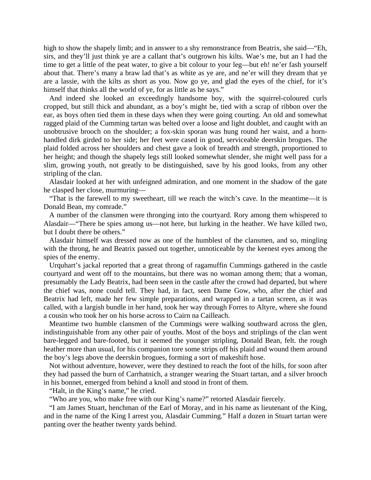high to show the shapely limb; and in answer to a shy remonstrance from Beatrix, she said—"Eh, sirs, and they'll just think ye are a callant that's outgrown his kilts. Wae's me, but an I had the time to get a little of the peat water, to give a bit colour to your leg—but eh! ne'er fash yourself about that. There's many a braw lad that's as white as ye are, and ne'er will they dream that ye are a lassie, with the kilts as short as you. Now go ye, and glad the eyes of the chief, for it's himself that thinks all the world of ye, for as little as he says."

 And indeed she looked an exceedingly handsome boy, with the squirrel-coloured curls cropped, but still thick and abundant, as a boy's might be, tied with a scrap of ribbon over the ear, as boys often tied them in these days when they were going courting. An old and somewhat ragged plaid of the Cumming tartan was belted over a loose and light doublet, and caught with an unobtrusive brooch on the shoulder; a fox-skin sporan was hung round her waist, and a hornhandled dirk girded to her side; her feet were cased in good, serviceable deerskin brogues. The plaid folded across her shoulders and chest gave a look of breadth and strength, proportioned to her height; and though the shapely legs still looked somewhat slender, she might well pass for a slim, growing youth, not greatly to be distinguished, save by his good looks, from any other stripling of the clan.

 Alasdair looked at her with unfeigned admiration, and one moment in the shadow of the gate he clasped her close, murmuring—

 "That is the farewell to my sweetheart, till we reach the witch's cave. In the meantime—it is Donald Bean, my comrade."

 A number of the clansmen were thronging into the courtyard. Rory among them whispered to Alasdair—"There be spies among us—not here, but lurking in the heather. We have killed two, but I doubt there be others."

 Alasdair himself was dressed now as one of the humblest of the clansmen, and so, mingling with the throng, he and Beatrix passed out together, unnoticeable by the keenest eyes among the spies of the enemy.

 Urquhart's jackal reported that a great throng of ragamuffin Cummings gathered in the castle courtyard and went off to the mountains, but there was no woman among them; that a woman, presumably the Lady Beatrix, had been seen in the castle after the crowd had departed, but where the chief was, none could tell. They had, in fact, seen Dame Gow, who, after the chief and Beatrix had left, made her few simple preparations, and wrapped in a tartan screen, as it was called, with a largish bundle in her hand, took her way through Forres to Altyre, where she found a cousin who took her on his horse across to Cairn na Cailleach.

 Meantime two humble clansmen of the Cummings were walking southward across the glen, indistinguishable from any other pair of youths. Most of the boys and striplings of the clan went bare-legged and bare-footed, but it seemed the younger stripling, Donald Bean, felt. the rough heather more than usual, for his companion tore some strips off his plaid and wound them around the boy's legs above the deerskin brogues, forming a sort of makeshift hose.

 Not without adventure, however, were they destined to reach the foot of the hills, for soon after they had passed the burn of Carrhatnich, a stranger wearing the Stuart tartan, and a silver brooch in his bonnet, emerged from behind a knoll and stood in front of them.

"Halt, in the King's name," he cried.

"Who are you, who make free with our King's name?" retorted Alasdair fiercely.

 "I am James Stuart, henchman of the Earl of Moray, and in his name as lieutenant of the King, and in the name of the King I arrest you, Alasdair Cumming." Half a dozen in Stuart tartan were panting over the heather twenty yards behind.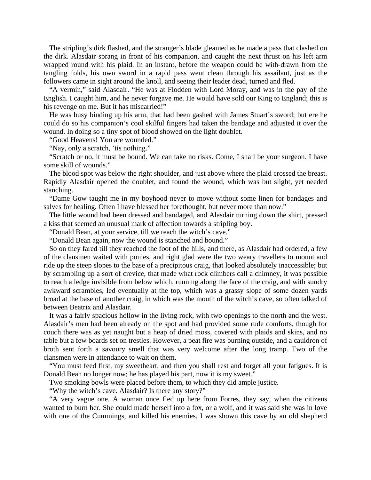The stripling's dirk flashed, and the stranger's blade gleamed as he made a pass that clashed on the dirk. Alasdair sprang in front of his companion, and caught the next thrust on his left arm wrapped round with his plaid. In an instant, before the weapon could be with-drawn from the tangling folds, his own sword in a rapid pass went clean through his assailant, just as the followers came in sight around the knoll, and seeing their leader dead, turned and fled.

 "A vermin," said Alasdair. "He was at Flodden with Lord Moray, and was in the pay of the English. I caught him, and he never forgave me. He would have sold our King to England; this is his revenge on me. But it has miscarried!"

 He was busy binding up his arm, that had been gashed with James Stuart's sword; but ere he could do so his companion's cool skilful fingers had taken the bandage and adjusted it over the wound. In doing so a tiny spot of blood showed on the light doublet.

"Good Heavens! You are wounded."

"Nay, only a scratch, 'tis nothing."

 "Scratch or no, it must be bound. We can take no risks. Come, I shall be your surgeon. I have some skill of wounds."

 The blood spot was below the right shoulder, and just above where the plaid crossed the breast. Rapidly Alasdair opened the doublet, and found the wound, which was but slight, yet needed stanching.

 "Dame Gow taught me in my boyhood never to move without some linen for bandages and salves for healing. Often I have blessed her forethought, but never more than now."

 The little wound had been dressed and bandaged, and Alasdair turning down the shirt, pressed a kiss that seemed an unusual mark of affection towards a stripling boy.

"Donald Bean, at your service, till we reach the witch's cave."

"Donald Bean again, now the wound is stanched and bound."

 So on they fared till they reached the foot of the hills, and there, as Alasdair had ordered, a few of the clansmen waited with ponies, and right glad were the two weary travellers to mount and ride up the steep slopes to the base of a precipitous craig, that looked absolutely inaccessible; but by scrambling up a sort of crevice, that made what rock climbers call a chimney, it was possible to reach a ledge invisible from below which, running along the face of the craig, and with sundry awkward scrambles, led eventually at the top, which was a grassy slope of some dozen yards broad at the base of another craig, in which was the mouth of the witch's cave, so often talked of between Beatrix and Alasdair.

 It was a fairly spacious hollow in the living rock, with two openings to the north and the west. Alasdair's men had been already on the spot and had provided some rude comforts, though for couch there was as yet naught but a heap of dried moss, covered with plaids and skins, and no table but a few boards set on trestles. However, a peat fire was burning outside, and a cauldron of broth sent forth a savoury smell that was very welcome after the long tramp. Two of the clansmen were in attendance to wait on them.

 "You must feed first, my sweetheart, and then you shall rest and forget all your fatigues. It is Donald Bean no longer now; he has played his part, now it is my sweet."

Two smoking bowls were placed before them, to which they did ample justice.

"Why the witch's cave. Alasdair? Is there any story?"

 "A very vague one. A woman once fled up here from Forres, they say, when the citizens wanted to burn her. She could made herself into a fox, or a wolf, and it was said she was in love with one of the Cummings, and killed his enemies. I was shown this cave by an old shepherd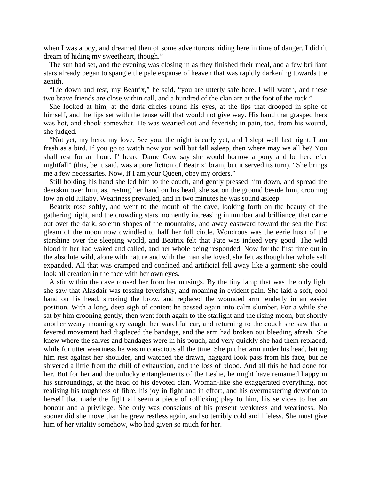when I was a boy, and dreamed then of some adventurous hiding here in time of danger. I didn't dream of hiding my sweetheart, though."

 The sun had set, and the evening was closing in as they finished their meal, and a few brilliant stars already began to spangle the pale expanse of heaven that was rapidly darkening towards the zenith.

 "Lie down and rest, my Beatrix," he said, "you are utterly safe here. I will watch, and these two brave friends are close within call, and a hundred of the clan are at the foot of the rock."

 She looked at him, at the dark circles round his eyes, at the lips that drooped in spite of himself, and the lips set with the tense will that would not give way. His hand that grasped hers was hot, and shook somewhat. He was wearied out and feverish; in pain, too, from his wound, she judged.

 "Not yet, my hero, my love. See you, the night is early yet, and I slept well last night. I am fresh as a bird. If you go to watch now you will but fall asleep, then where may we all be? You shall rest for an hour. I' heard Dame Gow say she would borrow a pony and be here e'er nightfall" (this, be it said, was a pure fiction of Beatrix' brain, but it served its turn). "She brings me a few necessaries. Now, if I am your Queen, obey my orders."

 Still holding his hand she led him to the couch, and gently pressed him down, and spread the deerskin over him, as, resting her hand on his head, she sat on the ground beside him, crooning low an old lullaby. Weariness prevailed, and in two minutes he was sound asleep.

 Beatrix rose softly, and went to the mouth of the cave, looking forth on the beauty of the gathering night, and the crowding stars momently increasing in number and brilliance, that came out over the dark, solemn shapes of the mountains, and away eastward toward the sea the first gleam of the moon now dwindled to half her full circle. Wondrous was the eerie hush of the starshine over the sleeping world, and Beatrix felt that Fate was indeed very good. The wild blood in her had waked and called, and her whole being responded. Now for the first time out in the absolute wild, alone with nature and with the man she loved, she felt as though her whole self expanded. All that was cramped and confined and artificial fell away like a garment; she could look all creation in the face with her own eyes.

 A stir within the cave roused her from her musings. By the tiny lamp that was the only light she saw that Alasdair was tossing feverishly, and moaning in evident pain. She laid a soft, cool hand on his head, stroking the brow, and replaced the wounded arm tenderly in an easier position. With a long, deep sigh of content he passed again into calm slumber. For a while she sat by him crooning gently, then went forth again to the starlight and the rising moon, but shortly another weary moaning cry caught her watchful ear, and returning to the couch she saw that a fevered movement had displaced the bandage, and the arm had broken out bleeding afresh. She knew where the salves and bandages were in his pouch, and very quickly she had them replaced, while for utter weariness he was unconscious all the time. She put her arm under his head, letting him rest against her shoulder, and watched the drawn, haggard look pass from his face, but he shivered a little from the chill of exhaustion, and the loss of blood. And all this he had done for her. But for her and the unlucky entanglements of the Leslie, he might have remained happy in his surroundings, at the head of his devoted clan. Woman-like she exaggerated everything, not realising his toughness of fibre, his joy in fight and in effort, and his overmastering devotion to herself that made the fight all seem a piece of rollicking play to him, his services to her an honour and a privilege. She only was conscious of his present weakness and weariness. No sooner did she move than he grew restless again, and so terribly cold and lifeless. She must give him of her vitality somehow, who had given so much for her.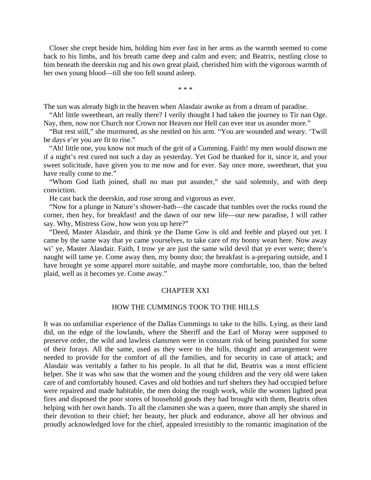Closer she crept beside him, holding him ever fast in her arms as the warmth seemed to come back to his limbs, and his breath came deep and calm and even; and Beatrix, nestling close to him beneath the deerskin rug and his own great plaid, cherished him with the vigorous warmth of her own young blood—till she too fell sound asleep.

\* \* \*

The sun was already high in the heaven when Alasdair awoke as from a dream of paradise.

 "Ah! little sweetheart, art really there? I verily thought I had taken the journey to Tir nan Oge. Nay, then, now nor Church nor Crown nor Heaven nor Hell can ever tear us asunder more."

 "But rest still," she murmured, as she nestled on his arm. "You are wounded and weary. 'Twill be days e'er you are fit to rise."

 "Ah! little one, you know not much of the grit of a Cumming. Faith! my men would disown me if a night's rest cured not such a day as yesterday. Yet God be thanked for it, since it, and your sweet solicitude, have given you to me now and for ever. Say once more, sweetheart, that you have really come to me."

 "Whom God liath joined, shall no man put asunder," she said solemnly, and with deep conviction.

He cast back the deerskin, and rose strong and vigorous as ever.

 "Now for a plunge in Nature's shower-bath—the cascade that tumbles over the rocks round the corner, then hey, for breakfast! and the dawn of our new life—our new paradise, I will rather say. Why, Mistress Gow, how won you up here?"

 "Deed, Master Alasdair, and think ye the Dame Gow is old and feeble and played out yet. I came by the same way that ye came yourselves, to take care of my bonny wean here. Now away wi' ye, Master Alasdair. Faith, I trow ye are just the same wild devil that ye ever were; there's naught will tame ye. Come away then, my bonny doo; the breakfast is a-preparing outside, and I have brought ye some apparel more suitable, and maybe more comfortable, too, than the belted plaid, well as it becomes ye. Come away."

### CHAPTER XXI

#### HOW THE CUMMINGS TOOK TO THE HILLS

It was no unfamiliar experience of the Dallas Cummings to take to the hills. Lying, as their land did, on the edge of the lowlands, where the Sheriff and the Earl of Moray were supposed to preserve order, the wild and lawless clansmen were in constant risk of being punished for some of their forays. All the same, used as they were to the hills, thought and arrangement were needed to provide for the comfort of all the families, and for security in case of attack; and Alasdair was veritably a father to his people. In all that he did, Beatrix was a most efficient helper. She it was who saw that the women and the young children and the very old were taken care of and comfortably housed. Caves and old bothies and turf shelters they had occupied before were repaired and made habitable, the men doing the rough work, while the women lighted peat fires and disposed the poor stores of household goods they had brought with them, Beatrix often helping with her own hands. To all the clansmen she was a queen, more than amply she shared in their devotion to their chief; her beauty, her pluck and endurance, above all her obvious and proudly acknowledged love for the chief, appealed irresistibly to the romantic imagination of the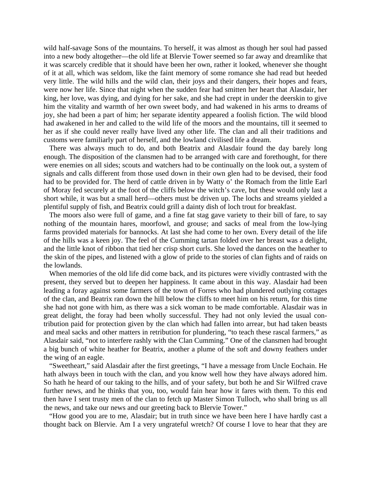wild half-savage Sons of the mountains. To herself, it was almost as though her soul had passed into a new body altogether—the old life at Blervie Tower seemed so far away and dreamlike that it was scarcely credible that it should have been her own, rather it looked, whenever she thought of it at all, which was seldom, like the faint memory of some romance she had read but heeded very little. The wild hills and the wild clan, their joys and their dangers, their hopes and fears, were now her life. Since that night when the sudden fear had smitten her heart that Alasdair, her king, her love, was dying, and dying for her sake, and she had crept in under the deerskin to give him the vitality and warmth of her own sweet body, and had wakened in his arms to dreams of joy, she had been a part of him; her separate identity appeared a foolish fiction. The wild blood had awakened in her and called to the wild life of the moors and the mountains, till it seemed to her as if she could never really have lived any other life. The clan and all their traditions and customs were familiarly part of herself, and the lowland civilised life a dream.

 There was always much to do, and both Beatrix and Alasdair found the day barely long enough. The disposition of the clansmen had to be arranged with care and forethought, for there were enemies on all sides; scouts and watchers had to be continually on the look out, a system of signals and calls different from those used down in their own glen had to be devised, their food had to be provided for. The herd of cattle driven in by Watty o' the Romach from the little Earl of Moray fed securely at the foot of the cliffs below the witch's cave, but these would only last a short while, it was but a small herd—others must be driven up. The lochs and streams yielded a plentiful supply of fish, and Beatrix could grill a dainty dish of loch trout for breakfast.

 The moors also were full of game, and a fine fat stag gave variety to their bill of fare, to say nothing of the mountain hares, moorfowl, and grouse; and sacks of meal from the low-lying farms provided materials for bannocks. At last she had come to her own. Every detail of the life of the hills was a keen joy. The feel of the Cumming tartan folded over her breast was a delight, and the little knot of ribbon that tied her crisp short curls. She loved the dances on the heather to the skin of the pipes, and listened with a glow of pride to the stories of clan fights and of raids on the lowlands.

 When memories of the old life did come back, and its pictures were vividly contrasted with the present, they served but to deepen her happiness. It came about in this way. Alasdair had been leading a foray against some farmers of the town of Forres who had plundered outlying cottages of the clan, and Beatrix ran down the hill below the cliffs to meet him on his return, for this time she had not gone with him, as there was a sick woman to be made comfortable. Alasdair was in great delight, the foray had been wholly successful. They had not only levied the usual contribution paid for protection given by the clan which had fallen into arrear, but had taken beasts and meal sacks and other matters in retribution for plundering, "to teach these rascal farmers," as Alasdair said, "not to interfere rashly with the Clan Cumming." One of the clansmen had brought a big bunch of white heather for Beatrix, another a plume of the soft and downy feathers under the wing of an eagle.

 "Sweetheart," said Alasdair after the first greetings, "I have a message from Uncle Eochain. He hath always been in touch with the clan, and you know well how they have always adored him. So hath he heard of our taking to the hills, and of your safety, but both he and Sir Wilfred crave further news, and he thinks that you, too, would fain hear how it fares with them. To this end then have I sent trusty men of the clan to fetch up Master Simon Tulloch, who shall bring us all the news, and take our news and our greeting back to Blervie Tower."

 "How good you are to me, Alasdair; but in truth since we have been here I have hardly cast a thought back on Blervie. Am I a very ungrateful wretch? Of course I love to hear that they are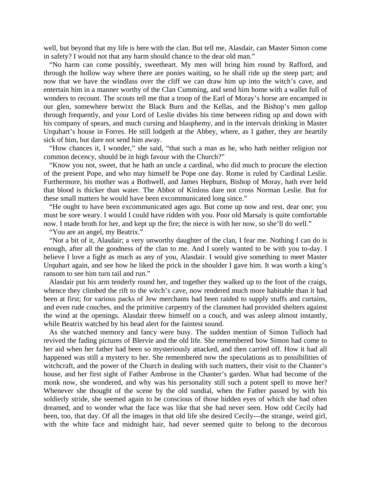well, but beyond that my life is here with the clan. But tell me, Alasdair, can Master Simon come in safety? I would not that any harm should chance to the dear old man."

 "No harm can come possibly, sweetheart. My men will bring him round by Rafford, and through the hollow way where there are ponies waiting, so he shall ride up the steep part; and now that we have the windlass over the cliff we can draw him up into the witch's cave, and entertain him in a manner worthy of the Clan Cumming, and send him home with a wallet full of wonders to recount. The scouts tell me that a troop of the Earl of Moray's horse are encamped in our glen, somewhere betwixt the Black Burn and the Kellas, and the Bishop's men gallop through frequently, and your Lord of Leslie divides his time between riding up and down with his company of spears, and much cursing and blasphemy, and in the intervals drinking in Master Urquhart's house in Forres. He still lodgeth at the Abbey, where, as I gather, they are heartily sick of him, but dare not send him away.

 "How chances it, I wonder," she said, "that such a man as he, who hath neither religion nor common decency, should be in high favour with the Church?"

 "Know you not, sweet, that he hath an uncle a cardinal, who did much to procure the election of the present Pope, and who may himself be Pope one day. Rome is ruled by Cardinal Leslie. Furthermore, his mother was a Bothwell, and James Hepburn, Bishop of Moray, hath ever held that blood is thicker than water. The Abbot of Kinloss dare not cross Norman Leslie. But for these small matters he would have been excommunicated long since."

 "He ought to have been excommunicated ages ago. But come up now and rest, dear one; you must be sore weary. I would I could have ridden with you. Poor old Marsaly is quite comfortable now. I made broth for her, and kept up the fire; the niece is with her now, so she'll do well."

"You are an angel, my Beatrix."

 "Not a bit of it, Alasdair; a very unworthy daughter of the clan, I fear me. Nothing I can do is enough, after all the goodness of the clan to me. And I sorely wanted to be with you to-day. I believe I love a fight as much as any of you, Alasdair. I would give something to meet Master Urquhart again, and see how he liked the prick in the shoulder I gave him. It was worth a king's ransom to see him turn tail and run."

 Alasdair put his arm tenderly round her, and together they walked up to the foot of the craigs, whence they climbed the rift to the witch's cave, now rendered much more habitable than it had been at first; for various packs of Jew merchants had been raided to supply stuffs and curtains, and even rude couches, and the primitive carpentry of the clansmen had provided shelters against the wind at the openings. Alasdair threw himself on a couch, and was asleep almost instantly, while Beatrix watched by his head alert for the faintest sound.

 As she watched memory and fancy were busy. The sudden mention of Simon Tulloch had revived the fading pictures of Blervie and the old life. She remembered how Simon had come to her aid when her father had been so mysteriously attacked, and then carried off. How it had all happened was still a mystery to her. She remembered now the speculations as to possibilities of witchcraft, and the power of the Church in dealing with such matters, their visit to the Chanter's house, and her first sight of Father Ambrose in the Chanter's garden. What had become of the monk now, she wondered, and why was his personality still such a potent spell to move her? Whenever she thought of the scene by the old sundial, when the Father passed by with his soldierly stride, she seemed again to be conscious of those hidden eyes of which she had often dreamed, and to wonder what the face was like that she had never seen. How odd Cecily had been, too, that day. Of all the images in that old life she desired Cecily—the strange, weird girl, with the white face and midnight hair, had never seemed quite to belong to the decorous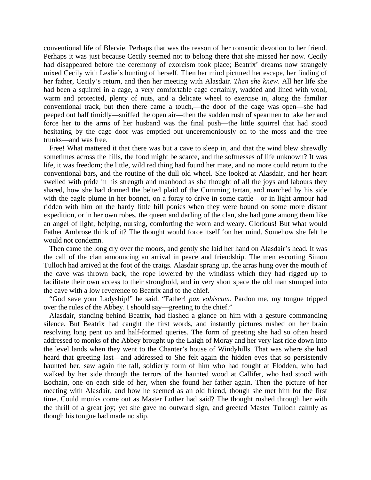conventional life of Blervie. Perhaps that was the reason of her romantic devotion to her friend. Perhaps it was just because Cecily seemed not to belong there that she missed her now. Cecily had disappeared before the ceremony of exorcism took place; Beatrix' dreams now strangely mixed Cecily with Leslie's hunting of herself. Then her mind pictured her escape, her finding of her father, Cecily's return, and then her meeting with Alasdair. *Then she knew*. All her life she had been a squirrel in a cage, a very comfortable cage certainly, wadded and lined with wool, warm and protected, plenty of nuts, and a delicate wheel to exercise in, along the familiar conventional track, but then there came a touch,—the door of the cage was open—she had peeped out half timidly—sniffed the open air—then the sudden rush of spearmen to take her and force her to the arms of her husband was the final push—the little squirrel that had stood hesitating by the cage door was emptied out unceremoniously on to the moss and the tree trunks—and was free.

 Free! What mattered it that there was but a cave to sleep in, and that the wind blew shrewdly sometimes across the hills, the food might be scarce, and the softnesses of life unknown? It was life, it was freedom; the little, wild red thing had found her mate, and no more could return to the conventional bars, and the routine of the dull old wheel. She looked at Alasdair, and her heart swelled with pride in his strength and manhood as she thought of all the joys and labours they shared, how she had donned the belted plaid of the Cumming tartan, and marched by his side with the eagle plume in her bonnet, on a foray to drive in some cattle—or in light armour had ridden with him on the hardy little hill ponies when they were bound on some more distant expedition, or in her own robes, the queen and darling of the clan, she had gone among them like an angel of light, helping, nursing, comforting the worn and weary. Glorious! But what would Father Ambrose think of it? The thought would force itself 'on her mind. Somehow she felt he would not condemn.

 Then came the long cry over the moors, and gently she laid her hand on Alasdair's head. It was the call of the clan announcing an arrival in peace and friendship. The men escorting Simon Tulloch had arrived at the foot of the craigs. Alasdair sprang up, the arras hung over the mouth of the cave was thrown back, the rope lowered by the windlass which they had rigged up to facilitate their own access to their stronghold, and in very short space the old man stumped into the cave with a low reverence to Beatrix and to the chief.

 "God save your Ladyship!" he said. "Father! *pax vobiscum*. Pardon me, my tongue tripped over the rules of the Abbey. I should say—greeting to the chief."

 Alasdair, standing behind Beatrix, had flashed a glance on him with a gesture commanding silence. But Beatrix had caught the first words, and instantly pictures rushed on her brain resolving long pent up and half-formed queries. The form of greeting she had so often heard addressed to monks of the Abbey brought up the Laigh of Moray and her very last ride down into the level lands when they went to the Chanter's house of Windyhills. That was where she had heard that greeting last—and addressed to She felt again the hidden eyes that so persistently haunted her, saw again the tall, soldierly form of him who had fought at Flodden, who had walked by her side through the terrors of the haunted wood at Callifer, who had stood with Eochain, one on each side of her, when she found her father again. Then the picture of her meeting with Alasdair, and how he seemed as an old friend, though she met him for the first time. Could monks come out as Master Luther had said? The thought rushed through her with the thrill of a great joy; yet she gave no outward sign, and greeted Master Tulloch calmly as though his tongue had made no slip.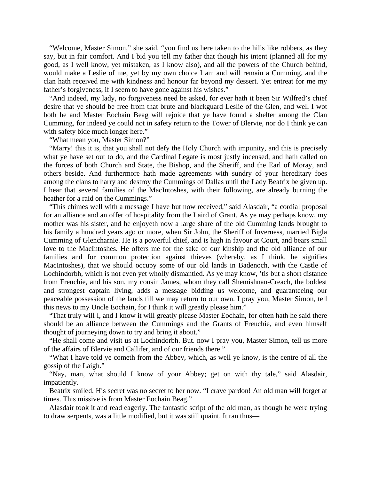"Welcome, Master Simon," she said, "you find us here taken to the hills like robbers, as they say, but in fair comfort. And I bid you tell my father that though his intent (planned all for my good, as I well know, yet mistaken, as I know also), and all the powers of the Church behind, would make a Leslie of me, yet by my own choice I am and will remain a Cumming, and the clan hath received me with kindness and honour far beyond my dessert. Yet entreat for me my father's forgiveness, if I seem to have gone against his wishes."

 "And indeed, my lady, no forgiveness need be asked, for ever hath it been Sir Wilfred's chief desire that ye should be free from that brute and blackguard Leslie of the Glen, and well I wot both he and Master Eochain Beag will rejoice that ye have found a shelter among the Clan Cumming, for indeed ye could not in safety return to the Tower of Blervie, nor do I think ye can with safety bide much longer here."

"What mean you, Master Simon?"

 "Marry! this it is, that you shall not defy the Holy Church with impunity, and this is precisely what ye have set out to do, and the Cardinal Legate is most justly incensed, and hath called on the forces of both Church and State, the Bishop, and the Sheriff, and the Earl of Moray, and others beside. And furthermore hath made agreements with sundry of your hereditary foes among the clans to harry and destroy the Cummings of Dallas until the Lady Beatrix be given up. I hear that several families of the MacIntoshes, with their following, are already burning the heather for a raid on the Cummings."

 "This chimes well with a message I have but now received," said Alasdair, "a cordial proposal for an alliance and an offer of hospitality from the Laird of Grant. As ye may perhaps know, my mother was his sister, and he enjoyeth now a large share of the old Cumming lands brought to his family a hundred years ago or more, when Sir John, the Sheriff of Inverness, married Bigla Cumming of Glencharnie. He is a powerful chief, and is high in favour at Court, and bears small love to the MacIntoshes. He offers me for the sake of our kinship and the old alliance of our families and for common protection against thieves (whereby, as I think, he signifies MacIntoshes), that we should occupy some of our old lands in Badenoch, with the Castle of Lochindorbh, which is not even yet wholly dismantled. As ye may know, 'tis but a short distance from Freuchie, and his son, my cousin James, whom they call Shemishnan-Creach, the boldest and strongest captain living, adds a message bidding us welcome, and guaranteeing our peaceable possession of the lands till we may return to our own. I pray you, Master Simon, tell this news to my Uncle Eochain, for I think it will greatly please him."

 "That truly will I, and I know it will greatly please Master Eochain, for often hath he said there should be an alliance between the Cummings and the Grants of Freuchie, and even himself thought of journeying down to try and bring it about."

 "He shall come and visit us at Lochindorbh. But. now I pray you, Master Simon, tell us more of the affairs of Blervie and Callifer, and of our friends there."

 "What I have told ye cometh from the Abbey, which, as well ye know, is the centre of all the gossip of the Laigh."

 "Nay, man, what should I know of your Abbey; get on with thy tale," said Alasdair, impatiently.

 Beatrix smiled. His secret was no secret to her now. "I crave pardon! An old man will forget at times. This missive is from Master Eochain Beag."

 Alasdair took it and read eagerly. The fantastic script of the old man, as though he were trying to draw serpents, was a little modified, but it was still quaint. It ran thus—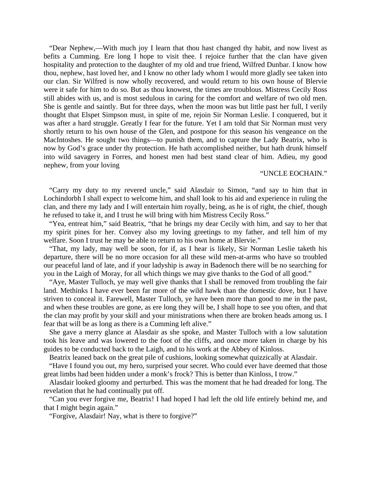"Dear Nephew,—With much joy I learn that thou hast changed thy habit, and now livest as befits a Cumming. Ere long I hope to visit thee. I rejoice further that the clan have given hospitality and protection to the daughter of my old and true friend, Wilfred Dunbar. I know how thou, nephew, hast loved her, and I know no other lady whom I would more gladly see taken into our clan. Sir Wilfred is now wholly recovered, and would return to his own house of Blervie were it safe for him to do so. But as thou knowest, the times are troublous. Mistress Cecily Ross still abides with us, and is most sedulous in caring for the comfort and welfare of two old men. She is gentle and saintly. But for three days, when the moon was but little past her full, I verily thought that Elspet Simpson must, in spite of me, rejoin Sir Norman Leslie. I conquered, but it was after a hard struggle. Greatly I fear for the future. Yet I am told that Sir Norman must very shortly return to his own house of the Glen, and postpone for this season his vengeance on the MacIntoshes. He sought two things—to punish them, and to capture the Lady Beatrix, who is now by God's grace under thy protection. He hath accomplished neither, but hath drunk himself into wild savagery in Forres, and honest men had best stand clear of him. Adieu, my good nephew, from your loving

# "UNCLE EOCHAIN."

 "Carry my duty to my revered uncle," said Alasdair to Simon, "and say to him that in Lochindorbh I shall expect to welcome him, and shall look to his aid and experience in ruling the clan, and there my lady and I will entertain him royally, being, as he is of right, the chief, though he refused to take it, and I trust he will bring with him Mistress Cecily Ross."

 "Yea, entreat him," said Beatrix, "that he brings my dear Cecily with him, and say to her that my spirit pines for her. Convey also my loving greetings to my father, and tell him of my welfare. Soon I trust he may be able to return to his own home at Blervie."

 "That, my lady, may well be soon, for if, as I hear is likely, Sir Norman Leslie taketh his departure, there will be no more occasion for all these wild men-at-arms who have so troubled our peaceful land of late, and if your ladyship is away in Badenoch there will be no searching for you in the Laigh of Moray, for all which things we may give thanks to the God of all good."

 "Aye, Master Tulloch, ye may well give thanks that I shall be removed from troubling the fair land. Methinks I have ever been far more of the wild hawk than the domestic dove, but I have striven to conceal it. Farewell, Master Tulloch, ye have been more than good to me in the past, and when these troubles are gone, as ere long they will be, I shall hope to see you often, and that the clan may profit by your skill and your ministrations when there are broken heads among us. I fear that will be as long as there is a Cumming left alive."

 She gave a merry glance at Alasdair as she spoke, and Master Tulloch with a low salutation took his leave and was lowered to the foot of the cliffs, and once more taken in charge by his guides to be conducted back to the Laigh, and to his work at the Abbey of Kinloss.

Beatrix leaned back on the great pile of cushions, looking somewhat quizzically at Alasdair.

 "Have I found you out, my hero, surprised your secret. Who could ever have deemed that those great limbs had been hidden under a monk's frock? This is better than Kinloss, I trow."

 Alasdair looked gloomy and perturbed. This was the moment that he had dreaded for long. The revelation that he had continually put off.

 "Can you ever forgive me, Beatrix! I had hoped I had left the old life entirely behind me, and that I might begin again."

"Forgive, Alasdair! Nay, what is there to forgive?"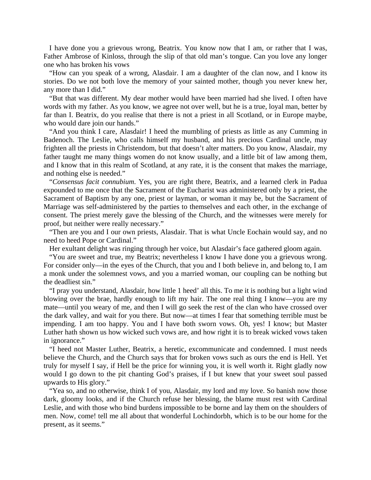I have done you a grievous wrong, Beatrix. You know now that I am, or rather that I was, Father Ambrose of Kinloss, through the slip of that old man's tongue. Can you love any longer one who has broken his vows

 "How can you speak of a wrong, Alasdair. I am a daughter of the clan now, and I know its stories. Do we not both love the memory of your sainted mother, though you never knew her, any more than I did."

 "But that was different. My dear mother would have been married had she lived. I often have words with my father. As you know, we agree not over well, but he is a true, loyal man, better by far than I. Beatrix, do you realise that there is not a priest in all Scotland, or in Europe maybe, who would dare join our hands."

 "And you think I care, Alasdair! I heed the mumbling of priests as little as any Cumming in Badenoch. The Leslie, who calls himself my husband, and his precious Cardinal uncle, may frighten all the priests in Christendom, but that doesn't alter matters. Do you know, Alasdair, my father taught me many things women do not know usually, and a little bit of law among them, and I know that in this realm of Scotland, at any rate, it is the consent that makes the marriage, and nothing else is needed."

 "*Consensus facit connubium*. Yes, you are right there, Beatrix, and a learned clerk in Padua expounded to me once that the Sacrament of the Eucharist was administered only by a priest, the Sacrament of Baptism by any one, priest or layman, or woman it may be, but the Sacrament of Marriage was self-administered by the parties to themselves and each other, in the exchange of consent. The priest merely gave the blessing of the Church, and the witnesses were merely for proof, but neither were really necessary."

 "Then are you and I our own priests, Alasdair. That is what Uncle Eochain would say, and no need to heed Pope or Cardinal."

Her exultant delight was ringing through her voice, but Alasdair's face gathered gloom again.

 "You are sweet and true, my Beatrix; nevertheless I know I have done you a grievous wrong. For consider only—in the eyes of the Church, that you and I both believe in, and belong to, I am a monk under the solemnest vows, and you a married woman, our coupling can be nothing but the deadliest sin."

 "I pray you understand, Alasdair, how little 1 heed' all this. To me it is nothing but a light wind blowing over the brae, hardly enough to lift my hair. The one real thing I know—you are my mate—until you weary of me, and then I will go seek the rest of the clan who have crossed over the dark valley, and wait for you there. But now—at times I fear that something terrible must be impending. I am too happy. You and I have both sworn vows. Oh, yes! I know; but Master Luther hath shown us how wicked such vows are, and how right it is to break wicked vows taken in ignorance."

 "I heed not Master Luther, Beatrix, a heretic, excommunicate and condemned. I must needs believe the Church, and the Church says that for broken vows such as ours the end is Hell. Yet truly for myself I say, if Hell be the price for winning you, it is well worth it. Right gladly now would I go down to the pit chanting God's praises, if I but knew that your sweet soul passed upwards to His glory."

"Yea so, and no otherwise, think I of you, Alasdair, my lord and my love. So banish now those dark, gloomy looks, and if the Church refuse her blessing, the blame must rest with Cardinal Leslie, and with those who bind burdens impossible to be borne and lay them on the shoulders of men. Now, come! tell me all about that wonderful Lochindorbh, which is to be our home for the present, as it seems."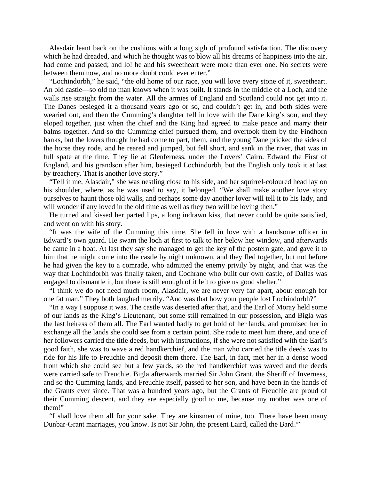Alasdair leant back on the cushions with a long sigh of profound satisfaction. The discovery which he had dreaded, and which he thought was to blow all his dreams of happiness into the air, had come and passed; and lo! he and his sweetheart were more than ever one. No secrets were between them now, and no more doubt could ever enter."

 "Lochindorbh," he said, "the old home of our race, you will love every stone of it, sweetheart. An old castle—so old no man knows when it was built. It stands in the middle of a Loch, and the walls rise straight from the water. All the armies of England and Scotland could not get into it. The Danes besieged it a thousand years ago or so, and couldn't get in, and both sides were wearied out, and then the Cumming's daughter fell in love with the Dane king's son, and they eloped together, just when the chief and the King had agreed to make peace and marry their balms together. And so the Cumming chief pursued them, and overtook them by the Findhorn banks, but the lovers thought he had come to part, them, and the young Dane pricked the sides of the horse they rode, and he reared and jumped, but fell short, and sank in the river, that was in full spate at the time. They lie at Glenferness, under the Lovers' Cairn. Edward the First of England, and his grandson after him, besieged Lochindorbh, but the English only took it at last by treachery. That is another love story."

 "Tell it me, Alasdair," she was nestling close to his side, and her squirrel-coloured head lay on his shoulder, where, as he was used to say, it belonged. "We shall make another love story ourselves to haunt those old walls, and perhaps some day another lover will tell it to his lady, and will wonder if any loved in the old time as well as they two will be loving then."

 He turned and kissed her parted lips, a long indrawn kiss, that never could be quite satisfied, and went on with his story.

 "It was the wife of the Cumming this time. She fell in love with a handsome officer in Edward's own guard. He swam the loch at first to talk to her below her window, and afterwards he came in a boat. At last they say she managed to get the key of the postern gate, and gave it to him that he might come into the castle by night unknown, and they fled together, but not before he had given the key to a comrade, who admitted the enemy privily by night, and that was the way that Lochindorbh was finally taken, and Cochrane who built our own castle, of Dallas was engaged to dismantle it, but there is still enough of it left to give us good shelter."

 "I think we do not need much room, Alasdair, we are never very far apart, about enough for one fat man." They both laughed merrily. "And was that how your people lost Lochindorbh?"

 "In a way I suppose it was. The castle was deserted after that, and the Earl of Moray held some of our lands as the King's Lieutenant, but some still remained in our possession, and Bigla was the last heiress of them all. The Earl wanted badly to get hold of her lands, and promised her in exchange all the lands she could see from a certain point. She rode to meet him there, and one of her followers carried the title deeds, but with instructions, if she were not satisfied with the Earl's good faith, she was to wave a red handkerchief, and the man who carried the title deeds was to ride for his life to Freuchie and deposit them there. The Earl, in fact, met her in a dense wood from which she could see but a few yards, so the red handkerchief was waved and the deeds were carried safe to Freuchie. Bigla afterwards married Sir John Grant, the Sheriff of Inverness, and so the Cumming lands, and Freuchie itself, passed to her son, and have been in the hands of the Grants ever since. That was a hundred years ago, but the Grants of Freuchie are proud of their Cumming descent, and they are especially good to me, because my mother was one of them!"

 "I shall love them all for your sake. They are kinsmen of mine, too. There have been many Dunbar-Grant marriages, you know. Is not Sir John, the present Laird, called the Bard?"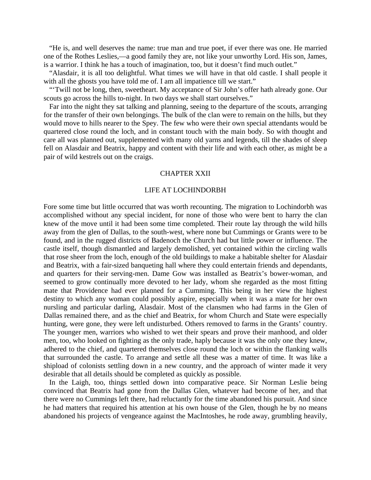"He is, and well deserves the name: true man and true poet, if ever there was one. He married one of the Rothes Leslies,—a good family they are, not like your unworthy Lord. His son, James, is a warrior. I think he has a touch of imagination, too, but it doesn't find much outlet."

 "Alasdair, it is all too delightful. What times we will have in that old castle. I shall people it with all the ghosts you have told me of. I am all impatience till we start."

"Twill not be long, then, sweetheart. My acceptance of Sir John's offer hath already gone. Our scouts go across the hills to-night. In two days we shall start ourselves."

 Far into the night they sat talking and planning, seeing to the departure of the scouts, arranging for the transfer of their own belongings. The bulk of the clan were to remain on the hills, but they would move to hills nearer to the Spey. The few who were their own special attendants would be quartered close round the loch, and in constant touch with the main body. So with thought and care all was planned out, supplemented with many old yarns and legends, till the shades of sleep fell on Alasdair and Beatrix, happy and content with their life and with each other, as might be a pair of wild kestrels out on the craigs.

## CHAPTER XXII

#### LIFE AT LOCHINDORBH

Fore some time but little occurred that was worth recounting. The migration to Lochindorbh was accomplished without any special incident, for none of those who were bent to harry the clan knew of the move until it had been some time completed. Their route lay through the wild hills away from the glen of Dallas, to the south-west, where none but Cummings or Grants were to be found, and in the rugged districts of Badenoch the Church had but little power or influence. The castle itself, though dismantled and largely demolished, yet contained within the circling walls that rose sheer from the loch, enough of the old buildings to make a habitable shelter for Alasdair and Beatrix, with a fair-sized banqueting hall where they could entertain friends and dependants, and quarters for their serving-men. Dame Gow was installed as Beatrix's bower-woman, and seemed to grow continually more devoted to her lady, whom she regarded as the most fitting mate that Providence had ever planned for a Cumming. This being in her view the highest destiny to which any woman could possibly aspire, especially when it was a mate for her own nursling and particular darling, Alasdair. Most of the clansmen who had farms in the Glen of Dallas remained there, and as the chief and Beatrix, for whom Church and State were especially hunting, were gone, they were left undisturbed. Others removed to farms in the Grants' country. The younger men, warriors who wished to wet their spears and prove their manhood, and older men, too, who looked on fighting as the only trade, haply because it was the only one they knew, adhered to the chief, and quartered themselves close round the loch or within the flanking walls that surrounded the castle. To arrange and settle all these was a matter of time. It was like a shipload of colonists settling down in a new country, and the approach of winter made it very desirable that all details should be completed as quickly as possible.

 In the Laigh, too, things settled down into comparative peace. Sir Norman Leslie being convinced that Beatrix had gone from the Dallas Glen, whatever had become of her, and that there were no Cummings left there, had reluctantly for the time abandoned his pursuit. And since he had matters that required his attention at his own house of the Glen, though he by no means abandoned his projects of vengeance against the MacIntoshes, he rode away, grumbling heavily,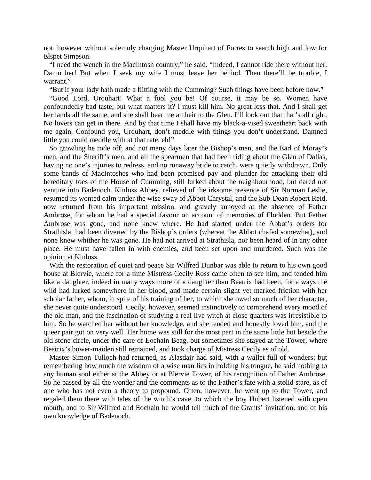not, however without solemnly charging Master Urquhart of Forres to search high and low for Elspet Simpson.

 "I need the wench in the MacIntosh country," he said. "Indeed, I cannot ride there without her. Damn her! But when I seek my wife I must leave her behind. Then there'll be trouble, I warrant."

"But if your lady hath made a flitting with the Cumming? Such things have been before now."

 "Good Lord, Urquhart! What a fool you be! Of course, it may be so. Women have confoundedly bad taste; but what matters it? I must kill him. No great loss that. And I shall get her lands all the same, and she shall bear me an heir to the Glen. I'll look out that that's all right. No lovers can get in there. And by that time I shall have my black-a-vised sweetheart back with me again. Confound you, Urquhart, don't meddle with things you don't understand. Damned little you could meddle with at that rate, eh!"

 So growling he rode off; and not many days later the Bishop's men, and the Earl of Moray's men, and the Sheriff's men, and all the spearmen that had been riding about the Glen of Dallas, having no one's injuries to redress, and no runaway bride to catch, were quietly withdrawn. Only some bands of MacIntoshes who had been promised pay and plunder for attacking their old hereditary foes of the House of Cumming, still lurked about the neighbourhood, but dared not venture into Badenoch. Kinloss Abbey, relieved of the irksome presence of Sir Norman Leslie, resumed its wonted calm under the wise sway of Abbot Chrystal, and the Sub-Dean Robert Reid, now returned from his important mission, and gravely annoyed at the absence of Father Ambrose, for whom he had a special favour on account of memories of Flodden. But Father Ambrose was gone, and none knew where. He had started under the Abbot's orders for Strathisla, had been diverted by the Bishop's orders (whereat the Abbot chafed somewhat), and none knew whither he was gone. He had not arrived at Strathisla, nor been heard of in any other place. He must have fallen in with enemies, and been set upon and murdered. Such was the opinion at Kinloss.

 With the restoration of quiet and peace Sir Wilfred Dunbar was able to return to his own good house at Blervie, where for a time Mistress Cecily Ross came often to see him, and tended him like a daughter, indeed in many ways more of a daughter than Beatrix had been, for always the wild had lurked somewhere in her blood, and made certain slight yet marked friction with her scholar father, whom, in spite of his training of her, to which she owed so much of her character, she never quite understood. Cecily, however, seemed instinctively to comprehend every mood of the old man, and the fascination of studying a real live witch at close quarters was irresistible to him. So he watched her without her knowledge, and she tended and honestly loved him, and the queer pair got on very well. Her home was still for the most part in the same little hut beside the old stone circle, under the care of Eochain Beag, but sometimes she stayed at the Tower, where Beatrix's bower-maiden still remained, and took charge of Mistress Cecily as of old.

 Master Simon Tulloch had returned, as Alasdair had said, with a wallet full of wonders; but remembering how much the wisdom of a wise man lies in holding his tongue, he said nothing to any human soul either at the Abbey or at Blervie Tower, of his recognition of Father Ambrose. So he passed by all the wonder and the comments as to the Father's fate with a stolid stare, as of one who has not even a theory to propound. Often, however, he went up to the Tower, and regaled them there with tales of the witch's cave, to which the boy Hubert listened with open mouth, and to Sir Wilfred and Eochain he would tell much of the Grants' invitation, and of his own knowledge of Badenoch.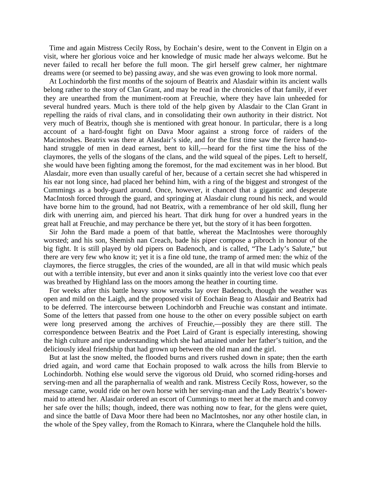Time and again Mistress Cecily Ross, by Eochain's desire, went to the Convent in Elgin on a visit, where her glorious voice and her knowledge of music made her always welcome. But he never failed to recall her before the full moon. The girl herself grew calmer, her nightmare dreams were (or seemed to be) passing away, and she was even growing to look more normal.

 At Lochindorbh the first months of the sojourn of Beatrix and Alasdair within its ancient walls belong rather to the story of Clan Grant, and may be read in the chronicles of that family, if ever they are unearthed from the muniment-room at Freuchie, where they have lain unheeded for several hundred years. Much is there told of the help given by Alasdair to the Clan Grant in repelling the raids of rival clans, and in consolidating their own authority in their district. Not very much of Beatrix, though she is mentioned with great honour. In particular, there is a long account of a hard-fought fight on Dava Moor against a strong force of raiders of the Macintoshes. Beatrix was there at Alasdair's side, and for the first time saw the fierce hand-tohand struggle of men in dead earnest, bent to kill,—heard for the first time the hiss of the claymores, the yells of the slogans of the clans, and the wild squeal of the pipes. Left to herself, she would have been fighting among the foremost, for the mad excitement was in her blood. But Alasdair, more even than usually careful of her, because of a certain secret she had whispered in his ear not long since, had placed her behind him, with a ring of the biggest and strongest of the Cummings as a body-guard around. Once, however, it chanced that a gigantic and desperate MacIntosh forced through the guard, and springing at Alasdair clung round his neck, and would have borne him to the ground, had not Beatrix, with a remembrance of her old skill, flung her dirk with unerring aim, and pierced his heart. That dirk hung for over a hundred years in the great hall at Freuchie, and may perchance be there yet, but the story of it has been forgotten.

 Sir John the Bard made a poem of that battle, whereat the MacIntoshes were thoroughly worsted; and his son, Shemish nan Creach, bade his piper compose a pibroch in honour of the big fight. It is still played by old pipers on Badenoch, and is called, "The Lady's Salute," but there are very few who know it; yet it is a fine old tune, the tramp of armed men: the whiz of the claymores, the fierce struggles, the cries of the wounded, are all in that wild music which peals out with a terrible intensity, but ever and anon it sinks quaintly into the veriest love coo that ever was breathed by Highland lass on the moors among the heather in courting time.

 For weeks after this battle heavy snow wreaths lay over Badenoch, though the weather was open and mild on the Laigh, and the proposed visit of Eochain Beag to Alasdair and Beatrix had to be deferred. The intercourse between Lochindorbh and Freuchie was constant and intimate. Some of the letters that passed from one house to the other on every possible subject on earth were long preserved among the archives of Freuchie,—possibly they are there still. The correspondence between Beatrix and the Poet Laird of Grant is especially interesting, showing the high culture and ripe understanding which she had attained under her father's tuition, and the deliciously ideal friendship that had grown up between the old man and the girl.

 But at last the snow melted, the flooded burns and rivers rushed down in spate; then the earth dried again, and word came that Eochain proposed to walk across the hills from Blervie to Lochindorbh. Nothing else would serve the vigorous old Druid, who scorned riding-horses and serving-men and all the paraphernalia of wealth and rank. Mistress Cecily Ross, however, so the message came, would ride on her own horse with her serving-man and the Lady Beatrix's bowermaid to attend her. Alasdair ordered an escort of Cummings to meet her at the march and convoy her safe over the hills; though, indeed, there was nothing now to fear, for the glens were quiet, and since the battle of Dava Moor there had been no MacIntoshes, nor any other hostile clan, in the whole of the Spey valley, from the Romach to Kinrara, where the Clanquhele hold the hills.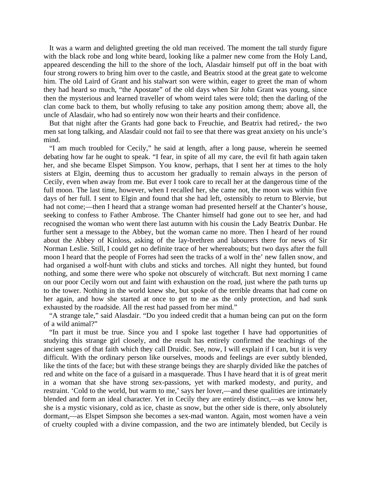It was a warm and delighted greeting the old man received. The moment the tall sturdy figure with the black robe and long white beard, looking like a palmer new come from the Holy Land, appeared descending the hill to the shore of the loch, Alasdair himself put off in the boat with four strong rowers to bring him over to the castle, and Beatrix stood at the great gate to welcome him. The old Laird of Grant and his stalwart son were within, eager to greet the man of whom they had heard so much, "the Apostate" of the old days when Sir John Grant was young, since then the mysterious and learned traveller of whom weird tales were told; then the darling of the clan come back to them, but wholly refusing to take any position among them; above all, the uncle of Alasdair, who had so entirely now won their hearts and their confidence.

 But that night after the Grants had gone back to Freuchie, and Beatrix had retired,- the two men sat long talking, and Alasdair could not fail to see that there was great anxiety on his uncle's mind.

 "I am much troubled for Cecily," he said at length, after a long pause, wherein he seemed debating how far he ought to speak. "I fear, in spite of all my care, the evil fit hath again taken her, and she became Elspet Simpson. You know, perhaps, that I sent her at times to the holy sisters at Elgin, deeming thus to accustom her gradually to remain always in the person of Cecily, even when away from me. But ever I took care to recall her at the dangerous time of the full moon. The last time, however, when I recalled her, she came not, the moon was within five days of her full. I sent to Elgin and found that she had left, ostensibly to return to Blervie, but had not come;—then I heard that a strange woman had presented herself at the Chanter's house, seeking to confess to Father Ambrose. The Chanter himself had gone out to see her, and had recognised the woman who went there last autumn with his cousin the Lady Beatrix Dunbar. He further sent a message to the Abbey, but the woman came no more. Then I heard of her round about the Abbey of Kinloss, asking of the lay-brethren and labourers there for news of Sir Norman Leslie. Still, I could get no definite trace of her whereabouts; but two days after the full moon I heard that the people of Forres had seen the tracks of a wolf in the' new fallen snow, and had organised a wolf-hunt with clubs and sticks and torches. All night they hunted, but found nothing, and some there were who spoke not obscurely of witchcraft. But next morning I came on our poor Cecily worn out and faint with exhaustion on the road, just where the path turns up to the tower. Nothing in the world knew she, but spoke of the terrible dreams that had come on her again, and how she started at once to get to me as the only protection, and had sunk exhausted by the roadside. All the rest had passed from her mind."

 "A strange tale," said Alasdair. "Do you indeed credit that a human being can put on the form of a wild animal?"

 "In part it must be true. Since you and I spoke last together I have had opportunities of studying this strange girl closely, and the result has entirely confirmed the teachings of the ancient sages of that faith which they call Druidic. See, now, I will explain if I can, but it is very difficult. With the ordinary person like ourselves, moods and feelings are ever subtly blended, like the tints of the face; but with these strange beings they are sharply divided like the patches of red and white on the face of a guisard in a masquerade. Thus I have heard that it is of great merit in a woman that she have strong sex-passions, yet with marked modesty, and purity, and restraint. 'Cold to the world, but warm to me,' says her lover,—and these qualities are intimately blended and form an ideal character. Yet in Cecily they are entirely distinct,—as we know her, she is a mystic visionary, cold as ice, chaste as snow, but the other side is there, only absolutely dormant,—as Elspet Simpson she becomes a sex-mad wanton. Again, most women have a vein of cruelty coupled with a divine compassion, and the two are intimately blended, but Cecily is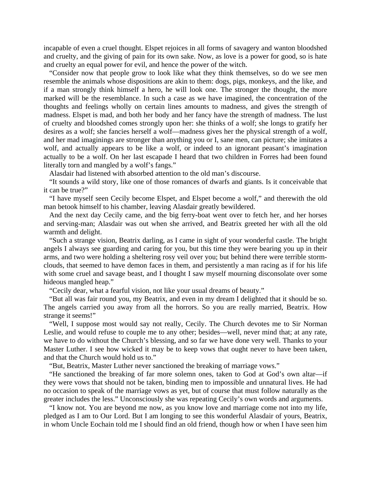incapable of even a cruel thought. Elspet rejoices in all forms of savagery and wanton bloodshed and cruelty, and the giving of pain for its own sake. Now, as love is a power for good, so is hate and cruelty an equal power for evil, and hence the power of the witch.

 "Consider now that people grow to look like what they think themselves, so do we see men resemble the animals whose dispositions are akin to them: dogs, pigs, monkeys, and the like, and if a man strongly think himself a hero, he will look one. The stronger the thought, the more marked will be the resemblance. In such a case as we have imagined, the concentration of the thoughts and feelings wholly on certain lines amounts to madness, and gives the strength of madness. Elspet is mad, and both her body and her fancy have the strength of madness. The lust of cruelty and bloodshed comes strongly upon her: she thinks of a wolf; she longs to gratify her desires as a wolf; she fancies herself a wolf—madness gives her the physical strength of a wolf, and her mad imaginings are stronger than anything you or I, sane men, can picture; she imitates a wolf, and actually appears to be like a wolf, or indeed to an ignorant peasant's imagination actually to be a wolf. On her last escapade I heard that two children in Forres had been found literally torn and mangled by a wolf's fangs."

Alasdair had listened with absorbed attention to the old man's discourse.

 "It sounds a wild story, like one of those romances of dwarfs and giants. Is it conceivable that it can be true?"

 "I have myself seen Cecily become Elspet, and Elspet become a wolf," and therewith the old man betook himself to his chamber, leaving Alasdair greatly bewildered.

 And the next day Cecily came, and the big ferry-boat went over to fetch her, and her horses and serving-man; Alasdair was out when she arrived, and Beatrix greeted her with all the old warmth and delight.

 "Such a strange vision, Beatrix darling, as I came in sight of your wonderful castle. The bright angels I always see guarding and caring for you, but this time they were bearing you up in their arms, and two were holding a sheltering rosy veil over you; but behind there were terrible stormclouds, that seemed to have demon faces in them, and persistently a man racing as if for his life with some cruel and savage beast, and I thought I saw myself mourning disconsolate over some hideous mangled heap."

"Cecily dear, what a fearful vision, not like your usual dreams of beauty."

 "But all was fair round you, my Beatrix, and even in my dream I delighted that it should be so. The angels carried you away from all the horrors. So you are really married, Beatrix. How strange it seems!"

 "Well, I suppose most would say not really, Cecily. The Church devotes me to Sir Norman Leslie, and would refuse to couple me to any other; besides—well, never mind that; at any rate, we have to do without the Church's blessing, and so far we have done very well. Thanks to your Master Luther. I see how wicked it may be to keep vows that ought never to have been taken, and that the Church would hold us to."

"But, Beatrix, Master Luther never sanctioned the breaking of marriage vows."

 "He sanctioned the breaking of far more solemn ones, taken to God at God's own altar—if they were vows that should not be taken, binding men to impossible and unnatural lives. He had no occasion to speak of the marriage vows as yet, but of course that must follow naturally as the greater includes the less." Unconsciously she was repeating Cecily's own words and arguments.

 "I know not. You are beyond me now, as you know love and marriage come not into my life, pledged as I am to Our Lord. But I am longing to see this wonderful Alasdair of yours, Beatrix, in whom Uncle Eochain told me I should find an old friend, though how or when I have seen him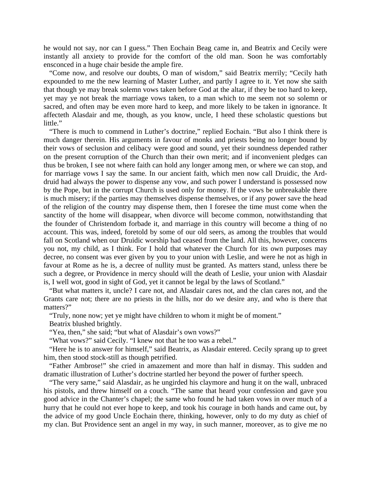he would not say, nor can I guess." Then Eochain Beag came in, and Beatrix and Cecily were instantly all anxiety to provide for the comfort of the old man. Soon he was comfortably ensconced in a huge chair beside the ample fire.

 "Come now, and resolve our doubts, O man of wisdom," said Beatrix merrily; "Cecily hath expounded to me the new learning of Master Luther, and partly I agree to it. Yet now she saith that though ye may break solemn vows taken before God at the altar, if they be too hard to keep, yet may ye not break the marriage vows taken, to a man which to me seem not so solemn or sacred, and often may be even more hard to keep, and more likely to be taken in ignorance. It affecteth Alasdair and me, though, as you know, uncle, I heed these scholastic questions but little."

 "There is much to commend in Luther's doctrine," replied Eochain. "But also I think there is much danger therein. His arguments in favour of monks and priests being no longer bound by their vows of seclusion and celibacy were good and sound, yet their soundness depended rather on the present corruption of the Church than their own merit; and if inconvenient pledges can thus be broken, I see not where faith can hold any longer among men, or where we can stop, and for marriage vows I say the same. In our ancient faith, which men now call Druidic, the Arddruid had always the power to dispense any vow, and such power I understand is possessed now by the Pope, but in the corrupt Church is used only for money. If the vows be unbreakable there is much misery; if the parties may themselves dispense themselves, or if any power save the head of the religion of the country may dispense them, then I foresee the time must come when the sanctity of the home will disappear, when divorce will become common, notwithstanding that the founder of Christendom forbade it, and marriage in this country will become a thing of no account. This was, indeed, foretold by some of our old seers, as among the troubles that would fall on Scotland when our Druidic worship had ceased from the land. All this, however, concerns you not, my child, as I think. For I hold that whatever the Church for its own purposes may decree, no consent was ever given by you to your union with Leslie, and were he not as high in favour at Rome as he is, a decree of nullity must be granted. As matters stand, unless there be such a degree, or Providence in mercy should will the death of Leslie, your union with Alasdair is, I well wot, good in sight of God, yet it cannot be legal by the laws of Scotland."

 "But what matters it, uncle? I care not, and Alasdair cares not, and the clan cares not, and the Grants care not; there are no priests in the hills, nor do we desire any, and who is there that matters?"

"Truly, none now; yet ye might have children to whom it might be of moment."

Beatrix blushed brightly.

"Yea, then," she said; "but what of Alasdair's own vows?"

"What vows?" said Cecily. "I knew not that he too was a rebel."

 "Here he is to answer for himself," said Beatrix, as Alasdair entered. Cecily sprang up to greet him, then stood stock-still as though petrified.

 "Father Ambrose!" she cried in amazement and more than half in dismay. This sudden and dramatic illustration of Luther's doctrine startled her beyond the power of further speech.

 "The very same," said Alasdair, as he ungirded his claymore and hung it on the wall, unbraced his pistols, and threw himself on a couch. "The same that heard your confession and gave you good advice in the Chanter's chapel; the same who found he had taken vows in over much of a hurry that he could not ever hope to keep, and took his courage in both hands and came out, by the advice of my good Uncle Eochain there, thinking, however, only to do my duty as chief of my clan. But Providence sent an angel in my way, in such manner, moreover, as to give me no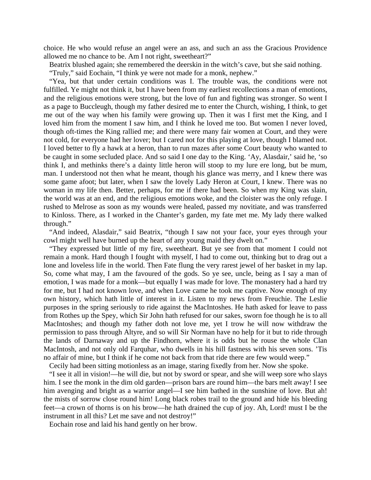choice. He who would refuse an angel were an ass, and such an ass the Gracious Providence allowed me no chance to be. Am I not right, sweetheart?"

Beatrix blushed again; she remembered the deerskin in the witch's cave, but she said nothing.

"Truly," said Eochain, "I think ye were not made for a monk, nephew."

 "Yea, but that under certain conditions was I. The trouble was, the conditions were not fulfilled. Ye might not think it, but I have been from my earliest recollections a man of emotions, and the religious emotions were strong, but the love of fun and fighting was stronger. So went I as a page to Buccleugh, though my father desired me to enter the Church, wishing, I think, to get me out of the way when his family were growing up. Then it was I first met the King, and I loved him from the moment I saw him, and I think he loved me too. But women I never loved, though oft-times the King rallied me; and there were many fair women at Court, and they were not cold, for everyone had her lover; but I cared not for this playing at love, though I blamed not. I loved better to fly a hawk at a heron, than to run mazes after some Court beauty who wanted to be caught in some secluded place. And so said I one day to the King. 'Ay, Alasdair,' said he, 'so think I, and methinks there's a dainty little heron will stoop to my lure ere long, but be mum, man. I understood not then what he meant, though his glance was merry, and I knew there was some game afoot; but later, when I saw the lovely Lady Heron at Court, I knew. There was no woman in my life then. Better, perhaps, for me if there had been. So when my King was slain, the world was at an end, and the religious emotions woke, and the cloister was the only refuge. I rushed to Melrose as soon as my wounds were healed, passed my novitiate, and was transferred to Kinloss. There, as I worked in the Chanter's garden, my fate met me. My lady there walked through."

 "And indeed, Alasdair," said Beatrix, "though I saw not your face, your eyes through your cowl might well have burned up the heart of any young maid they dwelt on."

 "They expressed but little of my fire, sweetheart. But ye see from that moment I could not remain a monk. Hard though I fought with myself, I had to come out, thinking but to drag out a lone and loveless life in the world. Then Fate flung the very rarest jewel of her basket in my lap. So, come what may, I am the favoured of the gods. So ye see, uncle, being as I say a man of emotion, I was made for a monk—but equally I was made for love. The monastery had a hard try for me, but I had not known love, and when Love came he took me captive. Now enough of my own history, which hath little of interest in it. Listen to my news from Freuchie. The Leslie purposes in the spring seriously to ride against the MacIntoshes. He hath asked for leave to pass from Rothes up the Spey, which Sir John hath refused for our sakes, sworn foe though he is to all MacIntoshes; and though my father doth not love me, yet I trow he will now withdraw the permission to pass through Altyre, and so will Sir Norman have no help for it but to ride through the lands of Darnaway and up the Findhorn, where it is odds but he rouse the whole Clan MacIntosh, and not only old Farquhar, who dwells in his hill fastness with his seven sons. 'Tis no affair of mine, but I think if he come not back from that ride there are few would weep."

Cecily had been sitting motionless as an image, staring fixedly from her. Now she spoke.

 "I see it all in vision!—he will die, but not by sword or spear, and she will weep sore who slays him. I see the monk in the dim old garden—prison bars are round him—the bars melt away! I see him avenging and bright as a warrior angel—I see him bathed in the sunshine of love. But ah! the mists of sorrow close round him! Long black robes trail to the ground and hide his bleeding feet—a crown of thorns is on his brow—he hath drained the cup of joy. Ah, Lord! must I be the instrument in all this? Let me save and not destroy!"

Eochain rose and laid his hand gently on her brow.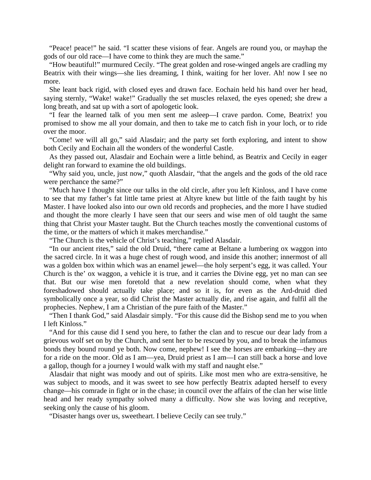"Peace! peace!" he said. "I scatter these visions of fear. Angels are round you, or mayhap the gods of our old race—I have come to think they are much the same."

 "How beautiful!" murmured Cecily. "The great golden and rose-winged angels are cradling my Beatrix with their wings—she lies dreaming, I think, waiting for her lover. Ah! now I see no more.

 She leant back rigid, with closed eyes and drawn face. Eochain held his hand over her head, saying sternly, "Wake! wake!" Gradually the set muscles relaxed, the eyes opened; she drew a long breath, and sat up with a sort of apologetic look.

 "I fear the learned talk of you men sent me asleep—I crave pardon. Come, Beatrix! you promised to show me all your domain, and then to take me to catch fish in your loch, or to ride over the moor.

 "Come! we will all go," said Alasdair; and the party set forth exploring, and intent to show both Cecily and Eochain all the wonders of the wonderful Castle.

 As they passed out, Alasdair and Eochain were a little behind, as Beatrix and Cecily in eager delight ran forward to examine the old buildings.

 "Why said you, uncle, just now," quoth Alasdair, "that the angels and the gods of the old race were perchance the same?"

 "Much have I thought since our talks in the old circle, after you left Kinloss, and I have come to see that my father's fat little tame priest at Altyre knew but little of the faith taught by his Master. I have looked also into our own old records and prophecies, and the more I have studied and thought the more clearly I have seen that our seers and wise men of old taught the same thing that Christ your Master taught. But the Church teaches mostly the conventional customs of the time, or the matters of which it makes merchandise."

"The Church is the vehicle of Christ's teaching," replied Alasdair.

 "In our ancient rites," said the old Druid, "there came at Beltane a lumbering ox waggon into the sacred circle. In it was a huge chest of rough wood, and inside this another; innermost of all was a golden box within which was an enamel jewel—the holy serpent's egg, it was called. Your Church is the' ox waggon, a vehicle it is true, and it carries the Divine egg, yet no man can see that. But our wise men foretold that a new revelation should come, when what they foreshadowed should actually take place; and so it is, for even as the Ard-druid died symbolically once a year, so did Christ the Master actually die, and rise again, and fulfil all the prophecies. Nephew, I am a Christian of the pure faith of the Master."

 "Then I thank God," said Alasdair simply. "For this cause did the Bishop send me to you when I left Kinloss."

 "And for this cause did I send you here, to father the clan and to rescue our dear lady from a grievous wolf set on by the Church, and sent her to be rescued by you, and to break the infamous bonds they bound round ye both. Now come, nephew! I see the horses are embarking—they are for a ride on the moor. Old as I am—yea, Druid priest as I am—I can still back a horse and love a gallop, though for a journey I would walk with my staff and naught else."

 Alasdair that night was moody and out of spirits. Like most men who are extra-sensitive, he was subject to moods, and it was sweet to see how perfectly Beatrix adapted herself to every change—his comrade in fight or in the chase; in council over the affairs of the clan her wise little head and her ready sympathy solved many a difficulty. Now she was loving and receptive, seeking only the cause of his gloom.

"Disaster hangs over us, sweetheart. I believe Cecily can see truly."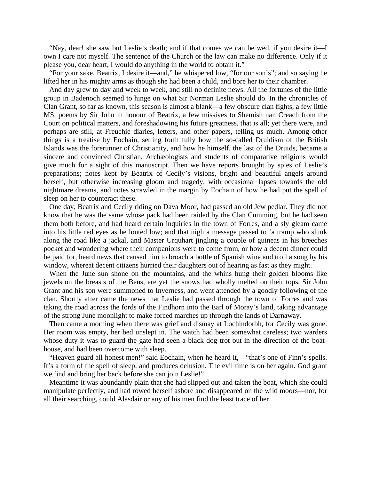"Nay, dear! she saw but Leslie's death; and if that comes we can be wed, if you desire it—I own I care not myself. The sentence of the Church or the law can make no difference. Only if it please you, dear heart, I would do anything in the world to obtain it."

 "For your sake, Beatrix, I desire it—and," he whispered low, "for our son's"; and so saying he lifted her in his mighty arms as though she had been a child, and bore her to their chamber.

 And day grew to day and week to week, and still no definite news. All the fortunes of the little group in Badenoch seemed to hinge on what Sir Norman Leslie should do. In the chronicles of Clan Grant, so far as known, this season is almost a blank—a few obscure clan fights, a few little MS. poems by Sir John in honour of Beatrix, a few missives to Shemish nan Creach from the Court on political matters, and foreshadowing his future greatness, that is all; yet there were, and perhaps are still, at Freuchie diaries, letters, and other papers, telling us much. Among other things is a treatise by Eochain, setting forth fully how the so-called Druidism of the British Islands was the forerunner of Christianity, and how he himself, the last of the Druids, became a sincere and convinced Christian. Archæologists and students of comparative religions would give much for a sight of this manuscript. Then we have reports brought by spies of Leslie's preparations; notes kept by Beatrix of Cecily's visions, bright and beautiful angels around herself, but otherwise increasing gloom and tragedy, with occasional lapses towards the old nightmare dreams, and notes scrawled in the margin by Eochain of how he had put the spell of sleep on her to counteract these.

 One day, Beatrix and Cecily riding on Dava Moor, had passed an old Jew pedlar. They did not know that he was the same whose pack had been raided by the Clan Cumming, but he had seen them both before, and had heard certain inquiries in the town of Forres, and a sly gleam came into his little red eyes as he louted low; and that nigh a message passed to 'a tramp who slunk along the road like a jackal, and Master Urquhart jingling a couple of guineas in his breeches pocket and wondering where their companions were to come from, or how a decent dinner could be paid for, heard news that caused him to broach a bottle of Spanish wine and troll a song by his window, whereat decent citizens hurried their daughters out of hearing as fast as they might.

 When the June sun shone on the mountains, and the whins hung their golden blooms like jewels on the breasts of the Bens, ere yet the snows had wholly melted on their tops, Sir John Grant and his son were summoned to Inverness, and went attended by a goodly following of the clan. Shortly after came the news that Leslie had passed through the town of Forres and was taking the road across the fords of the Findhorn into the Earl of Moray's land, taking advantage of the strong June moonlight to make forced marches up through the lands of Darnaway.

 Then came a morning when there was grief and dismay at Lochindorbh, for Cecily was gone. Her room was empty, her bed unslept in. The watch had been somewhat careless; two warders whose duty it was to guard the gate had seen a black dog trot out in the direction of the boathouse, and had been overcome with sleep.

"Heaven guard all honest men!" said Eochain, when he heard it,—"that's one of Finn's spells. It's a form of the spell of sleep, and produces delusion. The evil time is on her again. God grant we find and bring her back before she can join Leslie!"

 Meantime it was abundantly plain that she had slipped out and taken the boat, which she could manipulate perfectly, and had rowed herself ashore and disappeared on the wild moors—nor, for all their searching, could Alasdair or any of his men find the least trace of her.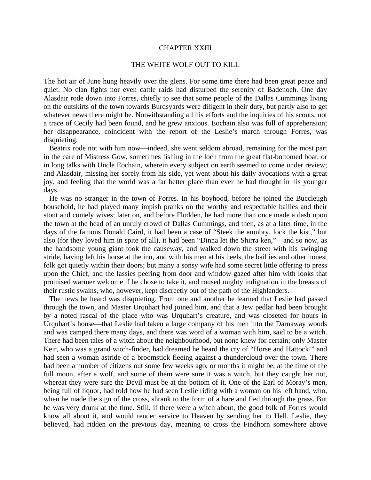### CHAPTER XXIII

# THE WHITE WOLF OUT TO KILL

The hot air of June hung heavily over the glens. For some time there had been great peace and quiet. No clan fights nor even cattle raids had disturbed the serenity of Badenoch. One day Alasdair rode down into Forres, chiefly to see that some people of the Dallas Cummings living on the outskirts of the town towards Burdsyards were diligent in their duty, but partly also to get whatever news there might be. Notwithstanding all his efforts and the inquiries of his scouts, not a trace of Cecily had been found, and he grew anxious. Eochain also was full of apprehension; her disappearance, coincident with the report of the Leslie's march through Forres, was disquieting.

 Beatrix rode not with him now—indeed, she went seldom abroad, remaining for the most part in the care of Mistress Gow, sometimes fishing in the loch from the great flat-bottomed boat, or in long talks with Uncle Eochain, wherein every subject on earth seemed to come under review; and Alasdair, missing her sorely from his side, yet went about his daily avocations with a great joy, and feeling that the world was a far better place than ever he had thought in his younger days.

 He was no stranger in the town of Forres. In his boyhood, before he joined the Buccleugh household, he had played many impish pranks on the worthy and respectable bailies and their stout and comely wives; later on, and before Flodden, he had more than once made a dash upon the town at the head of an unruly crowd of Dallas Cummings, and then, as at a later time, in the days of the famous Donald Caird, it had been a case of "Steek the aumbry, lock the kist," but also (for they loved him in spite of all), it had been "Dinna let the Shirra ken,"—and so now, as the handsome young giant took the causeway, and walked down the street with his swinging stride, having left his horse at the inn, and with his men at his heels, the bail ies and other honest folk got quietly within their doors; but many a sonsy wife had some secret little offering to press upon the Chief, and the lassies peering from door and window gazed after him with looks that promised warmer welcome if he chose to take it, and roused mighty indignation in the breasts of their rustic swains, who, however, kept discreetly out of the path of the Highlanders.

 The news he heard was disquieting. From one and another he learned that Leslie had passed through the town, and Master Urquhart had joined him, and that a Jew pedlar had been brought by a noted rascal of the place who was Urquhart's creature, and was closeted for hours in Urquhart's house—that Leslie had taken a large company of his men into the Darnaway woods and was camped there many days, and there was word of a woman with him, said to be a witch. There had been tales of a witch about the neighbourhood, but none knew for certain; only Master Keir, who was a grand witch-finder, had dreamed he heard the cry of "Horse and Hattock!" and had seen a woman astride of a broomstick fleeing against a thundercloud over the town. There had been a number of citizens out some few weeks ago, or months it might be, at the time of the full moon, after a wolf, and some of them were sure it was a witch, but they caught her not, whereat they were sure the Devil must be at the bottom of it. One of the Earl of Moray's men, being full of liquor, had told how he had seen Leslie riding with a woman on his left hand, who, when he made the sign of the cross, shrank to the form of a hare and fled through the grass. But he was very drunk at the time. Still, if there were a witch about, the good folk of Forres would know all about it, and would render service to Heaven by sending her to Hell. Leslie, they believed, had ridden on the previous day, meaning to cross the Findhorn somewhere above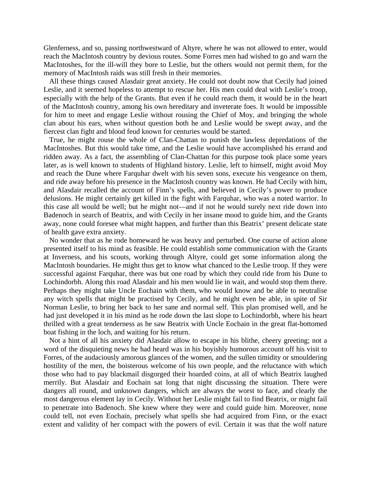Glenferness, and so, passing northwestward of Altyre, where he was not allowed to enter, would reach the MacIntosh country by devious routes. Some Forres men had wished to go and warn the MacIntoshes, for the ill-will they bore to Leslie, but the others would not permit them, for the memory of MacIntosh raids was still fresh in their memories.

 All these things caused Alasdair great anxiety. He could not doubt now that Cecily had joined Leslie, and it seemed hopeless to attempt to rescue her. His men could deal with Leslie's troop, especially with the help of the Grants. But even if he could reach them, it would be in the heart of the MacIntosh country, among his own hereditary and inveterate foes. It would be impossible for him to meet and engage Leslie without rousing the Chief of Moy, and bringing the whole clan about his ears, when without question both he and Leslie would be swept away, and the fiercest clan fight and blood feud known for centuries would be started.

 True, he might rouse the whole of Clan-Chattan to punish the lawless depredations of the MacIntoshes. But this would take time, and the Leslie would have accomplished his errand and ridden away. As a fact, the assembling of Clan-Chattan for this purpose took place some years later, as is well known to students of Highland history. Leslie, left to himself, might avoid Moy and reach the Dune where Farquhar dwelt with his seven sons, execute his vengeance on them, and ride away before his presence in the MacIntosh country was known. He had Cecily with him, and Alasdair recalled the account of Finn's spells, and believed in Cecily's power to produce delusions. He might certainly get killed in the fight with Farquhar, who was a noted warrior. In this case all would be well; but he might not—and if not he would surely next ride down into Badenoch in search of Beatrix, and with Cecily in her insane mood to guide him, and the Grants away, none could foresee what might happen, and further than this Beatrix' present delicate state of health gave extra anxiety.

 No wonder that as he rode homeward he was heavy and perturbed. One course of action alone presented itself to his mind as feasible. He could establish some communication with the Grants at Inverness, and his scouts, working through Altyre, could get some information along the MacIntosh boundaries. He might thus get to know what chanced to the Leslie troop. If they were successful against Farquhar, there was but one road by which they could ride from his Dune to Lochindorbh. Along this road Alasdair and his men would lie in wait, and would stop them there. Perhaps they might take Uncle Eochain with them, who would know and be able to neutralise any witch spells that might be practised by Cecily, and he might even be able, in spite of Sir Norman Leslie, to bring her back to her sane and normal self. This plan promised well, and he had just developed it in his mind as he rode down the last slope to Lochindorbh, where his heart thrilled with a great tenderness as he saw Beatrix with Uncle Eochain in the great flat-bottomed boat fishing in the loch, and waiting for his return.

 Not a hint of all his anxiety did Alasdair allow to escape in his blithe, cheery greeting; not a word of the disquieting news he had heard was in his boyishly humorous account off his visit to Forres, of the audaciously amorous glances of the women, and the sullen timidity or smouldering hostility of the men, the boisterous welcome of his own people, and the reluctance with which those who had to pay blackmail disgorged their hoarded coins, at all of which Beatrix laughed merrily. But Alasdair and Eochain sat long that night discussing the situation. There were dangers all round, and unknown dangers, which are always the worst to face, and clearly the most dangerous element lay in Cecily. Without her Leslie might fail to find Beatrix, or might fail to penetrate into Badenoch. She knew where they were and could guide him. Moreover, none could tell, not even Eochain, precisely what spells she had acquired from Finn, or the exact extent and validity of her compact with the powers of evil. Certain it was that the wolf nature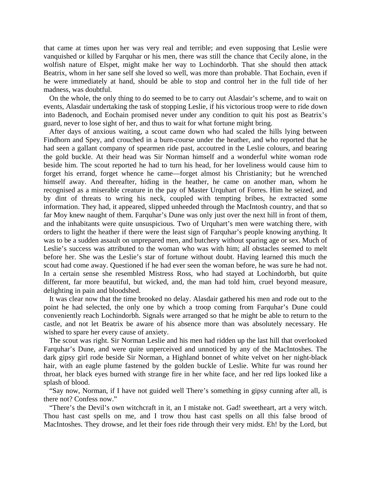that came at times upon her was very real and terrible; and even supposing that Leslie were vanquished or killed by Farquhar or his men, there was still the chance that Cecily alone, in the wolfish nature of Elspet, might make her way to Lochindorbh. That she should then attack Beatrix, whom in her sane self she loved so well, was more than probable. That Eochain, even if he were immediately at hand, should be able to stop and control her in the full tide of her madness, was doubtful.

 On the whole, the only thing to do seemed to be to carry out Alasdair's scheme, and to wait on events, Alasdair undertaking the task of stopping Leslie, if his victorious troop were to ride down into Badenoch, and Eochain promised never under any condition to quit his post as Beatrix's guard, never to lose sight of her, and thus to wait for what fortune might bring.

 After days of anxious waiting, a scout came down who had scaled the hills lying between Findhorn and Spey, and crouched in a burn-course under the heather, and who reported that he had seen a gallant company of spearmen ride past, accoutred in the Leslie colours, and bearing the gold buckle. At their head was Sir Norman himself and a wonderful white woman rode beside him. The scout reported he had to turn his head, for her loveliness would cause him to forget his errand, forget whence he came—forget almost his Christianity; but he wrenched himself away. And thereafter, hiding in the heather, he came on another man, whom he recognised as a miserable creature in the pay of Master Urquhart of Forres. Him he seized, and by dint of threats to wring his neck, coupled with tempting bribes, he extracted some information. They had, it appeared, slipped unheeded through the MacIntosh country, and that so far Moy knew naught of them. Farquhar's Dune was only just over the next hill in front of them, and the inhabitants were quite unsuspicious. Two of Urquhart's men were watching there, with orders to light the heather if there were the least sign of Farquhar's people knowing anything. It was to be a sudden assault on unprepared men, and butchery without sparing age or sex. Much of Leslie's success was attributed to the woman who was with him; all obstacles seemed to melt before her. She was the Leslie's star of fortune without doubt. Having learned this much the scout had come away. Questioned if he had ever seen the woman before, he was sure he had not. In a certain sense she resembled Mistress Ross, who had stayed at Lochindorbh, but quite different, far more beautiful, but wicked, and, the man had told him, cruel beyond measure, delighting in pain and bloodshed.

 It was clear now that the time brooked no delay. Alasdair gathered his men and rode out to the point he had selected, the only one by which a troop coming from Farquhar's Dune could conveniently reach Lochindorbh. Signals were arranged so that he might be able to return to the castle, and not let Beatrix be aware of his absence more than was absolutely necessary. He wished to spare her every cause of anxiety.

 The scout was right. Sir Norman Leslie and his men had ridden up the last hill that overlooked Farquhar's Dune, and were quite unperceived and unnoticed by any of the MacIntoshes. The dark gipsy girl rode beside Sir Norman, a Highland bonnet of white velvet on her night-black hair, with an eagle plume fastened by the golden buckle of Leslie. White fur was round her throat, her black eyes burned with strange fire in her white face, and her red lips looked like a splash of blood.

 "Say now, Norman, if I have not guided well There's something in gipsy cunning after all, is there not? Confess now."

 "There's the Devil's own witchcraft in it, an I mistake not. Gad! sweetheart, art a very witch. Thou hast cast spells on me, and I trow thou hast cast spells on all this false brood of MacIntoshes. They drowse, and let their foes ride through their very midst. Eh! by the Lord, but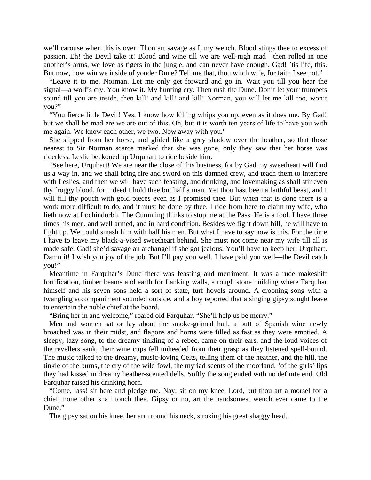we'll carouse when this is over. Thou art savage as I, my wench. Blood stings thee to excess of passion. Eh! the Devil take it! Blood and wine till we are well-nigh mad—then rolled in one another's arms, we love as tigers in the jungle, and can never have enough. Gad! 'tis life, this. But now, how win we inside of yonder Dune? Tell me that, thou witch wife, for faith I see not."

 "Leave it to me, Norman. Let me only get forward and go in. Wait you till you hear the signal—a wolf's cry. You know it. My hunting cry. Then rush the Dune. Don't let your trumpets sound till you are inside, then kill! and kill! and kill! Norman, you will let me kill too, won't you?"

 "You fierce little Devil! Yes, I know how killing whips you up, even as it does me. By Gad! but we shall be mad ere we are out of this. Oh, but it is worth ten years of life to have you with me again. We know each other, we two. Now away with you."

 She slipped from her horse, and glided like a grey shadow over the heather, so that those nearest to Sir Norman scarce marked that she was gone, only they saw that her horse was riderless. Leslie beckoned up Urquhart to ride beside him.

 "See here, Urquhart! We are near the close of this business, for by Gad my sweetheart will find us a way in, and we shall bring fire and sword on this damned crew, and teach them to interfere with Leslies, and then we will have such feasting, and drinking, and lovemaking as shall stir even thy froggy blood, for indeed I hold thee but half a man. Yet thou hast been a faithful beast, and I will fill thy pouch with gold pieces even as I promised thee. But when that is done there is a work more difficult to do, and it must be done by thee. I ride from here to claim my wife, who lieth now at Lochindorbh. The Cumming thinks to stop me at the Pass. He is a fool. I have three times his men, and well armed, and in hard condition. Besides we fight down hill, he will have to fight up. We could smash him with half his men. But what I have to say now is this. For the time I have to leave my black-a-vised sweetheart behind. She must not come near my wife till all is made safe. Gad! she'd savage an archangel if she got jealous. You'll have to keep her, Urquhart. Damn it! I wish you joy of the job. But I'll pay you well. I have paid you well—the Devil catch you!"

 Meantime in Farquhar's Dune there was feasting and merriment. It was a rude makeshift fortification, timber beams and earth for flanking walls, a rough stone building where Farquhar himself and his seven sons held a sort of state, turf hovels around. A crooning song with a twangling accompaniment sounded outside, and a boy reported that a singing gipsy sought leave to entertain the noble chief at the board.

"Bring her in and welcome," roared old Farquhar. "She'll help us be merry."

 Men and women sat or lay about the smoke-grimed hall, a butt of Spanish wine newly broached was in their midst, and flagons and horns were filled as fast as they were emptied. A sleepy, lazy song, to the dreamy tinkling of a rebec, came on their ears, and the loud voices of the revellers sank, their wine cups fell unheeded from their grasp as they listened spell-bound. The music talked to the dreamy, music-loving Celts, telling them of the heather, and the hill, the tinkle of the burns, the cry of the wild fowl, the myriad scents of the moorland, 'of the girls' lips they had kissed in dreamy heather-scented dells. Softly the song ended with no definite end. Old Farquhar raised his drinking horn.

 "Come, lass! sit here and pledge me. Nay, sit on my knee. Lord, but thou art a morsel for a chief, none other shall touch thee. Gipsy or no, art the handsomest wench ever came to the Dune."

The gipsy sat on his knee, her arm round his neck, stroking his great shaggy head.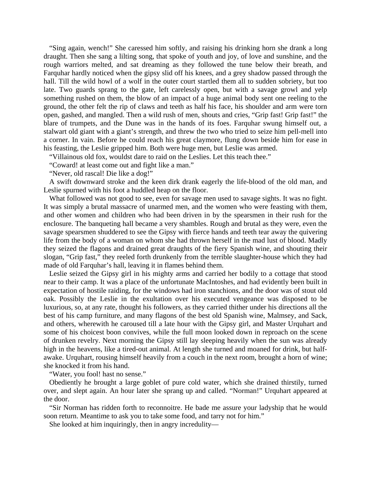"Sing again, wench!" She caressed him softly, and raising his drinking horn she drank a long draught. Then she sang a lilting song, that spoke of youth and joy, of love and sunshine, and the rough warriors melted, and sat dreaming as they followed the tune below their breath, and Farquhar hardly noticed when the gipsy slid off his knees, and a grey shadow passed through the hall. Till the wild howl of a wolf in the outer court startled them all to sudden sobriety, but too late. Two guards sprang to the gate, left carelessly open, but with a savage growl and yelp something rushed on them, the blow of an impact of a huge animal body sent one reeling to the ground, the other felt the rip of claws and teeth as half his face, his shoulder and arm were torn open, gashed, and mangled. Then a wild rush of men, shouts and cries, "Grip fast! Grip fast!" the blare of trumpets, and the Dune was in the hands of its foes. Farquhar swung himself out, a stalwart old giant with a giant's strength, and threw the two who tried to seize him pell-mell into a corner. In vain. Before he could reach his great claymore, flung down beside him for ease in his feasting, the Leslie gripped him. Both were huge men, but Leslie was armed.

"Villainous old fox, wouldst dare to raid on the Leslies. Let this teach thee."

"Coward! at least come out and fight like a man."

"Never, old rascal! Die like a dog!"

 A swift downward stroke and the keen dirk drank eagerly the life-blood of the old man, and Leslie spurned with his foot a huddled heap on the floor.

 What followed was not good to see, even for savage men used to savage sights. It was no fight. It was simply a brutal massacre of unarmed men, and the women who were feasting with them, and other women and children who had been driven in by the spearsmen in their rush for the enclosure. The banqueting hall became a very shambles. Rough and brutal as they were, even the savage spearsmen shuddered to see the Gipsy with fierce hands and teeth tear away the quivering life from the body of a woman on whom she had thrown herself in the mad lust of blood. Madly they seized the flagons and drained great draughts of the fiery Spanish wine, and shouting their slogan, "Grip fast," they reeled forth drunkenly from the terrible slaughter-house which they had made of old Farquhar's hall, leaving it in flames behind them.

 Leslie seized the Gipsy girl in his mighty arms and carried her bodily to a cottage that stood near to their camp. It was a place of the unfortunate MacIntoshes, and had evidently been built in expectation of hostile raiding, for the windows had iron stanchions, and the door was of stout old oak. Possibly the Leslie in the exultation over his executed vengeance was disposed to be luxurious, so, at any rate, thought his followers, as they carried thither under his directions all the best of his camp furniture, and many flagons of the best old Spanish wine, Malmsey, and Sack, and others, wherewith he caroused till a late hour with the Gipsy girl, and Master Urquhart and some of his choicest boon convives, while the full moon looked down in reproach on the scene of drunken revelry. Next morning the Gipsy still lay sleeping heavily when the sun was already high in the heavens, like a tired-out animal. At length she turned and moaned for drink, but halfawake. Urquhart, rousing himself heavily from a couch in the next room, brought a horn of wine; she knocked it from his hand.

"Water, you fool! hast no sense."

 Obediently he brought a large goblet of pure cold water, which she drained thirstily, turned over, and slept again. An hour later she sprang up and called. "Norman!" Urquhart appeared at the door.

 "Sir Norman has ridden forth to reconnoitre. He bade me assure your ladyship that he would soon return. Meantime to ask you to take some food, and tarry not for him."

She looked at him inquiringly, then in angry incredulity—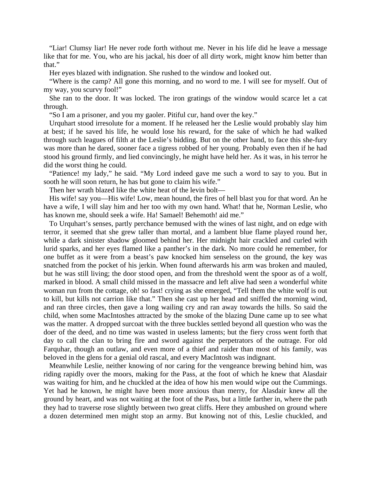"Liar! Clumsy liar! He never rode forth without me. Never in his life did he leave a message like that for me. You, who are his jackal, his doer of all dirty work, might know him better than that."

Her eyes blazed with indignation. She rushed to the window and looked out.

 "Where is the camp? All gone this morning, and no word to me. I will see for myself. Out of my way, you scurvy fool!"

 She ran to the door. It was locked. The iron gratings of the window would scarce let a cat through.

"So I am a prisoner, and you my gaoler. Pitiful cur, hand over the key."

 Urquhart stood irresolute for a moment. If he released her the Leslie would probably slay him at best; if he saved his life, he would lose his reward, for the sake of which he had walked through such leagues of filth at the Leslie's bidding. But on the other hand, to face this she-fury was more than he dared, sooner face a tigress robbed of her young. Probably even then if he had stood his ground firmly, and lied convincingly, he might have held her. As it was, in his terror he did the worst thing he could.

 "Patience! my lady," he said. "My Lord indeed gave me such a word to say to you. But in sooth he will soon return, he has but gone to claim his wife."

Then her wrath blazed like the white heat of the levin bolt—

 His wife! say you—His wife! Low, mean hound, the fires of hell blast you for that word. An he have a wife, I will slay him and her too with my own hand. What! that he, Norman Leslie, who has known me, should seek a wife. Ha! Samael! Behemoth! aid me."

 To Urquhart's senses, partly perchance bemused with the wines of last night, and on edge with terror, it seemed that she grew taller than mortal, and a lambent blue flame played round her, while a dark sinister shadow gloomed behind her. Her midnight hair crackled and curled with lurid sparks, and her eyes flamed like a panther's in the dark. No more could he remember, for one buffet as it were from a beast's paw knocked him senseless on the ground, the key was snatched from the pocket of his jerkin. When found afterwards his arm was broken and mauled, but he was still living; the door stood open, and from the threshold went the spoor as of a wolf, marked in blood. A small child missed in the massacre and left alive had seen a wonderful white woman run from the cottage, oh! so fast! crying as she emerged, "Tell them the white wolf is out to kill, but kills not carrion like that." Then she cast up her head and sniffed the morning wind, and ran three circles, then gave a long wailing cry and ran away towards the hills. So said the child, when some MacIntoshes attracted by the smoke of the blazing Dune came up to see what was the matter. A dropped surcoat with the three buckles settled beyond all question who was the doer of the deed, and no time was wasted in useless laments; but the fiery cross went forth that day to call the clan to bring fire and sword against the perpetrators of the outrage. For old Farquhar, though an outlaw, and even more of a thief and raider than most of his family, was beloved in the glens for a genial old rascal, and every MacIntosh was indignant.

 Meanwhile Leslie, neither knowing of nor caring for the vengeance brewing behind him, was riding rapidly over the moors, making for the Pass, at the foot of which he knew that Alasdair was waiting for him, and he chuckled at the idea of how his men would wipe out the Cummings. Yet had he known, he might have been more anxious than merry, for Alasdair knew all the ground by heart, and was not waiting at the foot of the Pass, but a little farther in, where the path they had to traverse rose slightly between two great cliffs. Here they ambushed on ground where a dozen determined men might stop an army. But knowing not of this, Leslie chuckled, and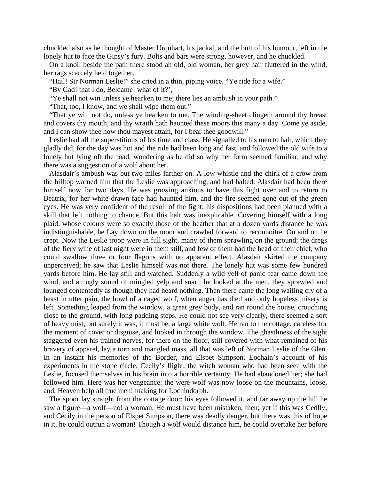chuckled also as he thought of Master Urquhart, his jackal, and the butt of his humour, left in the lonely hut to face the Gipsy's fury. Bolts and bars were strong, however, and he chuckled.

 On a knoll beside the path there stood an old, old woman, her grey hair fluttered in the wind, her rags scarcely held together.

"Hail! Sir Norman Leslie!" she cried in a thin, piping voice. "Ye ride for a wife."

"By Gad! that I do, Beldame! what of it?',

"Ye shall not win unless ye hearken to me; there lies an ambush in your path."

"That, too, I know, and we shall wipe them out."

 "That ye will not do, unless ye hearken to me. The winding-sheet clingeth around thy breast and covers thy mouth, and thy wraith hath haunted these moors this many a day. Come ye aside, and I can show thee how thou mayest attain, for I bear thee goodwill."

 Leslie had all the superstitions of his time and class. He signalled to his men to halt, which they gladly did, for the day was hot and the ride had been long and fast, and followed the old wife to a lonely hut lying off the road, wondering as he did so why her form seemed familiar, and why there was a suggestion of a wolf about her.

 Alasdair's ambush was but two miles farther on. A low whistle and the chirk of a crow from the hilltop warned him that the Leslie was approaching, and had halted. Alasdair had been there himself now for two days. He was growing anxious to have this fight over and to return to Beatrix, for her white drawn face had haunted him, and the fire seemed gone out of the green eyes. He was very confident of the result of the fight; his dispositions had been planned with a skill that left nothing to chance. But this halt was inexplicable. Covering himself with a long plaid, whose colours were so exactly those of the heather that at a dozen yards distance he was indistinguishable, he Lay down on the moor and crawled forward to reconnoitre. On and on he crept. Now the Leslie troop were in full sight, many of them sprawling on the ground; the dregs of the fiery wine of last night were in them still, and few of them had the head of their chief, who could swallow three or four flagons with no apparent effect. Alasdair skirted the company unperceived; he saw that Leslie himself was not there. The lonely hut was some few hundred yards before him. He lay still and watched. Suddenly a wild yell of panic fear came down the wind, and an ugly sound of mingled yelp and snarl: he looked at the men, they sprawled and lounged contentedly as though they had heard nothing. Then there came the long wailing cry of a beast in utter pain, the howl of a caged wolf, when anger has died and only hopeless misery is left. Something leaped from the window, a great grey body, and ran round the house, crouching close to the ground, with long padding steps. He could not see very clearly, there seemed a sort of heavy mist, but surely it was, it must be, a large white wolf. He ran to the cottage, careless for the moment of cover or disguise, and looked in through the window. The ghastliness of the sight staggered even his trained nerves, for there on the floor, still covered with what remained of his bravery of apparel, lay a torn and mangled mass, all that was left of Norman Leslie of the Glen. In an instant his memories of the Border, and Elspet Simpson, Eochain's account of his experiments in the stone circle, Cecily's flight, the witch woman who had been seen with the Leslie, focused themselves in his brain into a horrible certainty. He had abandoned her; she had followed him. Here was her vengeance: the were-wolf was now loose on the mountains, loose, and, Heaven help all true men! making for Lochindorbh.

 The spoor lay straight from the cottage door; his eyes followed it, and far away up the hill he saw a figure—a wolf—no! a woman. He must have been mistaken, then; yet if this was Cedlly, and Cecily in the person of Elspet Simpson, there was deadly danger, but there was this of hope in it, he could outrun a woman! Though a wolf would distance him, he could overtake her before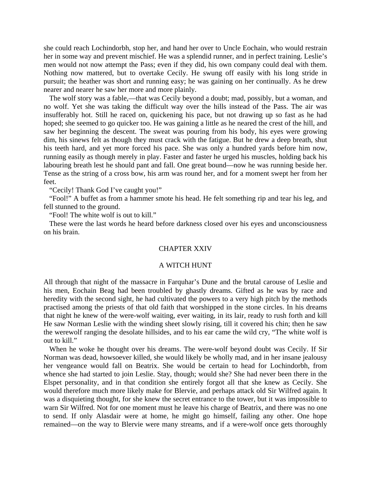she could reach Lochindorbh, stop her, and hand her over to Uncle Eochain, who would restrain her in some way and prevent mischief. He was a splendid runner, and in perfect training. Leslie's men would not now attempt the Pass; even if they did, his own company could deal with them. Nothing now mattered, but to overtake Cecily. He swung off easily with his long stride in pursuit; the heather was short and running easy; he was gaining on her continually. As he drew nearer and nearer he saw her more and more plainly.

 The wolf story was a fable,—that was Cecily beyond a doubt; mad, possibly, but a woman, and no wolf. Yet she was taking the difficult way over the hills instead of the Pass. The air was insufferably hot. Still he raced on, quickening his pace, but not drawing up so fast as he had hoped; she seemed to go quicker too. He was gaining a little as he neared the crest of the hill, and saw her beginning the descent. The sweat was pouring from his body, his eyes were growing dim, his sinews felt as though they must crack with the fatigue. But he drew a deep breath, shut his teeth hard, and yet more forced his pace. She was only a hundred yards before him now, running easily as though merely in play. Faster and faster he urged his muscles, holding back his labouring breath lest he should pant and fall. One great bound—now he was running beside her. Tense as the string of a cross bow, his arm was round her, and for a moment swept her from her feet.

"Cecily! Thank God I've caught you!"

 "Fool!" A buffet as from a hammer smote his head. He felt something rip and tear his leg, and fell stunned to the ground.

"Fool! The white wolf is out to kill."

 These were the last words he heard before darkness closed over his eyes and unconsciousness on his brain.

# CHAPTER XXIV

### A WITCH HUNT

All through that night of the massacre in Farquhar's Dune and the brutal carouse of Leslie and his men, Eochain Beag had been troubled by ghastly dreams. Gifted as he was by race and heredity with the second sight, he had cultivated the powers to a very high pitch by the methods practised among the priests of that old faith that worshipped in the stone circles. In his dreams that night he knew of the were-wolf waiting, ever waiting, in its lair, ready to rush forth and kill He saw Norman Leslie with the winding sheet slowly rising, till it covered his chin; then he saw the werewolf ranging the desolate hillsides, and to his ear came the wild cry, "The white wolf is out to kill."

 When he woke he thought over his dreams. The were-wolf beyond doubt was Cecily. If Sir Norman was dead, howsoever killed, she would likely be wholly mad, and in her insane jealousy her vengeance would fall on Beatrix. She would be certain to head for Lochindorbh, from whence she had started to join Leslie. Stay, though; would she? She had never been there in the Elspet personality, and in that condition she entirely forgot all that she knew as Cecily. She would therefore much more likely make for Blervie, and perhaps attack old Sir Wilfred again. It was a disquieting thought, for she knew the secret entrance to the tower, but it was impossible to warn Sir Wilfred. Not for one moment must he leave his charge of Beatrix, and there was no one to send. If only Alasdair were at home, he might go himself, failing any other. One hope remained—on the way to Blervie were many streams, and if a were-wolf once gets thoroughly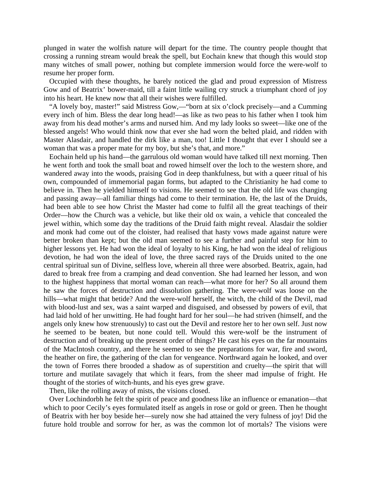plunged in water the wolfish nature will depart for the time. The country people thought that crossing a running stream would break the spell, but Eochain knew that though this would stop many witches of small power, nothing but complete immersion would force the were-wolf to resume her proper form.

 Occupied with these thoughts, he barely noticed the glad and proud expression of Mistress Gow and of Beatrix' bower-maid, till a faint little wailing cry struck a triumphant chord of joy into his heart. He knew now that all their wishes were fulfilled.

 "A lovely boy, master!" said Mistress Gow,—"born at six o'clock precisely—and a Cumming every inch of him. Bless the dear long head!—as like as two peas to his father when I took him away from his dead mother's arms and nursed him. And my lady looks so sweet—like one of the blessed angels! Who would think now that ever she had worn the belted plaid, and ridden with Master Alasdair, and handled the dirk like a man, too! Little I thought that ever I should see a woman that was a proper mate for my boy, but she's that, and more."

 Eochain held up his hand—the garrulous old woman would have talked till next morning. Then he went forth and took the small boat and rowed himself over the loch to the western shore, and wandered away into the woods, praising God in deep thankfulness, but with a queer ritual of his own, compounded of immemorial pagan forms, but adapted to the Christianity he had come to believe in. Then he yielded himself to visions. He seemed to see that the old life was changing and passing away—all familiar things had come to their termination. He, the last of the Druids, had been able to see how Christ the Master had come to fulfil all the great teachings of their Order—how the Church was a vehicle, but like their old ox wain, a vehicle that concealed the jewel within, which some day the traditions of the Druid faith might reveal. Alasdair the soldier and monk had come out of the cloister, had realised that hasty vows made against nature were better broken than kept; but the old man seemed to see a further and painful step for him to higher lessons yet. He had won the ideal of loyalty to his King, he had won the ideal of religious devotion, he had won the ideal of love, the three sacred rays of the Druids united to the one central spiritual sun of Divine, selfless love, wherein all three were absorbed. Beatrix, again, had dared to break free from a cramping and dead convention. She had learned her lesson, and won to the highest happiness that mortal woman can reach—what more for her? So all around them he saw the forces of destruction and dissolution gathering. The were-wolf was loose on the hills—what might that betide? And the were-wolf herself, the witch, the child of the Devil, mad with blood-lust and sex, was a saint warped and disguised, and obsessed by powers of evil, that had laid hold of her unwitting. He had fought hard for her soul—he had striven (himself, and the angels only knew how strenuously) to cast out the Devil and restore her to her own self. Just now he seemed to be beaten, but none could tell. Would this were-wolf be the instrument of destruction and of breaking up the present order of things? He cast his eyes on the far mountains of the MacIntosh country, and there he seemed to see the preparations for war, fire and sword, the heather on fire, the gathering of the clan for vengeance. Northward again he looked, and over the town of Forres there brooded a shadow as of superstition and cruelty—the spirit that will torture and mutilate savagely that which it fears, from the sheer mad impulse of fright. He thought of the stories of witch-hunts, and his eyes grew grave.

Then, like the rolling away of mists, the visions closed.

 Over Lochindorbh he felt the spirit of peace and goodness like an influence or emanation—that which to poor Cecily's eyes formulated itself as angels in rose or gold or green. Then he thought of Beatrix with her boy beside her—surely now she had attained the very fulness of joy! Did the future hold trouble and sorrow for her, as was the common lot of mortals? The visions were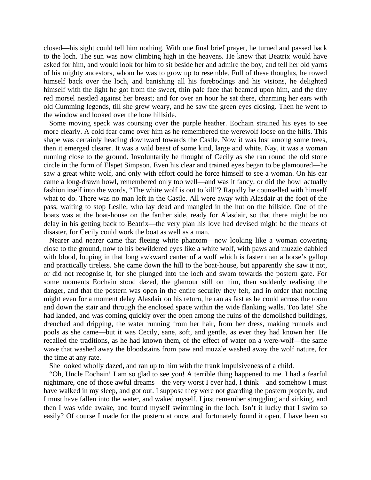closed—his sight could tell him nothing. With one final brief prayer, he turned and passed back to the loch. The sun was now climbing high in the heavens. He knew that Beatrix would have asked for him, and would look for him to sit beside her and admire the boy, and tell her old yarns of his mighty ancestors, whom he was to grow up to resemble. Full of these thoughts, he rowed himself back over the loch, and banishing all his forebodings and his visions, he delighted himself with the light he got from the sweet, thin pale face that beamed upon him, and the tiny red morsel nestled against her breast; and for over an hour he sat there, charming her ears with old Cumming legends, till she grew weary, and he saw the green eyes closing. Then he went to the window and looked over the lone hillside.

 Some moving speck was coursing over the purple heather. Eochain strained his eyes to see more clearly. A cold fear came over him as he remembered the werewolf loose on the hills. This shape was certainly heading downward towards the Castle. Now it was lost among some trees, then it emerged clearer. It was a wild beast of some kind, large and white. Nay, it was a woman running close to the ground. Involuntarily he thought of Cecily as she ran round the old stone circle in the form of Elspet Simpson. Even his clear and trained eyes began to be glamoured—he saw a great white wolf, and only with effort could he force himself to see a woman. On his ear came a long-drawn howl, remembered only too well—and was it fancy, or did the howl actually fashion itself into the words, "The white wolf is out to kill"? Rapidly he counselled with himself what to do. There was no man left in the Castle. All were away with Alasdair at the foot of the pass, waiting to stop Leslie, who lay dead and mangled in the hut on the hillside. One of the boats was at the boat-house on the farther side, ready for Alasdair, so that there might be no delay in his getting back to Beatrix—the very plan his love had devised might be the means of disaster, for Cecily could work the boat as well as a man.

 Nearer and nearer came that fleeing white phantom—now looking like a woman cowering close to the ground, now to his bewildered eyes like a white wolf, with paws and muzzle dabbled with blood, louping in that long awkward canter of a wolf which is faster than a horse's gallop and practically tireless. She came down the hill to the boat-house, but apparently she saw it not, or did not recognise it, for she plunged into the loch and swam towards the postern gate. For some moments Eochain stood dazed, the glamour still on him, then suddenly realising the danger, and that the postern was open in the entire security they felt, and in order that nothing might even for a moment delay Alasdair on his return, he ran as fast as he could across the room and down the stair and through the enclosed space within the wide flanking walls. Too late! She had landed, and was coming quickly over the open among the ruins of the demolished buildings, drenched and dripping, the water running from her hair, from her dress, making runnels and pools as she came—but it was Cecily, sane, soft, and gentle, as ever they had known her. He recalled the traditions, as he had known them, of the effect of water on a were-wolf—the same wave that washed away the bloodstains from paw and muzzle washed away the wolf nature, for the time at any rate.

She looked wholly dazed, and ran up to him with the frank impulsiveness of a child.

 "Oh, Uncle Eochain! I am so glad to see you! A terrible thing happened to me. I had a fearful nightmare, one of those awful dreams—the very worst I ever had, I think—and somehow I must have walked in my sleep, and got out. I suppose they were not guarding the postern properly, and I must have fallen into the water, and waked myself. I just remember struggling and sinking, and then I was wide awake, and found myself swimming in the loch. Isn't it lucky that I swim so easily? Of course I made for the postern at once, and fortunately found it open. I have been so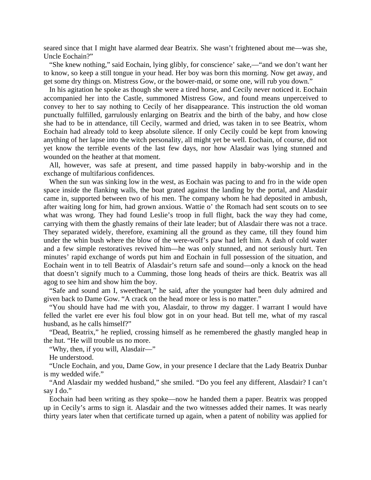seared since that I might have alarmed dear Beatrix. She wasn't frightened about me—was she, Uncle Eochain?"

 "She knew nothing," said Eochain, lying glibly, for conscience' sake,—"and we don't want her to know, so keep a still tongue in your head. Her boy was born this morning. Now get away, and get some dry things on. Mistress Gow, or the bower-maid, or some one, will rub you down."

 In his agitation he spoke as though she were a tired horse, and Cecily never noticed it. Eochain accompanied her into the Castle, summoned Mistress Gow, and found means unperceived to convey to her to say nothing to Cecily of her disappearance. This instruction the old woman punctually fulfilled, garrulously enlarging on Beatrix and the birth of the baby, and how close she had to be in attendance, till Cecily, warmed and dried, was taken in to see Beatrix, whom Eochain had already told to keep absolute silence. If only Cecily could be kept from knowing anything of her lapse into the witch personality, all might yet be well. Eochain, of course, did not yet know the terrible events of the last few days, nor how Alasdair was lying stunned and wounded on the heather at that moment.

 All, however, was safe at present, and time passed happily in baby-worship and in the exchange of multifarious confidences.

 When the sun was sinking low in the west, as Eochain was pacing to and fro in the wide open space inside the flanking walls, the boat grated against the landing by the portal, and Alasdair came in, supported between two of his men. The company whom he had deposited in ambush, after waiting long for him, had grown anxious. Wattie o' the Romach had sent scouts on to see what was wrong. They had found Leslie's troop in full flight, back the way they had come, carrying with them the ghastly remains of their late leader; but of Alasdair there was not a trace. They separated widely, therefore, examining all the ground as they came, till they found him under the whin bush where the blow of the were-wolf's paw had left him. A dash of cold water and a few simple restoratives revived him—he was only stunned, and not seriously hurt. Ten minutes' rapid exchange of words put him and Eochain in full possession of the situation, and Eochain went in to tell Beatrix of Alasdair's return safe and sound—only a knock on the head that doesn't signify much to a Cumming, those long heads of theirs are thick. Beatrix was all agog to see him and show him the boy.

 "Safe and sound am I, sweetheart," he said, after the youngster had been duly admired and given back to Dame Gow. "A crack on the head more or less is no matter."

 "You should have had me with you, Alasdair, to throw my dagger. I warrant I would have felled the varlet ere ever his foul blow got in on your head. But tell me, what of my rascal husband, as he calls himself?"

 "Dead, Beatrix," he replied, crossing himself as he remembered the ghastly mangled heap in the hut. "He will trouble us no more.

"Why, then, if you will, Alasdair—"

He understood.

 "Uncle Eochain, and you, Dame Gow, in your presence I declare that the Lady Beatrix Dunbar is my wedded wife."

 "And Alasdair my wedded husband," she smiled. "Do you feel any different, Alasdair? I can't say I do."

 Eochain had been writing as they spoke—now he handed them a paper. Beatrix was propped up in Cecily's arms to sign it. Alasdair and the two witnesses added their names. It was nearly thirty years later when that certificate turned up again, when a patent of nobility was applied for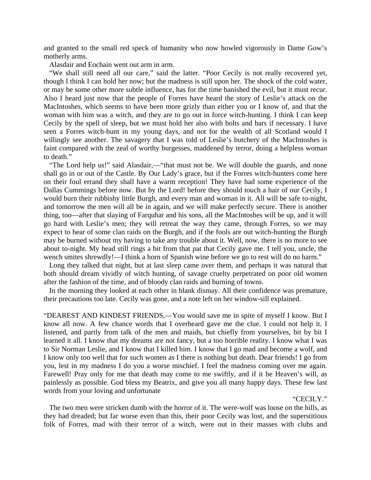and granted to the small red speck of humanity who now howled vigorously in Dame Gow's motherly arms.

Alasdair and Eochain went out arm in arm.

 "We shall still need all our care," said the latter. "Poor Cecily is not really recovered yet, though I think I can hold her now; but the madness is still upon her. The shock of the cold water, or may be some other more subtle influence, has for the time banished the evil, but it must recur. Also I heard just now that the people of Forres have heard the story of Leslie's attack on the MacIntoshes, which seems to have been more grizly than either you or I know of, and that the woman with him was a witch, and they are to go out in force witch-hunting. I think I can keep Cecily by the spell of sleep, but we must hold her also with bolts and bars if necessary. I have seen a Forres witch-hunt in my young days, and not for the wealth of all Scotland would I willingly see another. The savagery that I was told of Leslie's butchery of the MacIntoshes is faint compared with the zeal of worthy burgesses, maddened by terror, doing a helpless woman to death."

"The Lord help us!" said Alasdair,—"that must not be. We will double the guards, and none shall go in or out of the Castle. By Our Lady's grace, but if the Forres witch-hunters come here on their foul errand they shall have a warm reception! They have had some experience of the Dallas Cummings before now. But by the Lord! before they should touch a hair of our Cecily, I would burn their rubbishy little Burgh, and every man and woman in it. All will be safe to-night, and tomorrow the men will all be in again, and we will make perfectly secure. There is another thing, too—after that slaying of Farquhar and his sons, all the MacIntoshes will be up, and it will go hard with Leslie's men; they will retreat the way they came, through Forres, so we may expect to hear of some clan raids on the Burgh, and if the fools are out witch-hunting the Burgh may be burned without my having to take any trouble about it. Well, now, there is no more to see about to-night. My head still rings a bit from that pat that Cecily gave me. I tell you, uncle, the wench smites shrewdly!—I think a horn of Spanish wine before we go to rest will do no harm."

 Long they talked that night, but at last sleep came over them, and perhaps it was natural that both should dream vividly of witch hunting, of savage cruelty perpetrated on poor old women after the fashion of the time, and of bloody clan raids and burning of towns.

 In the morning they looked at each other in blank dismay. All their confidence was premature, their precautions too late. Cecily was gone, and a note left on her window-sill explained.

"DEAREST AND KINDEST FRIENDS,—You would save me in spite of myself I know. But I know all now. A few chance words that I overheard gave me the clue. I could not help it. I listened, and partly from talk of the men and maids, but chiefly from yourselves, bit by bit I learned it all. I know that my dreams are not fancy, but a too horrible reality. I know what I was to Sir Norman Leslie, and I know that I killed him. I know that I go mad and become a wolf, and I know only too well that for such women as I there is nothing but death. Dear friends! I go from you, lest in my madness I do you a worse mischief. I feel the madness coming over me again. Farewell! Pray only for me that death may come to me swiftly, and if it be Heaven's will, as painlessly as possible. God bless my Beatrix, and give you all many happy days. These few last words from your loving and unfortunate

"CECILY."

 The two men were stricken dumb with the horror of it. The were-wolf was loose on the hills, as they had dreaded; but far worse even than this, their poor Cecily was lost, and the superstitious folk of Forres, mad with their terror of a witch, were out in their masses with clubs and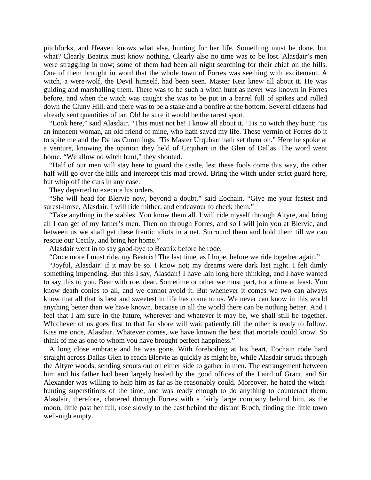pitchforks, and Heaven knows what else, hunting for her life. Something must be done, but what? Clearly Beatrix must know nothing. Clearly also no time was to be lost. Alasdair's men were straggling in now; some of them had been all night searching for their chief on the hills. One of them brought in word that the whole town of Forres was seething with excitement. A witch, a were-wolf, the Devil himself, had been seen. Master Keir knew all about it. He was guiding and marshalling them. There was to be such a witch hunt as never was known in Forres before, and when the witch was caught she was to be put in a barrel full of spikes and rolled down the Cluny Hill, and there was to be a stake and a bonfire at the bottom. Several citizens had already sent quantities of tar. Oh! be sure it would be the rarest sport.

 "Look here," said Alasdair. "This must not be! I know all about it. 'Tis no witch they hunt; 'tis an innocent woman, an old friend of mine, who hath saved my life. These vermin of Forres do it to spite me and the Dallas Cummings. 'Tis Master Urquhart hath set them on." Here he spoke at a venture, knowing the opinion they held of Urquhart in the Glen of Dallas. The word went home. "We allow no witch hunt," they shouted.

 "Half of our men will stay here to guard the castle, lest these fools come this way, the other half will go over the hills and intercept this mad crowd. Bring the witch under strict guard here, but whip off the curs in any case.

They departed to execute his orders.

 "She will head for Blervie now, beyond a doubt," said Eochain. "Give me your fastest and surest-horse, Alasdair. I will ride thither, and endeavour to check them."

 "Take anything in the stables. You know them all. I will ride myself through Altyre, and bring all I can get of my father's men. Then on through Forres, and so I will join you at Blervic, and between us we shall get these frantic idiots in a net. Surround them and hold them till we can rescue our Cecily, and bring her home."

Alasdair went in to say good-bye to Beatrix before he rode.

"Once more I must ride, my Beatrix! The last time, as I hope, before we ride together again."

 "Joyful, Alasdair! if it may be so. I know not; my dreams were dark last night. I felt dimly something impending. But this I say, Alasdair! I have lain long here thinking, and I have wanted to say this to you. Bear with roe, dear. Sometime or other we must part, for a time at least. You know death conies to all, and we cannot avoid it. But whenever it comes we two can always know that all that is best and sweetest in life has come to us. We never can know in this world anything better than we have known, because in all the world there can be nothing better. And I feel that I am sure in the future, wherever and whatever it may be, we shall still be together. Whichever of us goes first to that far shore will wait patiently till the other is ready to follow. Kiss me once, Alasdair. Whatever comes, we have known the best that mortals could know. So think of me as one to whom you have brought perfect happiness."

 A long close embrace and he was gone. With foreboding at his heart, Eochain rode hard straight across Dallas Glen to reach Blervie as quickly as might be, while Alasdair struck through the Altyre woods, sending scouts out on either side to gather in men. The estrangement between him and his father had been largely healed by the good offices of the Laird of Grant, and Sir Alexander was willing to help him as far as he reasonably could. Moreover, he hated the witchhunting superstitions of the time, and was ready enough to do anything to counteract them. Alasdair, therefore, clattered through Forres with a fairly large company behind him, as the moon, little past her full, rose slowly to the east behind the distant Broch, finding the little town well-nigh empty.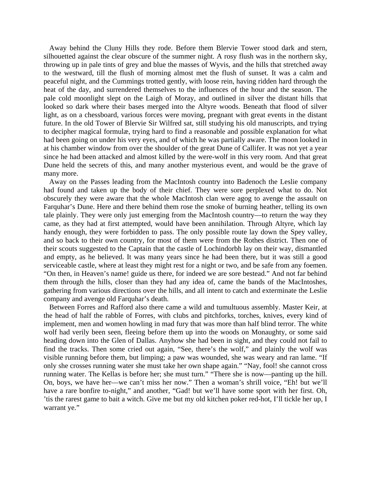Away behind the Cluny Hills they rode. Before them Blervie Tower stood dark and stern, silhouetted against the clear obscure of the summer night. A rosy flush was in the northern sky, throwing up in pale tints of grey and blue the masses of Wyvis, and the hills that stretched away to the westward, till the flush of morning almost met the flush of sunset. It was a calm and peaceful night, and the Cummings trotted gently, with loose rein, having ridden hard through the heat of the day, and surrendered themselves to the influences of the hour and the season. The pale cold moonlight slept on the Laigh of Moray, and outlined in silver the distant hills that looked so dark where their bases merged into the Altyre woods. Beneath that flood of silver light, as on a chessboard, various forces were moving, pregnant with great events in the distant future. In the old Tower of Blervie Sir Wilfred sat, still studying his old manuscripts, and trying to decipher magical formulæ, trying hard to find a reasonable and possible explanation for what had been going on under his very eyes, and of which he was partially aware. The moon looked in at his chamber window from over the shoulder of the great Dune of Callifer. It was not yet a year since he had been attacked and almost killed by the were-wolf in this very room. And that great Dune held the secrets of this, and many another mysterious event, and would be the grave of many more.

 Away on the Passes leading from the MacIntosh country into Badenoch the Leslie company had found and taken up the body of their chief. They were sore perplexed what to do. Not obscurely they were aware that the whole MacIntosh clan were agog to avenge the assault on Farquhar's Dune. Here and there behind them rose the smoke of burning heather, telling its own tale plainly. They were only just emerging from the MacIntosh country—to return the way they came, as they had at first attempted, would have been annihilation. Through Altyre, which lay handy enough, they were forbidden to pass. The only possible route lay down the Spey valley, and so back to their own country, for most of them were from the Rothes district. Then one of their scouts suggested to the Captain that the castle of Lochindorbh lay on their way, dismantled and empty, as he believed. It was many years since he had been there, but it was still a good serviceable castle, where at least they might rest for a night or two, and be safe from any foemen. "On then, in Heaven's name! guide us there, for indeed we are sore bestead." And not far behind them through the hills, closer than they had any idea of, came the bands of the MacIntoshes, gathering from various directions over the hills, and all intent to catch and exterminate the Leslie company and avenge old Farquhar's death.

 Between Forres and Rafford also there came a wild and tumultuous assembly. Master Keir, at the head of half the rabble of Forres, with clubs and pitchforks, torches, knives, every kind of implement, men and women howling in mad fury that was more than half blind terror. The white wolf had verily been seen, fleeing before them up into the woods on Monaughty, or some said heading down into the Glen of Dallas. Anyhow she had been in sight, and they could not fail to find the tracks. Then some cried out again, "See, there's the wolf," and plainly the wolf was visible running before them, but limping; a paw was wounded, she was weary and ran lame. "If only she crosses running water she must take her own shape again." "Nay, fool! she cannot cross running water. The Kellas is before her; she must turn." "There she is now—panting up the hill. On, boys, we have her—we can't miss her now." Then a woman's shrill voice, "Eh! but we'll have a rare bonfire to-night," and another, "Gad! but we'll have some sport with her first. Oh, 'tis the rarest game to bait a witch. Give me but my old kitchen poker red-hot, I'll tickle her up, I warrant ye."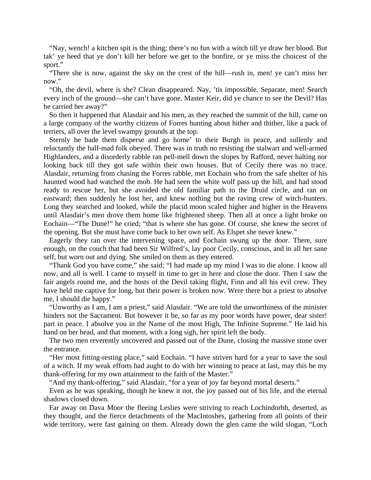"Nay, wench! a kitchen spit is the thing; there's no fun with a witch till ye draw her blood. But tak' ye heed that ye don't kill her before we get to the bonfire, or ye miss the choicest of the sport."

 "There she is now, against the sky on the crest of the hill—rush in, men! ye can't miss her now."

 "Oh, the devil, where is she? Clean disappeared. Nay, 'tis impossible. Separate, men! Search every inch of the ground—she can't have gone. Master Keir, did ye chance to see the Devil? Has he carried her away?"

 So then it happened that Alasdair and his men, as they reached the summit of the hill, came on a large company of the worthy citizens of Forres hunting about hither and thither, like a pack of terriers, all over the level swampy grounds at the top.

 Sternly he bade them disperse and go home' to their Burgh in peace, and sullenly and reluctantly the half-mad folk obeyed. There was in truth no resisting the stalwart and well-armed Highlanders, and a disorderly rabble ran pell-mell down the slopes by Rafford, never halting nor looking back till they got safe within their own houses. But of Cecily there was no trace. Alasdair, returning from chasing the Forres rabble, met Eochain who from the safe shelter of his haunted wood had watched the mob. He had seen the white wolf pass up the hill, and had stood ready to rescue her, but she avoided the old familiar path to the Druid circle, and ran on eastward; then suddenly he lost her, and knew nothing but the raving crew of witch-hunters. Long they searched and looked, while the placid moon scaled higher and higher in the Heavens until Alasdair's men drove them home like frightened sheep. Then all at once a light broke on Eochain—"The Dune!" he cried; "that is where she has gone. Of course, she knew the secret of the opening. But she must have come back to her own self. As Elspet she never knew."

 Eagerly they ran over the intervening space, and Eochain swung up the door. There, sure enough, on the couch that had been Sir Wilfred's, lay poor Cecily, conscious, and in all her sane self, but worn out and dying. She smiled on them as they entered.

 "Thank God you have come," she said; "I had made up my mind I was to die alone. I know all now, and all is well. I came to myself in time to get in here and close the door. Then I saw the fair angels round me, and the hosts of the Devil taking flight, Finn and all his evil crew. They have held me captive for long, but their power is broken now. Were there but a priest to absolve me, I should die happy."

 "Unworthy as I am, I am a priest," said Alasdair. "We are told the unworthiness of the minister hinders not the Sacrament. But however it be, so far as my poor words have power, dear sister! part in peace. I absolve you in the Name of the most High, The Infinite Supreme." He laid his hand on her head, and that moment, with a long sigh, her spirit left the body.

 The two men reverently uncovered and passed out of the Dune, closing the massive stone over the entrance.

 "Her most fitting-resting place," said Eochain. "I have striven hard for a year to save the soul of a witch. If my weak efforts had aught to do with her winning to peace at last, may this be my thank-offering for my own attainment to the faith of the Master."

"And my thank-offering," said Alasdair, "for a year of joy far beyond mortal deserts."

 Even as he was speaking, though he knew it not, the joy passed out of his life, and the eternal shadows closed down.

 Far away on Dava Moor the fleeing Leslies were striving to reach Lochindorbh, deserted, as they thought, and the fierce detachments of the MacIntoshes, gathering from all points of their wide territory, were fast gaining on them. Already down the glen came the wild slogan, "Loch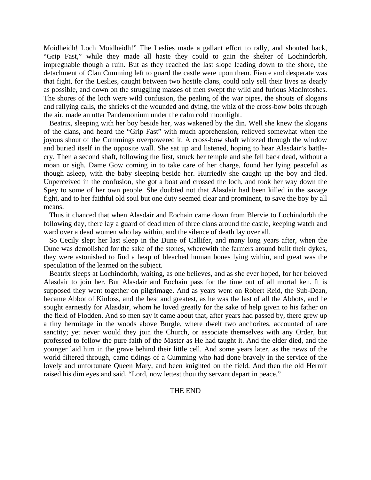Moidheidh! Loch Moidheidh!" The Leslies made a gallant effort to rally, and shouted back, "Grip Fast," while they made all haste they could to gain the shelter of Lochindorbh, impregnable though a ruin. But as they reached the last slope leading down to the shore, the detachment of Clan Cumming left to guard the castle were upon them. Fierce and desperate was that fight, for the Leslies, caught between two hostile clans, could only sell their lives as dearly as possible, and down on the struggling masses of men swept the wild and furious MacIntoshes. The shores of the loch were wild confusion, the pealing of the war pipes, the shouts of slogans and rallying calls, the shrieks of the wounded and dying, the whiz of the cross-bow bolts through the air, made an utter Pandemonium under the calm cold moonlight.

 Beatrix, sleeping with her boy beside her, was wakened by the din. Well she knew the slogans of the clans, and heard the "Grip Fast" with much apprehension, relieved somewhat when the joyous shout of the Cummings overpowered it. A cross-bow shaft whizzed through the window and buried itself in the opposite wall. She sat up and listened, hoping to hear Alasdair's battlecry. Then a second shaft, following the first, struck her temple and she fell back dead, without a moan or sigh. Dame Gow coming in to take care of her charge, found her lying peaceful as though asleep, with the baby sleeping beside her. Hurriedly she caught up the boy and fled. Unperceived in the confusion, she got a boat and crossed the loch, and took her way down the Spey to some of her own people. She doubted not that Alasdair had been killed in the savage fight, and to her faithful old soul but one duty seemed clear and prominent, to save the boy by all means.

 Thus it chanced that when Alasdair and Eochain came down from Blervie to Lochindorbh the following day, there lay a guard of dead men of three clans around the castle, keeping watch and ward over a dead women who lay within, and the silence of death lay over all.

 So Cecily slept her last sleep in the Dune of Callifer, and many long years after, when the Dune was demolished for the sake of the stones, wherewith the farmers around built their dykes, they were astonished to find a heap of bleached human bones lying within, and great was the speculation of the learned on the subject.

 Beatrix sleeps at Lochindorbh, waiting, as one believes, and as she ever hoped, for her beloved Alasdair to join her. But Alasdair and Eochain pass for the time out of all mortal ken. It is supposed they went together on pilgrimage. And as years went on Robert Reid, the Sub-Dean, became Abbot of Kinloss, and the best and greatest, as he was the last of all the Abbots, and he sought earnestly for Alasdair, whom he loved greatly for the sake of help given to his father on the field of Flodden. And so men say it came about that, after years had passed by, there grew up a tiny hermitage in the woods above Burgle, where dwelt two anchorites, accounted of rare sanctity; yet never would they join the Church, or associate themselves with any Order, but professed to follow the pure faith of the Master as He had taught it. And the elder died, and the younger laid him in the grave behind their little cell. And some years later, as the news of the world filtered through, came tidings of a Cumming who had done bravely in the service of the lovely and unfortunate Queen Mary, and been knighted on the field. And then the old Hermit raised his dim eyes and said, "Lord, now lettest thou thy servant depart in peace."

## THE END